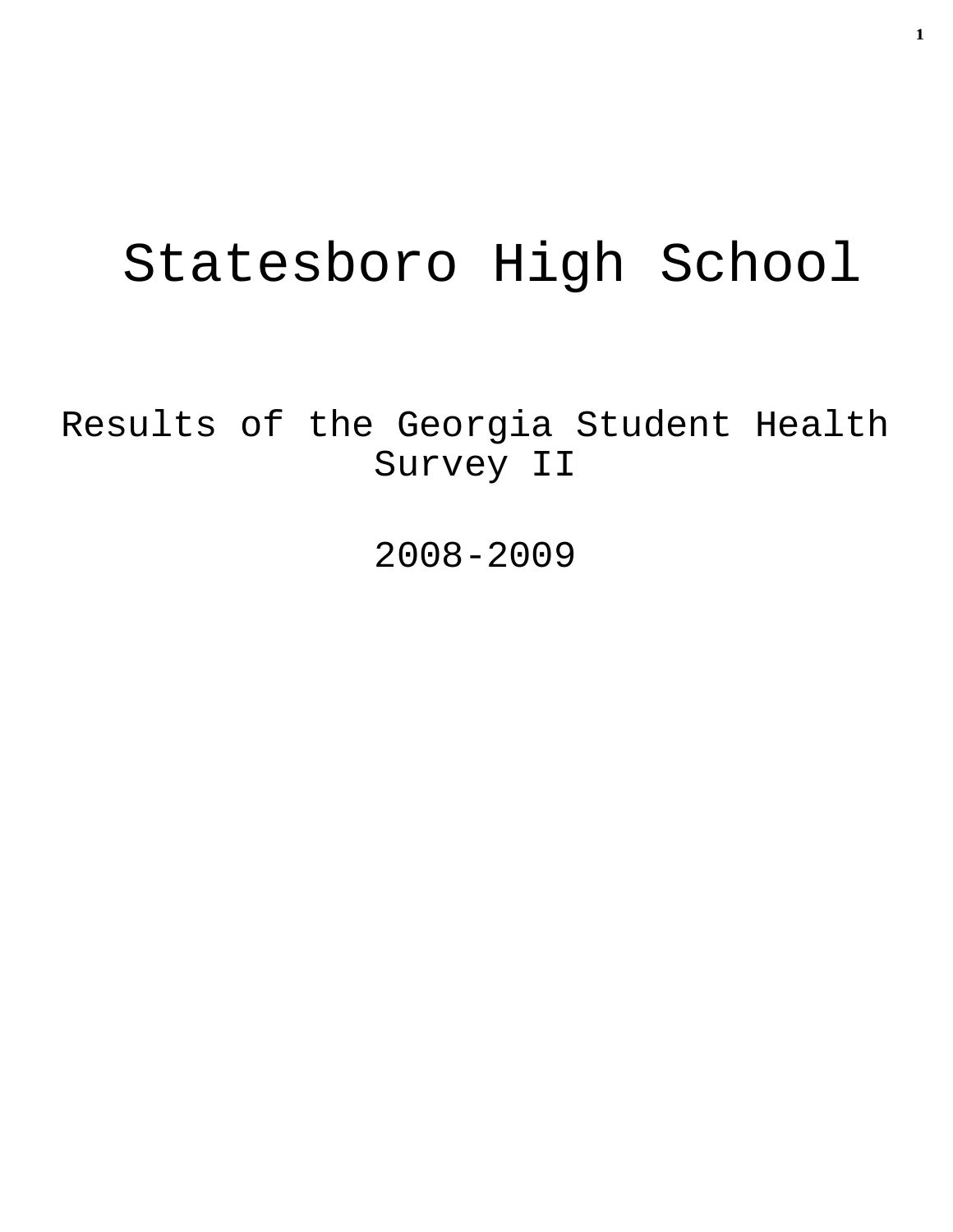# Statesboro High School

Results of the Georgia Student Health Survey II

2008-2009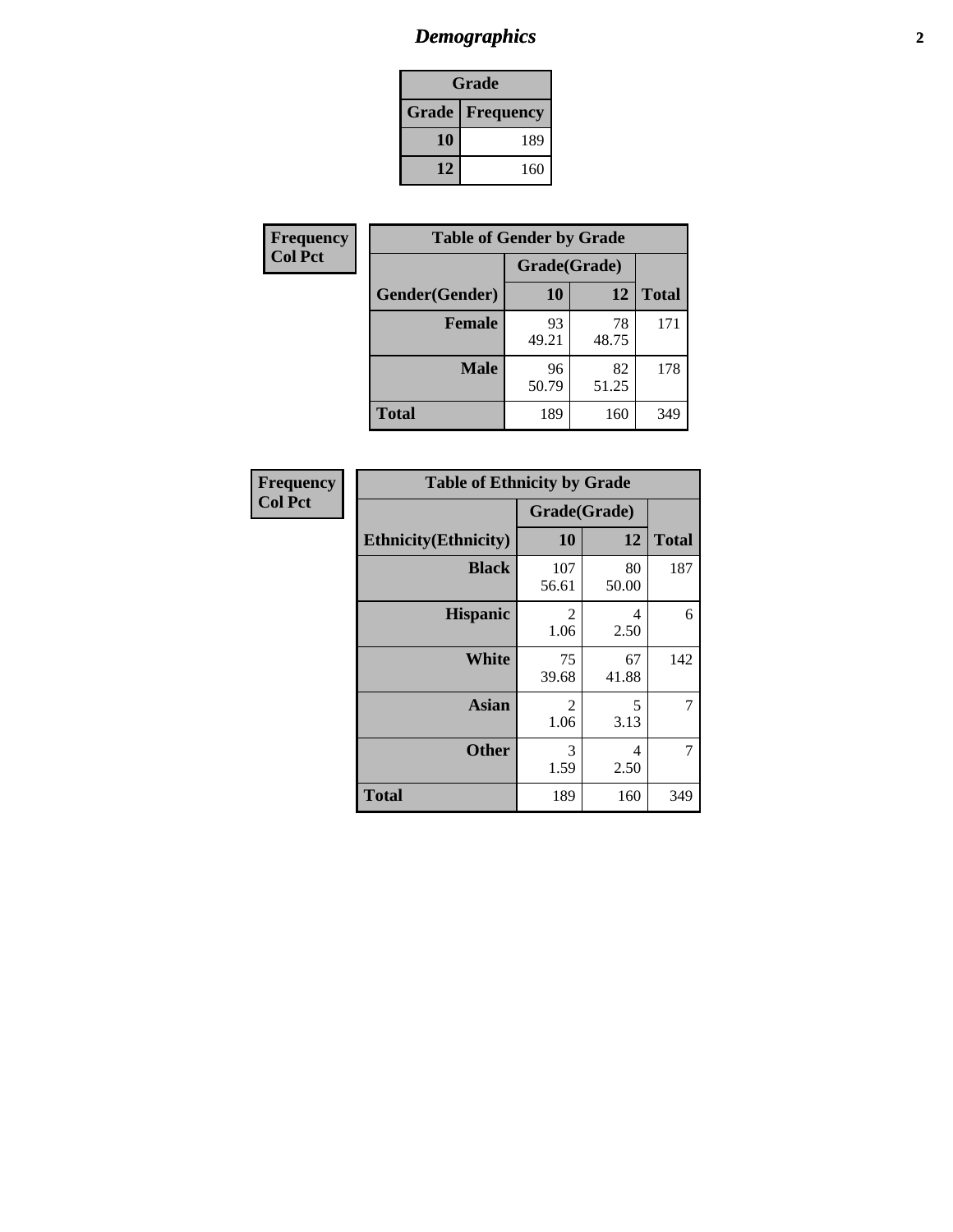# *Demographics* **2**

| Grade                    |     |  |  |
|--------------------------|-----|--|--|
| <b>Grade   Frequency</b> |     |  |  |
| 10                       | 189 |  |  |
| 12                       | 160 |  |  |

| Frequency      | <b>Table of Gender by Grade</b> |              |             |              |  |
|----------------|---------------------------------|--------------|-------------|--------------|--|
| <b>Col Pct</b> |                                 | Grade(Grade) |             |              |  |
|                | Gender(Gender)                  | 10           | 12          | <b>Total</b> |  |
|                | <b>Female</b>                   | 93<br>49.21  | 78<br>48.75 | 171          |  |
|                | <b>Male</b>                     | 96<br>50.79  | 82<br>51.25 | 178          |  |
|                | <b>Total</b>                    | 189          | 160         | 349          |  |

| Frequency<br>Col Pct |
|----------------------|

| <b>Table of Ethnicity by Grade</b> |                        |             |              |  |  |  |
|------------------------------------|------------------------|-------------|--------------|--|--|--|
|                                    | Grade(Grade)           |             |              |  |  |  |
| <b>Ethnicity</b> (Ethnicity)       | 10                     | 12          | <b>Total</b> |  |  |  |
| <b>Black</b>                       | 107<br>56.61           | 80<br>50.00 | 187          |  |  |  |
| <b>Hispanic</b>                    | 2<br>1.06              | 4<br>2.50   | 6            |  |  |  |
| White                              | 75<br>39.68            | 67<br>41.88 | 142          |  |  |  |
| <b>Asian</b>                       | $\overline{2}$<br>1.06 | 5<br>3.13   |              |  |  |  |
| <b>Other</b>                       | 3<br>1.59              | 4<br>2.50   | 7            |  |  |  |
| <b>Total</b>                       | 189                    | 160         | 349          |  |  |  |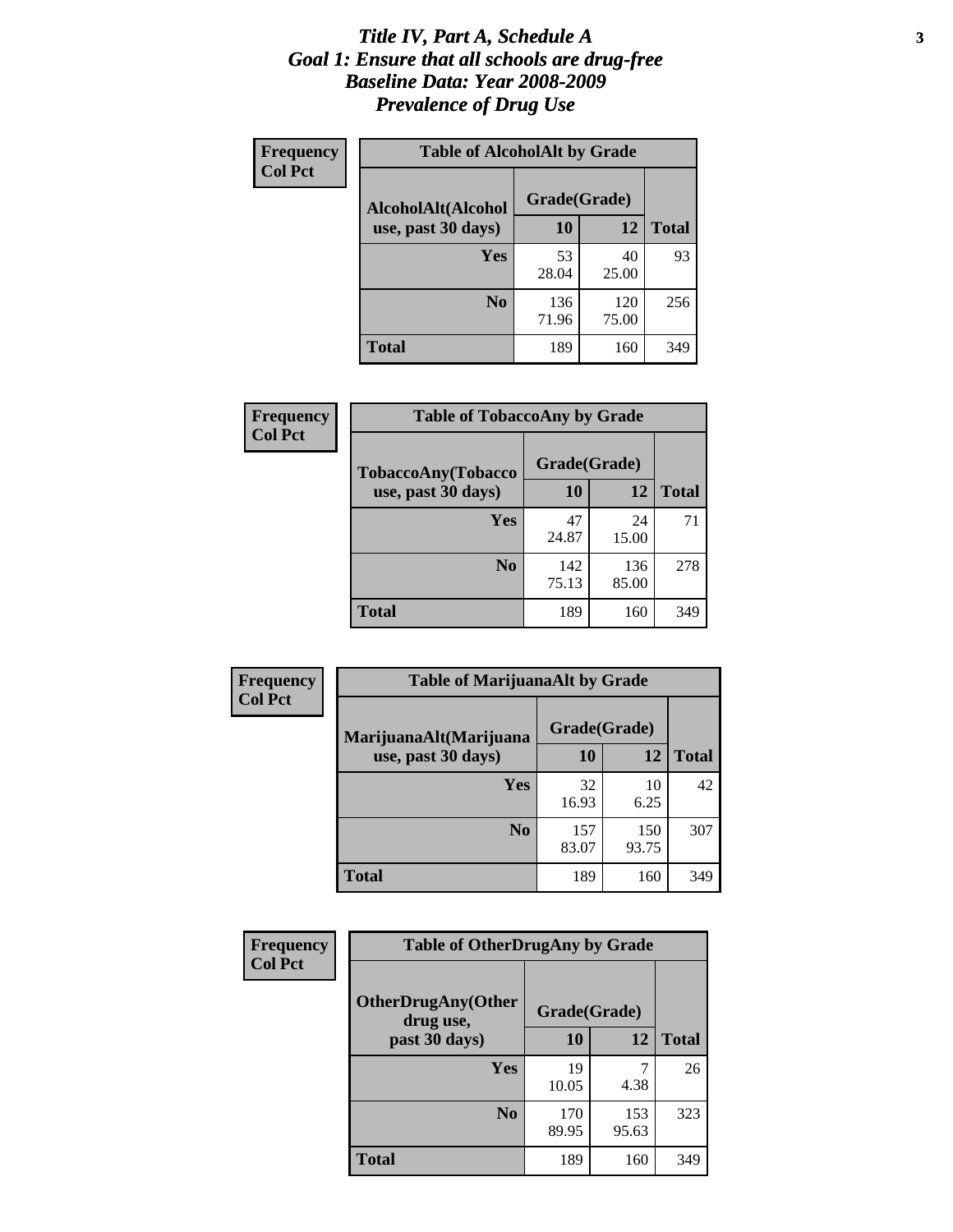#### *Title IV, Part A, Schedule A* **3** *Goal 1: Ensure that all schools are drug-free Baseline Data: Year 2008-2009 Prevalence of Drug Use*

| Frequency<br><b>Col Pct</b> | <b>Table of AlcoholAlt by Grade</b> |              |              |              |  |
|-----------------------------|-------------------------------------|--------------|--------------|--------------|--|
|                             | AlcoholAlt(Alcohol                  | Grade(Grade) |              |              |  |
|                             | use, past 30 days)                  | <b>10</b>    | 12           | <b>Total</b> |  |
|                             | Yes                                 | 53<br>28.04  | 40<br>25.00  | 93           |  |
|                             | N <sub>0</sub>                      | 136<br>71.96 | 120<br>75.00 | 256          |  |
|                             | Total                               | 189          | 160          | 349          |  |

| Frequency<br><b>Col Pct</b> | <b>Table of TobaccoAny by Grade</b> |              |              |              |  |  |
|-----------------------------|-------------------------------------|--------------|--------------|--------------|--|--|
|                             | TobaccoAny(Tobacco                  | Grade(Grade) |              |              |  |  |
|                             | use, past 30 days)                  | 10           | 12           | <b>Total</b> |  |  |
|                             | <b>Yes</b>                          | 47<br>24.87  | 24<br>15.00  | 71           |  |  |
|                             | N <sub>0</sub>                      | 142<br>75.13 | 136<br>85.00 | 278          |  |  |
|                             | <b>Total</b>                        | 189          | 160          | 349          |  |  |

| Frequency<br><b>Col Pct</b> | <b>Table of MarijuanaAlt by Grade</b> |              |              |              |  |
|-----------------------------|---------------------------------------|--------------|--------------|--------------|--|
|                             | MarijuanaAlt(Marijuana                | Grade(Grade) |              |              |  |
|                             | use, past 30 days)                    | <b>10</b>    | 12           | <b>Total</b> |  |
|                             | <b>Yes</b>                            | 32<br>16.93  | 10<br>6.25   | 42           |  |
|                             | N <sub>0</sub>                        | 157<br>83.07 | 150<br>93.75 | 307          |  |
|                             | <b>Total</b>                          | 189          | 160          | 349          |  |

| Frequency<br><b>Col Pct</b> | <b>Table of OtherDrugAny by Grade</b>                  |              |              |              |  |
|-----------------------------|--------------------------------------------------------|--------------|--------------|--------------|--|
|                             | <b>OtherDrugAny(Other</b><br>Grade(Grade)<br>drug use, |              |              |              |  |
|                             | past 30 days)                                          | 10           | 12           | <b>Total</b> |  |
|                             | Yes                                                    | 19<br>10.05  | 4.38         | 26           |  |
|                             | N <sub>0</sub>                                         | 170<br>89.95 | 153<br>95.63 | 323          |  |
|                             | <b>Total</b>                                           | 189          | 160          | 349          |  |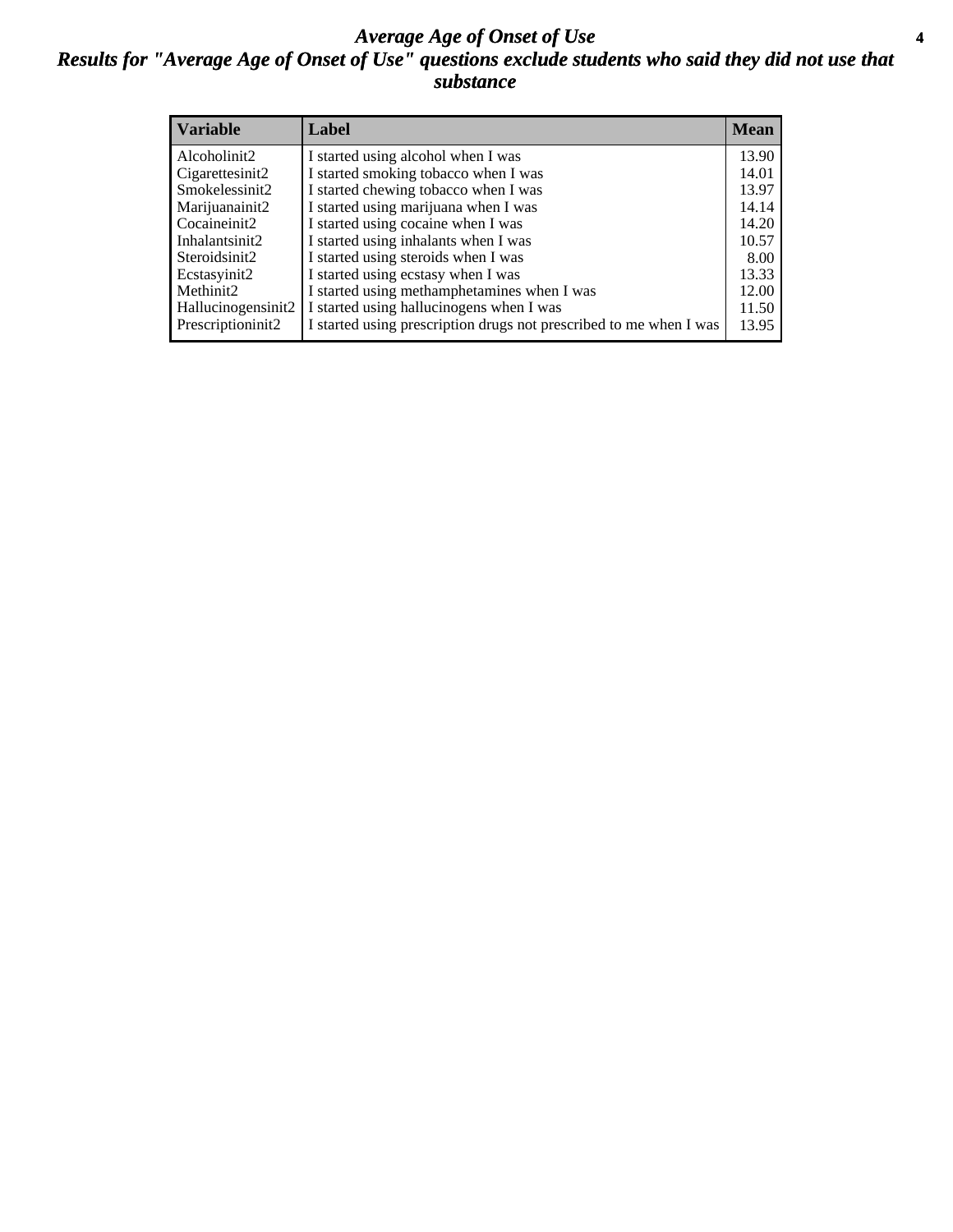### *Average Age of Onset of Use* **4** *Results for "Average Age of Onset of Use" questions exclude students who said they did not use that substance*

| <b>Variable</b>    | Label                                                              | <b>Mean</b> |
|--------------------|--------------------------------------------------------------------|-------------|
| Alcoholinit2       | I started using alcohol when I was                                 | 13.90       |
| Cigarettesinit2    | I started smoking tobacco when I was                               | 14.01       |
| Smokelessinit2     | I started chewing tobacco when I was                               | 13.97       |
| Marijuanainit2     | I started using marijuana when I was                               | 14.14       |
| Cocaineinit2       | I started using cocaine when I was                                 | 14.20       |
| Inhalantsinit2     | I started using inhalants when I was                               | 10.57       |
| Steroidsinit2      | I started using steroids when I was                                | 8.00        |
| Ecstasyinit2       | I started using ecstasy when I was                                 | 13.33       |
| Methinit2          | I started using methamphetamines when I was                        | 12.00       |
| Hallucinogensinit2 | I started using hallucinogens when I was                           | 11.50       |
| Prescriptioninit2  | I started using prescription drugs not prescribed to me when I was | 13.95       |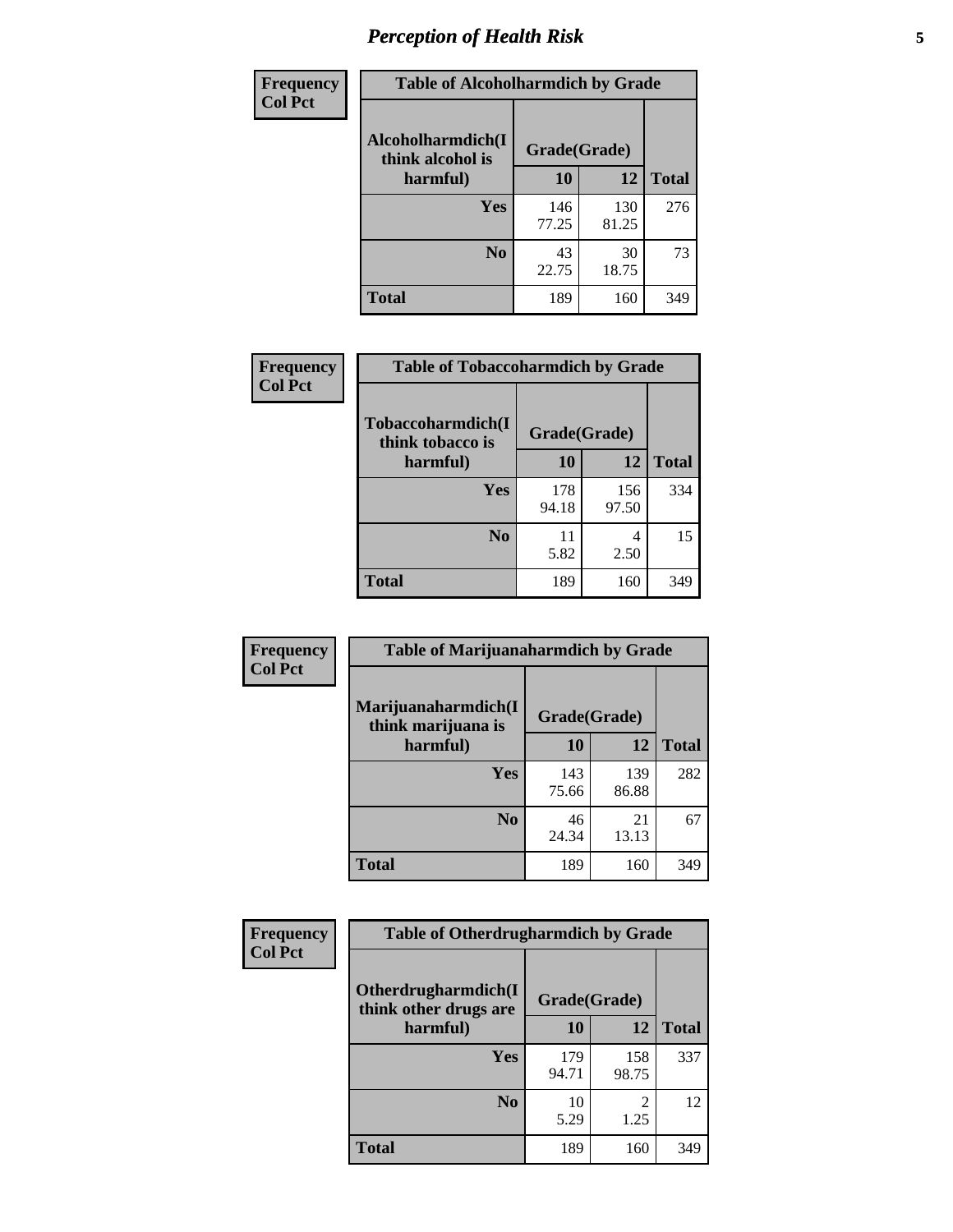# *Perception of Health Risk* **5**

| <b>Frequency</b> | <b>Table of Alcoholharmdich by Grade</b> |              |              |              |  |
|------------------|------------------------------------------|--------------|--------------|--------------|--|
| <b>Col Pct</b>   | Alcoholharmdich(I<br>think alcohol is    | Grade(Grade) |              |              |  |
|                  | harmful)                                 | 10           | 12           | <b>Total</b> |  |
|                  | Yes                                      | 146<br>77.25 | 130<br>81.25 | 276          |  |
|                  | N <sub>0</sub>                           | 43<br>22.75  | 30<br>18.75  | 73           |  |
|                  | <b>Total</b>                             | 189          | 160          | 349          |  |

| <b>Frequency</b> | <b>Table of Tobaccoharmdich by Grade</b> |              |              |              |
|------------------|------------------------------------------|--------------|--------------|--------------|
| <b>Col Pct</b>   | Tobaccoharmdich(I<br>think tobacco is    | Grade(Grade) |              |              |
|                  | harmful)                                 | 10           | 12           | <b>Total</b> |
|                  | Yes                                      | 178<br>94.18 | 156<br>97.50 | 334          |
|                  | N <sub>0</sub>                           | 11<br>5.82   | 4<br>2.50    | 15           |
|                  | <b>Total</b>                             | 189          | 160          | 349          |

| Frequency      | <b>Table of Marijuanaharmdich by Grade</b> |              |              |              |  |  |
|----------------|--------------------------------------------|--------------|--------------|--------------|--|--|
| <b>Col Pct</b> | Marijuanaharmdich(I<br>think marijuana is  | Grade(Grade) |              |              |  |  |
|                | harmful)                                   | 10           | 12           | <b>Total</b> |  |  |
|                | Yes                                        | 143<br>75.66 | 139<br>86.88 | 282          |  |  |
|                | N <sub>0</sub>                             | 46<br>24.34  | 21<br>13.13  | 67           |  |  |
|                | <b>Total</b>                               | 189          | 160          | 349          |  |  |

| Frequency      | <b>Table of Otherdrugharmdich by Grade</b>   |              |              |              |  |  |  |  |
|----------------|----------------------------------------------|--------------|--------------|--------------|--|--|--|--|
| <b>Col Pct</b> | Otherdrugharmdich(I<br>think other drugs are | Grade(Grade) |              |              |  |  |  |  |
|                | harmful)                                     | 10           | 12           | <b>Total</b> |  |  |  |  |
|                | Yes                                          | 179<br>94.71 | 158<br>98.75 | 337          |  |  |  |  |
|                | N <sub>0</sub>                               | 10<br>5.29   | 2<br>1.25    | 12           |  |  |  |  |
|                | <b>Total</b>                                 | 189          | 160          | 349          |  |  |  |  |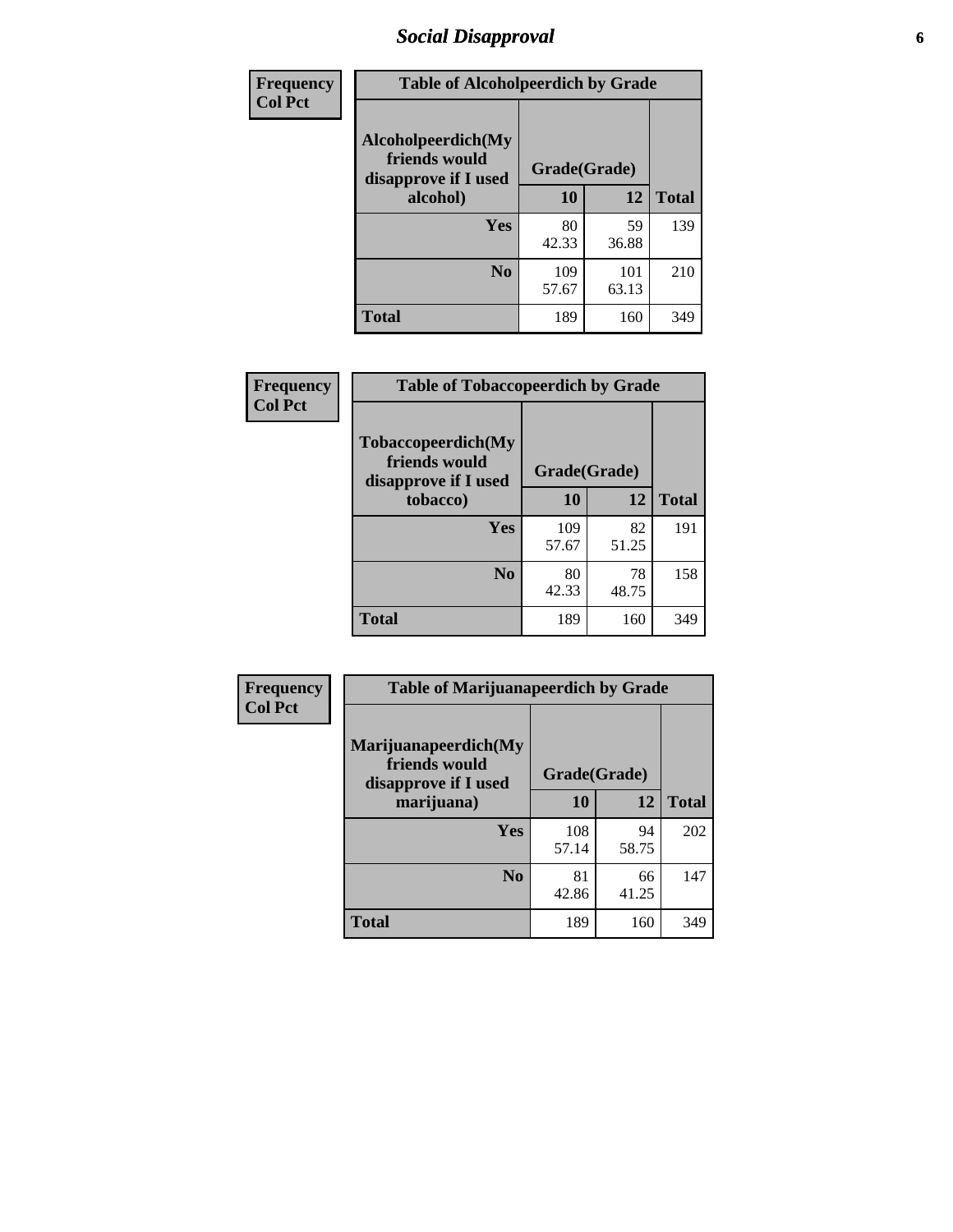# *Social Disapproval* **6**

| Frequency      | <b>Table of Alcoholpeerdich by Grade</b>                    |              |              |              |  |  |  |  |
|----------------|-------------------------------------------------------------|--------------|--------------|--------------|--|--|--|--|
| <b>Col Pct</b> | Alcoholpeerdich(My<br>friends would<br>disapprove if I used | Grade(Grade) |              |              |  |  |  |  |
|                | alcohol)                                                    | 10           | 12           | <b>Total</b> |  |  |  |  |
|                | <b>Yes</b>                                                  | 80<br>42.33  | 59<br>36.88  | 139          |  |  |  |  |
|                | N <sub>0</sub>                                              | 109<br>57.67 | 101<br>63.13 | 210          |  |  |  |  |
|                | <b>Total</b>                                                | 189          | 160          | 349          |  |  |  |  |

| <b>Frequency</b> |
|------------------|
| <b>Col Pct</b>   |

| <b>Table of Tobaccopeerdich by Grade</b>                            |              |             |              |  |  |  |  |
|---------------------------------------------------------------------|--------------|-------------|--------------|--|--|--|--|
| <b>Tobaccopeerdich</b> (My<br>friends would<br>disapprove if I used | Grade(Grade) |             |              |  |  |  |  |
| tobacco)                                                            | 10           | 12          | <b>Total</b> |  |  |  |  |
| Yes                                                                 | 109<br>57.67 | 82<br>51.25 | 191          |  |  |  |  |
| N <sub>0</sub>                                                      | 80<br>42.33  | 78<br>48.75 | 158          |  |  |  |  |
| <b>Total</b>                                                        | 189          | 160         | 349          |  |  |  |  |

| <b>Frequency</b> | <b>Table of Marijuanapeerdich by Grade</b>                    |              |             |              |  |  |  |  |
|------------------|---------------------------------------------------------------|--------------|-------------|--------------|--|--|--|--|
| <b>Col Pct</b>   | Marijuanapeerdich(My<br>friends would<br>disapprove if I used | Grade(Grade) |             |              |  |  |  |  |
|                  | marijuana)                                                    | 10           | 12          | <b>Total</b> |  |  |  |  |
|                  | <b>Yes</b>                                                    | 108<br>57.14 | 94<br>58.75 | 202          |  |  |  |  |
|                  | N <sub>0</sub>                                                | 81<br>42.86  | 66<br>41.25 | 147          |  |  |  |  |
|                  | <b>Total</b>                                                  | 189          | 160         | 349          |  |  |  |  |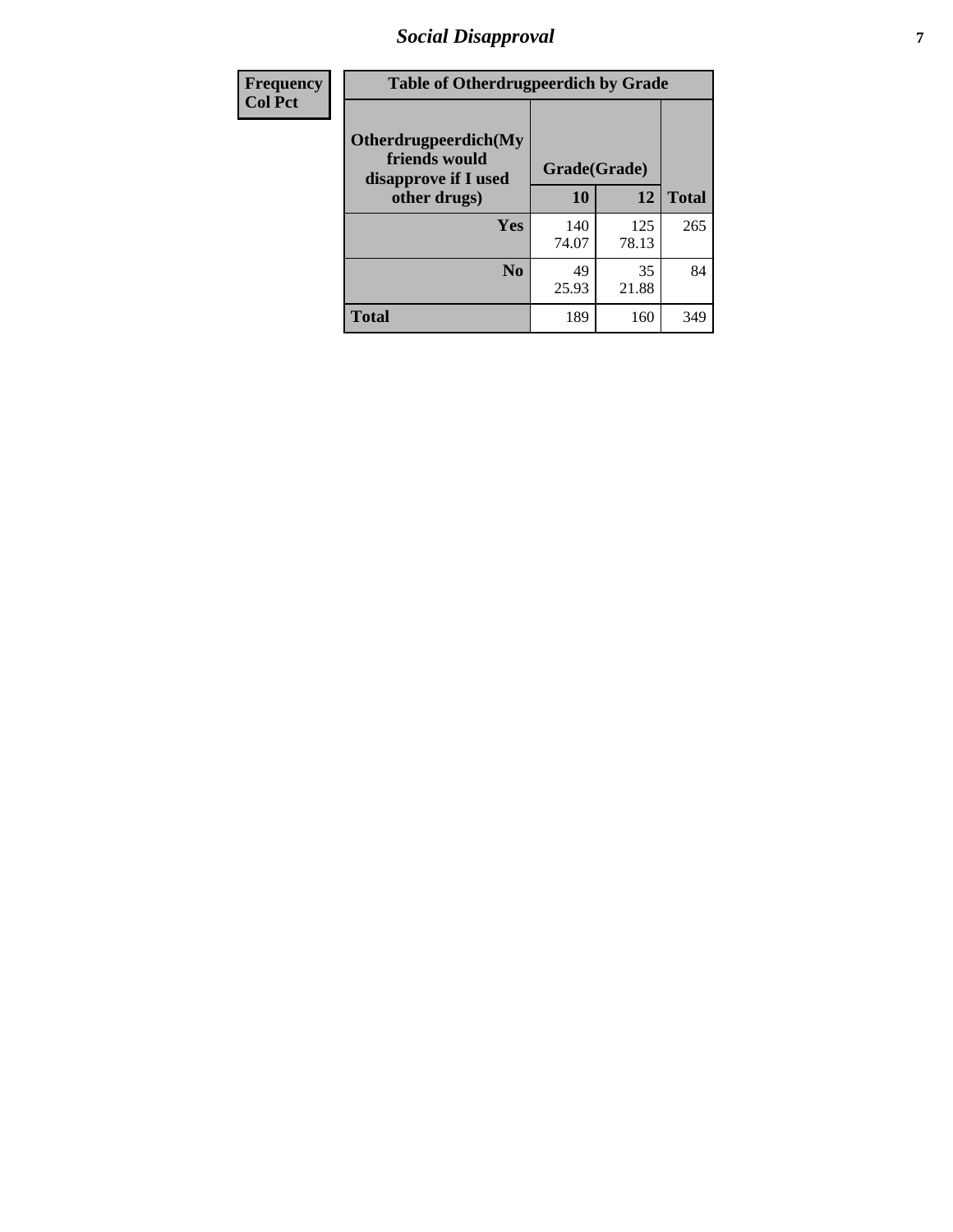# *Social Disapproval* **7**

| Frequency      | <b>Table of Otherdrugpeerdich by Grade</b>                    |              |              |              |  |  |  |  |
|----------------|---------------------------------------------------------------|--------------|--------------|--------------|--|--|--|--|
| <b>Col Pct</b> | Otherdrugpeerdich(My<br>friends would<br>disapprove if I used | Grade(Grade) |              |              |  |  |  |  |
|                | other drugs)                                                  | 10           | 12           | <b>Total</b> |  |  |  |  |
|                | Yes                                                           | 140<br>74.07 | 125<br>78.13 | 265          |  |  |  |  |
|                | N <sub>0</sub>                                                | 49<br>25.93  | 35<br>21.88  | 84           |  |  |  |  |
|                | <b>Total</b>                                                  | 189          | 160          | 349          |  |  |  |  |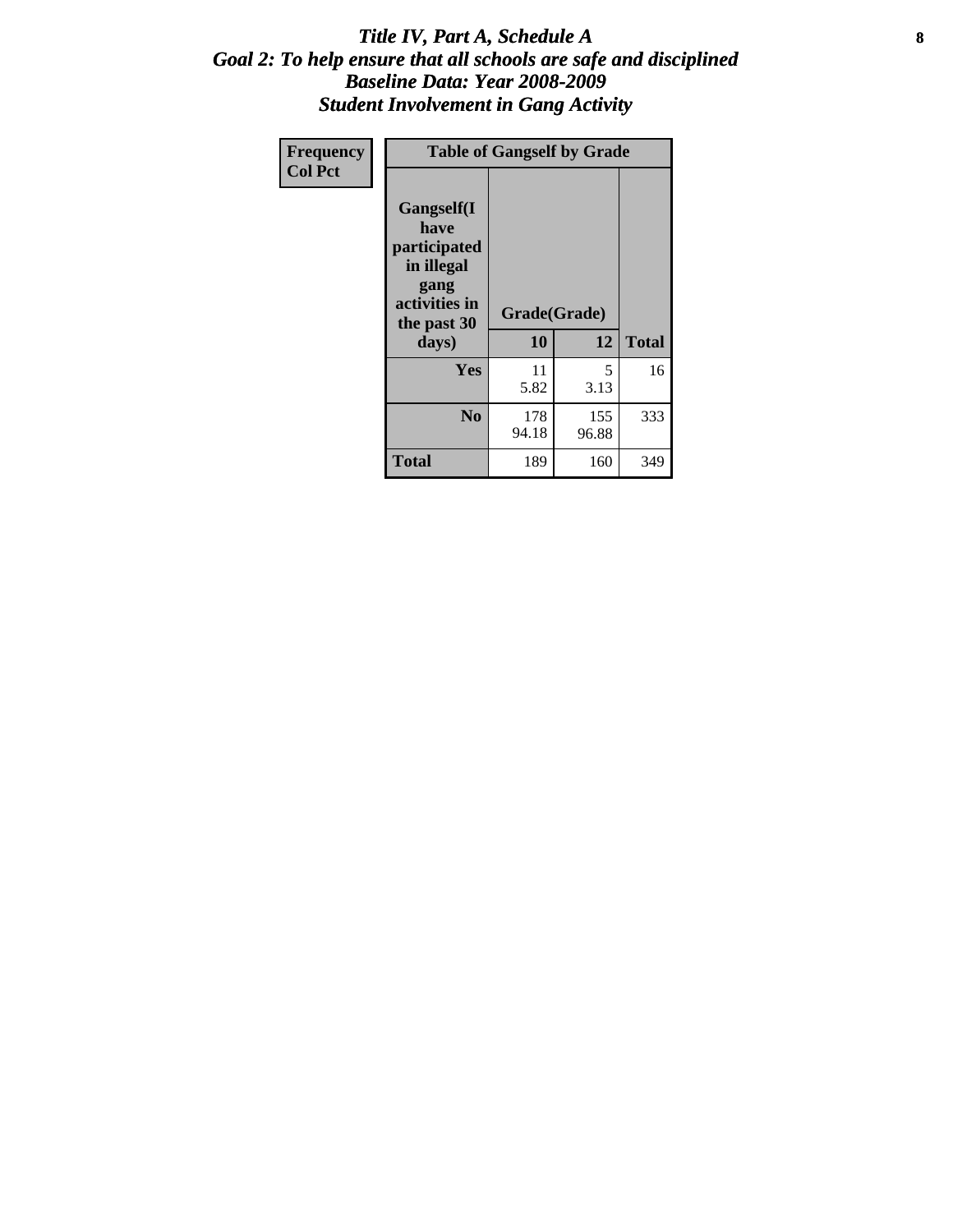### Title IV, Part A, Schedule A **8** *Goal 2: To help ensure that all schools are safe and disciplined Baseline Data: Year 2008-2009 Student Involvement in Gang Activity*

| Frequency      | <b>Table of Gangself by Grade</b>                                                                 |                    |              |              |
|----------------|---------------------------------------------------------------------------------------------------|--------------------|--------------|--------------|
| <b>Col Pct</b> | Gangself(I<br>have<br>participated<br>in illegal<br>gang<br>activities in<br>the past 30<br>days) | Grade(Grade)<br>10 | 12           | <b>Total</b> |
|                | Yes                                                                                               | 11<br>5.82         | 5<br>3.13    | 16           |
|                | N <sub>0</sub>                                                                                    | 178<br>94.18       | 155<br>96.88 | 333          |
|                | <b>Total</b>                                                                                      | 189                | 160          | 349          |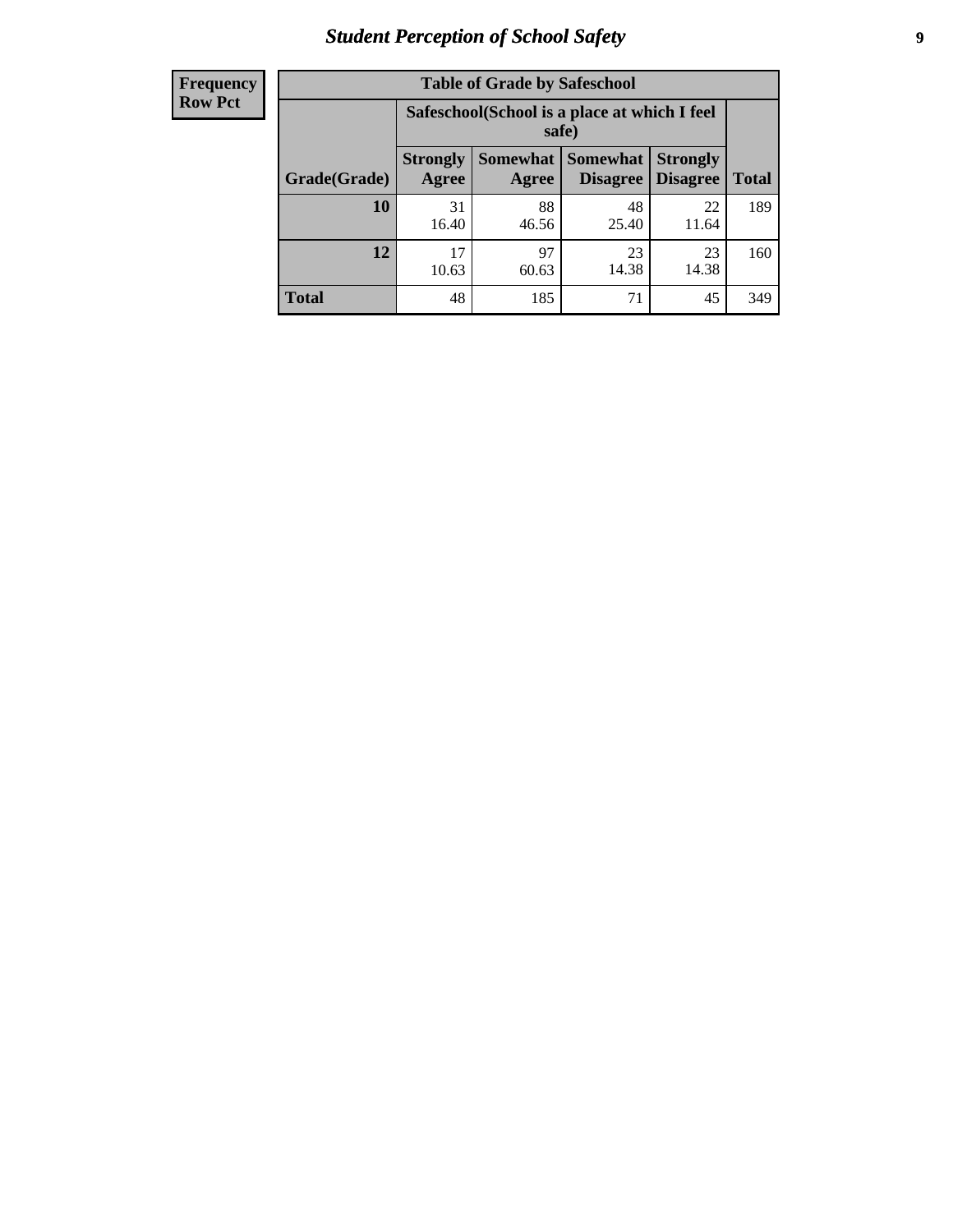# *Student Perception of School Safety* **9**

| <b>Frequency</b><br>Row Pct |
|-----------------------------|
|                             |

| <b>Table of Grade by Safeschool</b> |                                                                                                                   |             |             |             |     |  |  |
|-------------------------------------|-------------------------------------------------------------------------------------------------------------------|-------------|-------------|-------------|-----|--|--|
|                                     | Safeschool (School is a place at which I feel<br>safe)                                                            |             |             |             |     |  |  |
| Grade(Grade)                        | <b>Somewhat   Somewhat</b><br><b>Strongly</b><br><b>Strongly</b><br><b>Disagree</b><br>Agree<br>Disagree<br>Agree |             |             |             |     |  |  |
| 10                                  | 31<br>16.40                                                                                                       | 88<br>46.56 | 48<br>25.40 | 22<br>11.64 | 189 |  |  |
| 12                                  | 17<br>10.63                                                                                                       | 97<br>60.63 | 23<br>14.38 | 23<br>14.38 | 160 |  |  |
| <b>Total</b>                        | 48                                                                                                                | 185         | 71          | 45          | 349 |  |  |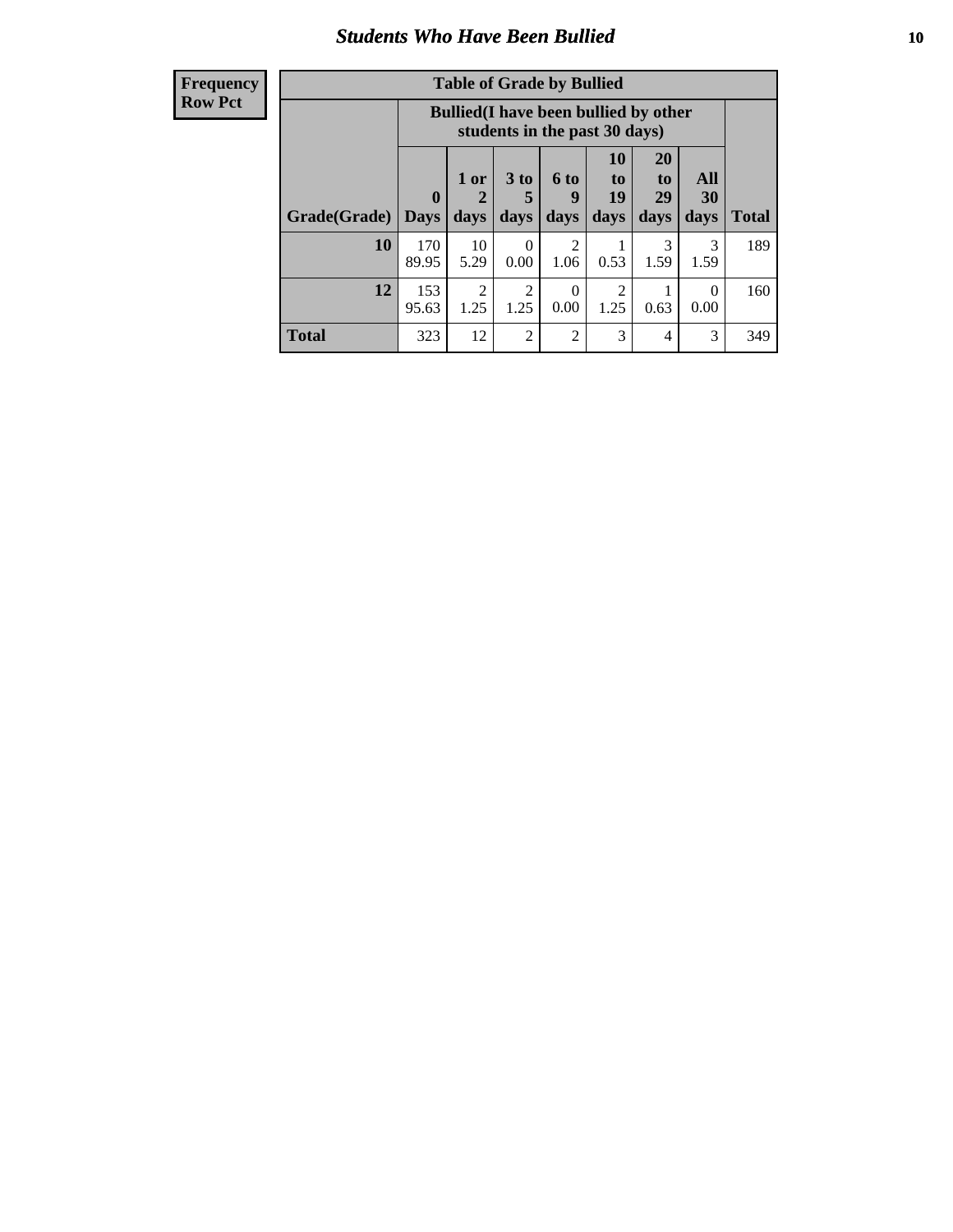### *Students Who Have Been Bullied* **10**

| <b>Frequency</b> |
|------------------|
| Row Pct          |

| <b>Table of Grade by Bullied</b> |                  |                                                                               |                              |                        |                        |                        |                   |              |
|----------------------------------|------------------|-------------------------------------------------------------------------------|------------------------------|------------------------|------------------------|------------------------|-------------------|--------------|
|                                  |                  | <b>Bullied</b> (I have been bullied by other<br>students in the past 30 days) |                              |                        |                        |                        |                   |              |
| Grade(Grade)                     | 0<br><b>Days</b> | 1 or<br>2<br>days                                                             | 3 <sub>to</sub><br>5<br>days | 6 to<br>9<br>days      | 10<br>to<br>19<br>days | 20<br>to<br>29<br>days | All<br>30<br>days | <b>Total</b> |
| 10                               | 170<br>89.95     | 10<br>5.29                                                                    | $\Omega$<br>0.00             | $\overline{2}$<br>1.06 | 0.53                   | 3<br>1.59              | 3<br>1.59         | 189          |
| 12                               | 153<br>95.63     | $\overline{2}$<br>1.25                                                        | 2<br>1.25                    | $\Omega$<br>0.00       | 2<br>1.25              | 0.63                   | $\theta$<br>0.00  | 160          |
| <b>Total</b>                     | 323              | 12                                                                            | 2                            | $\overline{2}$         | 3                      | 4                      | 3                 | 349          |

 $\blacksquare$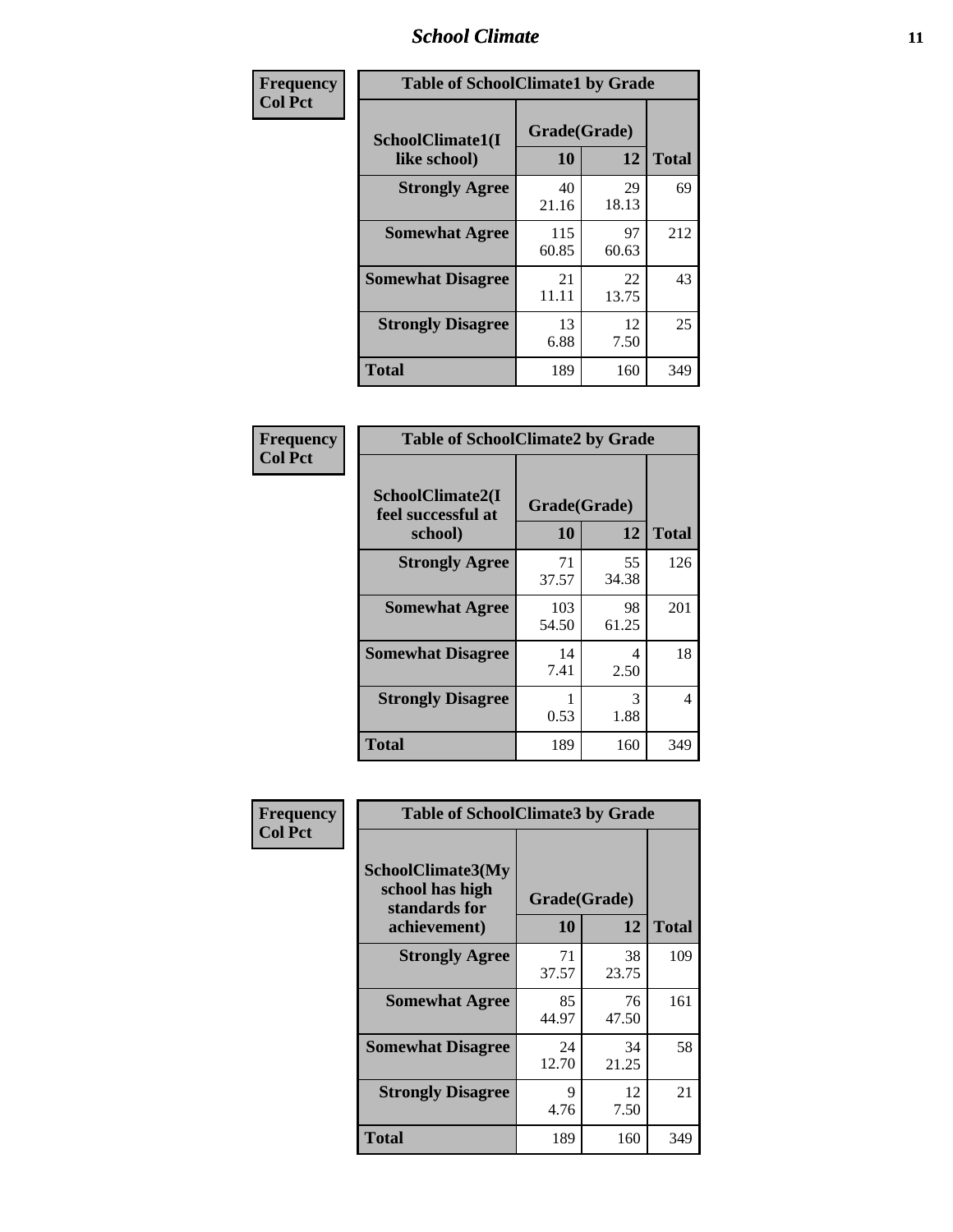### *School Climate* **11**

| Frequency      | <b>Table of SchoolClimate1 by Grade</b> |                    |             |              |  |  |
|----------------|-----------------------------------------|--------------------|-------------|--------------|--|--|
| <b>Col Pct</b> | SchoolClimate1(I<br>like school)        | Grade(Grade)<br>10 | 12          | <b>Total</b> |  |  |
|                | <b>Strongly Agree</b>                   | 40<br>21.16        | 29<br>18.13 | 69           |  |  |
|                | <b>Somewhat Agree</b>                   | 115<br>60.85       | 97<br>60.63 | 212          |  |  |
|                | <b>Somewhat Disagree</b>                | 21<br>11.11        | 22<br>13.75 | 43           |  |  |
|                | <b>Strongly Disagree</b>                | 13<br>6.88         | 12<br>7.50  | 25           |  |  |
|                | <b>Total</b>                            | 189                | 160         | 349          |  |  |

| Frequency      | <b>Table of SchoolClimate2 by Grade</b> |                    |             |                     |
|----------------|-----------------------------------------|--------------------|-------------|---------------------|
| <b>Col Pct</b> | SchoolClimate2(I<br>feel successful at  | Grade(Grade)<br>10 | 12          |                     |
|                | school)<br><b>Strongly Agree</b>        | 71<br>37.57        | 55<br>34.38 | <b>Total</b><br>126 |
|                | <b>Somewhat Agree</b>                   | 103<br>54.50       | 98<br>61.25 | 201                 |
|                | <b>Somewhat Disagree</b>                | 14<br>7.41         | 4<br>2.50   | 18                  |
|                | <b>Strongly Disagree</b>                | 0.53               | 3<br>1.88   | 4                   |
|                | <b>Total</b>                            | 189                | 160         | 349                 |

| Frequency<br><b>Col Pct</b> | <b>Table of SchoolClimate3 by Grade</b>                      |              |             |              |  |
|-----------------------------|--------------------------------------------------------------|--------------|-------------|--------------|--|
|                             | <b>SchoolClimate3(My</b><br>school has high<br>standards for | Grade(Grade) |             |              |  |
|                             | achievement)                                                 | <b>10</b>    | 12          | <b>Total</b> |  |
|                             | <b>Strongly Agree</b>                                        | 71<br>37.57  | 38<br>23.75 | 109          |  |
|                             | <b>Somewhat Agree</b>                                        | 85<br>44.97  | 76<br>47.50 | 161          |  |
|                             | <b>Somewhat Disagree</b>                                     | 24<br>12.70  | 34<br>21.25 | 58           |  |
|                             | <b>Strongly Disagree</b>                                     | 9<br>4.76    | 12<br>7.50  | 21           |  |
|                             | Total                                                        | 189          | 160         | 349          |  |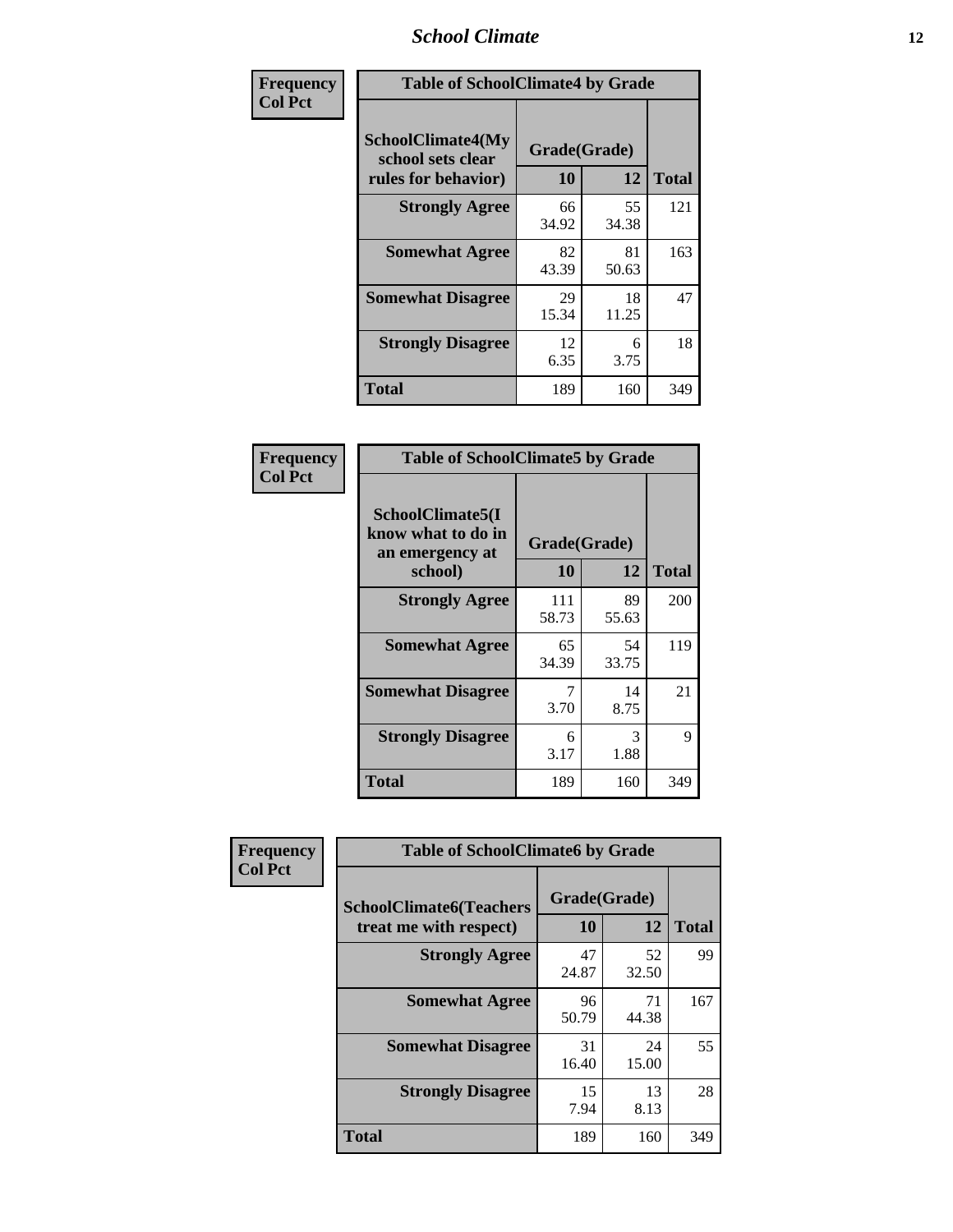### *School Climate* **12**

| Frequency      | <b>Table of SchoolClimate4 by Grade</b>                       |                    |             |              |
|----------------|---------------------------------------------------------------|--------------------|-------------|--------------|
| <b>Col Pct</b> | SchoolClimate4(My<br>school sets clear<br>rules for behavior) | Grade(Grade)<br>10 | 12          | <b>Total</b> |
|                | <b>Strongly Agree</b>                                         | 66<br>34.92        | 55<br>34.38 | 121          |
|                | <b>Somewhat Agree</b>                                         | 82<br>43.39        | 81<br>50.63 | 163          |
|                | <b>Somewhat Disagree</b>                                      | 29<br>15.34        | 18<br>11.25 | 47           |
|                | <b>Strongly Disagree</b>                                      | 12<br>6.35         | 6<br>3.75   | 18           |
|                | <b>Total</b>                                                  | 189                | 160         | 349          |

| <b>Table of SchoolClimate5 by Grade</b>                              |                    |              |     |  |
|----------------------------------------------------------------------|--------------------|--------------|-----|--|
| SchoolClimate5(I<br>know what to do in<br>an emergency at<br>school) | Grade(Grade)<br>10 | <b>Total</b> |     |  |
| <b>Strongly Agree</b>                                                | 111<br>58.73       | 89<br>55.63  | 200 |  |
| <b>Somewhat Agree</b>                                                | 65<br>34.39        | 54<br>33.75  | 119 |  |
| <b>Somewhat Disagree</b>                                             | 7<br>3.70          | 14<br>8.75   | 21  |  |
| <b>Strongly Disagree</b>                                             | 6<br>3.17          | 3<br>1.88    | 9   |  |
| <b>Total</b>                                                         | 189                | 160          | 349 |  |

| Frequency      | <b>Table of SchoolClimate6 by Grade</b>                  |                    |             |              |
|----------------|----------------------------------------------------------|--------------------|-------------|--------------|
| <b>Col Pct</b> | <b>SchoolClimate6(Teachers</b><br>treat me with respect) | Grade(Grade)<br>10 | 12          | <b>Total</b> |
|                | <b>Strongly Agree</b>                                    | 47<br>24.87        | 52<br>32.50 | 99           |
|                | <b>Somewhat Agree</b>                                    | 96<br>50.79        | 71<br>44.38 | 167          |
|                | <b>Somewhat Disagree</b>                                 | 31<br>16.40        | 24<br>15.00 | 55           |
|                | <b>Strongly Disagree</b>                                 | 15<br>7.94         | 13<br>8.13  | 28           |
|                | <b>Total</b>                                             | 189                | 160         | 349          |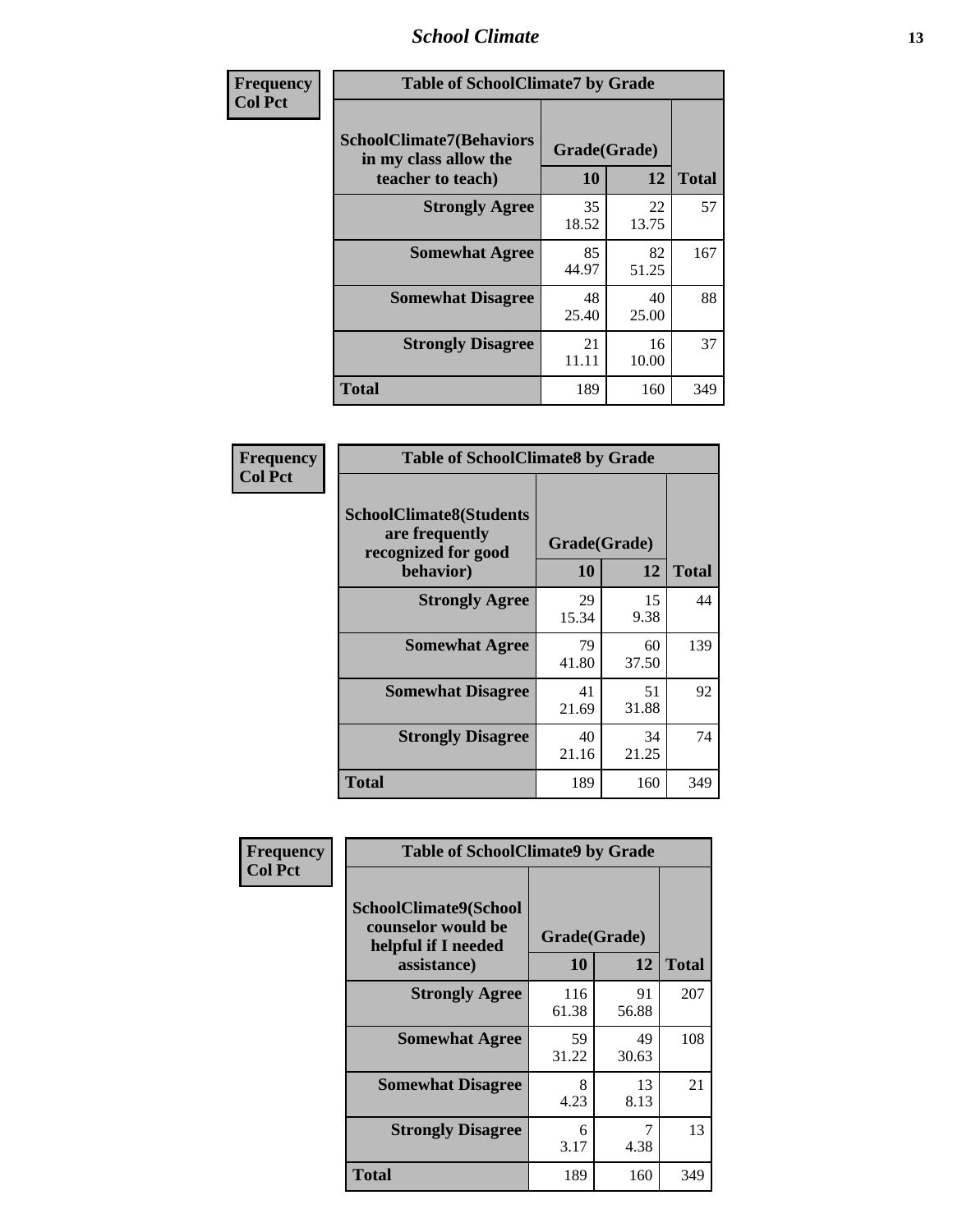### *School Climate* **13**

| Frequency      | <b>Table of SchoolClimate7 by Grade</b>                                       |                           |             |              |
|----------------|-------------------------------------------------------------------------------|---------------------------|-------------|--------------|
| <b>Col Pct</b> | <b>SchoolClimate7(Behaviors</b><br>in my class allow the<br>teacher to teach) | Grade(Grade)<br><b>10</b> | 12          | <b>Total</b> |
|                | <b>Strongly Agree</b>                                                         | 35<br>18.52               | 22<br>13.75 | 57           |
|                | <b>Somewhat Agree</b>                                                         | 85<br>44.97               | 82<br>51.25 | 167          |
|                | <b>Somewhat Disagree</b>                                                      | 48<br>25.40               | 40<br>25.00 | 88           |
|                | <b>Strongly Disagree</b>                                                      | 21<br>11.11               | 16<br>10.00 | 37           |
|                | <b>Total</b>                                                                  | 189                       | 160         | 349          |

| Frequency      | <b>Table of SchoolClimate8 by Grade</b>                                              |                    |             |              |
|----------------|--------------------------------------------------------------------------------------|--------------------|-------------|--------------|
| <b>Col Pct</b> | <b>SchoolClimate8(Students</b><br>are frequently<br>recognized for good<br>behavior) | Grade(Grade)<br>10 | 12          | <b>Total</b> |
|                | <b>Strongly Agree</b>                                                                | 29<br>15.34        | 15<br>9.38  | 44           |
|                | <b>Somewhat Agree</b>                                                                | 79<br>41.80        | 60<br>37.50 | 139          |
|                | <b>Somewhat Disagree</b>                                                             | 41<br>21.69        | 51<br>31.88 | 92           |
|                | <b>Strongly Disagree</b>                                                             | 40<br>21.16        | 34<br>21.25 | 74           |
|                | <b>Total</b>                                                                         | 189                | 160         | 349          |

| Frequency      | <b>Table of SchoolClimate9 by Grade</b>                                           |                    |             |              |
|----------------|-----------------------------------------------------------------------------------|--------------------|-------------|--------------|
| <b>Col Pct</b> | SchoolClimate9(School<br>counselor would be<br>helpful if I needed<br>assistance) | Grade(Grade)<br>10 | 12          | <b>Total</b> |
|                | <b>Strongly Agree</b>                                                             | 116<br>61.38       | 91<br>56.88 | 207          |
|                | <b>Somewhat Agree</b>                                                             | 59<br>31.22        | 49<br>30.63 | 108          |
|                | <b>Somewhat Disagree</b>                                                          | 8<br>4.23          | 13<br>8.13  | 21           |
|                | <b>Strongly Disagree</b>                                                          | 6<br>3.17          | 7<br>4.38   | 13           |
|                | <b>Total</b>                                                                      | 189                | 160         | 349          |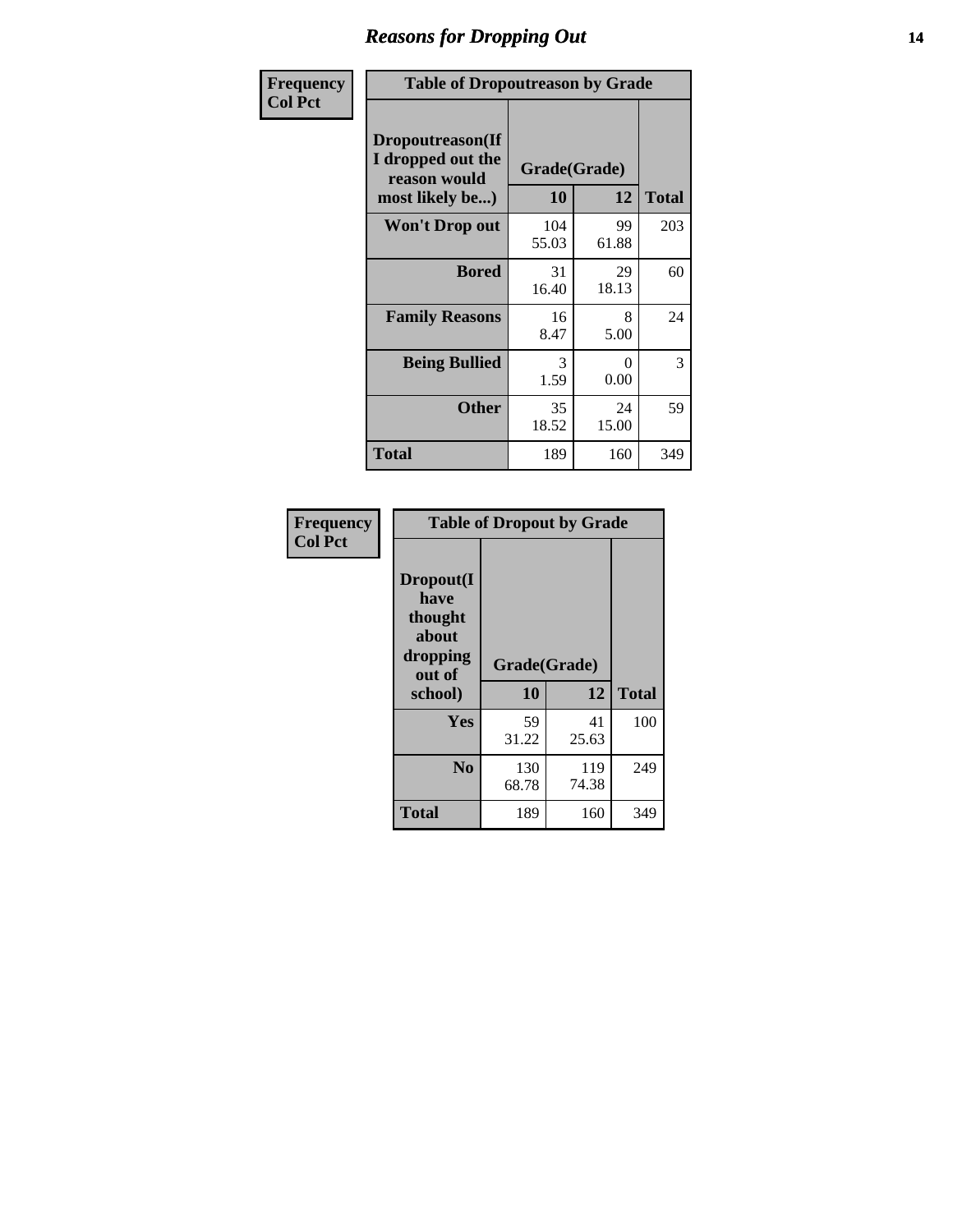### *Reasons for Dropping Out* **14**

| Frequency      | <b>Table of Dropoutreason by Grade</b>                                   |                    |             |              |
|----------------|--------------------------------------------------------------------------|--------------------|-------------|--------------|
| <b>Col Pct</b> | Dropoutreason(If<br>I dropped out the<br>reason would<br>most likely be) | Grade(Grade)<br>10 | 12          | <b>Total</b> |
|                | Won't Drop out                                                           | 104<br>55.03       | 99<br>61.88 | 203          |
|                | <b>Bored</b>                                                             | 31<br>16.40        | 29<br>18.13 | 60           |
|                | <b>Family Reasons</b>                                                    | 16<br>8.47         | 8<br>5.00   | 24           |
|                | <b>Being Bullied</b>                                                     | 3<br>1.59          | 0<br>0.00   | 3            |
|                | <b>Other</b>                                                             | 35<br>18.52        | 24<br>15.00 | 59           |
|                | Total                                                                    | 189                | 160         | 349          |

| Frequency      | <b>Table of Dropout by Grade</b>                                       |                    |              |     |  |
|----------------|------------------------------------------------------------------------|--------------------|--------------|-----|--|
| <b>Col Pct</b> | Dropout(I<br>have<br>thought<br>about<br>dropping<br>out of<br>school) | Grade(Grade)<br>10 | <b>Total</b> |     |  |
|                |                                                                        |                    | 12           |     |  |
|                | Yes                                                                    | 59                 | 41           | 100 |  |
|                |                                                                        | 31.22              | 25.63        |     |  |
|                | N <sub>0</sub>                                                         | 130<br>68.78       | 119<br>74.38 | 249 |  |
|                |                                                                        |                    |              |     |  |
|                | <b>Total</b>                                                           | 189                | 160          | 349 |  |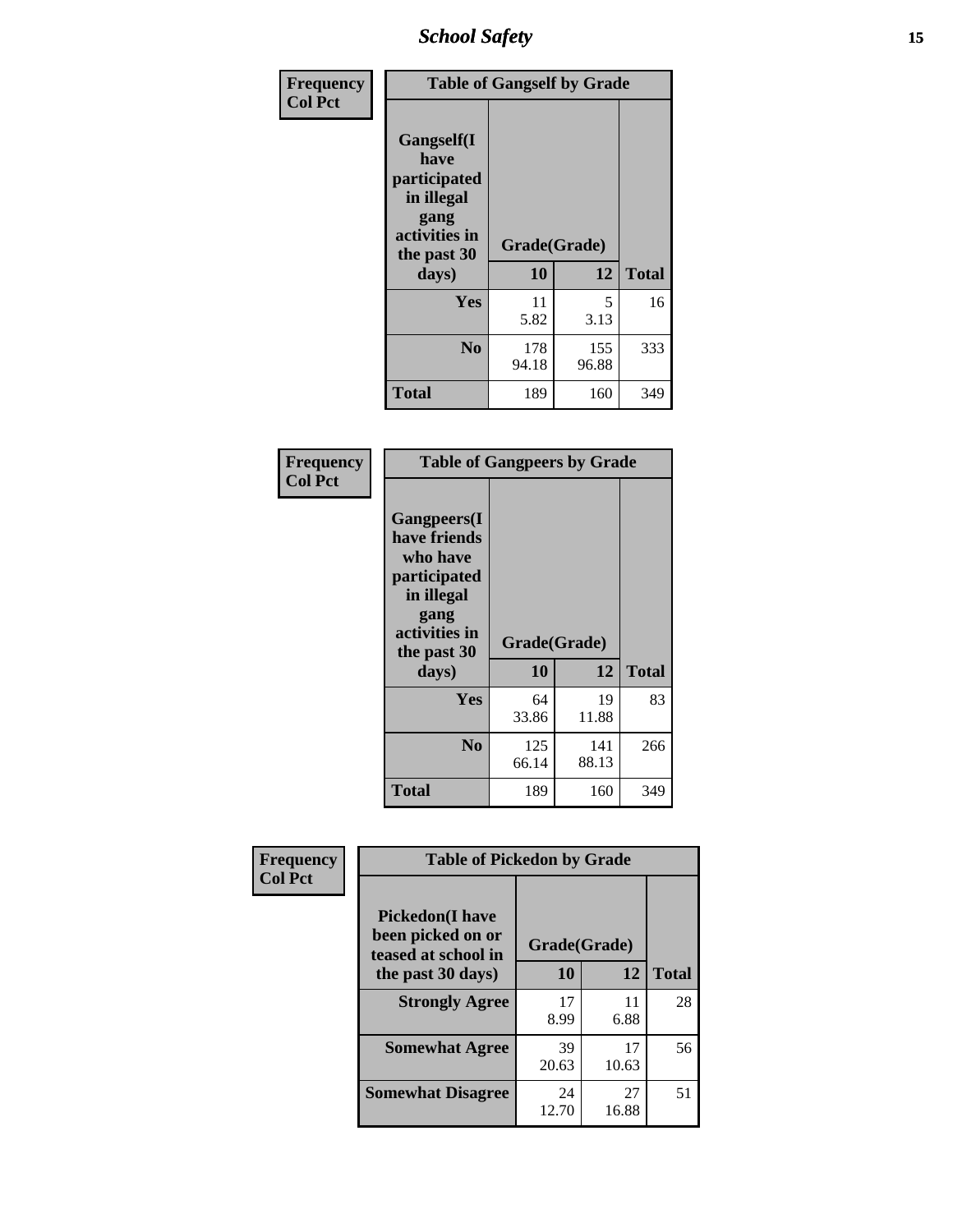*School Safety* **15**

| Frequency      | <b>Table of Gangself by Grade</b>                                                        |                          |              |              |
|----------------|------------------------------------------------------------------------------------------|--------------------------|--------------|--------------|
| <b>Col Pct</b> | Gangself(I<br>have<br>participated<br>in illegal<br>gang<br>activities in<br>the past 30 | Grade(Grade)<br>10<br>12 |              |              |
|                | days)                                                                                    |                          |              | <b>Total</b> |
|                | Yes                                                                                      | 11<br>5.82               | 5<br>3.13    | 16           |
|                | N <sub>o</sub>                                                                           | 178<br>94.18             | 155<br>96.88 | 333          |
|                | Total                                                                                    | 189                      | 160          | 349          |

| Frequency<br><b>Col Pct</b> | <b>Table of Gangpeers by Grade</b>                                                                                             |                    |              |              |
|-----------------------------|--------------------------------------------------------------------------------------------------------------------------------|--------------------|--------------|--------------|
|                             | <b>Gangpeers</b> (I<br>have friends<br>who have<br>participated<br>in illegal<br>gang<br>activities in<br>the past 30<br>days) | Grade(Grade)<br>10 | 12           | <b>Total</b> |
|                             | Yes                                                                                                                            | 64<br>33.86        | 19<br>11.88  | 83           |
|                             | N <sub>0</sub>                                                                                                                 | 125<br>66.14       | 141<br>88.13 | 266          |
|                             | Total                                                                                                                          | 189                | 160          | 349          |

| Frequency      |                                                                    | <b>Table of Pickedon by Grade</b> |             |              |  |  |  |  |  |  |  |
|----------------|--------------------------------------------------------------------|-----------------------------------|-------------|--------------|--|--|--|--|--|--|--|
| <b>Col Pct</b> | <b>Pickedon(I have</b><br>been picked on or<br>teased at school in | Grade(Grade)                      |             |              |  |  |  |  |  |  |  |
|                | the past 30 days)                                                  | 10                                | 12          | <b>Total</b> |  |  |  |  |  |  |  |
|                | <b>Strongly Agree</b>                                              | 17<br>8.99                        | 11<br>6.88  | 28           |  |  |  |  |  |  |  |
|                | <b>Somewhat Agree</b>                                              | 39<br>20.63                       | 17<br>10.63 | 56           |  |  |  |  |  |  |  |
|                | <b>Somewhat Disagree</b>                                           | 24<br>12.70                       | 27<br>16.88 | 51           |  |  |  |  |  |  |  |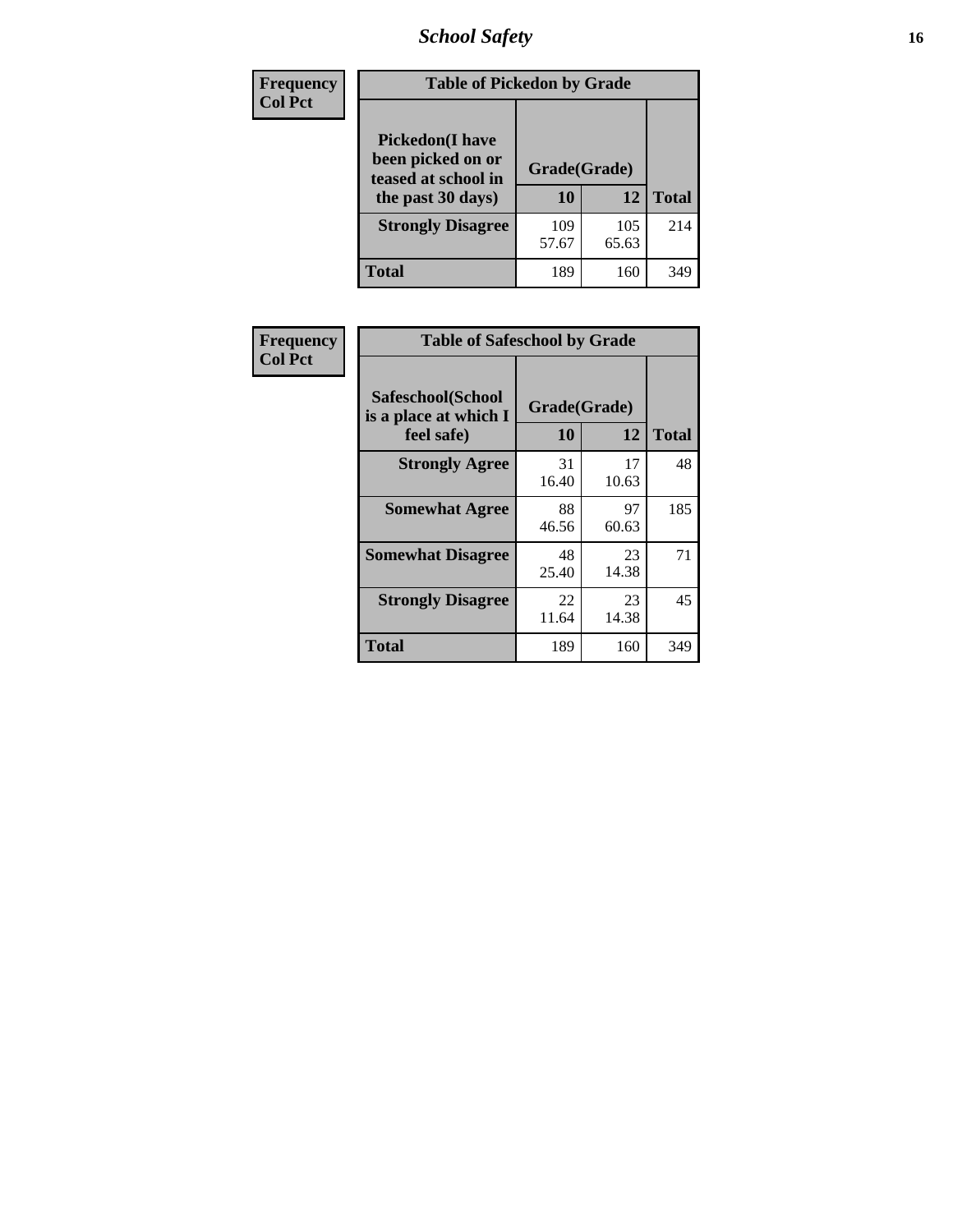# *School Safety* **16**

| Frequency      | <b>Table of Pickedon by Grade</b>                                                        |                    |              |     |
|----------------|------------------------------------------------------------------------------------------|--------------------|--------------|-----|
| <b>Col Pct</b> | <b>Pickedon</b> (I have<br>been picked on or<br>teased at school in<br>the past 30 days) | Grade(Grade)<br>10 | <b>Total</b> |     |
|                | <b>Strongly Disagree</b>                                                                 | 109<br>57.67       | 105<br>65.63 | 214 |
|                | Total                                                                                    | 189                | 160          | 349 |

| Frequency      |                                                          | <b>Table of Safeschool by Grade</b> |                    |     |  |  |  |  |  |  |  |  |
|----------------|----------------------------------------------------------|-------------------------------------|--------------------|-----|--|--|--|--|--|--|--|--|
| <b>Col Pct</b> | Safeschool(School<br>is a place at which I<br>feel safe) | 10                                  | Grade(Grade)<br>12 |     |  |  |  |  |  |  |  |  |
|                | <b>Strongly Agree</b>                                    | 31<br>16.40                         | 17<br>10.63        | 48  |  |  |  |  |  |  |  |  |
|                | <b>Somewhat Agree</b>                                    | 88<br>46.56                         | 97<br>60.63        | 185 |  |  |  |  |  |  |  |  |
|                | <b>Somewhat Disagree</b>                                 | 48<br>25.40                         | 23<br>14.38        | 71  |  |  |  |  |  |  |  |  |
|                | <b>Strongly Disagree</b>                                 | 22<br>11.64                         | 23<br>14.38        | 45  |  |  |  |  |  |  |  |  |
|                | <b>Total</b>                                             | 189                                 | 160                | 349 |  |  |  |  |  |  |  |  |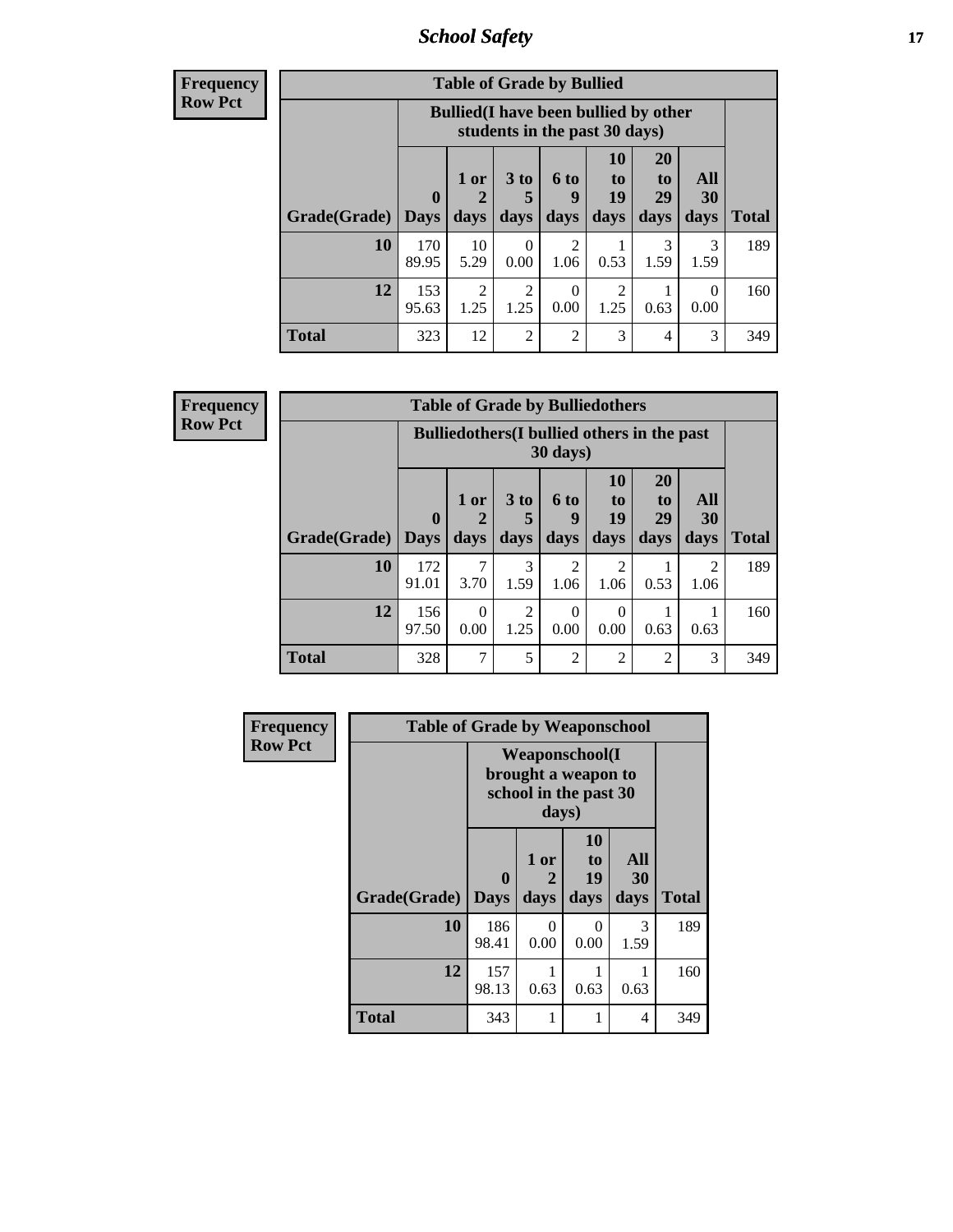*School Safety* **17**

**Frequency Row Pct**

| <b>Table of Grade by Bullied</b> |                        |                                                                               |                              |                   |                        |                               |                          |              |  |  |
|----------------------------------|------------------------|-------------------------------------------------------------------------------|------------------------------|-------------------|------------------------|-------------------------------|--------------------------|--------------|--|--|
|                                  |                        | <b>Bullied</b> (I have been bullied by other<br>students in the past 30 days) |                              |                   |                        |                               |                          |              |  |  |
| Grade(Grade)                     | $\mathbf{0}$<br>  Days | 1 or<br>2<br>days                                                             | 3 <sub>to</sub><br>5<br>days | 6 to<br>9<br>days | 10<br>to<br>19<br>days | <b>20</b><br>to<br>29<br>days | All<br><b>30</b><br>days | <b>Total</b> |  |  |
| 10                               | 170<br>89.95           | 10<br>5.29                                                                    | $\Omega$<br>0.00             | 2<br>1.06         | 0.53                   | 3<br>1.59                     | 3<br>1.59                | 189          |  |  |
| 12                               | 153<br>95.63           | $\overline{2}$<br>1.25                                                        | 2<br>1.25                    | 0<br>0.00         | 2<br>1.25              | 0.63                          | 0<br>0.00                | 160          |  |  |
| Total                            | 323                    | 12                                                                            | $\overline{2}$               | $\overline{2}$    | 3                      | 4                             | 3                        | 349          |  |  |

| <b>Table of Grade by Bulliedothers</b> |              |                                                                         |                        |                        |                        |                |                        |                     |  |  |
|----------------------------------------|--------------|-------------------------------------------------------------------------|------------------------|------------------------|------------------------|----------------|------------------------|---------------------|--|--|
|                                        |              | <b>Bulliedothers</b> (I bullied others in the past<br>$30 \text{ days}$ |                        |                        |                        |                |                        |                     |  |  |
|                                        | $\mathbf 0$  | 1 or                                                                    | 3 <sub>to</sub><br>5   | 6 to<br>9              | <b>10</b><br>to<br>19  | 20<br>to<br>29 | All<br>30              |                     |  |  |
| Grade(Grade)   Days<br><b>10</b>       | 172          | days                                                                    | days<br>3              | days<br>$\mathfrak{D}$ | days<br>$\mathfrak{D}$ | days           | days<br>$\mathfrak{D}$ | <b>Total</b><br>189 |  |  |
|                                        | 91.01        | 3.70                                                                    | 1.59                   | 1.06                   | 1.06                   | 0.53           | 1.06                   |                     |  |  |
| 12                                     | 156<br>97.50 | 0<br>0.00                                                               | $\overline{2}$<br>1.25 | 0<br>0.00              | 0<br>0.00              | 0.63           | 0.63                   | 160                 |  |  |
| Total                                  | 328          | 7                                                                       | 5                      | $\mathfrak{D}$         | $\overline{2}$         | $\mathfrak{D}$ | 3                      | 349                 |  |  |

| <b>Frequency</b> | <b>Table of Grade by Weaponschool</b> |                                                                |                   |                        |                   |              |
|------------------|---------------------------------------|----------------------------------------------------------------|-------------------|------------------------|-------------------|--------------|
| <b>Row Pct</b>   |                                       | Weaponschool(I<br>brought a weapon to<br>school in the past 30 |                   |                        |                   |              |
|                  | Grade(Grade)                          | $\bf{0}$<br><b>Days</b>                                        | 1 or<br>2<br>days | 10<br>to<br>19<br>days | All<br>30<br>days | <b>Total</b> |
|                  | 10                                    | 186<br>98.41                                                   | $\Omega$<br>0.00  | 0<br>0.00              | 3<br>1.59         | 189          |
|                  | 12                                    | 157<br>98.13                                                   | 0.63              | 0.63                   | 0.63              | 160          |
|                  | <b>Total</b>                          | 343                                                            | 1                 |                        | 4                 | 349          |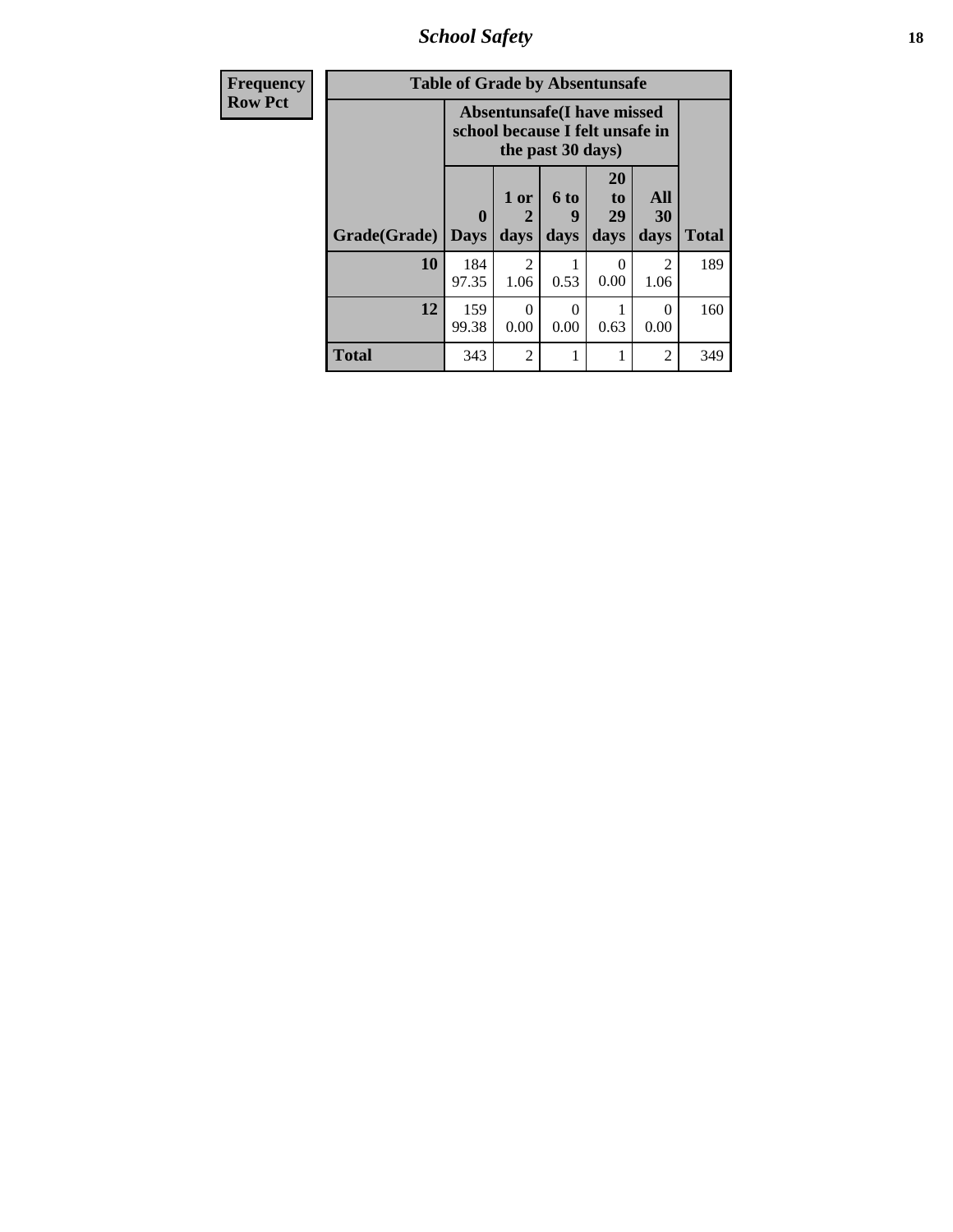*School Safety* **18**

| <b>Frequency</b> |              | <b>Table of Grade by Absentunsafe</b>                                |                   |                   |                        |                        |              |
|------------------|--------------|----------------------------------------------------------------------|-------------------|-------------------|------------------------|------------------------|--------------|
| <b>Row Pct</b>   |              | <b>Absentunsafe(I have missed</b><br>school because I felt unsafe in |                   |                   |                        |                        |              |
|                  | Grade(Grade) | $\mathbf{0}$<br><b>Days</b>                                          | 1 or<br>2<br>days | 6 to<br>9<br>days | 20<br>to<br>29<br>days | All<br>30<br>days      | <b>Total</b> |
|                  | 10           | 184<br>97.35                                                         | 2<br>1.06         | 0.53              | 0.00                   | $\mathfrak{D}$<br>1.06 | 189          |
|                  | 12           | 159<br>99.38                                                         | $\Omega$<br>0.00  | 0<br>0.00         | 0.63                   | $\Omega$<br>0.00       | 160          |
|                  | Total        | 343                                                                  | $\overline{2}$    |                   | 1                      | 2                      | 349          |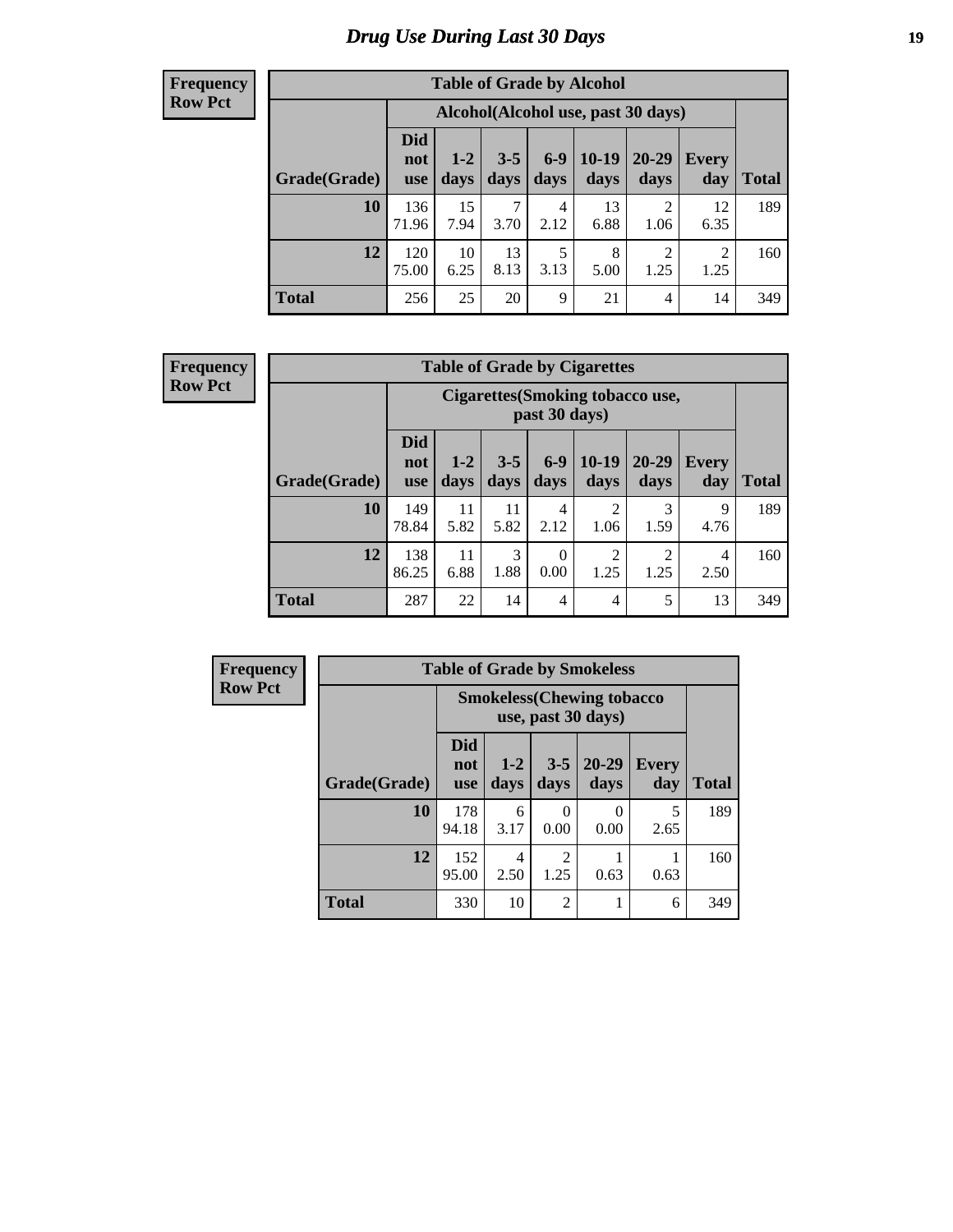# *Drug Use During Last 30 Days* **19**

#### **Frequency Row Pct**

| <b>Table of Grade by Alcohol</b> |                                 |                                     |                 |               |                 |                        |                     |              |  |  |  |
|----------------------------------|---------------------------------|-------------------------------------|-----------------|---------------|-----------------|------------------------|---------------------|--------------|--|--|--|
|                                  |                                 | Alcohol (Alcohol use, past 30 days) |                 |               |                 |                        |                     |              |  |  |  |
| Grade(Grade)                     | <b>Did</b><br>not<br><b>use</b> | $1 - 2$<br>days                     | $3 - 5$<br>days | $6-9$<br>days | $10-19$<br>days | $20 - 29$<br>days      | <b>Every</b><br>day | <b>Total</b> |  |  |  |
| 10                               | 136<br>71.96                    | 15<br>7.94                          | 3.70            | 4<br>2.12     | 13<br>6.88      | $\mathcal{D}$<br>1.06  | 12<br>6.35          | 189          |  |  |  |
| 12                               | 120<br>75.00                    | 10<br>6.25                          | 13<br>8.13      | 5<br>3.13     | 8<br>5.00       | $\overline{2}$<br>1.25 | 2<br>1.25           | 160          |  |  |  |
| <b>Total</b>                     | 256                             | 25                                  | 20              | 9             | 21              | 4                      | 14                  | 349          |  |  |  |

| <b>Table of Grade by Cigarettes</b> |                                                                                                                                                                |                                                   |            |                  |                        |                        |           |     |  |  |  |
|-------------------------------------|----------------------------------------------------------------------------------------------------------------------------------------------------------------|---------------------------------------------------|------------|------------------|------------------------|------------------------|-----------|-----|--|--|--|
|                                     |                                                                                                                                                                | Cigarettes (Smoking tobacco use,<br>past 30 days) |            |                  |                        |                        |           |     |  |  |  |
| Grade(Grade)                        | <b>Did</b><br>$10-19$<br>$6-9$<br>$20 - 29$<br>$3 - 5$<br>$1 - 2$<br><b>Every</b><br>not<br>days<br>Total<br>days<br>days<br>days<br>day<br>days<br><b>use</b> |                                                   |            |                  |                        |                        |           |     |  |  |  |
| 10                                  | 149<br>78.84                                                                                                                                                   | 11<br>5.82                                        | 11<br>5.82 | 4<br>2.12        | 2<br>1.06              | 3<br>1.59              | 9<br>4.76 | 189 |  |  |  |
| 12                                  | 138<br>86.25                                                                                                                                                   | 11<br>6.88                                        | 3<br>1.88  | $\theta$<br>0.00 | $\overline{2}$<br>1.25 | $\overline{2}$<br>1.25 | 4<br>2.50 | 160 |  |  |  |
| <b>Total</b>                        | 287                                                                                                                                                            | 22                                                | 14         | 4                | $\overline{4}$         | 5                      | 13        | 349 |  |  |  |

| Frequency      |              |                                                         |                 | <b>Table of Grade by Smokeless</b> |                       |                     |              |  |  |
|----------------|--------------|---------------------------------------------------------|-----------------|------------------------------------|-----------------------|---------------------|--------------|--|--|
| <b>Row Pct</b> |              | <b>Smokeless</b> (Chewing tobacco<br>use, past 30 days) |                 |                                    |                       |                     |              |  |  |
|                | Grade(Grade) | Did<br>not<br><b>use</b>                                | $1 - 2$<br>days | $3 - 5$<br>days                    | $20 - 29$<br>days     | <b>Every</b><br>day | <b>Total</b> |  |  |
|                | 10           | 178<br>94.18                                            | 6<br>3.17       | $\mathbf{\Omega}$<br>0.00          | $\mathcal{O}$<br>0.00 | 5<br>2.65           | 189          |  |  |
|                | 12           | 152<br>95.00                                            | 4<br>2.50       | $\mathfrak{D}$<br>1.25             | 0.63                  | 0.63                | 160          |  |  |
|                | <b>Total</b> | 330                                                     | 10              | $\overline{2}$                     |                       | 6                   | 349          |  |  |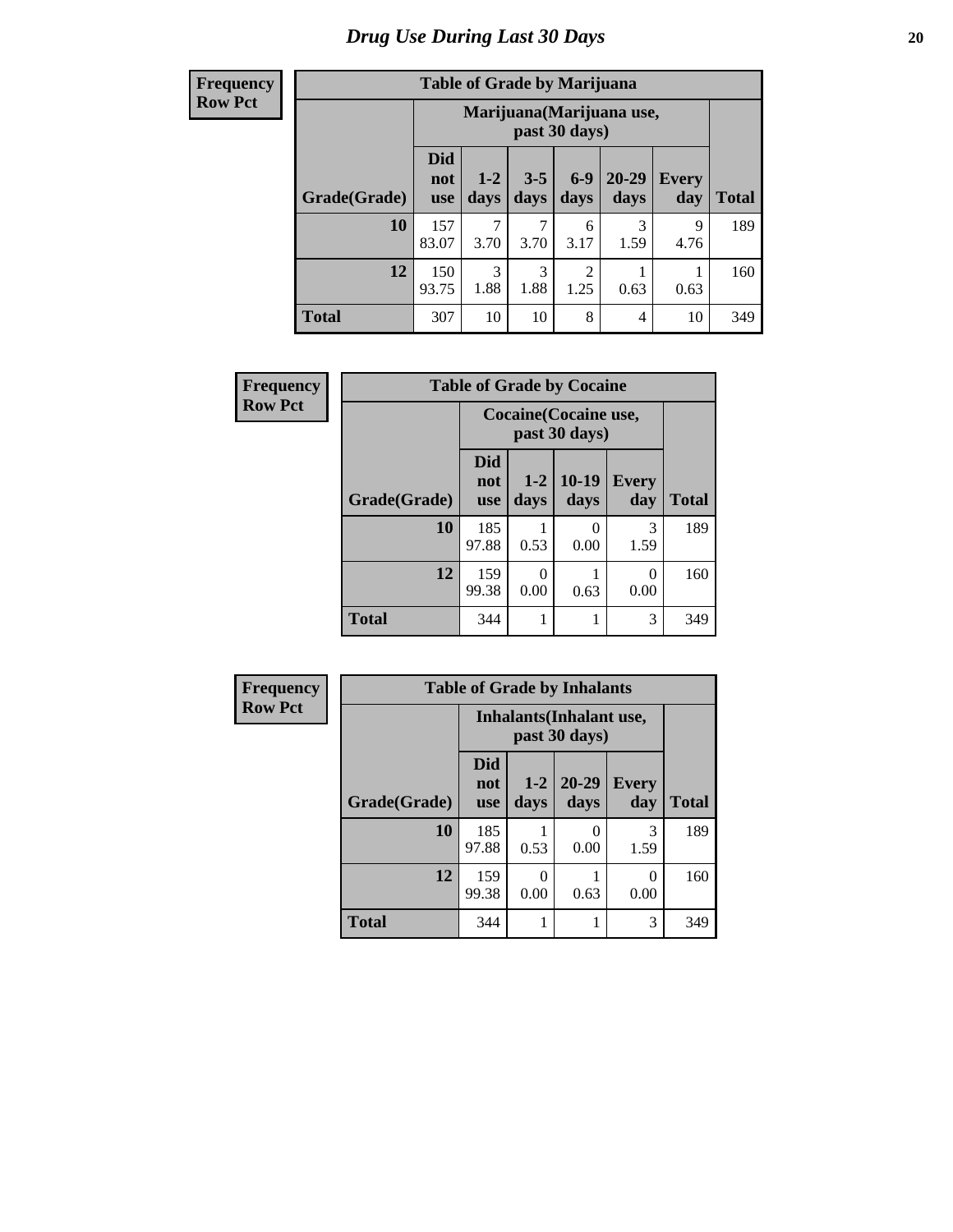| <b>Table of Grade by Marijuana</b> |                                 |                                                                                                               |           |                        |           |           |     |  |  |  |  |
|------------------------------------|---------------------------------|---------------------------------------------------------------------------------------------------------------|-----------|------------------------|-----------|-----------|-----|--|--|--|--|
|                                    |                                 | Marijuana (Marijuana use,<br>past 30 days)                                                                    |           |                        |           |           |     |  |  |  |  |
| Grade(Grade)                       | <b>Did</b><br>not<br><b>use</b> | 20-29<br>$6 - 9$<br>$1 - 2$<br>$3 - 5$<br><b>Every</b><br>days<br>days<br>day<br><b>Total</b><br>days<br>days |           |                        |           |           |     |  |  |  |  |
| 10                                 | 157<br>83.07                    | 7<br>3.70                                                                                                     | 3.70      | 6<br>3.17              | 3<br>1.59 | 9<br>4.76 | 189 |  |  |  |  |
| 12                                 | 150<br>93.75                    | 3<br>1.88                                                                                                     | 3<br>1.88 | $\overline{2}$<br>1.25 | 0.63      | 0.63      | 160 |  |  |  |  |
| <b>Total</b>                       | 307                             | 10                                                                                                            | 10        | 8                      | 4         | 10        | 349 |  |  |  |  |

| <b>Frequency</b> | <b>Table of Grade by Cocaine</b> |                          |                                        |                       |                     |              |  |  |  |  |
|------------------|----------------------------------|--------------------------|----------------------------------------|-----------------------|---------------------|--------------|--|--|--|--|
| <b>Row Pct</b>   |                                  |                          | Cocaine (Cocaine use,<br>past 30 days) |                       |                     |              |  |  |  |  |
|                  | Grade(Grade)                     | Did<br>not<br><b>use</b> | days                                   | $1-2$   10-19<br>days | <b>Every</b><br>day | <b>Total</b> |  |  |  |  |
|                  | 10                               | 185<br>97.88             | 0.53                                   | 0.00                  | 3<br>1.59           | 189          |  |  |  |  |
|                  | 12                               | 159<br>99.38             | 0.00                                   | 0.63                  | 0<br>0.00           | 160          |  |  |  |  |
|                  | <b>Total</b>                     | 344                      |                                        | 1                     | 3                   | 349          |  |  |  |  |

| Frequency      | <b>Table of Grade by Inhalants</b> |                                 |               |                                                  |                     |              |
|----------------|------------------------------------|---------------------------------|---------------|--------------------------------------------------|---------------------|--------------|
| <b>Row Pct</b> |                                    |                                 |               | <b>Inhalants</b> (Inhalant use,<br>past 30 days) |                     |              |
|                | Grade(Grade)                       | <b>Did</b><br>not<br><b>use</b> | $1-2$<br>days | $20 - 29$<br>days                                | <b>Every</b><br>day | <b>Total</b> |
|                | 10                                 | 185<br>97.88                    | 0.53          | $\mathbf{\Omega}$<br>0.00                        | 3<br>1.59           | 189          |
|                | 12                                 | 159<br>99.38                    | 0.00          | 0.63                                             | 0<br>0.00           | 160          |
|                | <b>Total</b>                       | 344                             |               |                                                  | 3                   | 349          |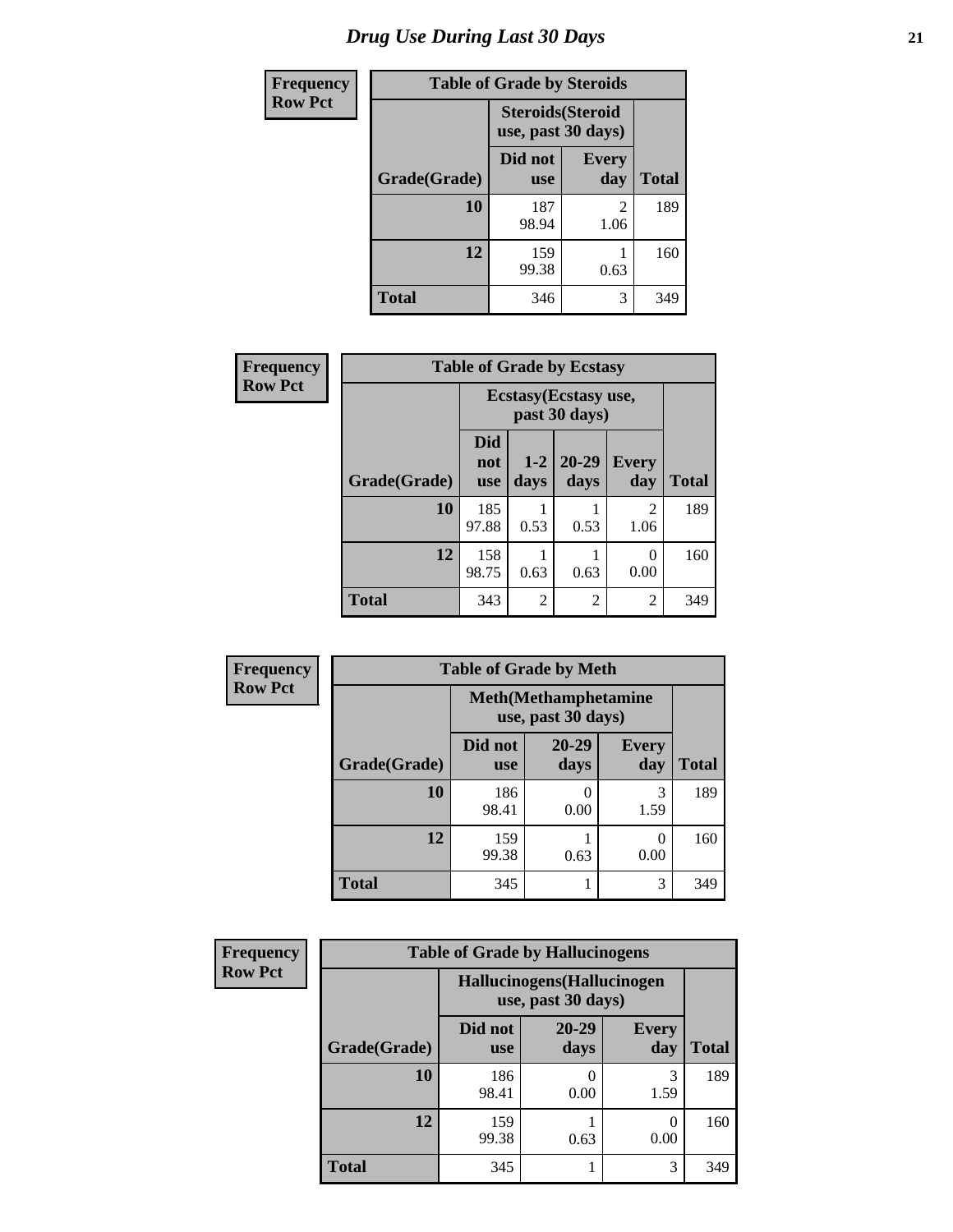| <b>Frequency</b> | <b>Table of Grade by Steroids</b> |                                                |                        |       |  |  |
|------------------|-----------------------------------|------------------------------------------------|------------------------|-------|--|--|
| <b>Row Pct</b>   |                                   | <b>Steroids</b> (Steroid<br>use, past 30 days) |                        |       |  |  |
|                  | Grade(Grade)                      | Did not<br><b>use</b>                          | <b>Every</b><br>day    | Total |  |  |
|                  | <b>10</b>                         | 187<br>98.94                                   | $\mathfrak{D}$<br>1.06 | 189   |  |  |
|                  | 12                                | 159<br>99.38                                   | 0.63                   | 160   |  |  |
|                  | <b>Total</b>                      | 346                                            | 3                      | 349   |  |  |

| Frequency      | <b>Table of Grade by Ecstasy</b> |                                        |                 |                   |                        |              |
|----------------|----------------------------------|----------------------------------------|-----------------|-------------------|------------------------|--------------|
| <b>Row Pct</b> |                                  | Ecstasy (Ecstasy use,<br>past 30 days) |                 |                   |                        |              |
|                | Grade(Grade)                     | <b>Did</b><br>not<br>use               | $1 - 2$<br>days | $20 - 29$<br>days | <b>Every</b><br>day    | <b>Total</b> |
|                | 10                               | 185<br>97.88                           | 0.53            | 0.53              | $\overline{2}$<br>1.06 | 189          |
|                | 12                               | 158<br>98.75                           | 0.63            | 0.63              | $\left($<br>0.00       | 160          |
|                | <b>Total</b>                     | 343                                    | $\mathfrak{D}$  | $\overline{2}$    | $\overline{2}$         | 349          |

| <b>Frequency</b> |              | <b>Table of Grade by Meth</b> |                                                    |                     |              |
|------------------|--------------|-------------------------------|----------------------------------------------------|---------------------|--------------|
| <b>Row Pct</b>   |              |                               | <b>Meth</b> (Methamphetamine<br>use, past 30 days) |                     |              |
|                  | Grade(Grade) | Did not<br><b>use</b>         | 20-29<br>days                                      | <b>Every</b><br>day | <b>Total</b> |
|                  | 10           | 186<br>98.41                  | 0.00                                               | 3<br>1.59           | 189          |
|                  | 12           | 159<br>99.38                  | 0.63                                               | 0<br>0.00           | 160          |
|                  | <b>Total</b> | 345                           |                                                    | 3                   | 349          |

| Frequency      | <b>Table of Grade by Hallucinogens</b> |                                                   |                   |                     |              |  |  |
|----------------|----------------------------------------|---------------------------------------------------|-------------------|---------------------|--------------|--|--|
| <b>Row Pct</b> |                                        | Hallucinogens (Hallucinogen<br>use, past 30 days) |                   |                     |              |  |  |
|                | Grade(Grade)                           | Did not<br><b>use</b>                             | $20 - 29$<br>days | <b>Every</b><br>day | <b>Total</b> |  |  |
|                | <b>10</b>                              | 186<br>98.41                                      | 0.00              | 3<br>1.59           | 189          |  |  |
|                | 12                                     | 159<br>99.38                                      | 0.63              | $\Omega$<br>0.00    | 160          |  |  |
|                | <b>Total</b>                           | 345                                               |                   | 3                   | 349          |  |  |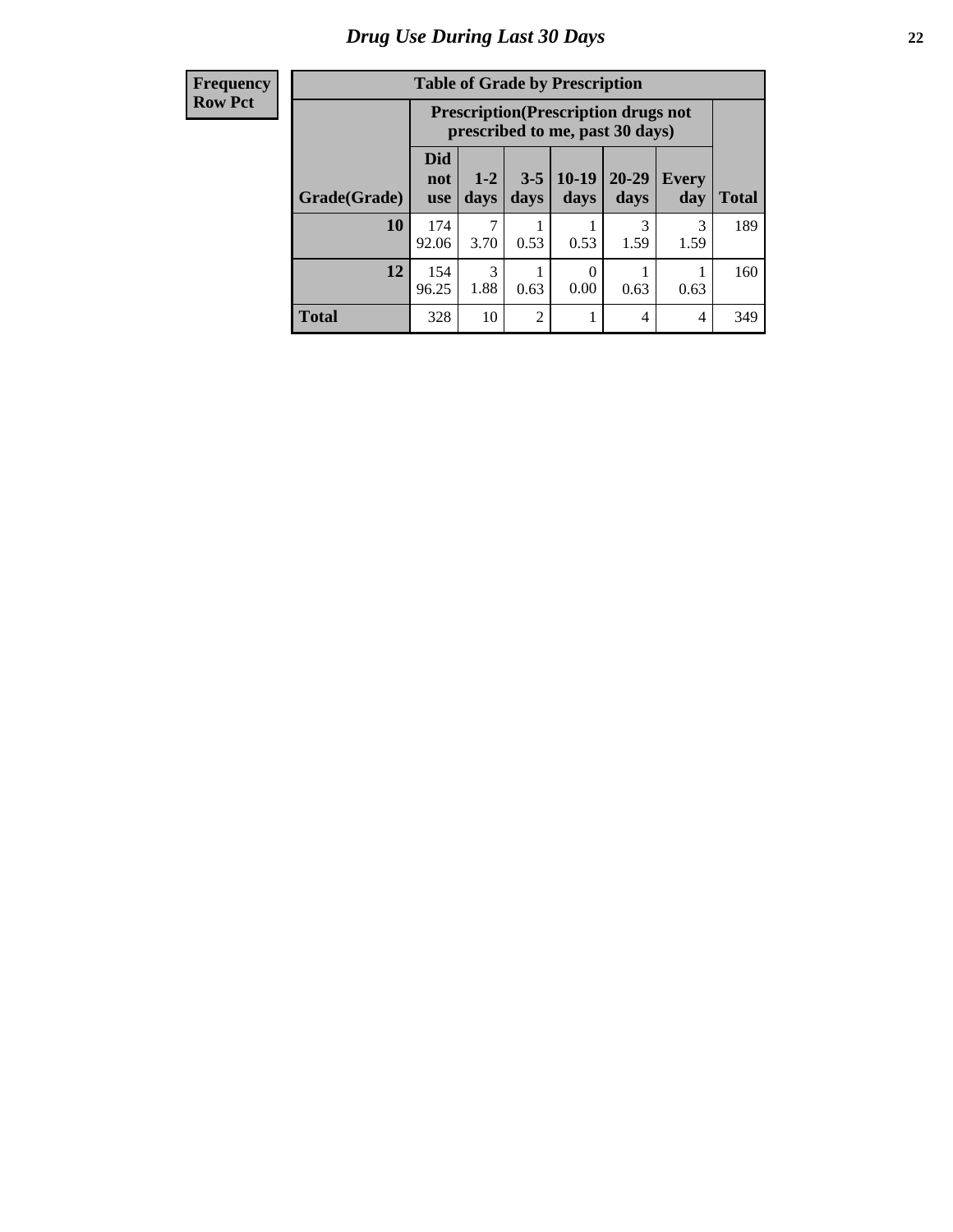| <b>Table of Grade by Prescription</b> |                          |                                                                                |                 |                 |               |              |              |
|---------------------------------------|--------------------------|--------------------------------------------------------------------------------|-----------------|-----------------|---------------|--------------|--------------|
|                                       |                          | <b>Prescription</b> (Prescription drugs not<br>prescribed to me, past 30 days) |                 |                 |               |              |              |
| Grade(Grade)                          | Did<br>not<br><b>use</b> | $1-2$<br>days                                                                  | $3 - 5$<br>days | $10-19$<br>days | 20-29<br>days | Every<br>day | <b>Total</b> |
| 10                                    | 174<br>92.06             | 7<br>3.70                                                                      | 0.53            | 0.53            | 3<br>1.59     | 3<br>1.59    | 189          |
| 12                                    | 154<br>96.25             | 3<br>1.88                                                                      | 0.63            | 0<br>0.00       | 0.63          | 0.63         | 160          |
| <b>Total</b>                          | 328                      | 10                                                                             | $\mathfrak{D}$  |                 | 4             | 4            | 349          |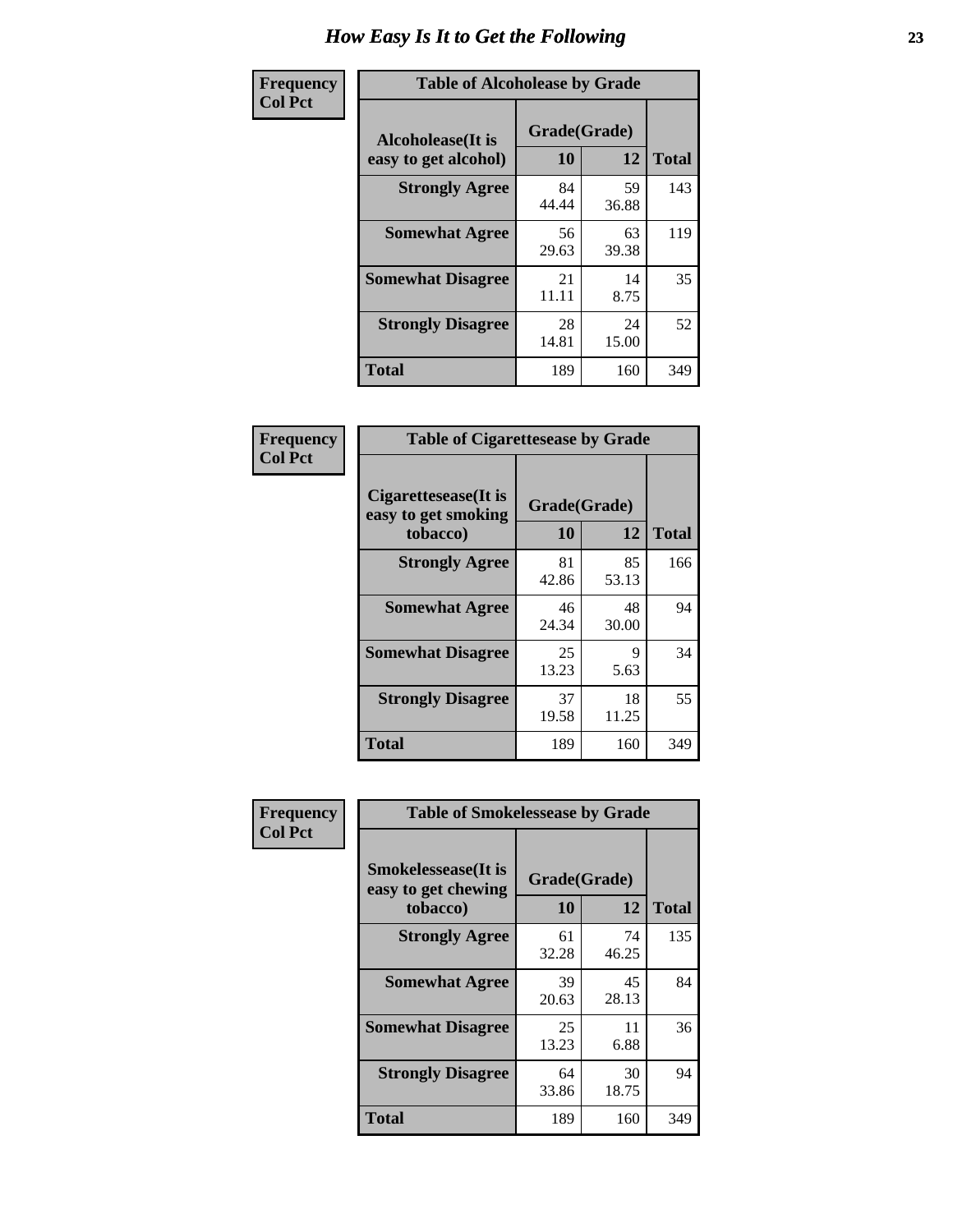| Frequency      | <b>Table of Alcoholease by Grade</b>                                    |             |             |              |  |  |
|----------------|-------------------------------------------------------------------------|-------------|-------------|--------------|--|--|
| <b>Col Pct</b> | Grade(Grade)<br><b>Alcoholease</b> (It is<br>10<br>easy to get alcohol) |             | 12          | <b>Total</b> |  |  |
|                | <b>Strongly Agree</b>                                                   | 84<br>44.44 | 59<br>36.88 | 143          |  |  |
|                | <b>Somewhat Agree</b>                                                   | 56<br>29.63 | 63<br>39.38 | 119          |  |  |
|                | <b>Somewhat Disagree</b>                                                | 21<br>11.11 | 14<br>8.75  | 35           |  |  |
|                | <b>Strongly Disagree</b>                                                | 28<br>14.81 | 24<br>15.00 | 52           |  |  |
|                | <b>Total</b>                                                            | 189         | 160         | 349          |  |  |

| Frequency      | <b>Table of Cigarettesease by Grade</b>                  |                           |             |              |  |
|----------------|----------------------------------------------------------|---------------------------|-------------|--------------|--|
| <b>Col Pct</b> | Cigarettesease (It is<br>easy to get smoking<br>tobacco) | Grade(Grade)<br><b>10</b> | 12          | <b>Total</b> |  |
|                | <b>Strongly Agree</b>                                    | 81<br>42.86               | 85<br>53.13 | 166          |  |
|                | <b>Somewhat Agree</b>                                    | 46<br>24.34               | 48<br>30.00 | 94           |  |
|                | <b>Somewhat Disagree</b>                                 | 25<br>13.23               | 9<br>5.63   | 34           |  |
|                | <b>Strongly Disagree</b>                                 | 37<br>19.58               | 18<br>11.25 | 55           |  |
|                | <b>Total</b>                                             | 189                       | 160         | 349          |  |

| Frequency      | <b>Table of Smokelessease by Grade</b>                         |                                 |             |              |  |  |
|----------------|----------------------------------------------------------------|---------------------------------|-------------|--------------|--|--|
| <b>Col Pct</b> | <b>Smokelessease</b> (It is<br>easy to get chewing<br>tobacco) | Grade(Grade)<br><b>10</b><br>12 |             | <b>Total</b> |  |  |
|                | <b>Strongly Agree</b>                                          | 61<br>32.28                     | 74<br>46.25 | 135          |  |  |
|                | <b>Somewhat Agree</b>                                          | 39<br>20.63                     | 45<br>28.13 | 84           |  |  |
|                | <b>Somewhat Disagree</b>                                       | 25<br>13.23                     | 11<br>6.88  | 36           |  |  |
|                | <b>Strongly Disagree</b>                                       | 64<br>33.86                     | 30<br>18.75 | 94           |  |  |
|                | <b>Total</b>                                                   | 189                             | 160         | 349          |  |  |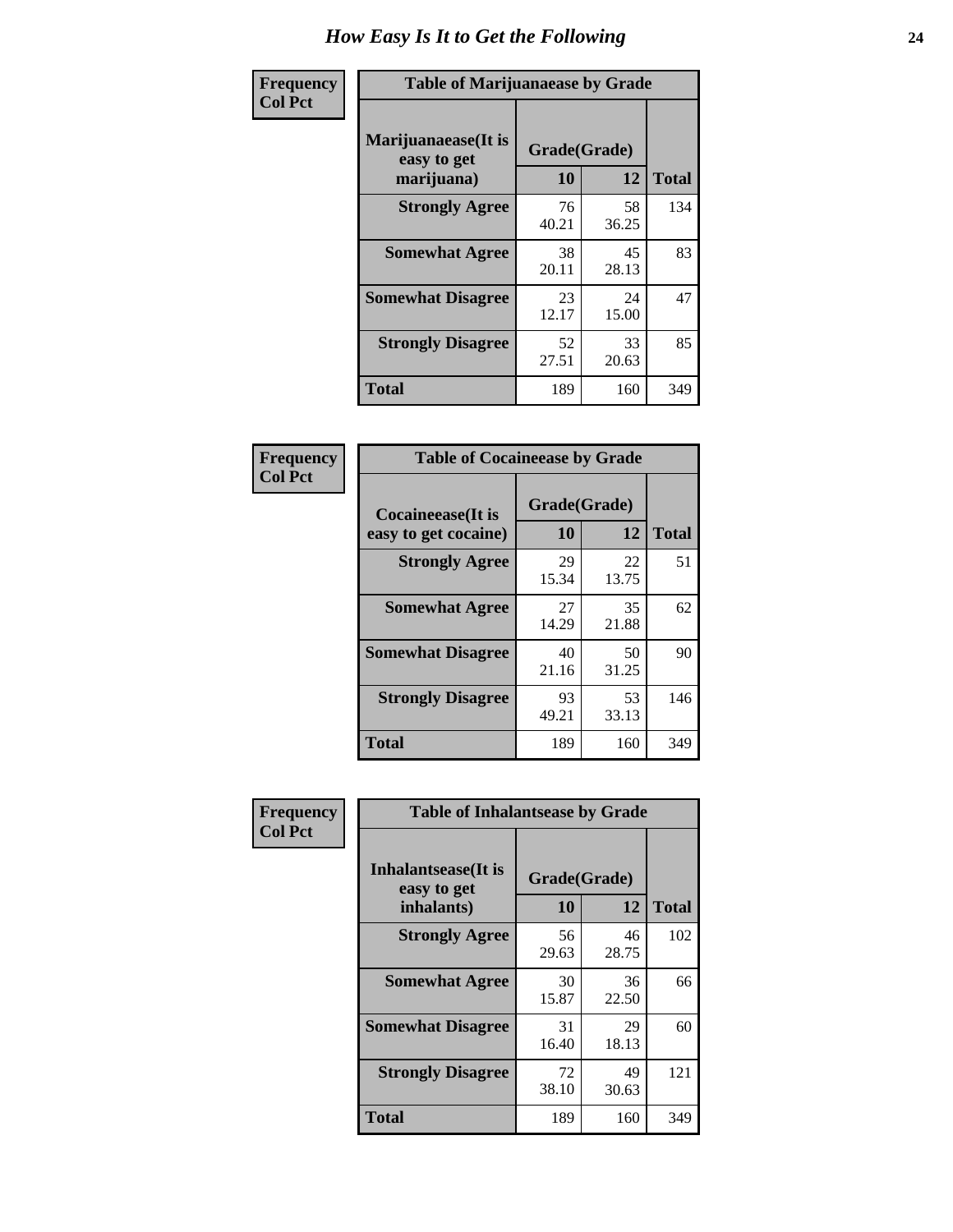| Frequency      | <b>Table of Marijuanaease by Grade</b>           |                           |             |              |  |
|----------------|--------------------------------------------------|---------------------------|-------------|--------------|--|
| <b>Col Pct</b> | Marijuanaease(It is<br>easy to get<br>marijuana) | Grade(Grade)<br><b>10</b> | 12          | <b>Total</b> |  |
|                | <b>Strongly Agree</b>                            | 76<br>40.21               | 58<br>36.25 | 134          |  |
|                | <b>Somewhat Agree</b>                            | 38<br>20.11               | 45<br>28.13 | 83           |  |
|                | <b>Somewhat Disagree</b>                         | 23<br>12.17               | 24<br>15.00 | 47           |  |
|                | <b>Strongly Disagree</b>                         | 52<br>27.51               | 33<br>20.63 | 85           |  |
|                | <b>Total</b>                                     | 189                       | 160         | 349          |  |

| <b>Table of Cocaineease by Grade</b>      |                    |              |     |  |  |  |  |
|-------------------------------------------|--------------------|--------------|-----|--|--|--|--|
| Cocaineease(It is<br>easy to get cocaine) | Grade(Grade)<br>10 | <b>Total</b> |     |  |  |  |  |
| <b>Strongly Agree</b>                     | 29<br>15.34        | 22<br>13.75  | 51  |  |  |  |  |
| <b>Somewhat Agree</b>                     | 27<br>14.29        | 35<br>21.88  | 62  |  |  |  |  |
| <b>Somewhat Disagree</b>                  | 40<br>21.16        | 50<br>31.25  | 90  |  |  |  |  |
| <b>Strongly Disagree</b>                  | 93<br>49.21        | 53<br>33.13  | 146 |  |  |  |  |
| <b>Total</b>                              | 189                | 160          | 349 |  |  |  |  |

| Frequency      | <b>Table of Inhalantsease by Grade</b>                   |                           |             |              |  |
|----------------|----------------------------------------------------------|---------------------------|-------------|--------------|--|
| <b>Col Pct</b> | <b>Inhalantsease</b> (It is<br>easy to get<br>inhalants) | Grade(Grade)<br><b>10</b> | 12          | <b>Total</b> |  |
|                | <b>Strongly Agree</b>                                    | 56<br>29.63               | 46<br>28.75 | 102          |  |
|                | <b>Somewhat Agree</b>                                    | 30<br>15.87               | 36<br>22.50 | 66           |  |
|                | <b>Somewhat Disagree</b>                                 | 31<br>16.40               | 29<br>18.13 | 60           |  |
|                | <b>Strongly Disagree</b>                                 | 72<br>38.10               | 49<br>30.63 | 121          |  |
|                | Total                                                    | 189                       | 160         | 349          |  |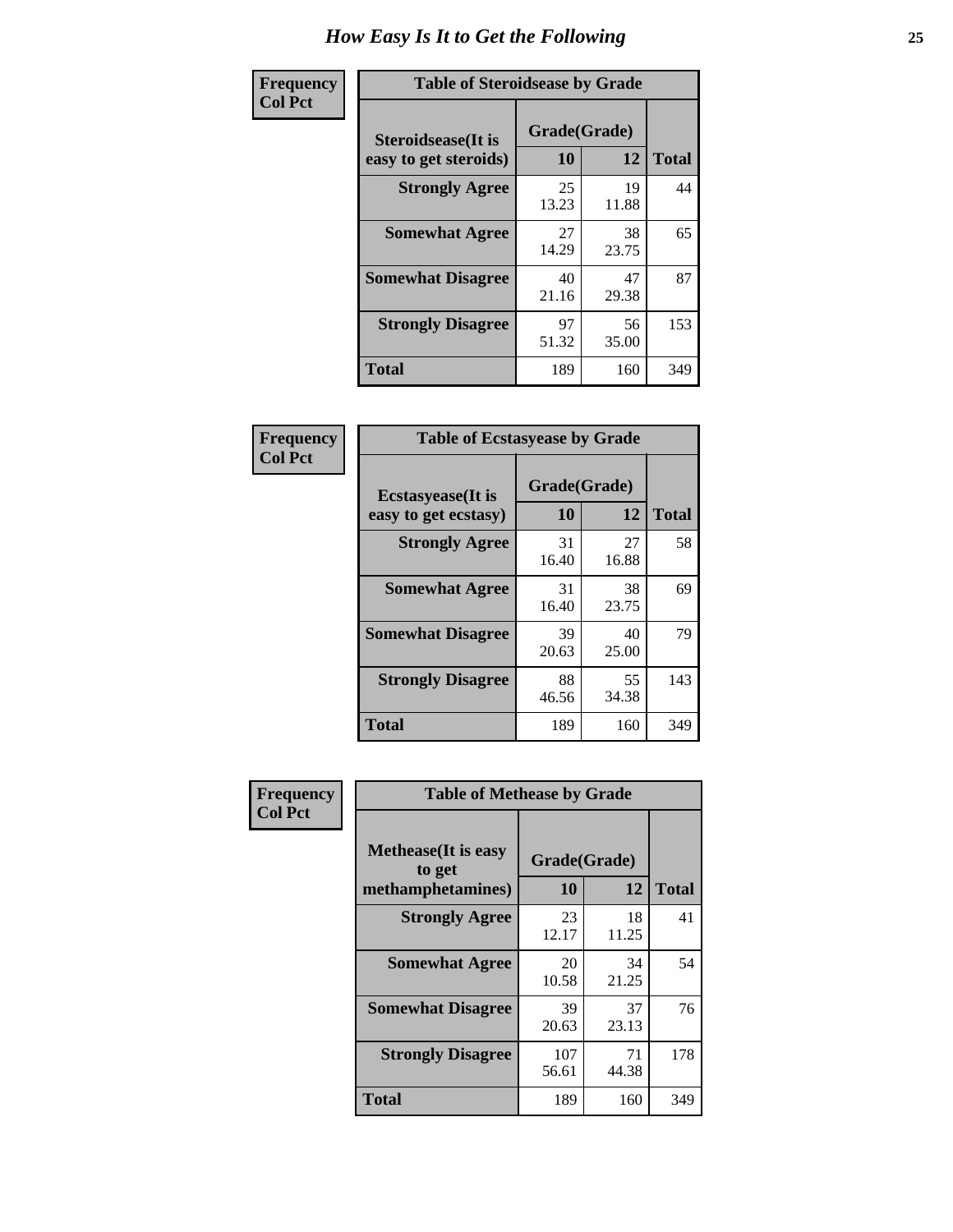| Frequency      | <b>Table of Steroidsease by Grade</b>               |                    |             |              |  |  |  |  |  |
|----------------|-----------------------------------------------------|--------------------|-------------|--------------|--|--|--|--|--|
| <b>Col Pct</b> | <b>Steroidsease</b> (It is<br>easy to get steroids) | Grade(Grade)<br>10 | 12          | <b>Total</b> |  |  |  |  |  |
|                | <b>Strongly Agree</b>                               | 25<br>13.23        | 19<br>11.88 | 44           |  |  |  |  |  |
|                | <b>Somewhat Agree</b>                               | 27<br>14.29        | 38<br>23.75 | 65           |  |  |  |  |  |
|                | <b>Somewhat Disagree</b>                            | 40<br>21.16        | 47<br>29.38 | 87           |  |  |  |  |  |
|                | <b>Strongly Disagree</b>                            | 97<br>51.32        | 56<br>35.00 | 153          |  |  |  |  |  |
|                | <b>Total</b>                                        | 189                | 160         | 349          |  |  |  |  |  |

| Frequency      | <b>Table of Ecstasyease by Grade</b>              |                    |              |     |  |  |  |  |  |  |  |
|----------------|---------------------------------------------------|--------------------|--------------|-----|--|--|--|--|--|--|--|
| <b>Col Pct</b> | <b>Ecstasyease</b> (It is<br>easy to get ecstasy) | Grade(Grade)<br>10 | <b>Total</b> |     |  |  |  |  |  |  |  |
|                | <b>Strongly Agree</b>                             | 31<br>16.40        | 27<br>16.88  | 58  |  |  |  |  |  |  |  |
|                | <b>Somewhat Agree</b>                             | 31<br>16.40        | 38<br>23.75  | 69  |  |  |  |  |  |  |  |
|                | <b>Somewhat Disagree</b>                          | 39<br>20.63        | 40<br>25.00  | 79  |  |  |  |  |  |  |  |
|                | <b>Strongly Disagree</b>                          | 88<br>46.56        | 55<br>34.38  | 143 |  |  |  |  |  |  |  |
|                | Total                                             | 189                | 160          | 349 |  |  |  |  |  |  |  |

| Frequency      | <b>Table of Methease by Grade</b>                          |                    |             |              |
|----------------|------------------------------------------------------------|--------------------|-------------|--------------|
| <b>Col Pct</b> | <b>Methease</b> (It is easy<br>to get<br>methamphetamines) | Grade(Grade)<br>10 | 12          | <b>Total</b> |
|                | <b>Strongly Agree</b>                                      | 23<br>12.17        | 18<br>11.25 | 41           |
|                | <b>Somewhat Agree</b>                                      | 20<br>10.58        | 34<br>21.25 | 54           |
|                | <b>Somewhat Disagree</b>                                   | 39<br>20.63        | 37<br>23.13 | 76           |
|                | <b>Strongly Disagree</b>                                   | 107<br>56.61       | 71<br>44.38 | 178          |
|                | Total                                                      | 189                | 160         | 349          |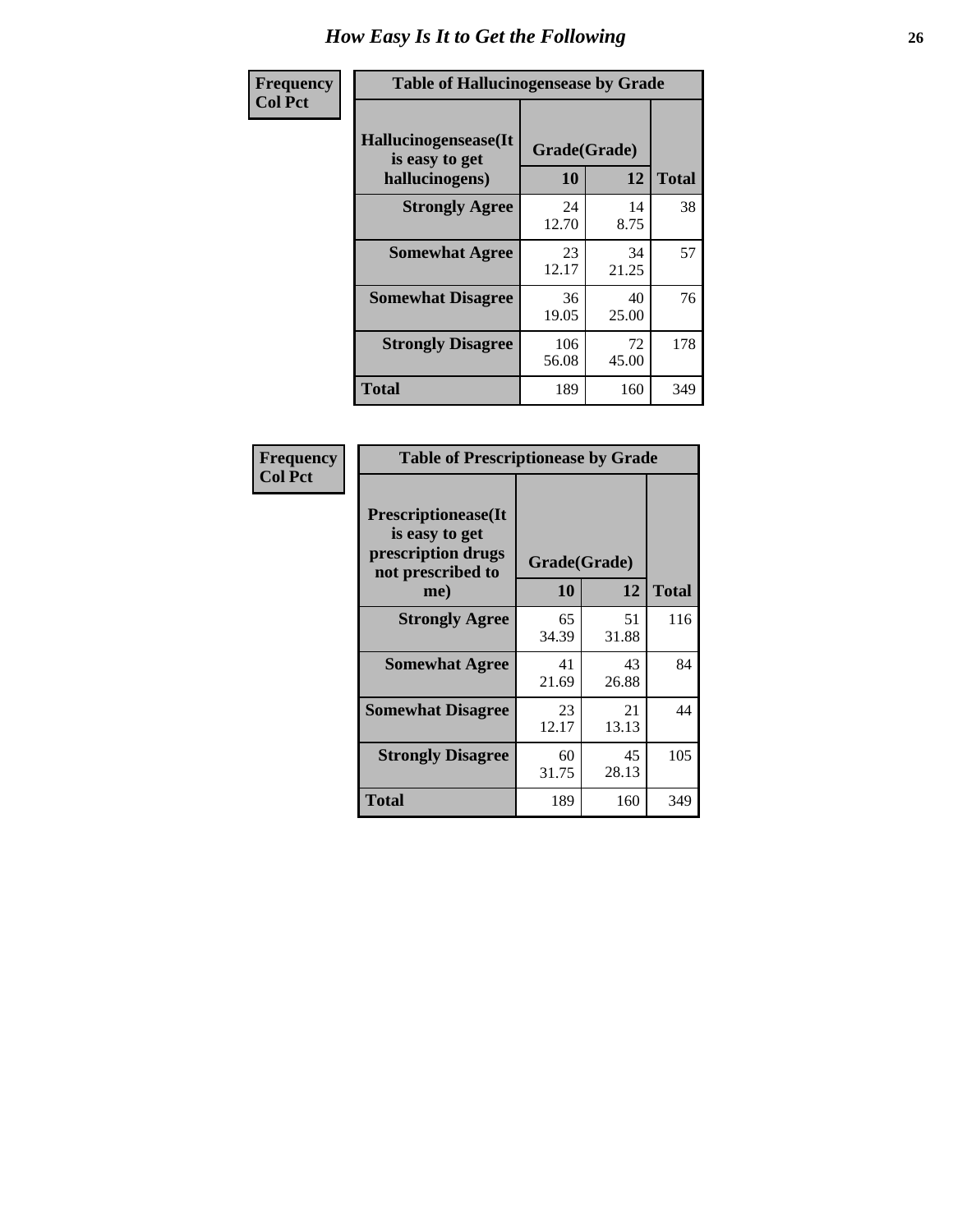| <b>Frequency</b> | <b>Table of Hallucinogensease by Grade</b>               |                    |             |              |  |  |  |  |  |  |
|------------------|----------------------------------------------------------|--------------------|-------------|--------------|--|--|--|--|--|--|
| <b>Col Pct</b>   | Hallucinogensease(It<br>is easy to get<br>hallucinogens) | Grade(Grade)<br>10 | 12          | <b>Total</b> |  |  |  |  |  |  |
|                  | <b>Strongly Agree</b>                                    | 24<br>12.70        | 14<br>8.75  | 38           |  |  |  |  |  |  |
|                  | <b>Somewhat Agree</b>                                    | 23<br>12.17        | 34<br>21.25 | 57           |  |  |  |  |  |  |
|                  | <b>Somewhat Disagree</b>                                 | 36<br>19.05        | 40<br>25.00 | 76           |  |  |  |  |  |  |
|                  | <b>Strongly Disagree</b>                                 | 106<br>56.08       | 72<br>45.00 | 178          |  |  |  |  |  |  |
|                  | <b>Total</b>                                             | 189                | 160         | 349          |  |  |  |  |  |  |

| Frequency<br>Col Pct |
|----------------------|
|                      |

| <b>Table of Prescriptionease by Grade</b>                                                |                    |             |              |  |  |  |  |  |  |
|------------------------------------------------------------------------------------------|--------------------|-------------|--------------|--|--|--|--|--|--|
| <b>Prescriptionease</b> (It<br>is easy to get<br>prescription drugs<br>not prescribed to | Grade(Grade)<br>10 | 12          | <b>Total</b> |  |  |  |  |  |  |
| me)<br><b>Strongly Agree</b>                                                             | 65                 | 51          | 116          |  |  |  |  |  |  |
|                                                                                          | 34.39              | 31.88       |              |  |  |  |  |  |  |
| <b>Somewhat Agree</b>                                                                    | 41<br>21.69        | 43<br>26.88 | 84           |  |  |  |  |  |  |
| <b>Somewhat Disagree</b>                                                                 | 23<br>12.17        | 21<br>13.13 | 44           |  |  |  |  |  |  |
| <b>Strongly Disagree</b>                                                                 | 60<br>31.75        | 45<br>28.13 | 105          |  |  |  |  |  |  |
| Total                                                                                    | 189                | 160         | 349          |  |  |  |  |  |  |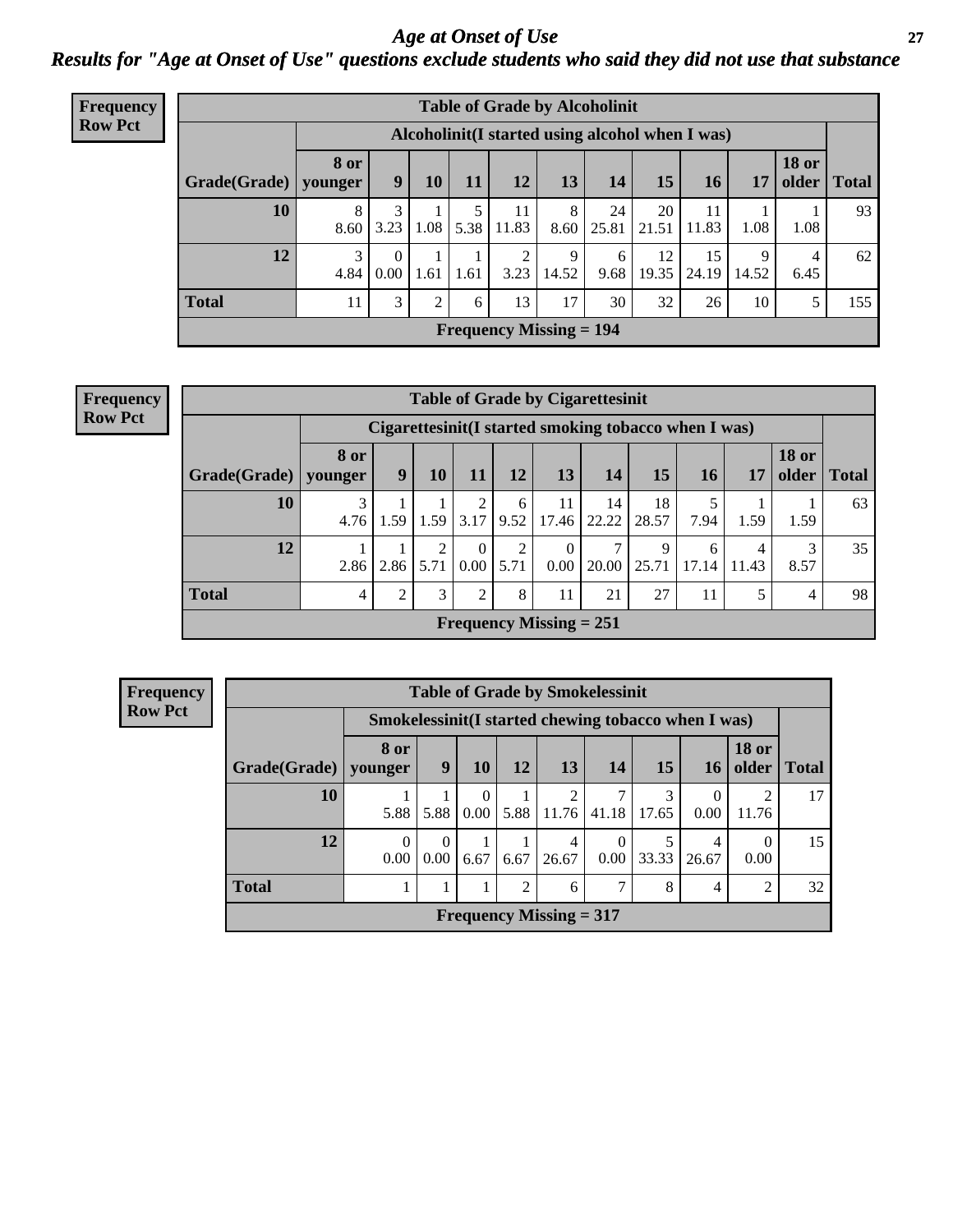*Age at Onset of Use* **27** *Results for "Age at Onset of Use" questions exclude students who said they did not use that substance*

| <b>Frequency</b> | <b>Table of Grade by Alcoholinit</b> |                        |                  |           |      |                        |                           |                                                  |             |             |            |                       |              |
|------------------|--------------------------------------|------------------------|------------------|-----------|------|------------------------|---------------------------|--------------------------------------------------|-------------|-------------|------------|-----------------------|--------------|
| <b>Row Pct</b>   |                                      |                        |                  |           |      |                        |                           | Alcoholinit (I started using alcohol when I was) |             |             |            |                       |              |
|                  | Grade(Grade)                         | <b>8 or</b><br>younger | 9                | <b>10</b> | 11   | <b>12</b>              | 13                        | 14                                               | 15          | <b>16</b>   | 17         | <b>18 or</b><br>older | <b>Total</b> |
|                  | 10                                   | 8<br>8.60              | 3<br>3.23        | 1.08      | 5.38 | 11<br>11.83            | 8<br>8.60                 | 24<br>25.81                                      | 20<br>21.51 | 11<br>11.83 | 1.08       | 1.08                  | 93           |
|                  | 12                                   | 3<br>4.84              | $\Omega$<br>0.00 | 1.61      | 1.61 | $\overline{c}$<br>3.23 | 9<br>14.52                | 6<br>9.68                                        | 12<br>19.35 | 15<br>24.19 | 9<br>14.52 | 4<br>6.45             | 62           |
|                  | <b>Total</b>                         | 11                     | 3                | 2         | 6    | 13                     | 17                        | 30                                               | 32          | 26          | 10         | 5                     | 155          |
|                  |                                      |                        |                  |           |      |                        | Frequency Missing $= 194$ |                                                  |             |             |            |                       |              |

| <b>Frequency</b> |
|------------------|
| <b>Row Pct</b>   |

| <b>Table of Grade by Cigarettesinit</b> |                 |                                                       |           |                  |           |                                |                        |             |            |                         |                       |              |
|-----------------------------------------|-----------------|-------------------------------------------------------|-----------|------------------|-----------|--------------------------------|------------------------|-------------|------------|-------------------------|-----------------------|--------------|
|                                         |                 | Cigarettesinit (I started smoking tobacco when I was) |           |                  |           |                                |                        |             |            |                         |                       |              |
| Grade(Grade)                            | 8 or<br>younger | 9                                                     | 10        | 11               | 12        | 13                             | 14                     | 15          | 16         | 17                      | <b>18 or</b><br>older | <b>Total</b> |
| 10                                      | 4.76            | 1.59                                                  | 1.59      | 2<br>3.17        | 6<br>9.52 | 11<br>17.46                    | 14<br>22.22            | 18<br>28.57 | 7.94       | 1.59                    | 1.59                  | 63           |
| 12                                      | 2.86            | 2.86                                                  | 2<br>5.71 | $\theta$<br>0.00 | 2<br>5.71 | $\Omega$<br>0.00               | $\mathcal{I}$<br>20.00 | 9<br>25.71  | 6<br>17.14 | $\overline{4}$<br>11.43 | 3<br>8.57             | 35           |
| <b>Total</b>                            | $\overline{4}$  | 2                                                     | 3         | 2                | 8         | 11                             | 21                     | 27          | 11         | 5                       | $\overline{4}$        | 98           |
|                                         |                 |                                                       |           |                  |           | <b>Frequency Missing = 251</b> |                        |             |            |                         |                       |              |

| <b>Frequency</b> | <b>Table of Grade by Smokelessinit</b> |                                                     |                  |                                 |      |                           |           |       |            |                       |              |
|------------------|----------------------------------------|-----------------------------------------------------|------------------|---------------------------------|------|---------------------------|-----------|-------|------------|-----------------------|--------------|
| <b>Row Pct</b>   |                                        | Smokelessinit(I started chewing tobacco when I was) |                  |                                 |      |                           |           |       |            |                       |              |
|                  | Grade(Grade)                           | 8 or<br>younger                                     | 9                | <b>10</b>                       | 12   | 13                        | <b>14</b> | 15    | 16         | <b>18 or</b><br>older | <b>Total</b> |
|                  | 10                                     | 5.88                                                | 5.88             | $\boldsymbol{0}$<br>$0.00\vert$ | 5.88 | 11.76                     | 41.18     | 17.65 | 0<br>0.00  | 11.76                 | 17           |
|                  | 12                                     | $\theta$<br>0.00                                    | $\theta$<br>0.00 | 6.67                            | 6.67 | 4<br>26.67                | 0<br>0.00 | 33.33 | 4<br>26.67 | 0.00                  | 15           |
|                  | <b>Total</b>                           |                                                     |                  |                                 | 2    | 6                         | 7         | 8     | 4          | 2                     | 32           |
|                  |                                        |                                                     |                  |                                 |      | Frequency Missing $= 317$ |           |       |            |                       |              |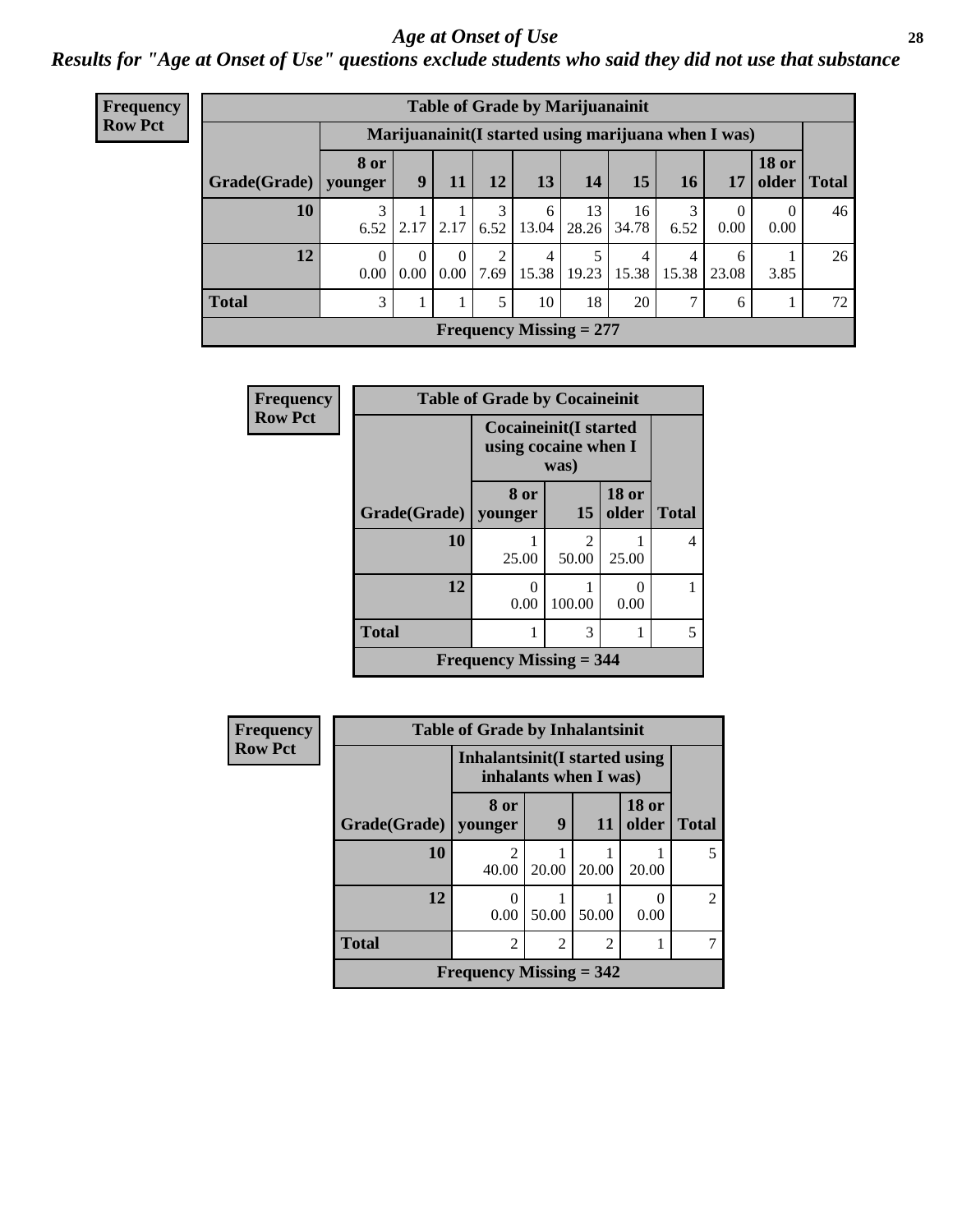#### *Age at Onset of Use* **28**

*Results for "Age at Onset of Use" questions exclude students who said they did not use that substance*

| <b>Frequency</b> | <b>Table of Grade by Marijuanainit</b> |                  |           |           |           |             |                           |                                                      |            |            |                  |               |
|------------------|----------------------------------------|------------------|-----------|-----------|-----------|-------------|---------------------------|------------------------------------------------------|------------|------------|------------------|---------------|
| <b>Row Pct</b>   |                                        |                  |           |           |           |             |                           | Marijuanainit (I started using marijuana when I was) |            |            |                  |               |
|                  | Grade(Grade)   younger                 | <b>8 or</b>      | 9         | 11        | 12        | 13          | 14                        | 15 <sup>15</sup>                                     | 16         | 17         | <b>18 or</b>     | older   Total |
|                  | 10                                     | 6.52             | 2.17      | 2.17      | 6.52      | 6<br>13.04  | 13<br>28.26               | 16<br>34.78                                          | 3<br>6.52  | 0.00       | $\theta$<br>0.00 | 46            |
|                  | 12                                     | $\Omega$<br>0.00 | 0<br>0.00 | 0<br>0.00 | ◠<br>7.69 | 4<br> 15.38 | 19.23                     | $\overline{4}$<br>15.38                              | 4<br>15.38 | 6<br>23.08 | 3.85             | 26            |
|                  | <b>Total</b>                           | 3                |           |           | 5         | 10          | 18                        | 20                                                   | 7          | 6          |                  | 72            |
|                  |                                        |                  |           |           |           |             | Frequency Missing $= 277$ |                                                      |            |            |                  |               |

| Frequency      |              | <b>Table of Grade by Cocaineinit</b>                          |                         |                       |              |
|----------------|--------------|---------------------------------------------------------------|-------------------------|-----------------------|--------------|
| <b>Row Pct</b> |              | <b>Cocaineinit</b> (I started<br>using cocaine when I<br>was) |                         |                       |              |
|                | Grade(Grade) | 8 or<br>younger                                               | 15                      | <b>18 or</b><br>older | <b>Total</b> |
|                | 10           | 25.00                                                         | $\mathfrak{D}$<br>50.00 | 25.00                 | 4            |
|                | 12           | 0<br>0.00                                                     | 100.00                  | 0<br>0.00             |              |
|                | <b>Total</b> | 1                                                             | 3                       |                       | 5            |
|                |              | <b>Frequency Missing = 344</b>                                |                         |                       |              |

| <b>Frequency</b> | <b>Table of Grade by Inhalantsinit</b> |                                                         |                |               |                       |                |  |  |
|------------------|----------------------------------------|---------------------------------------------------------|----------------|---------------|-----------------------|----------------|--|--|
| <b>Row Pct</b>   |                                        | Inhalantsinit (I started using<br>inhalants when I was) |                |               |                       |                |  |  |
|                  | Grade(Grade)   younger                 | 8 or                                                    | 9              | 11            | <b>18 or</b><br>older | <b>Total</b>   |  |  |
|                  | <b>10</b>                              | 2<br>40.00                                              | 20.00          | 20.00         | 20.00                 | 5              |  |  |
|                  | 12                                     | 0<br>0.00                                               | 50.00          | 50.00         | 0.00                  | $\overline{c}$ |  |  |
|                  | <b>Total</b>                           | $\overline{c}$                                          | $\overline{2}$ | $\mathcal{D}$ |                       |                |  |  |
|                  | Frequency Missing $= 342$              |                                                         |                |               |                       |                |  |  |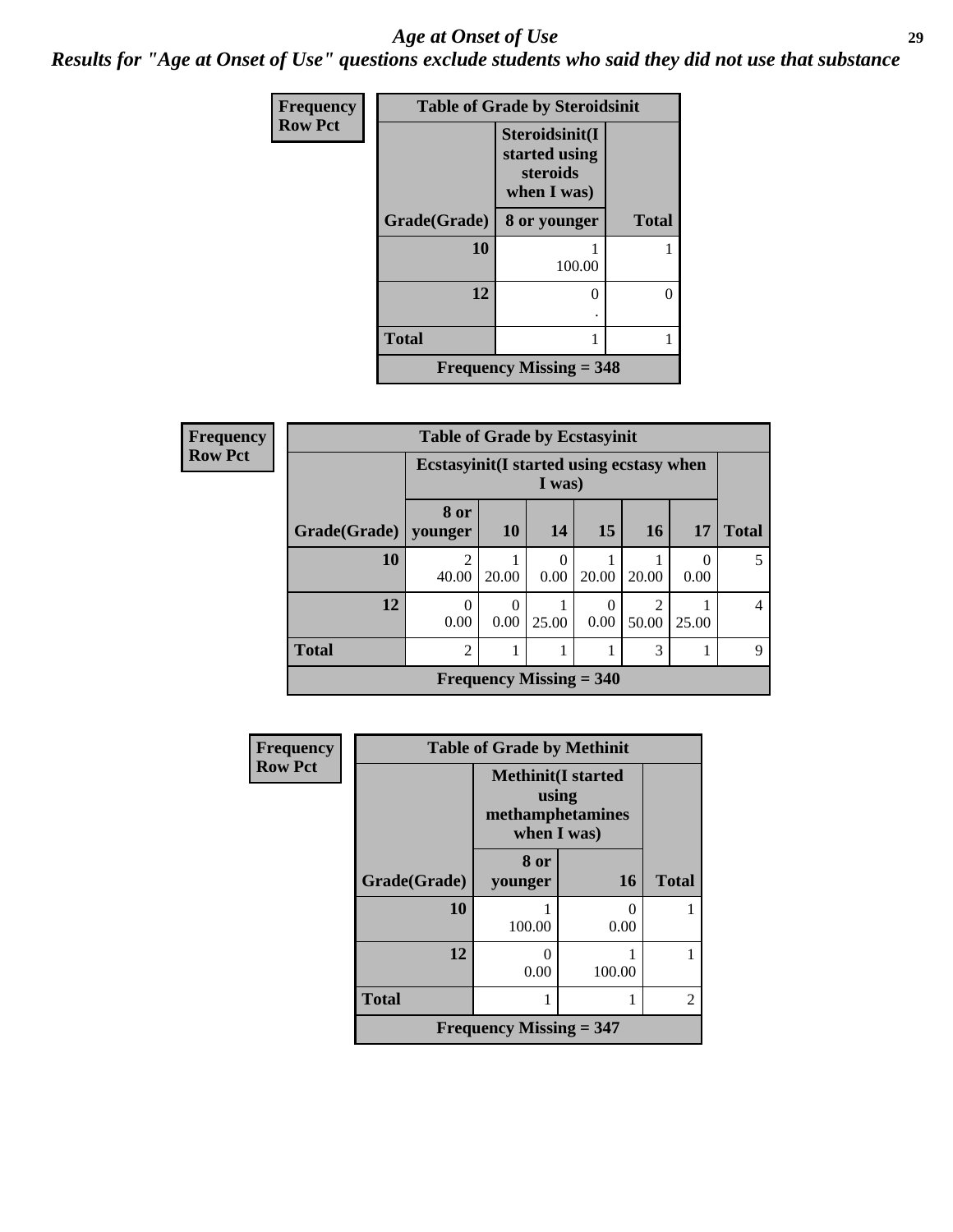#### *Age at Onset of Use* **29**

*Results for "Age at Onset of Use" questions exclude students who said they did not use that substance*

| Frequency      | <b>Table of Grade by Steroidsinit</b> |                                                            |              |  |  |  |
|----------------|---------------------------------------|------------------------------------------------------------|--------------|--|--|--|
| <b>Row Pct</b> |                                       | Steroidsinit(I<br>started using<br>steroids<br>when I was) |              |  |  |  |
|                | Grade(Grade)                          | 8 or younger                                               | <b>Total</b> |  |  |  |
|                | 10                                    | 100.00                                                     |              |  |  |  |
|                | 12                                    | 0                                                          | 0            |  |  |  |
|                | <b>Total</b>                          | 1                                                          |              |  |  |  |
|                | <b>Frequency Missing = 348</b>        |                                                            |              |  |  |  |

| <b>Frequency</b> |  |
|------------------|--|
| <b>Row Pct</b>   |  |

| <b>V</b> | <b>Table of Grade by Ecstasyinit</b> |                                                     |           |                           |           |            |       |              |
|----------|--------------------------------------|-----------------------------------------------------|-----------|---------------------------|-----------|------------|-------|--------------|
|          |                                      | Ecstasyinit (I started using ecstasy when<br>I was) |           |                           |           |            |       |              |
|          | Grade(Grade)   younger               | 8 or                                                | <b>10</b> | 14                        | 15        | 16         | 17    | <b>Total</b> |
|          | 10                                   | 2<br>40.00                                          | 20.00     | 0.00                      | 20.00     | 20.00      | 0.00  | 5            |
|          | 12                                   | $\Omega$<br>0.00                                    | 0.00      | 25.00                     | 0<br>0.00 | 2<br>50.00 | 25.00 | 4            |
|          | <b>Total</b>                         | $\overline{2}$                                      |           |                           |           | 3          |       | 9            |
|          |                                      |                                                     |           | Frequency Missing $= 340$ |           |            |       |              |

| <b>Frequency</b> | <b>Table of Grade by Methinit</b> |                                                                        |        |                |  |  |
|------------------|-----------------------------------|------------------------------------------------------------------------|--------|----------------|--|--|
| <b>Row Pct</b>   |                                   | <b>Methinit</b> (I started<br>using<br>methamphetamines<br>when I was) |        |                |  |  |
|                  | Grade(Grade)                      | 8 or<br>younger                                                        | 16     | <b>Total</b>   |  |  |
|                  | 10                                | 100.00                                                                 | 0.00   |                |  |  |
|                  | 12                                | 0.00                                                                   | 100.00 |                |  |  |
|                  | <b>Total</b>                      |                                                                        |        | $\mathfrak{D}$ |  |  |
|                  |                                   | Frequency Missing $=$ 347                                              |        |                |  |  |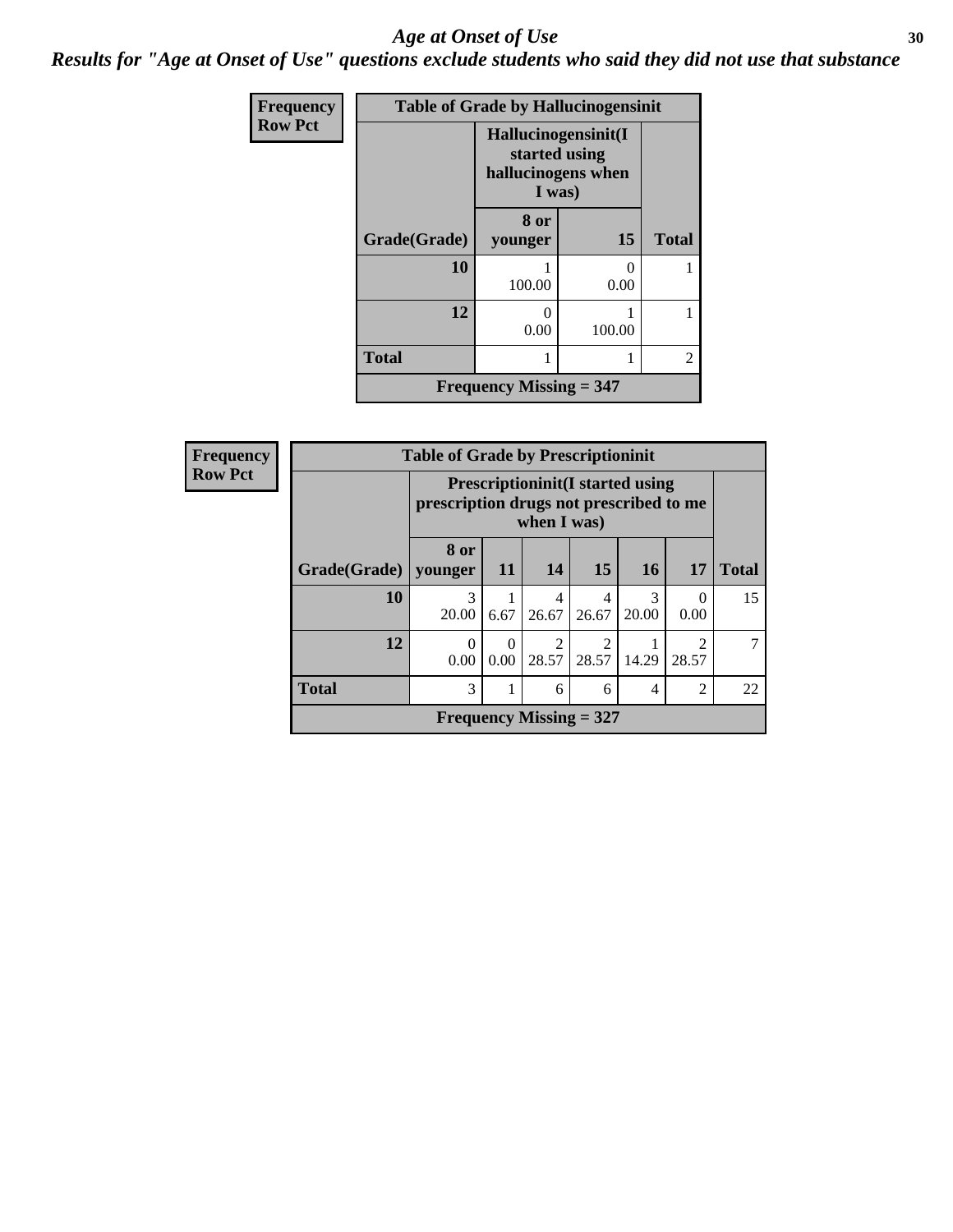#### Age at Onset of Use **30**

*Results for "Age at Onset of Use" questions exclude students who said they did not use that substance*

| Frequency      | <b>Table of Grade by Hallucinogensinit</b> |                                                                      |           |                |  |  |
|----------------|--------------------------------------------|----------------------------------------------------------------------|-----------|----------------|--|--|
| <b>Row Pct</b> |                                            | Hallucinogensinit(I<br>started using<br>hallucinogens when<br>I was) |           |                |  |  |
|                | Grade(Grade)                               | 8 or<br>younger                                                      | 15        | <b>Total</b>   |  |  |
|                | 10                                         | 100.00                                                               | 0<br>0.00 |                |  |  |
|                | 12                                         | 0<br>0.00                                                            | 100.00    |                |  |  |
|                | <b>Total</b>                               | 1                                                                    | 1         | $\overline{2}$ |  |  |
|                | Frequency Missing $=$ 347                  |                                                                      |           |                |  |  |

| Frequency      | <b>Table of Grade by Prescriptioninit</b> |                                                                                                    |                  |                           |            |           |                         |              |
|----------------|-------------------------------------------|----------------------------------------------------------------------------------------------------|------------------|---------------------------|------------|-----------|-------------------------|--------------|
| <b>Row Pct</b> |                                           | <b>Prescriptioninit (I started using</b><br>prescription drugs not prescribed to me<br>when I was) |                  |                           |            |           |                         |              |
|                | Grade(Grade)                              | 8 or<br>vounger                                                                                    | <b>11</b>        | 14                        | 15         | <b>16</b> | 17                      | <b>Total</b> |
|                | 10                                        | 3<br>20.00                                                                                         | 6.67             | 4<br>26.67                | 4<br>26.67 | 20.00     | $\Omega$<br>0.00        | 15           |
|                | 12                                        | 0<br>0.00                                                                                          | $\Omega$<br>0.00 | ി<br>28.57                | 28.57      | 14.29     | $\mathfrak{D}$<br>28.57 | 7            |
|                | <b>Total</b>                              | 3                                                                                                  |                  | 6                         | 6          | 4         | $\overline{2}$          | 22           |
|                |                                           |                                                                                                    |                  | Frequency Missing $= 327$ |            |           |                         |              |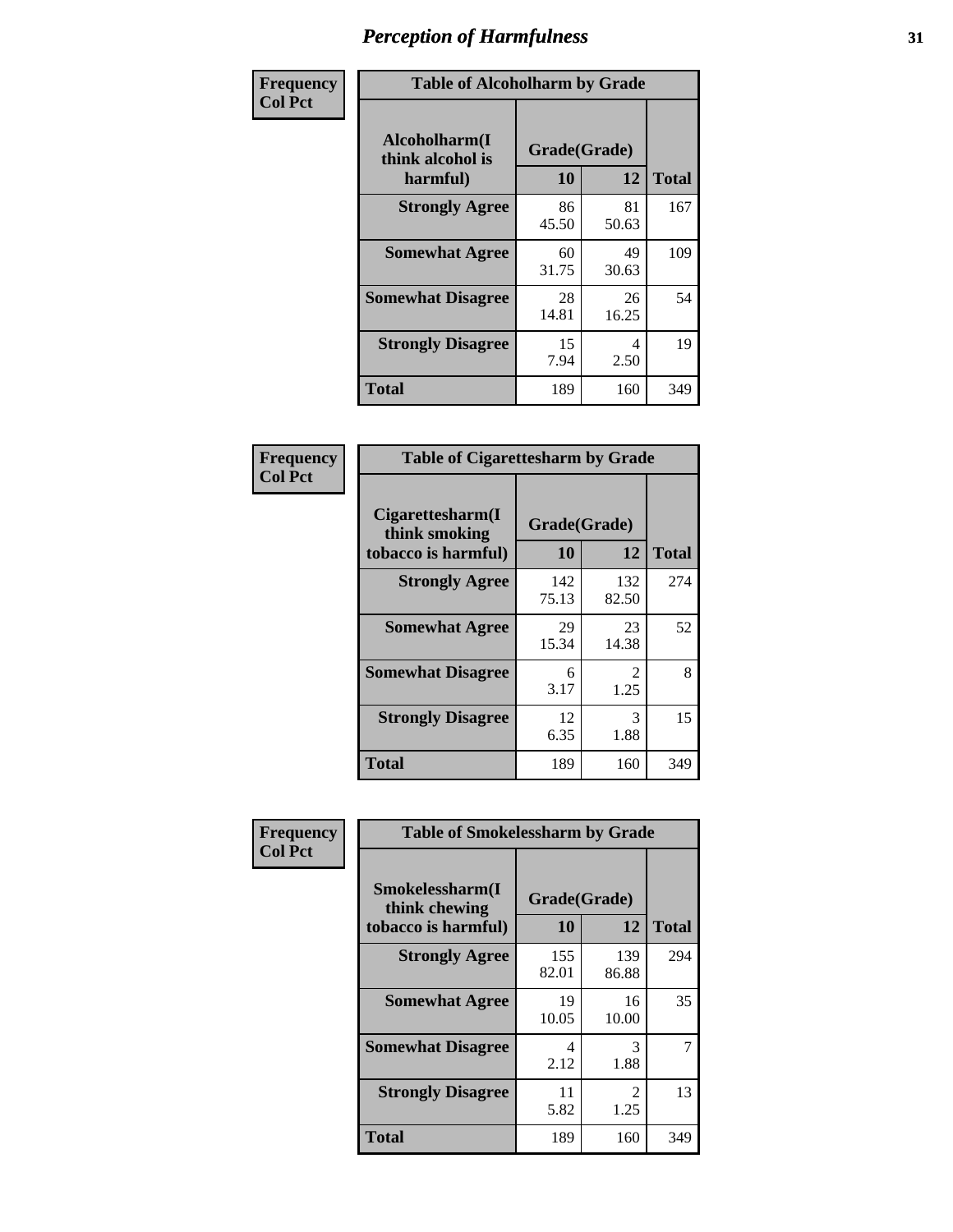| Frequency      | <b>Table of Alcoholharm by Grade</b>          |                    |             |              |  |
|----------------|-----------------------------------------------|--------------------|-------------|--------------|--|
| <b>Col Pct</b> | Alcoholharm(I<br>think alcohol is<br>harmful) | Grade(Grade)<br>10 | 12          | <b>Total</b> |  |
|                | <b>Strongly Agree</b>                         | 86<br>45.50        | 81<br>50.63 | 167          |  |
|                | <b>Somewhat Agree</b>                         | 60<br>31.75        | 49<br>30.63 | 109          |  |
|                | <b>Somewhat Disagree</b>                      | 28<br>14.81        | 26<br>16.25 | 54           |  |
|                | <b>Strongly Disagree</b>                      | 15<br>7.94         | 4<br>2.50   | 19           |  |
|                | <b>Total</b>                                  | 189                | 160         | 349          |  |

| <b>Table of Cigarettesharm by Grade</b>                  |                    |                        |     |  |  |  |
|----------------------------------------------------------|--------------------|------------------------|-----|--|--|--|
| Cigarettesharm(I<br>think smoking<br>tobacco is harmful) | Grade(Grade)<br>10 | <b>Total</b>           |     |  |  |  |
| <b>Strongly Agree</b>                                    | 142<br>75.13       | 132<br>82.50           | 274 |  |  |  |
| <b>Somewhat Agree</b>                                    | 29<br>15.34        | 23<br>14.38            | 52  |  |  |  |
| <b>Somewhat Disagree</b>                                 | 6<br>3.17          | $\mathfrak{D}$<br>1.25 | 8   |  |  |  |
| <b>Strongly Disagree</b>                                 | 12<br>6.35         | 3<br>1.88              | 15  |  |  |  |
| <b>Total</b>                                             | 189                | 160                    | 349 |  |  |  |

| Frequency      | <b>Table of Smokelessharm by Grade</b>                  |                           |                       |              |  |  |  |
|----------------|---------------------------------------------------------|---------------------------|-----------------------|--------------|--|--|--|
| <b>Col Pct</b> | Smokelessharm(I<br>think chewing<br>tobacco is harmful) | Grade(Grade)<br><b>10</b> | 12                    | <b>Total</b> |  |  |  |
|                | <b>Strongly Agree</b>                                   | 155<br>82.01              | 139<br>86.88          | 294          |  |  |  |
|                | <b>Somewhat Agree</b>                                   | 19<br>10.05               | 16<br>10.00           | 35           |  |  |  |
|                | <b>Somewhat Disagree</b>                                | 4<br>2.12                 | 3<br>1.88             | 7            |  |  |  |
|                | <b>Strongly Disagree</b>                                | 11<br>5.82                | $\mathcal{L}$<br>1.25 | 13           |  |  |  |
|                | Total                                                   | 189                       | 160                   | 349          |  |  |  |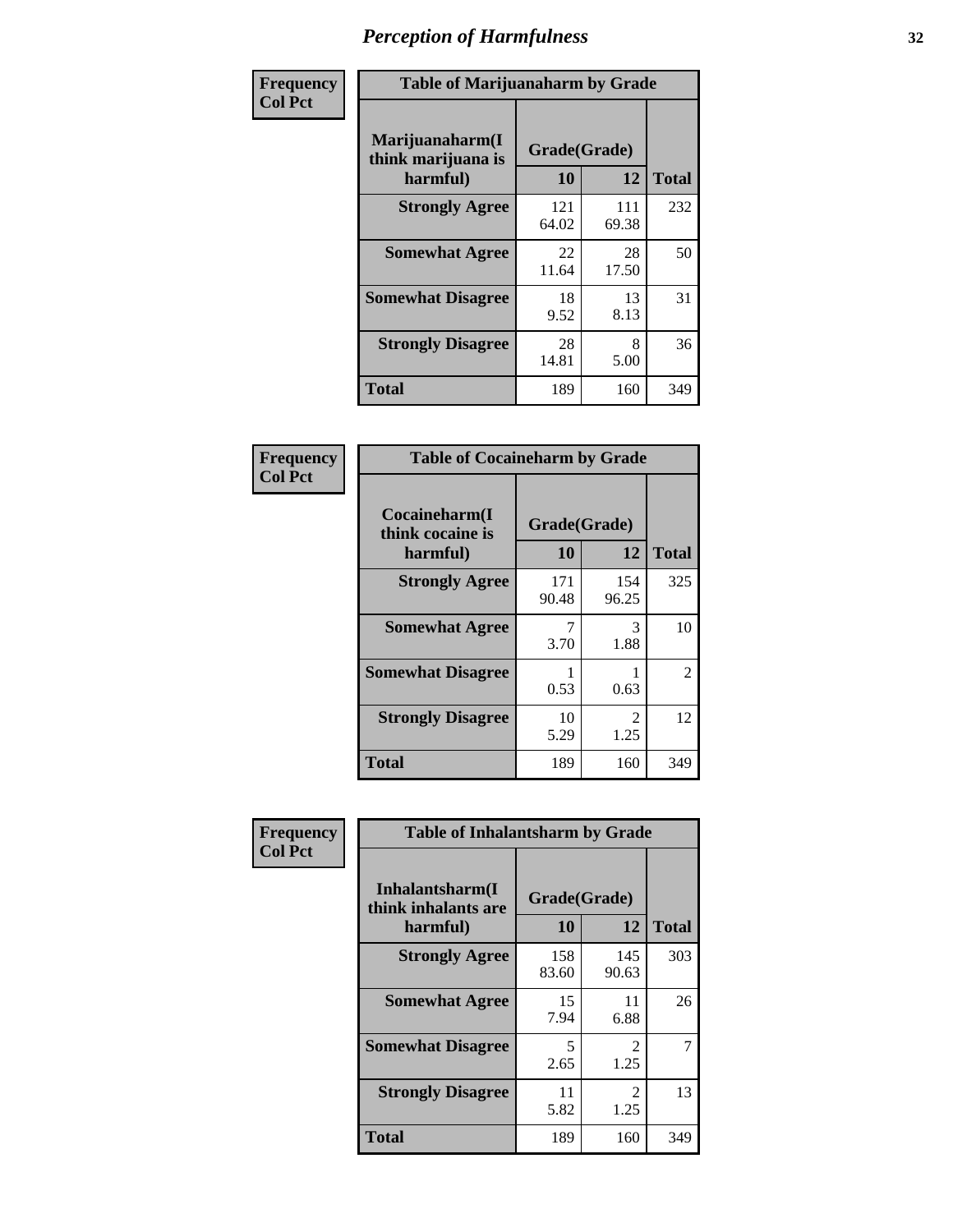| Frequency      | <b>Table of Marijuanaharm by Grade</b>            |                    |              |              |  |
|----------------|---------------------------------------------------|--------------------|--------------|--------------|--|
| <b>Col Pct</b> | Marijuanaharm(I<br>think marijuana is<br>harmful) | Grade(Grade)<br>10 | 12           | <b>Total</b> |  |
|                | <b>Strongly Agree</b>                             | 121<br>64.02       | 111<br>69.38 | 232          |  |
|                | <b>Somewhat Agree</b>                             | 22<br>11.64        | 28<br>17.50  | 50           |  |
|                | <b>Somewhat Disagree</b>                          | 18<br>9.52         | 13<br>8.13   | 31           |  |
|                | <b>Strongly Disagree</b>                          | 28<br>14.81        | 8<br>5.00    | 36           |  |
|                | <b>Total</b>                                      | 189                | 160          | 349          |  |

| <b>Table of Cocaineharm by Grade</b>          |                    |                        |                |  |  |  |
|-----------------------------------------------|--------------------|------------------------|----------------|--|--|--|
| Cocaineharm(I<br>think cocaine is<br>harmful) | Grade(Grade)<br>10 | 12                     | <b>Total</b>   |  |  |  |
| <b>Strongly Agree</b>                         | 171<br>90.48       | 154<br>96.25           | 325            |  |  |  |
| <b>Somewhat Agree</b>                         | 7<br>3.70          | 3<br>1.88              | 10             |  |  |  |
| <b>Somewhat Disagree</b>                      | 0.53               | 0.63                   | $\overline{2}$ |  |  |  |
| <b>Strongly Disagree</b>                      | 10<br>5.29         | $\mathfrak{D}$<br>1.25 | 12             |  |  |  |
| <b>Total</b>                                  | 189                | 160                    | 349            |  |  |  |

| Frequency      | <b>Table of Inhalantsharm by Grade</b>             |                           |                               |              |
|----------------|----------------------------------------------------|---------------------------|-------------------------------|--------------|
| <b>Col Pct</b> | Inhalantsharm(I<br>think inhalants are<br>harmful) | Grade(Grade)<br><b>10</b> | 12                            | <b>Total</b> |
|                | <b>Strongly Agree</b>                              | 158<br>83.60              | 145<br>90.63                  | 303          |
|                | <b>Somewhat Agree</b>                              | 15<br>7.94                | 11<br>6.88                    | 26           |
|                | <b>Somewhat Disagree</b>                           | 5<br>2.65                 | $\mathcal{D}_{\cdot}$<br>1.25 |              |
|                | <b>Strongly Disagree</b>                           | 11<br>5.82                | 2<br>1.25                     | 13           |
|                | <b>Total</b>                                       | 189                       | 160                           | 349          |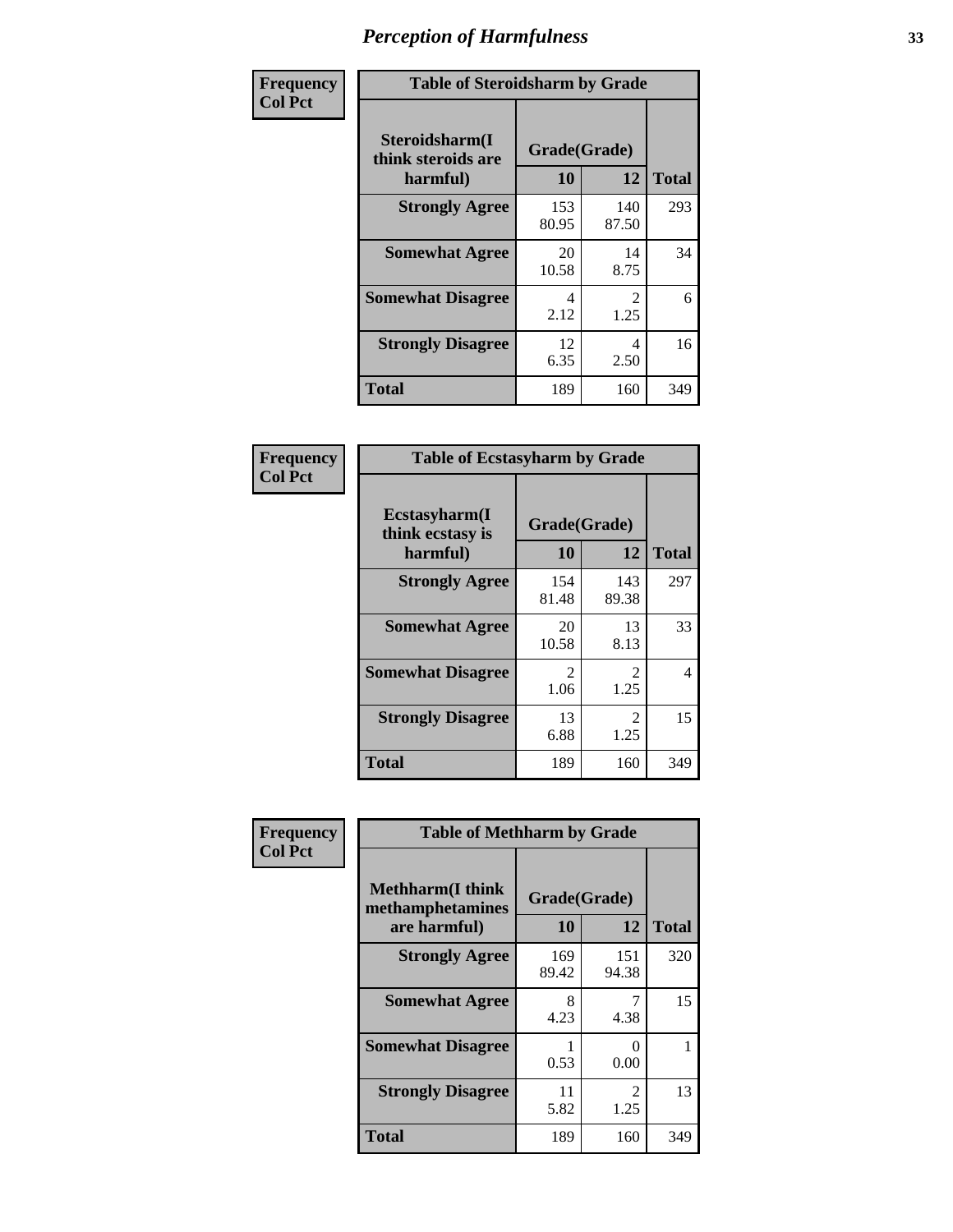| Frequency      | <b>Table of Steroidsharm by Grade</b>            |                    |                        |              |
|----------------|--------------------------------------------------|--------------------|------------------------|--------------|
| <b>Col Pct</b> | Steroidsharm(I<br>think steroids are<br>harmful) | Grade(Grade)<br>10 | 12                     | <b>Total</b> |
|                | <b>Strongly Agree</b>                            | 153<br>80.95       | 140<br>87.50           | 293          |
|                | <b>Somewhat Agree</b>                            | 20<br>10.58        | 14<br>8.75             | 34           |
|                | <b>Somewhat Disagree</b>                         | 4<br>2.12          | $\mathfrak{D}$<br>1.25 | 6            |
|                | <b>Strongly Disagree</b>                         | 12<br>6.35         | 4<br>2.50              | 16           |
|                | <b>Total</b>                                     | 189                | 160                    | 349          |

| <b>Table of Ecstasyharm by Grade</b>          |                    |                        |     |  |  |
|-----------------------------------------------|--------------------|------------------------|-----|--|--|
| Ecstasyharm(I<br>think ecstasy is<br>harmful) | Grade(Grade)<br>10 | <b>Total</b>           |     |  |  |
| <b>Strongly Agree</b>                         | 154<br>81.48       | 143<br>89.38           | 297 |  |  |
| <b>Somewhat Agree</b>                         | 20<br>10.58        | 13<br>8.13             | 33  |  |  |
| <b>Somewhat Disagree</b>                      | 2<br>1.06          | 2<br>1.25              | 4   |  |  |
| <b>Strongly Disagree</b>                      | 13<br>6.88         | $\mathfrak{D}$<br>1.25 | 15  |  |  |
| <b>Total</b>                                  | 189                | 160                    | 349 |  |  |

| Frequency      | <b>Table of Methharm by Grade</b>                            |                    |              |              |
|----------------|--------------------------------------------------------------|--------------------|--------------|--------------|
| <b>Col Pct</b> | <b>Methharm</b> (I think<br>methamphetamines<br>are harmful) | Grade(Grade)<br>10 | 12           | <b>Total</b> |
|                | <b>Strongly Agree</b>                                        | 169<br>89.42       | 151<br>94.38 | 320          |
|                | <b>Somewhat Agree</b>                                        | 8<br>4.23          | 4.38         | 15           |
|                | <b>Somewhat Disagree</b>                                     | 0.53               | 0<br>0.00    |              |
|                | <b>Strongly Disagree</b>                                     | 11<br>5.82         | 2<br>1.25    | 13           |
|                | Total                                                        | 189                | 160          | 349          |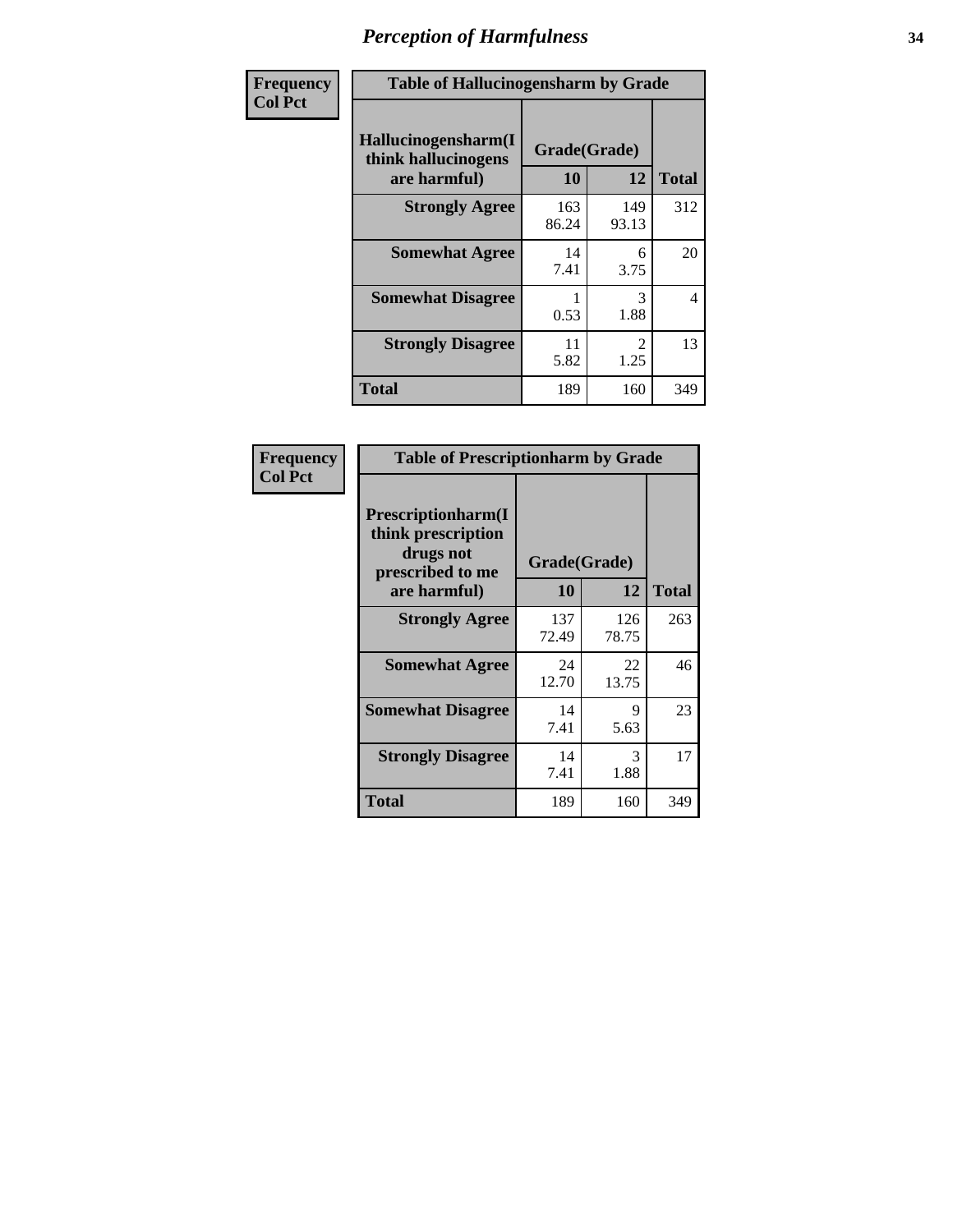| Frequency      | <b>Table of Hallucinogensharm by Grade</b>                 |                    |              |                |
|----------------|------------------------------------------------------------|--------------------|--------------|----------------|
| <b>Col Pct</b> | Hallucinogensharm(I<br>think hallucinogens<br>are harmful) | Grade(Grade)<br>10 | 12           | <b>Total</b>   |
|                | <b>Strongly Agree</b>                                      | 163<br>86.24       | 149<br>93.13 | 312            |
|                | <b>Somewhat Agree</b>                                      | 14<br>7.41         | 6<br>3.75    | 20             |
|                | <b>Somewhat Disagree</b>                                   | 0.53               | 3<br>1.88    | $\overline{4}$ |
|                | <b>Strongly Disagree</b>                                   | 11<br>5.82         | 2<br>1.25    | 13             |
|                | <b>Total</b>                                               | 189                | 160          | 349            |

| <b>Table of Prescriptionharm by Grade</b>                                         |              |              |              |  |  |
|-----------------------------------------------------------------------------------|--------------|--------------|--------------|--|--|
| <b>Prescriptionharm</b> (I<br>think prescription<br>drugs not<br>prescribed to me | Grade(Grade) |              |              |  |  |
| are harmful)                                                                      | 10           | 12           | <b>Total</b> |  |  |
| <b>Strongly Agree</b>                                                             | 137<br>72.49 | 126<br>78.75 | 263          |  |  |
| <b>Somewhat Agree</b>                                                             | 24<br>12.70  | 22<br>13.75  | 46           |  |  |
| <b>Somewhat Disagree</b>                                                          | 14<br>7.41   | 9<br>5.63    | 23           |  |  |
| <b>Strongly Disagree</b>                                                          | 14<br>7.41   | 3<br>1.88    | 17           |  |  |
| <b>Total</b>                                                                      | 189          | 160          | 349          |  |  |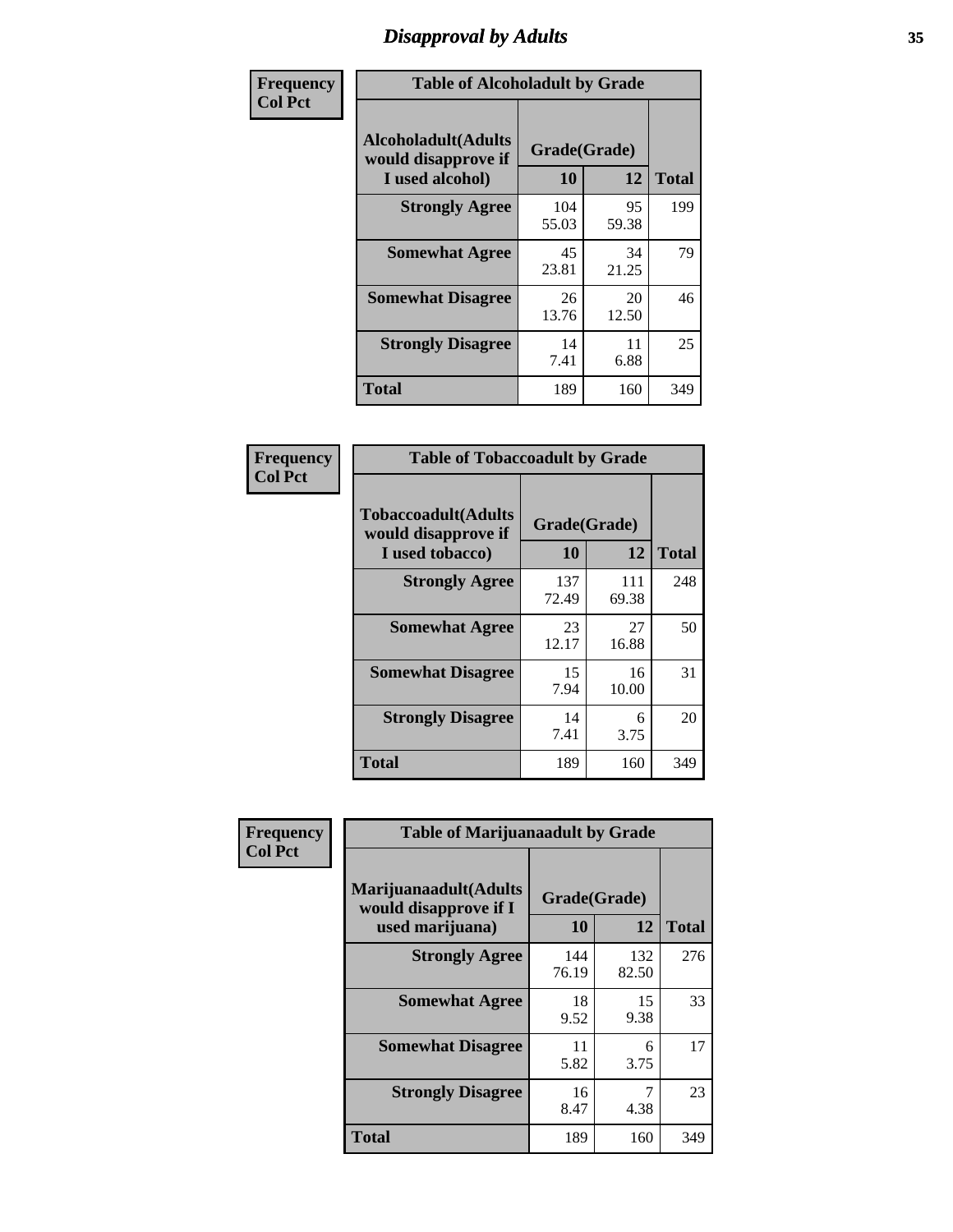# *Disapproval by Adults* **35**

| Frequency      | <b>Table of Alcoholadult by Grade</b>                                 |                    |             |              |
|----------------|-----------------------------------------------------------------------|--------------------|-------------|--------------|
| <b>Col Pct</b> | <b>Alcoholadult</b> (Adults<br>would disapprove if<br>I used alcohol) | Grade(Grade)<br>10 | 12          | <b>Total</b> |
|                | <b>Strongly Agree</b>                                                 | 104<br>55.03       | 95<br>59.38 | 199          |
|                | <b>Somewhat Agree</b>                                                 | 45<br>23.81        | 34<br>21.25 | 79           |
|                | <b>Somewhat Disagree</b>                                              | 26<br>13.76        | 20<br>12.50 | 46           |
|                | <b>Strongly Disagree</b>                                              | 14<br>7.41         | 11<br>6.88  | 25           |
|                | <b>Total</b>                                                          | 189                | 160         | 349          |

| <b>Table of Tobaccoadult by Grade</b>                                 |                    |              |              |  |  |
|-----------------------------------------------------------------------|--------------------|--------------|--------------|--|--|
| <b>Tobaccoadult</b> (Adults<br>would disapprove if<br>I used tobacco) | Grade(Grade)<br>10 | 12           | <b>Total</b> |  |  |
| <b>Strongly Agree</b>                                                 | 137<br>72.49       | 111<br>69.38 | 248          |  |  |
| <b>Somewhat Agree</b>                                                 | 23<br>12.17        | 27<br>16.88  | 50           |  |  |
| <b>Somewhat Disagree</b>                                              | 15<br>7.94         | 16<br>10.00  | 31           |  |  |
| <b>Strongly Disagree</b>                                              | 14<br>7.41         | 6<br>3.75    | 20           |  |  |
| Total                                                                 | 189                | 160          | 349          |  |  |

| Frequency      | <b>Table of Marijuanaadult by Grade</b>                           |                    |              |              |
|----------------|-------------------------------------------------------------------|--------------------|--------------|--------------|
| <b>Col Pct</b> | Marijuanaadult(Adults<br>would disapprove if I<br>used marijuana) | Grade(Grade)<br>10 | 12           | <b>Total</b> |
|                | <b>Strongly Agree</b>                                             | 144<br>76.19       | 132<br>82.50 | 276          |
|                | <b>Somewhat Agree</b>                                             | 18<br>9.52         | 15<br>9.38   | 33           |
|                | <b>Somewhat Disagree</b>                                          | 11<br>5.82         | 6<br>3.75    | 17           |
|                | <b>Strongly Disagree</b>                                          | 16<br>8.47         | 7<br>4.38    | 23           |
|                | <b>Total</b>                                                      | 189                | 160          | 349          |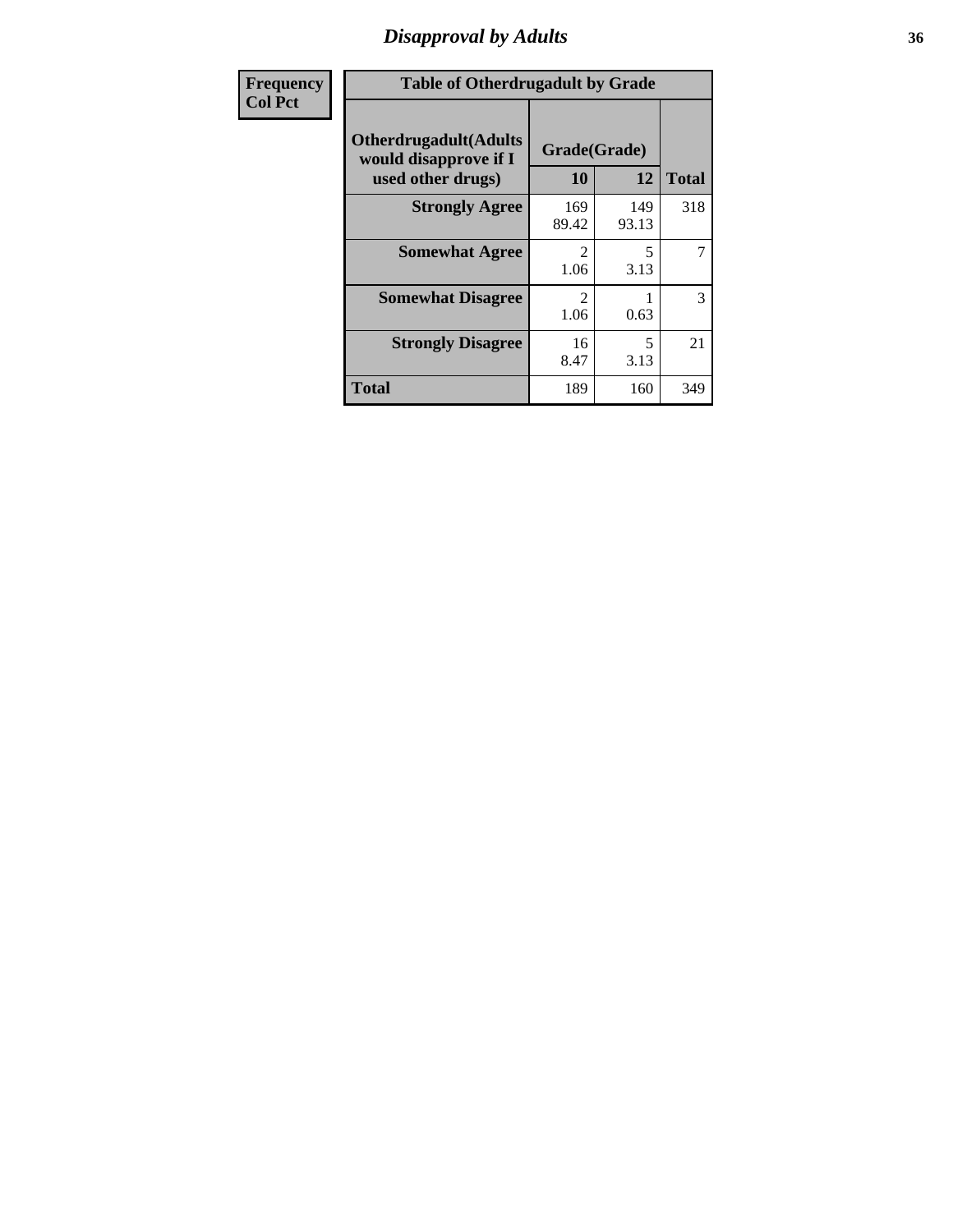### *Disapproval by Adults* **36**

| <b>Frequency</b> | <b>Table of Otherdrugadult by Grade</b>                                     |                        |              |              |
|------------------|-----------------------------------------------------------------------------|------------------------|--------------|--------------|
| <b>Col Pct</b>   | <b>Otherdrugadult</b> (Adults<br>would disapprove if I<br>used other drugs) | Grade(Grade)<br>10     | 12           | <b>Total</b> |
|                  | <b>Strongly Agree</b>                                                       | 169<br>89.42           | 149<br>93.13 | 318          |
|                  | <b>Somewhat Agree</b>                                                       | $\mathcal{D}$<br>1.06  | 5<br>3.13    | 7            |
|                  | <b>Somewhat Disagree</b>                                                    | $\mathfrak{D}$<br>1.06 | 0.63         | 3            |
|                  | <b>Strongly Disagree</b>                                                    | 16<br>8.47             | 5<br>3.13    | 21           |
|                  | <b>Total</b>                                                                | 189                    | 160          | 349          |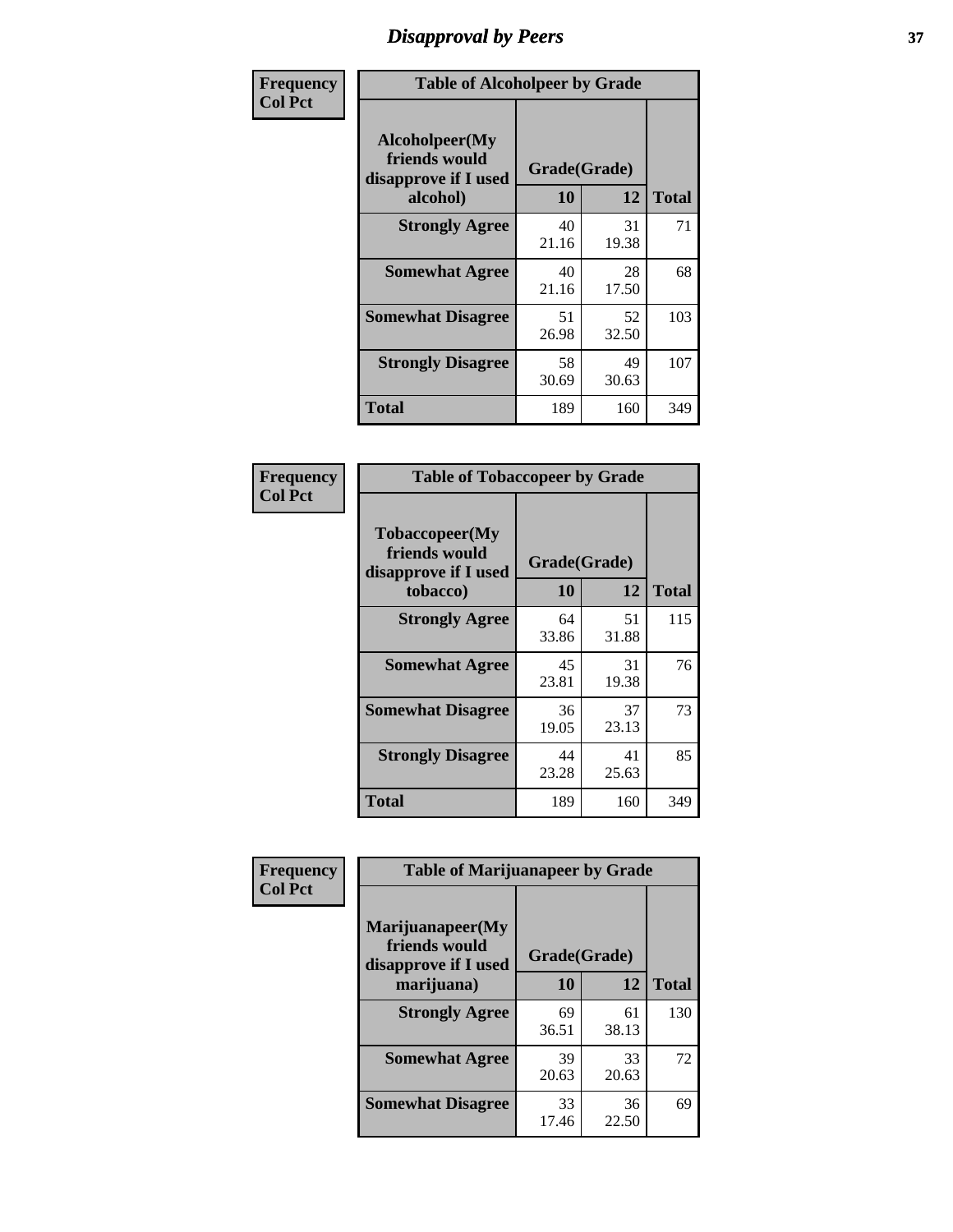# *Disapproval by Peers* **37**

| Frequency      | <b>Table of Alcoholpeer by Grade</b>                    |              |             |              |  |
|----------------|---------------------------------------------------------|--------------|-------------|--------------|--|
| <b>Col Pct</b> | Alcoholpeer(My<br>friends would<br>disapprove if I used | Grade(Grade) |             |              |  |
|                | alcohol)                                                | 10           | 12          | <b>Total</b> |  |
|                | <b>Strongly Agree</b>                                   | 40<br>21.16  | 31<br>19.38 | 71           |  |
|                | <b>Somewhat Agree</b>                                   | 40<br>21.16  | 28<br>17.50 | 68           |  |
|                | <b>Somewhat Disagree</b>                                | 51<br>26.98  | 52<br>32.50 | 103          |  |
|                | <b>Strongly Disagree</b>                                | 58<br>30.69  | 49<br>30.63 | 107          |  |
|                | Total                                                   | 189          | 160         | 349          |  |

| Frequency      | <b>Table of Tobaccopeer by Grade</b>                                |                    |             |              |  |
|----------------|---------------------------------------------------------------------|--------------------|-------------|--------------|--|
| <b>Col Pct</b> | Tobaccopeer(My<br>friends would<br>disapprove if I used<br>tobacco) | Grade(Grade)<br>10 | 12          | <b>Total</b> |  |
|                | <b>Strongly Agree</b>                                               | 64<br>33.86        | 51<br>31.88 | 115          |  |
|                | <b>Somewhat Agree</b>                                               | 45<br>23.81        | 31<br>19.38 | 76           |  |
|                | <b>Somewhat Disagree</b>                                            | 36<br>19.05        | 37<br>23.13 | 73           |  |
|                | <b>Strongly Disagree</b>                                            | 44<br>23.28        | 41<br>25.63 | 85           |  |
|                | <b>Total</b>                                                        | 189                | 160         | 349          |  |

| Frequency      | <b>Table of Marijuanapeer by Grade</b>                    |              |             |              |  |
|----------------|-----------------------------------------------------------|--------------|-------------|--------------|--|
| <b>Col Pct</b> | Marijuanapeer(My<br>friends would<br>disapprove if I used | Grade(Grade) |             |              |  |
|                | marijuana)                                                | 10           | 12          | <b>Total</b> |  |
|                | <b>Strongly Agree</b>                                     | 69<br>36.51  | 61<br>38.13 | 130          |  |
|                | <b>Somewhat Agree</b>                                     | 39<br>20.63  | 33<br>20.63 | 72           |  |
|                | <b>Somewhat Disagree</b>                                  | 33<br>17.46  | 36<br>22.50 | 69           |  |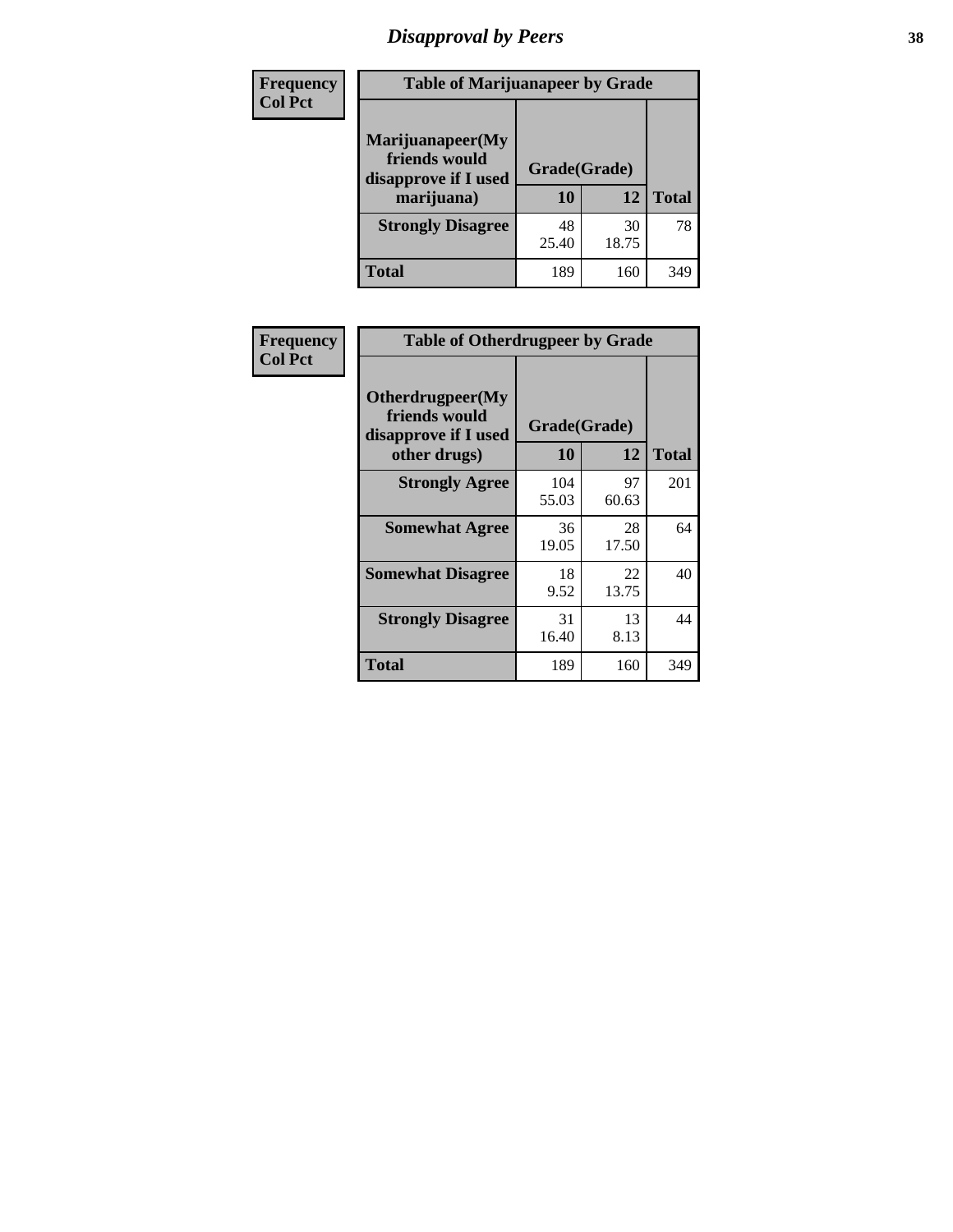# *Disapproval by Peers* **38**

| <b>Frequency</b> | <b>Table of Marijuanapeer by Grade</b>                                  |                    |             |              |  |
|------------------|-------------------------------------------------------------------------|--------------------|-------------|--------------|--|
| <b>Col Pct</b>   | Marijuanapeer(My<br>friends would<br>disapprove if I used<br>marijuana) | Grade(Grade)<br>10 | 12          | <b>Total</b> |  |
|                  | <b>Strongly Disagree</b>                                                | 48<br>25.40        | 30<br>18.75 | 78           |  |
|                  | <b>Total</b>                                                            | 189                | 160         | 349          |  |

| Frequency      | <b>Table of Otherdrugpeer by Grade</b>                                    |                    |             |              |
|----------------|---------------------------------------------------------------------------|--------------------|-------------|--------------|
| <b>Col Pct</b> | Otherdrugpeer(My<br>friends would<br>disapprove if I used<br>other drugs) | Grade(Grade)<br>10 | 12          | <b>Total</b> |
|                | <b>Strongly Agree</b>                                                     | 104<br>55.03       | 97<br>60.63 | 201          |
|                | <b>Somewhat Agree</b>                                                     | 36<br>19.05        | 28<br>17.50 | 64           |
|                | <b>Somewhat Disagree</b>                                                  | 18<br>9.52         | 22<br>13.75 | 40           |
|                | <b>Strongly Disagree</b>                                                  | 31<br>16.40        | 13<br>8.13  | 44           |
|                | <b>Total</b>                                                              | 189                | 160         | 349          |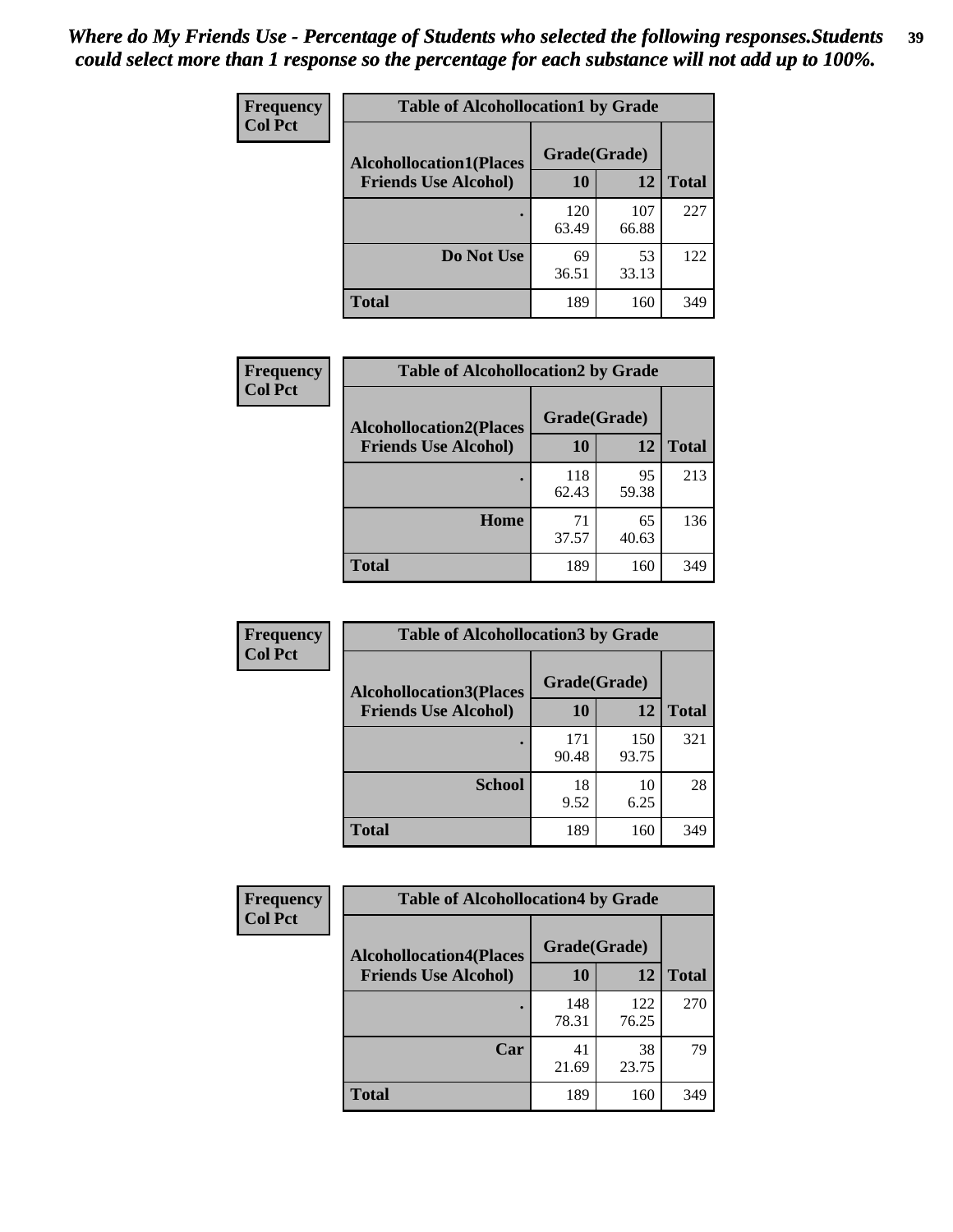| Frequency      | <b>Table of Alcohollocation1 by Grade</b><br>Grade(Grade)<br><b>Alcohollocation1(Places</b> |              |              |              |  |
|----------------|---------------------------------------------------------------------------------------------|--------------|--------------|--------------|--|
| <b>Col Pct</b> |                                                                                             |              |              |              |  |
|                | <b>Friends Use Alcohol)</b>                                                                 | 10           | 12           | <b>Total</b> |  |
|                |                                                                                             | 120<br>63.49 | 107<br>66.88 | 227          |  |
|                | Do Not Use                                                                                  | 69<br>36.51  | 53<br>33.13  | 122          |  |
|                | <b>Total</b>                                                                                | 189          | 160          | 349          |  |

| Frequency      | <b>Table of Alcohollocation2 by Grade</b>                     |                    |             |              |
|----------------|---------------------------------------------------------------|--------------------|-------------|--------------|
| <b>Col Pct</b> | <b>Alcohollocation2(Places</b><br><b>Friends Use Alcohol)</b> | Grade(Grade)<br>10 | 12          | <b>Total</b> |
|                |                                                               | 118<br>62.43       | 95<br>59.38 | 213          |
|                | Home                                                          | 71<br>37.57        | 65<br>40.63 | 136          |
|                | Total                                                         | 189                | 160         | 349          |

| Frequency<br><b>Col Pct</b> | <b>Table of Alcohollocation 3 by Grade</b>                    |                    |              |              |
|-----------------------------|---------------------------------------------------------------|--------------------|--------------|--------------|
|                             | <b>Alcohollocation3(Places</b><br><b>Friends Use Alcohol)</b> | Grade(Grade)<br>10 | 12           | <b>Total</b> |
|                             |                                                               | 171<br>90.48       | 150<br>93.75 | 321          |
|                             | <b>School</b>                                                 | 18<br>9.52         | 10<br>6.25   | 28           |
|                             | <b>Total</b>                                                  | 189                | 160          | 349          |

| <b>Frequency</b> | <b>Table of Alcohollocation4 by Grade</b> |              |              |              |  |
|------------------|-------------------------------------------|--------------|--------------|--------------|--|
| <b>Col Pct</b>   | <b>Alcohollocation4(Places</b>            | Grade(Grade) |              |              |  |
|                  | <b>Friends Use Alcohol)</b>               | 10           | 12           | <b>Total</b> |  |
|                  |                                           | 148<br>78.31 | 122<br>76.25 | 270          |  |
|                  | Car                                       | 41<br>21.69  | 38<br>23.75  | 79           |  |
|                  | <b>Total</b>                              | 189          | 160          | 349          |  |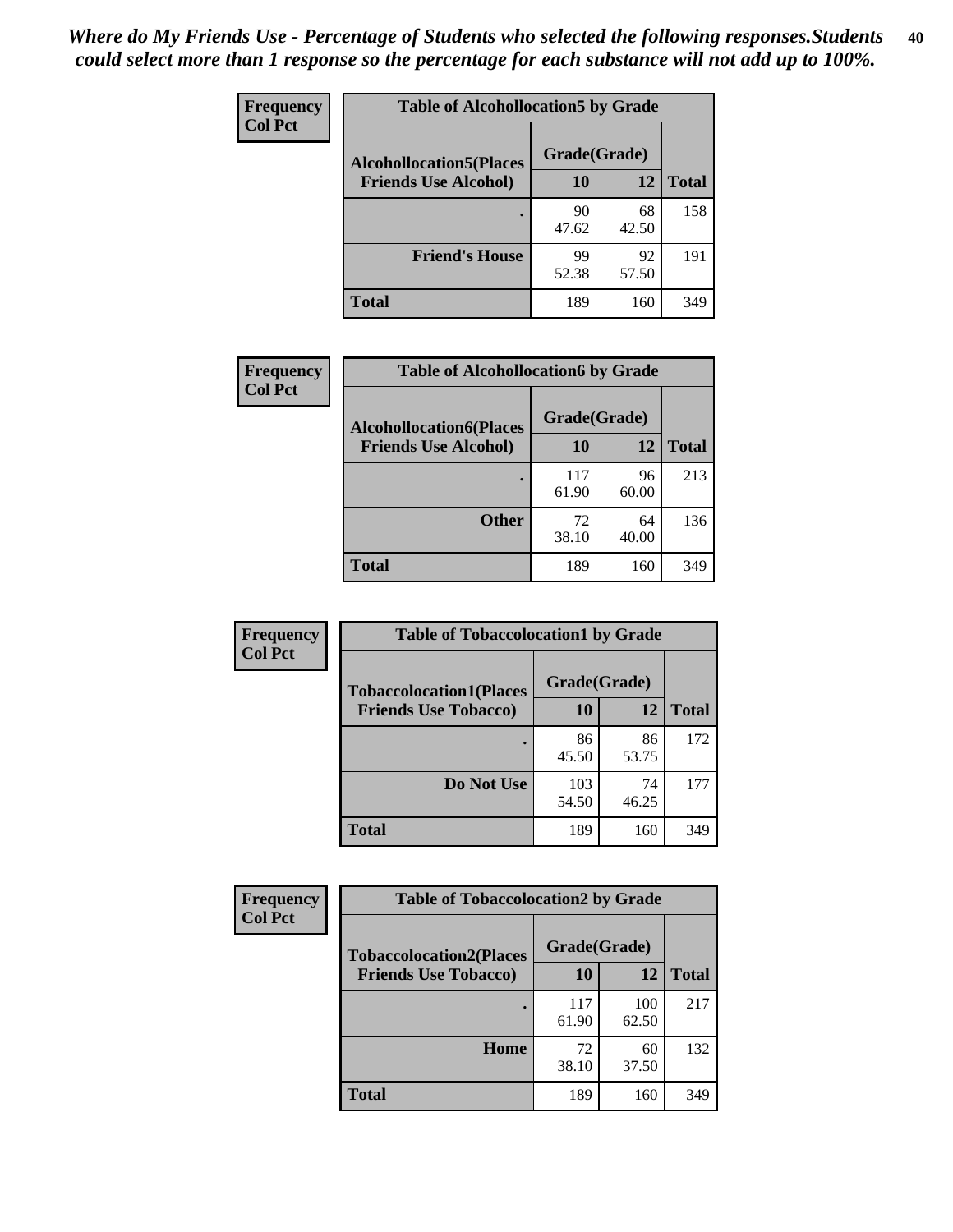| Frequency<br><b>Col Pct</b> | <b>Table of Alcohollocation5 by Grade</b>      |             |             |              |  |
|-----------------------------|------------------------------------------------|-------------|-------------|--------------|--|
|                             | Grade(Grade)<br><b>Alcohollocation5(Places</b> |             |             |              |  |
|                             | <b>Friends Use Alcohol)</b>                    | 10          | 12          | <b>Total</b> |  |
|                             |                                                | 90<br>47.62 | 68<br>42.50 | 158          |  |
|                             | <b>Friend's House</b>                          | 99<br>52.38 | 92<br>57.50 | 191          |  |
|                             | <b>Total</b>                                   | 189         | 160         | 349          |  |

| <b>Frequency</b> | <b>Table of Alcohollocation6 by Grade</b> |              |             |              |
|------------------|-------------------------------------------|--------------|-------------|--------------|
| <b>Col Pct</b>   | <b>Alcohollocation6(Places</b>            | Grade(Grade) |             |              |
|                  | <b>Friends Use Alcohol)</b>               | 10           | 12          | <b>Total</b> |
|                  |                                           | 117<br>61.90 | 96<br>60.00 | 213          |
|                  | <b>Other</b>                              | 72<br>38.10  | 64<br>40.00 | 136          |
|                  | <b>Total</b>                              | 189          | 160         | 349          |

| Frequency      | <b>Table of Tobaccolocation1 by Grade</b> |              |             |              |
|----------------|-------------------------------------------|--------------|-------------|--------------|
| <b>Col Pct</b> | <b>Tobaccolocation1(Places</b>            | Grade(Grade) |             |              |
|                | <b>Friends Use Tobacco)</b>               | 10           | 12          | <b>Total</b> |
|                |                                           | 86<br>45.50  | 86<br>53.75 | 172          |
|                | Do Not Use                                | 103<br>54.50 | 74<br>46.25 | 177          |
|                | <b>Total</b>                              | 189          | 160         | 349          |

| <b>Frequency</b> | <b>Table of Tobaccolocation2 by Grade</b> |              |              |              |  |
|------------------|-------------------------------------------|--------------|--------------|--------------|--|
| <b>Col Pct</b>   | <b>Tobaccolocation2(Places</b>            | Grade(Grade) |              |              |  |
|                  | <b>Friends Use Tobacco)</b>               | 10           | 12           | <b>Total</b> |  |
|                  |                                           | 117<br>61.90 | 100<br>62.50 | 217          |  |
|                  | Home                                      | 72<br>38.10  | 60<br>37.50  | 132          |  |
|                  | <b>Total</b>                              | 189          | 160          | 349          |  |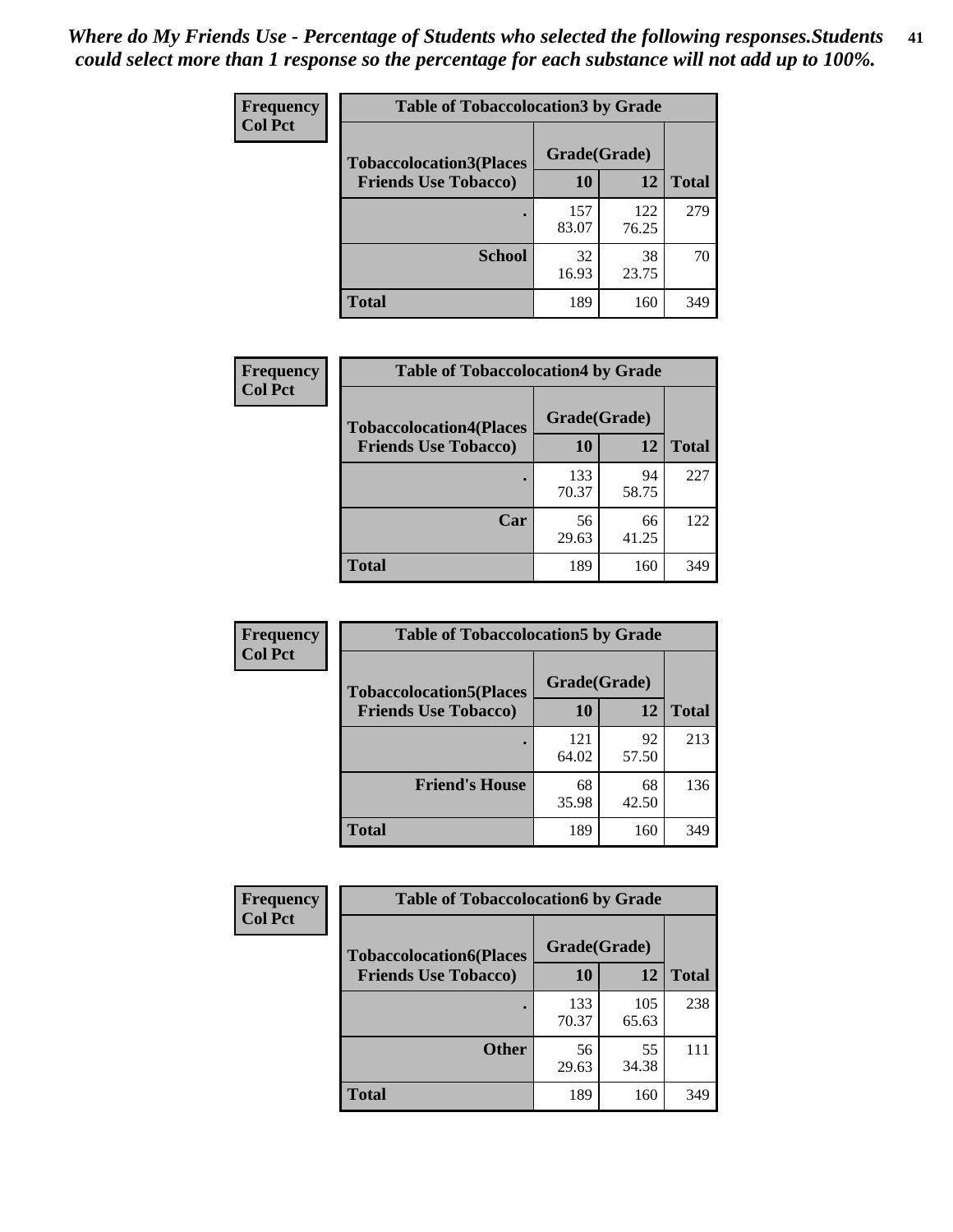| Frequency      | <b>Table of Tobaccolocation 3 by Grade</b> |              |              |              |  |
|----------------|--------------------------------------------|--------------|--------------|--------------|--|
| <b>Col Pct</b> | <b>Tobaccolocation3(Places</b>             | Grade(Grade) |              |              |  |
|                | <b>Friends Use Tobacco)</b>                | 10           | 12           | <b>Total</b> |  |
|                |                                            | 157<br>83.07 | 122<br>76.25 | 279          |  |
|                | <b>School</b>                              | 32<br>16.93  | 38<br>23.75  | 70           |  |
|                | <b>Total</b>                               | 189          | 160          | 349          |  |

| Frequency      | <b>Table of Tobaccolocation4 by Grade</b> |              |             |              |
|----------------|-------------------------------------------|--------------|-------------|--------------|
| <b>Col Pct</b> | <b>Tobaccolocation4(Places</b>            | Grade(Grade) |             |              |
|                | <b>Friends Use Tobacco)</b>               | 10           | 12          | <b>Total</b> |
|                |                                           | 133<br>70.37 | 94<br>58.75 | 227          |
|                | Car                                       | 56<br>29.63  | 66<br>41.25 | 122          |
|                | <b>Total</b>                              | 189          | 160         | 349          |

| Frequency      | <b>Table of Tobaccolocation5 by Grade</b>                     |                    |             |              |
|----------------|---------------------------------------------------------------|--------------------|-------------|--------------|
| <b>Col Pct</b> | <b>Tobaccolocation5(Places</b><br><b>Friends Use Tobacco)</b> | Grade(Grade)<br>10 | 12          | <b>Total</b> |
|                |                                                               | 121<br>64.02       | 92<br>57.50 | 213          |
|                | <b>Friend's House</b>                                         | 68<br>35.98        | 68<br>42.50 | 136          |
|                | <b>Total</b>                                                  | 189                | 160         | 349          |

| <b>Frequency</b> | <b>Table of Tobaccolocation6 by Grade</b> |              |              |              |
|------------------|-------------------------------------------|--------------|--------------|--------------|
| <b>Col Pct</b>   | <b>Tobaccolocation6(Places</b>            | Grade(Grade) |              |              |
|                  | <b>Friends Use Tobacco)</b>               | 10           | 12           | <b>Total</b> |
|                  |                                           | 133<br>70.37 | 105<br>65.63 | 238          |
|                  | <b>Other</b>                              | 56<br>29.63  | 55<br>34.38  | 111          |
|                  | <b>Total</b>                              | 189          | 160          | 349          |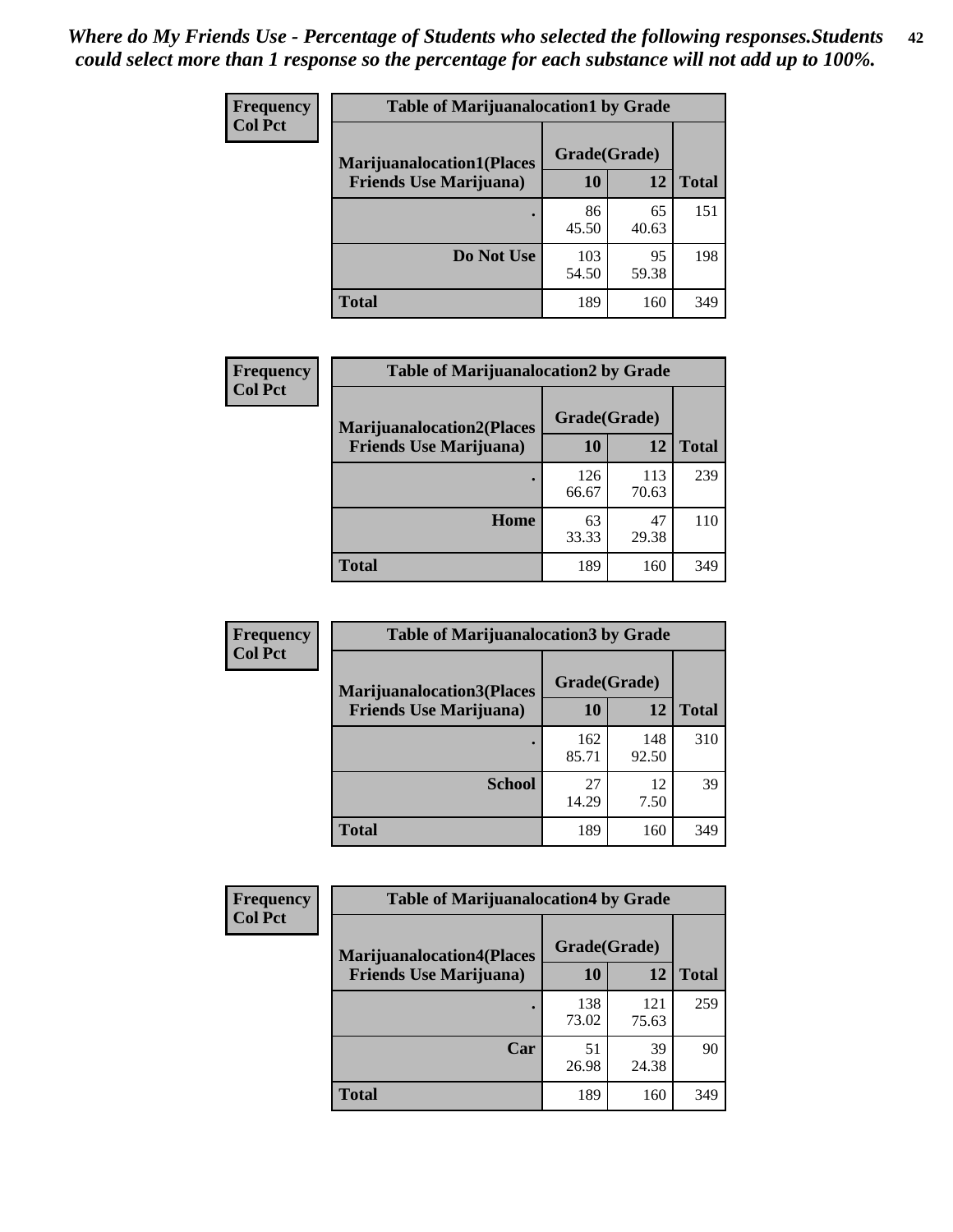| Frequency      | <b>Table of Marijuanalocation1 by Grade</b> |              |             |              |
|----------------|---------------------------------------------|--------------|-------------|--------------|
| <b>Col Pct</b> | <b>Marijuanalocation1(Places</b>            | Grade(Grade) |             |              |
|                | <b>Friends Use Marijuana</b> )              | <b>10</b>    | 12          | <b>Total</b> |
|                |                                             | 86<br>45.50  | 65<br>40.63 | 151          |
|                | Do Not Use                                  | 103<br>54.50 | 95<br>59.38 | 198          |
|                | <b>Total</b>                                | 189          | 160         | 349          |

| <b>Frequency</b> | <b>Table of Marijuanalocation2 by Grade</b>                        |                    |              |              |
|------------------|--------------------------------------------------------------------|--------------------|--------------|--------------|
| <b>Col Pct</b>   | <b>Marijuanalocation2(Places</b><br><b>Friends Use Marijuana</b> ) | Grade(Grade)<br>10 | 12           | <b>Total</b> |
|                  |                                                                    |                    |              |              |
|                  |                                                                    | 126<br>66.67       | 113<br>70.63 | 239          |
|                  | Home                                                               | 63<br>33.33        | 47<br>29.38  | 110          |
|                  | <b>Total</b>                                                       | 189                | 160          | 349          |

| Frequency<br><b>Col Pct</b> | <b>Table of Marijuanalocation3 by Grade</b> |              |              |              |
|-----------------------------|---------------------------------------------|--------------|--------------|--------------|
|                             | <b>Marijuanalocation3(Places</b>            | Grade(Grade) |              |              |
|                             | <b>Friends Use Marijuana</b> )              | 10           | 12           | <b>Total</b> |
|                             |                                             | 162<br>85.71 | 148<br>92.50 | 310          |
|                             | <b>School</b>                               | 27<br>14.29  | 12<br>7.50   | 39           |
|                             | <b>Total</b>                                | 189          | 160          | 349          |

| <b>Frequency</b> | <b>Table of Marijuanalocation4 by Grade</b> |              |              |              |  |
|------------------|---------------------------------------------|--------------|--------------|--------------|--|
| <b>Col Pct</b>   | <b>Marijuanalocation4(Places</b>            | Grade(Grade) |              |              |  |
|                  | <b>Friends Use Marijuana</b> )              | <b>10</b>    | 12           | <b>Total</b> |  |
|                  |                                             | 138<br>73.02 | 121<br>75.63 | 259          |  |
|                  | Car                                         | 51<br>26.98  | 39<br>24.38  | 90           |  |
|                  | <b>Total</b>                                | 189          | 160          | 349          |  |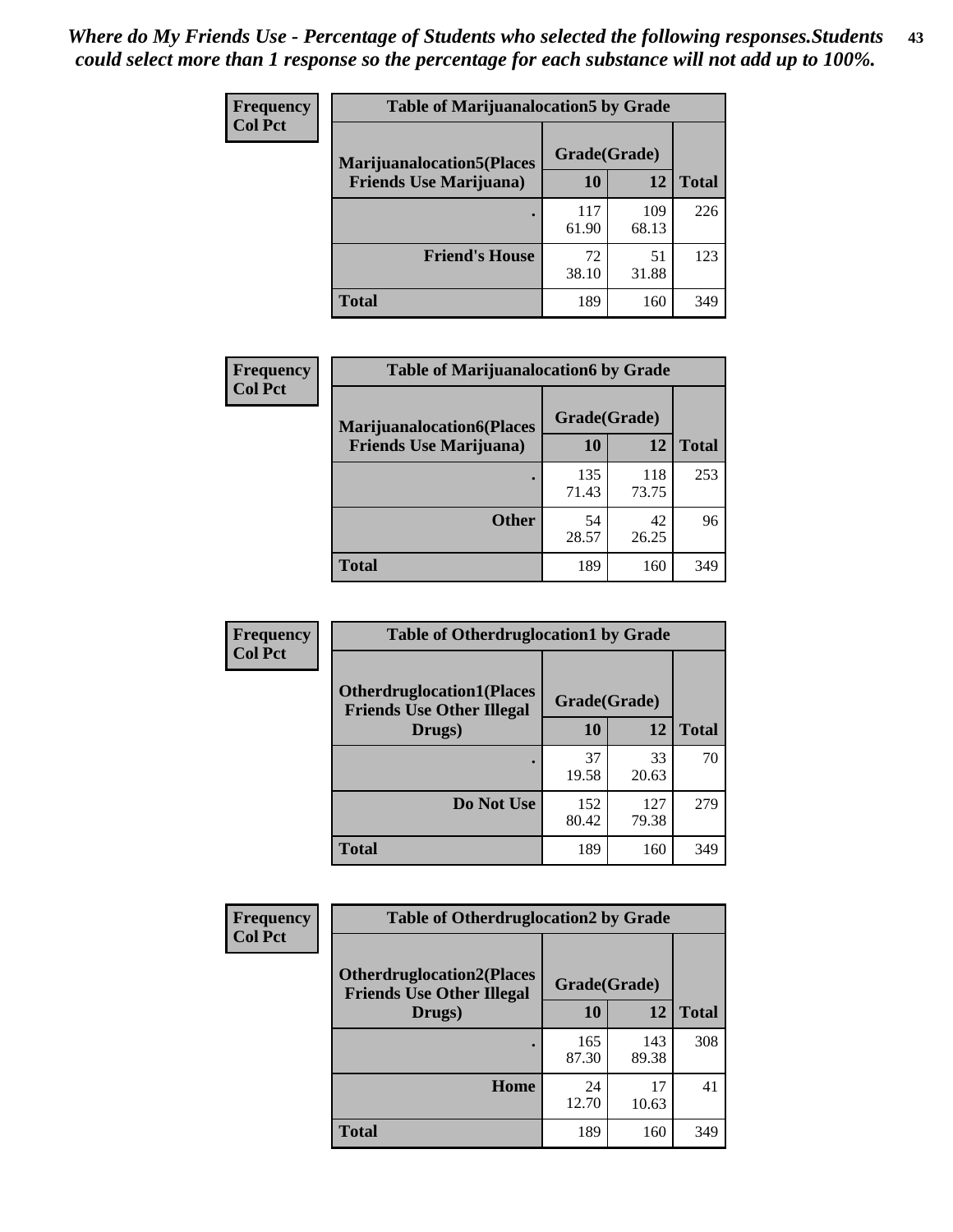| <b>Frequency</b> | <b>Table of Marijuanalocation5 by Grade</b> |              |              |              |
|------------------|---------------------------------------------|--------------|--------------|--------------|
| <b>Col Pct</b>   | <b>Marijuanalocation5</b> (Places           | Grade(Grade) |              |              |
|                  | <b>Friends Use Marijuana</b> )              | 10           | 12           | <b>Total</b> |
|                  |                                             | 117<br>61.90 | 109<br>68.13 | 226          |
|                  | <b>Friend's House</b>                       | 72<br>38.10  | 51<br>31.88  | 123          |
|                  | <b>Total</b>                                | 189          | 160          | 349          |

| <b>Frequency</b> | <b>Table of Marijuanalocation6 by Grade</b>                        |                    |              |              |
|------------------|--------------------------------------------------------------------|--------------------|--------------|--------------|
| <b>Col Pct</b>   | <b>Marijuanalocation6(Places</b><br><b>Friends Use Marijuana</b> ) | Grade(Grade)<br>10 | 12           | <b>Total</b> |
|                  |                                                                    | 135<br>71.43       | 118<br>73.75 | 253          |
|                  | <b>Other</b>                                                       | 54<br>28.57        | 42<br>26.25  | 96           |
|                  | <b>Total</b>                                                       | 189                | 160          | 349          |

| Frequency      | <b>Table of Otherdruglocation1 by Grade</b>                          |              |              |              |
|----------------|----------------------------------------------------------------------|--------------|--------------|--------------|
| <b>Col Pct</b> | <b>Otherdruglocation1(Places</b><br><b>Friends Use Other Illegal</b> | Grade(Grade) |              |              |
|                | Drugs)                                                               | 10           | 12           | <b>Total</b> |
|                |                                                                      | 37<br>19.58  | 33<br>20.63  | 70           |
|                | Do Not Use                                                           | 152<br>80.42 | 127<br>79.38 | 279          |
|                | <b>Total</b>                                                         | 189          | 160          | 349          |

| <b>Frequency</b> | <b>Table of Otherdruglocation2 by Grade</b>                           |              |              |              |
|------------------|-----------------------------------------------------------------------|--------------|--------------|--------------|
| <b>Col Pct</b>   | <b>Otherdruglocation2(Places)</b><br><b>Friends Use Other Illegal</b> | Grade(Grade) |              |              |
|                  | Drugs)                                                                | 10           | 12           | <b>Total</b> |
|                  |                                                                       | 165<br>87.30 | 143<br>89.38 | 308          |
|                  | <b>Home</b>                                                           | 24<br>12.70  | 17<br>10.63  | 41           |
|                  | <b>Total</b>                                                          | 189          | 160          | 349          |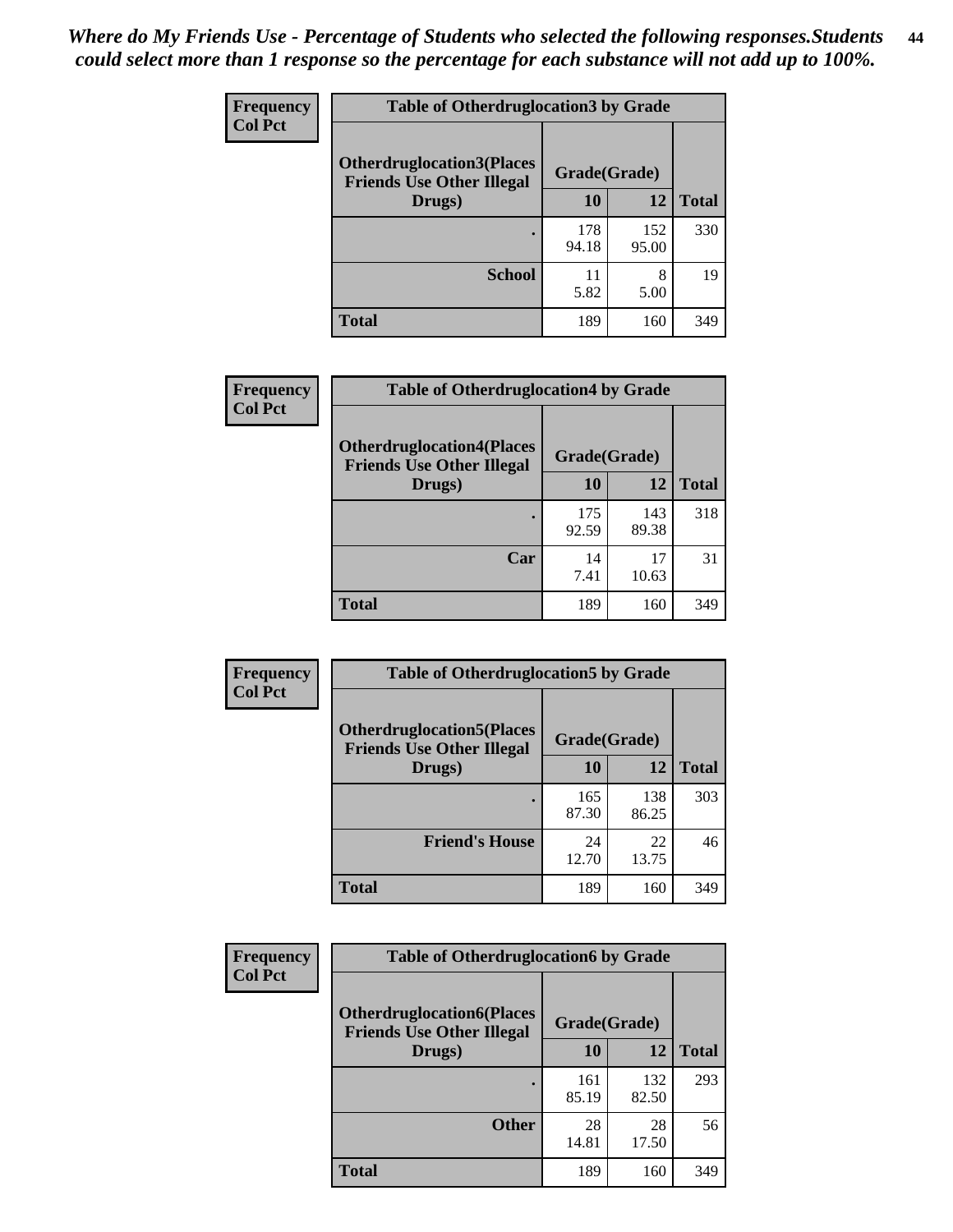| <b>Frequency</b> | <b>Table of Otherdruglocation3 by Grade</b>                           |              |              |              |
|------------------|-----------------------------------------------------------------------|--------------|--------------|--------------|
| <b>Col Pct</b>   | <b>Otherdruglocation3(Places)</b><br><b>Friends Use Other Illegal</b> | Grade(Grade) |              |              |
|                  | Drugs)                                                                | 10           | 12           | <b>Total</b> |
|                  |                                                                       | 178<br>94.18 | 152<br>95.00 | 330          |
|                  | <b>School</b>                                                         | 11<br>5.82   | 8<br>5.00    | 19           |
|                  | <b>Total</b>                                                          | 189          | 160          | 349          |

| <b>Frequency</b> | <b>Table of Otherdruglocation4 by Grade</b>                          |              |              |              |
|------------------|----------------------------------------------------------------------|--------------|--------------|--------------|
| <b>Col Pct</b>   | <b>Otherdruglocation4(Places</b><br><b>Friends Use Other Illegal</b> | Grade(Grade) |              |              |
|                  | Drugs)                                                               | <b>10</b>    | 12           | <b>Total</b> |
|                  |                                                                      | 175<br>92.59 | 143<br>89.38 | 318          |
|                  | Car                                                                  | 14<br>7.41   | 17<br>10.63  | 31           |
|                  | <b>Total</b>                                                         | 189          | 160          | 349          |

| <b>Frequency</b> | <b>Table of Otherdruglocation5 by Grade</b>                          |              |              |              |
|------------------|----------------------------------------------------------------------|--------------|--------------|--------------|
| <b>Col Pct</b>   | <b>Otherdruglocation5(Places</b><br><b>Friends Use Other Illegal</b> | Grade(Grade) |              |              |
|                  | Drugs)                                                               | 10           | 12           | <b>Total</b> |
|                  |                                                                      | 165<br>87.30 | 138<br>86.25 | 303          |
|                  | <b>Friend's House</b>                                                | 24<br>12.70  | 22<br>13.75  | 46           |
|                  | <b>Total</b>                                                         | 189          | 160          | 349          |

| <b>Frequency</b> | <b>Table of Otherdruglocation6 by Grade</b>                          |              |              |              |
|------------------|----------------------------------------------------------------------|--------------|--------------|--------------|
| <b>Col Pct</b>   | <b>Otherdruglocation6(Places</b><br><b>Friends Use Other Illegal</b> | Grade(Grade) |              |              |
|                  | Drugs)                                                               | <b>10</b>    | 12           | <b>Total</b> |
|                  |                                                                      | 161<br>85.19 | 132<br>82.50 | 293          |
|                  | <b>Other</b>                                                         | 28<br>14.81  | 28<br>17.50  | 56           |
|                  | <b>Total</b>                                                         | 189          | 160          | 349          |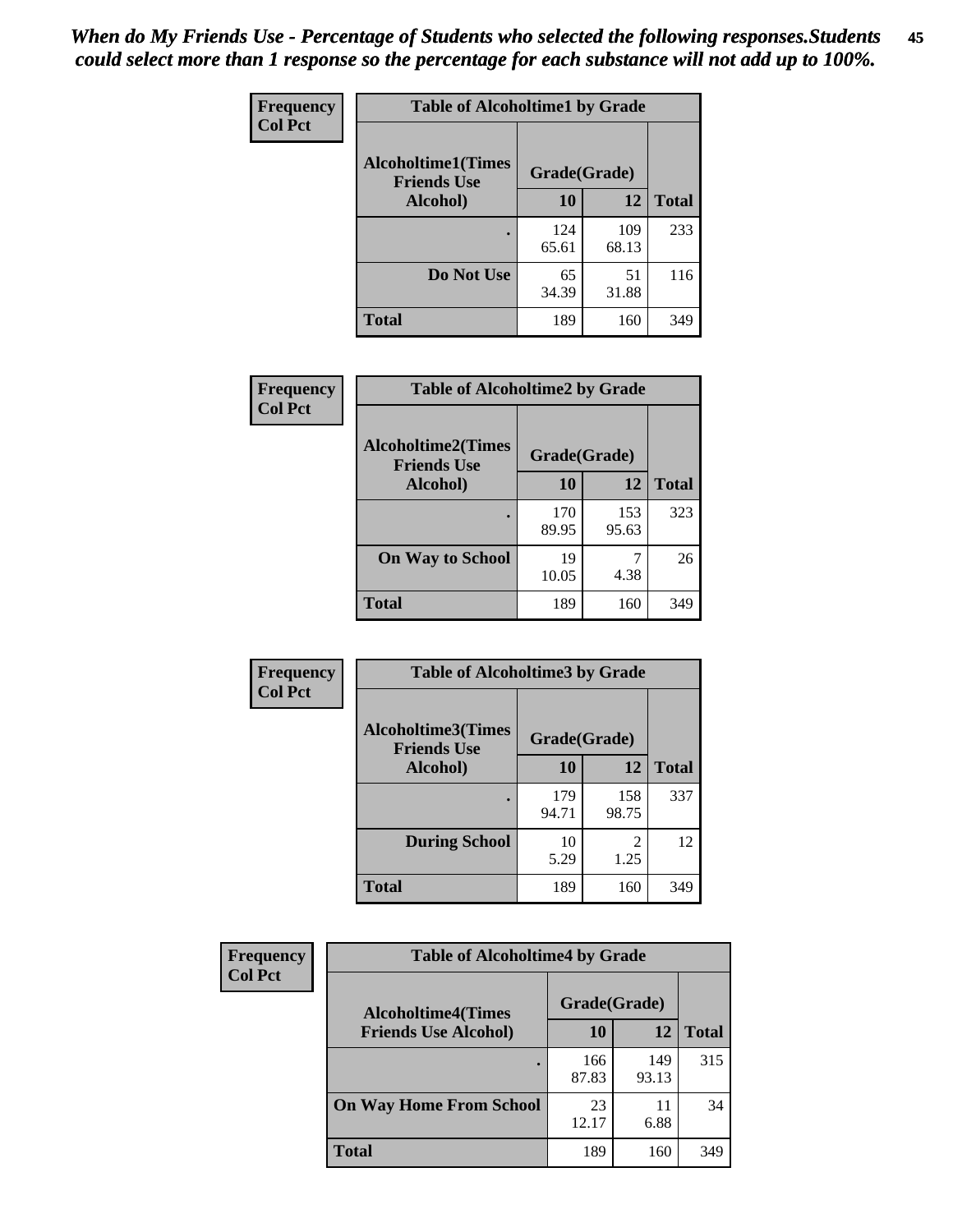| Frequency      | <b>Table of Alcoholtime1 by Grade</b>           |              |              |              |
|----------------|-------------------------------------------------|--------------|--------------|--------------|
| <b>Col Pct</b> | <b>Alcoholtime1(Times</b><br><b>Friends Use</b> | Grade(Grade) |              |              |
|                | Alcohol)                                        | 10           | 12           | <b>Total</b> |
|                |                                                 | 124<br>65.61 | 109<br>68.13 | 233          |
|                | Do Not Use                                      | 65<br>34.39  | 51<br>31.88  | 116          |
|                | <b>Total</b>                                    | 189          | 160          | 349          |

| Frequency<br><b>Col Pct</b> | <b>Table of Alcoholtime2 by Grade</b>           |              |              |              |
|-----------------------------|-------------------------------------------------|--------------|--------------|--------------|
|                             | <b>Alcoholtime2(Times</b><br><b>Friends Use</b> | Grade(Grade) |              |              |
|                             | Alcohol)                                        | 10           | 12           | <b>Total</b> |
|                             |                                                 | 170<br>89.95 | 153<br>95.63 | 323          |
|                             | <b>On Way to School</b>                         | 19<br>10.05  | 7<br>4.38    | 26           |
|                             | <b>Total</b>                                    | 189          | 160          | 349          |

| Frequency<br><b>Col Pct</b> | <b>Table of Alcoholtime3 by Grade</b>           |              |                        |              |
|-----------------------------|-------------------------------------------------|--------------|------------------------|--------------|
|                             | <b>Alcoholtime3(Times</b><br><b>Friends Use</b> | Grade(Grade) |                        |              |
|                             | Alcohol)                                        | 10           | 12                     | <b>Total</b> |
|                             |                                                 | 179<br>94.71 | 158<br>98.75           | 337          |
|                             | <b>During School</b>                            | 10<br>5.29   | $\mathfrak{D}$<br>1.25 | 12           |
|                             | <b>Total</b>                                    | 189          | 160                    | 349          |

| <b>Frequency</b> | <b>Table of Alcoholtime4 by Grade</b> |              |              |              |  |
|------------------|---------------------------------------|--------------|--------------|--------------|--|
| <b>Col Pct</b>   | <b>Alcoholtime4(Times</b>             | Grade(Grade) |              |              |  |
|                  | <b>Friends Use Alcohol)</b>           | 10           | 12           | <b>Total</b> |  |
|                  |                                       | 166<br>87.83 | 149<br>93.13 | 315          |  |
|                  | <b>On Way Home From School</b>        | 23<br>12.17  | 11<br>6.88   | 34           |  |
|                  | <b>Total</b>                          | 189          | 160          | 349          |  |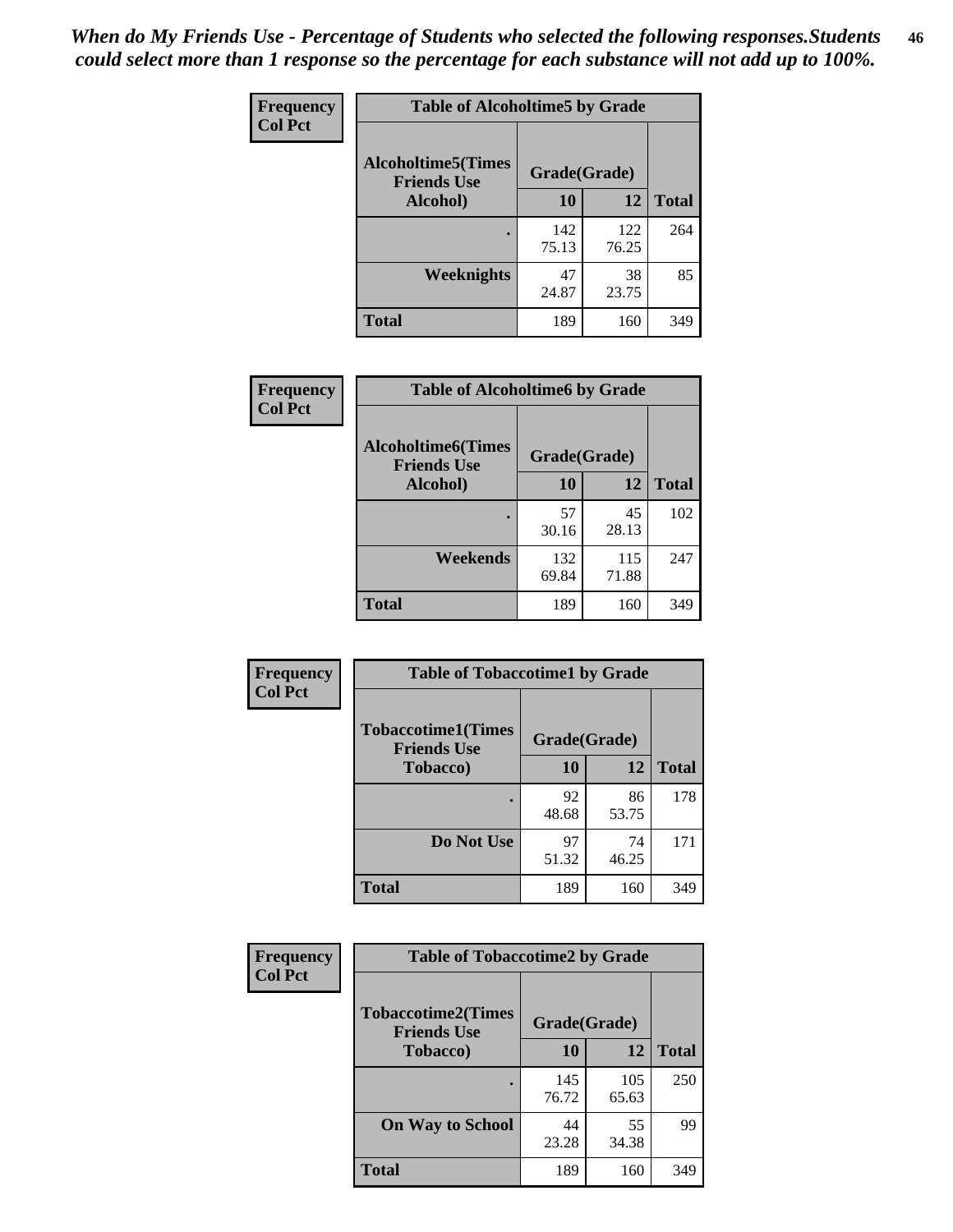*When do My Friends Use - Percentage of Students who selected the following responses.Students could select more than 1 response so the percentage for each substance will not add up to 100%.* **46**

| Frequency      | <b>Table of Alcoholtime5 by Grade</b>           |              |              |              |
|----------------|-------------------------------------------------|--------------|--------------|--------------|
| <b>Col Pct</b> | <b>Alcoholtime5(Times</b><br><b>Friends Use</b> | Grade(Grade) |              |              |
|                | Alcohol)                                        | 10           | <b>12</b>    | <b>Total</b> |
|                |                                                 | 142<br>75.13 | 122<br>76.25 | 264          |
|                | Weeknights                                      | 47<br>24.87  | 38<br>23.75  | 85           |
|                | <b>Total</b>                                    | 189          | 160          | 349          |

| Frequency      | <b>Table of Alcoholtime6 by Grade</b>           |              |              |              |
|----------------|-------------------------------------------------|--------------|--------------|--------------|
| <b>Col Pct</b> | <b>Alcoholtime6(Times</b><br><b>Friends Use</b> | Grade(Grade) |              |              |
|                | Alcohol)                                        | 10           | 12           | <b>Total</b> |
|                | ٠                                               | 57<br>30.16  | 45<br>28.13  | 102          |
|                | Weekends                                        | 132<br>69.84 | 115<br>71.88 | 247          |
|                | <b>Total</b>                                    | 189          | 160          | 349          |

| Frequency<br><b>Col Pct</b> | <b>Table of Tobaccotime1 by Grade</b>           |              |             |              |
|-----------------------------|-------------------------------------------------|--------------|-------------|--------------|
|                             | <b>Tobaccotime1(Times</b><br><b>Friends Use</b> | Grade(Grade) |             |              |
|                             | <b>Tobacco</b> )                                | 10           | 12          | <b>Total</b> |
|                             | ٠                                               | 92<br>48.68  | 86<br>53.75 | 178          |
|                             | Do Not Use                                      | 97<br>51.32  | 74<br>46.25 | 171          |
|                             | <b>Total</b>                                    | 189          | 160         | 349          |

| <b>Frequency</b> | <b>Table of Tobaccotime2 by Grade</b>           |              |              |              |  |
|------------------|-------------------------------------------------|--------------|--------------|--------------|--|
| <b>Col Pct</b>   | <b>Tobaccotime2(Times</b><br><b>Friends Use</b> | Grade(Grade) |              |              |  |
|                  | <b>Tobacco</b> )                                | 10           | 12           | <b>Total</b> |  |
|                  |                                                 | 145<br>76.72 | 105<br>65.63 | 250          |  |
|                  | <b>On Way to School</b>                         | 44<br>23.28  | 55<br>34.38  | 99           |  |
|                  | <b>Total</b>                                    | 189          | 160          | 349          |  |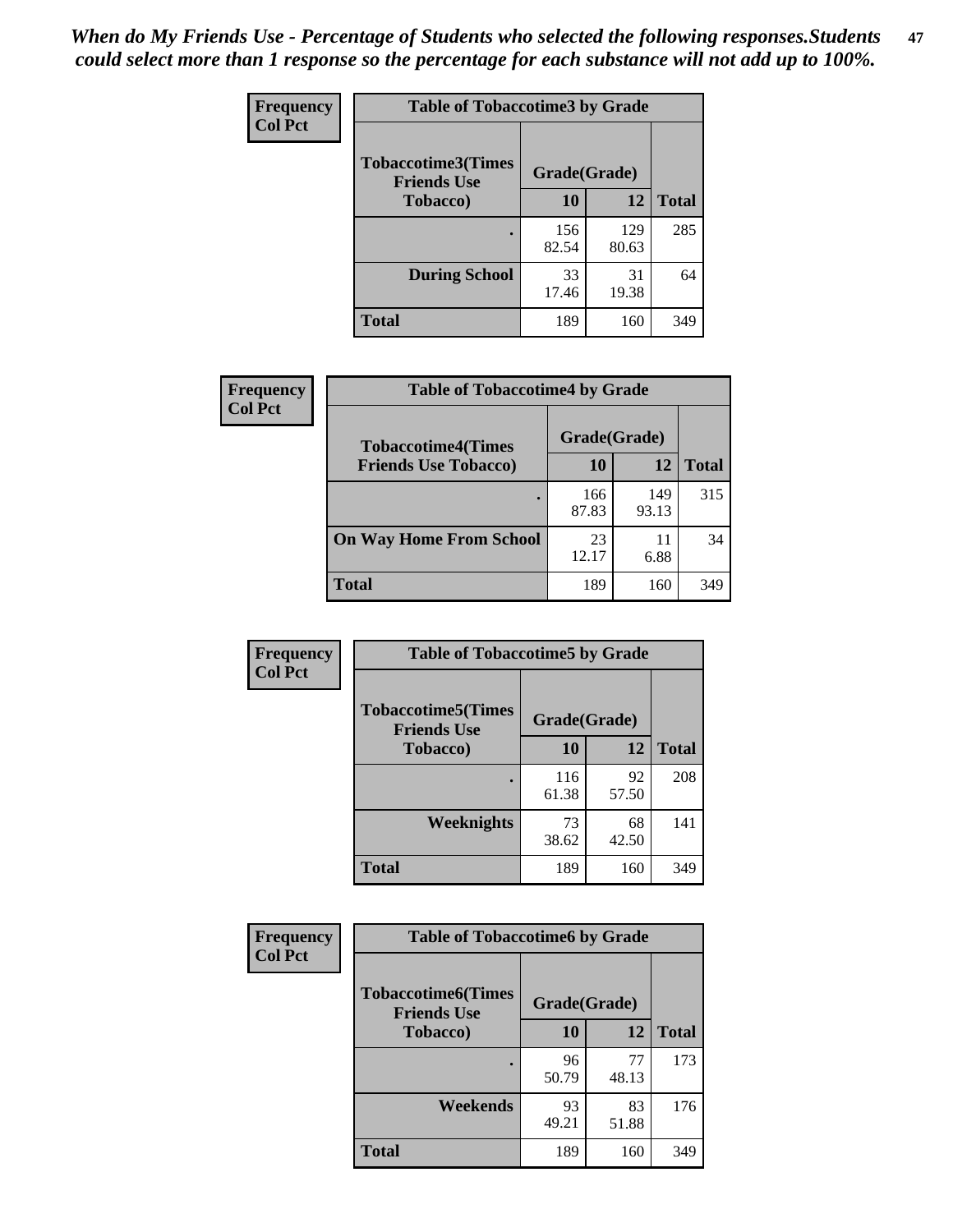*When do My Friends Use - Percentage of Students who selected the following responses.Students could select more than 1 response so the percentage for each substance will not add up to 100%.* **47**

| <b>Frequency</b> | <b>Table of Tobaccotime3 by Grade</b>           |              |              |              |  |
|------------------|-------------------------------------------------|--------------|--------------|--------------|--|
| <b>Col Pct</b>   | <b>Tobaccotime3(Times</b><br><b>Friends Use</b> | Grade(Grade) |              |              |  |
|                  | <b>Tobacco</b> )                                | 10           | 12           | <b>Total</b> |  |
|                  |                                                 | 156<br>82.54 | 129<br>80.63 | 285          |  |
|                  | <b>During School</b>                            | 33<br>17.46  | 31<br>19.38  | 64           |  |
|                  | <b>Total</b>                                    | 189          | 160          | 349          |  |

| Frequency<br><b>Col Pct</b> | <b>Table of Tobaccotime4 by Grade</b> |              |              |              |
|-----------------------------|---------------------------------------|--------------|--------------|--------------|
|                             | <b>Tobaccotime4(Times</b>             | Grade(Grade) |              |              |
|                             | <b>Friends Use Tobacco)</b>           | 10           | 12           | <b>Total</b> |
|                             |                                       | 166<br>87.83 | 149<br>93.13 | 315          |
|                             | <b>On Way Home From School</b>        | 23<br>12.17  | 11<br>6.88   | 34           |
|                             | <b>Total</b>                          | 189          | 160          | 349          |

| Frequency      | <b>Table of Tobaccotime5 by Grade</b>           |              |             |              |
|----------------|-------------------------------------------------|--------------|-------------|--------------|
| <b>Col Pct</b> | <b>Tobaccotime5(Times</b><br><b>Friends Use</b> | Grade(Grade) |             |              |
|                | <b>Tobacco</b> )                                | 10           | 12          | <b>Total</b> |
|                |                                                 | 116<br>61.38 | 92<br>57.50 | 208          |
|                | Weeknights                                      | 73<br>38.62  | 68<br>42.50 | 141          |
|                | <b>Total</b>                                    | 189          | 160         | 349          |

| Frequency      | <b>Table of Tobaccotime6 by Grade</b>           |              |             |              |  |
|----------------|-------------------------------------------------|--------------|-------------|--------------|--|
| <b>Col Pct</b> | <b>Tobaccotime6(Times</b><br><b>Friends Use</b> | Grade(Grade) |             |              |  |
|                | <b>Tobacco</b> )                                | <b>10</b>    | <b>12</b>   | <b>Total</b> |  |
|                | ٠                                               | 96<br>50.79  | 77<br>48.13 | 173          |  |
|                | Weekends                                        | 93<br>49.21  | 83<br>51.88 | 176          |  |
|                | <b>Total</b>                                    | 189          | 160         | 349          |  |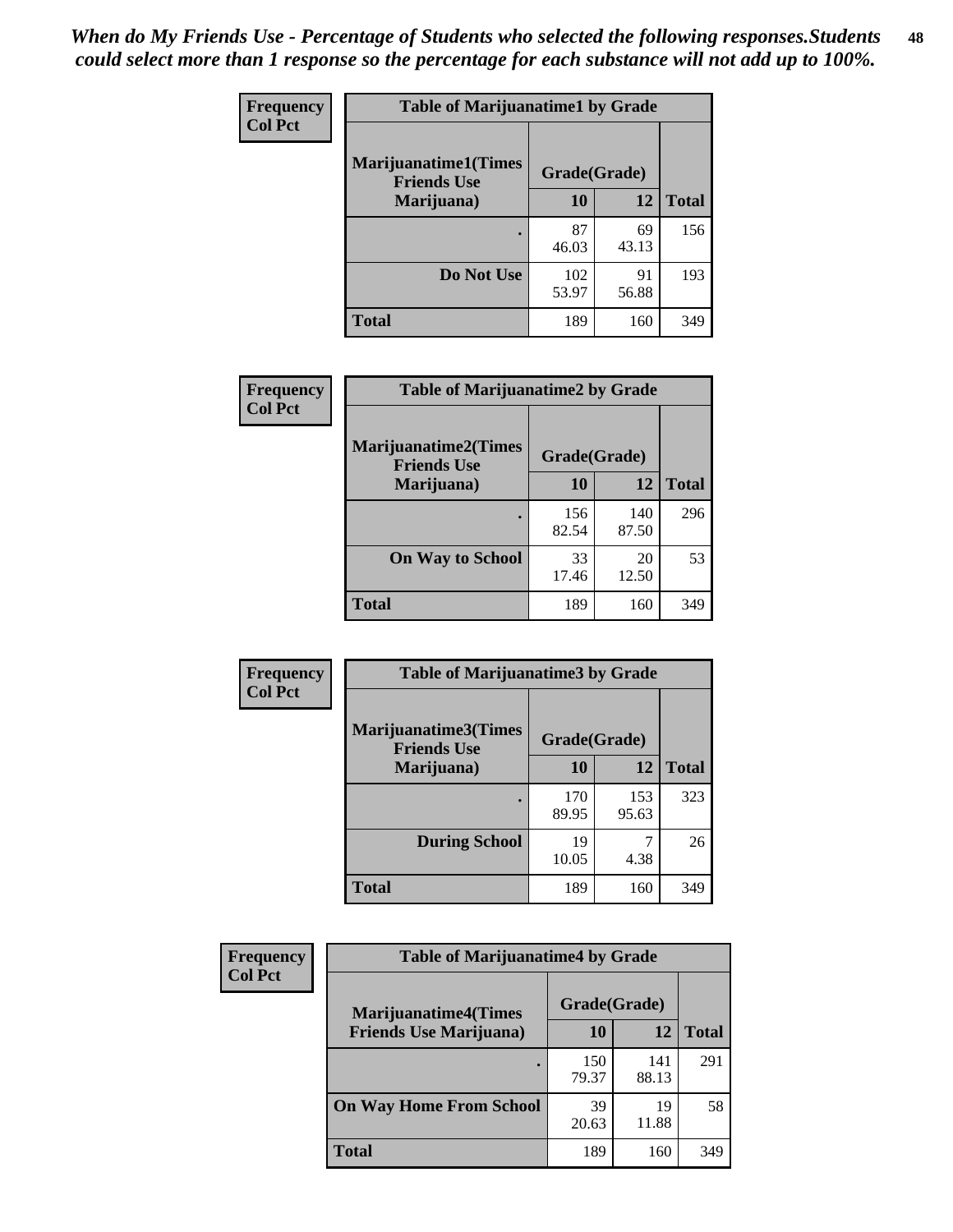| Frequency      | <b>Table of Marijuanatime1 by Grade</b>           |              |             |              |  |  |
|----------------|---------------------------------------------------|--------------|-------------|--------------|--|--|
| <b>Col Pct</b> | <b>Marijuanatime1(Times</b><br><b>Friends Use</b> | Grade(Grade) |             |              |  |  |
|                | Marijuana)                                        | 10           | 12          | <b>Total</b> |  |  |
|                |                                                   | 87<br>46.03  | 69<br>43.13 | 156          |  |  |
|                | Do Not Use                                        | 102<br>53.97 | 91<br>56.88 | 193          |  |  |
|                | <b>Total</b>                                      | 189          | 160         | 349          |  |  |

| Frequency      | <b>Table of Marijuanatime2 by Grade</b>           |              |              |              |
|----------------|---------------------------------------------------|--------------|--------------|--------------|
| <b>Col Pct</b> | <b>Marijuanatime2(Times</b><br><b>Friends Use</b> | Grade(Grade) |              |              |
|                | Marijuana)                                        | 10           | 12           | <b>Total</b> |
|                |                                                   | 156<br>82.54 | 140<br>87.50 | 296          |
|                | <b>On Way to School</b>                           | 33<br>17.46  | 20<br>12.50  | 53           |
|                | <b>Total</b>                                      | 189          | 160          | 349          |

| Frequency      | <b>Table of Marijuanatime3 by Grade</b>    |              |              |              |
|----------------|--------------------------------------------|--------------|--------------|--------------|
| <b>Col Pct</b> | Marijuanatime3(Times<br><b>Friends Use</b> | Grade(Grade) |              |              |
|                | Marijuana)                                 | 10           | 12           | <b>Total</b> |
|                |                                            | 170<br>89.95 | 153<br>95.63 | 323          |
|                | <b>During School</b>                       | 19<br>10.05  | 7<br>4.38    | 26           |
|                | Total                                      | 189          | 160          | 349          |

| <b>Frequency</b><br><b>Col Pct</b> | <b>Table of Marijuanatime4 by Grade</b> |              |              |       |
|------------------------------------|-----------------------------------------|--------------|--------------|-------|
|                                    | <b>Marijuanatime4</b> (Times            | Grade(Grade) |              |       |
|                                    | <b>Friends Use Marijuana</b> )          | 10           | 12           | Total |
|                                    |                                         | 150<br>79.37 | 141<br>88.13 | 291   |
|                                    | <b>On Way Home From School</b>          | 39<br>20.63  | 19<br>11.88  | 58    |
|                                    | <b>Total</b>                            | 189          | 160          | 349   |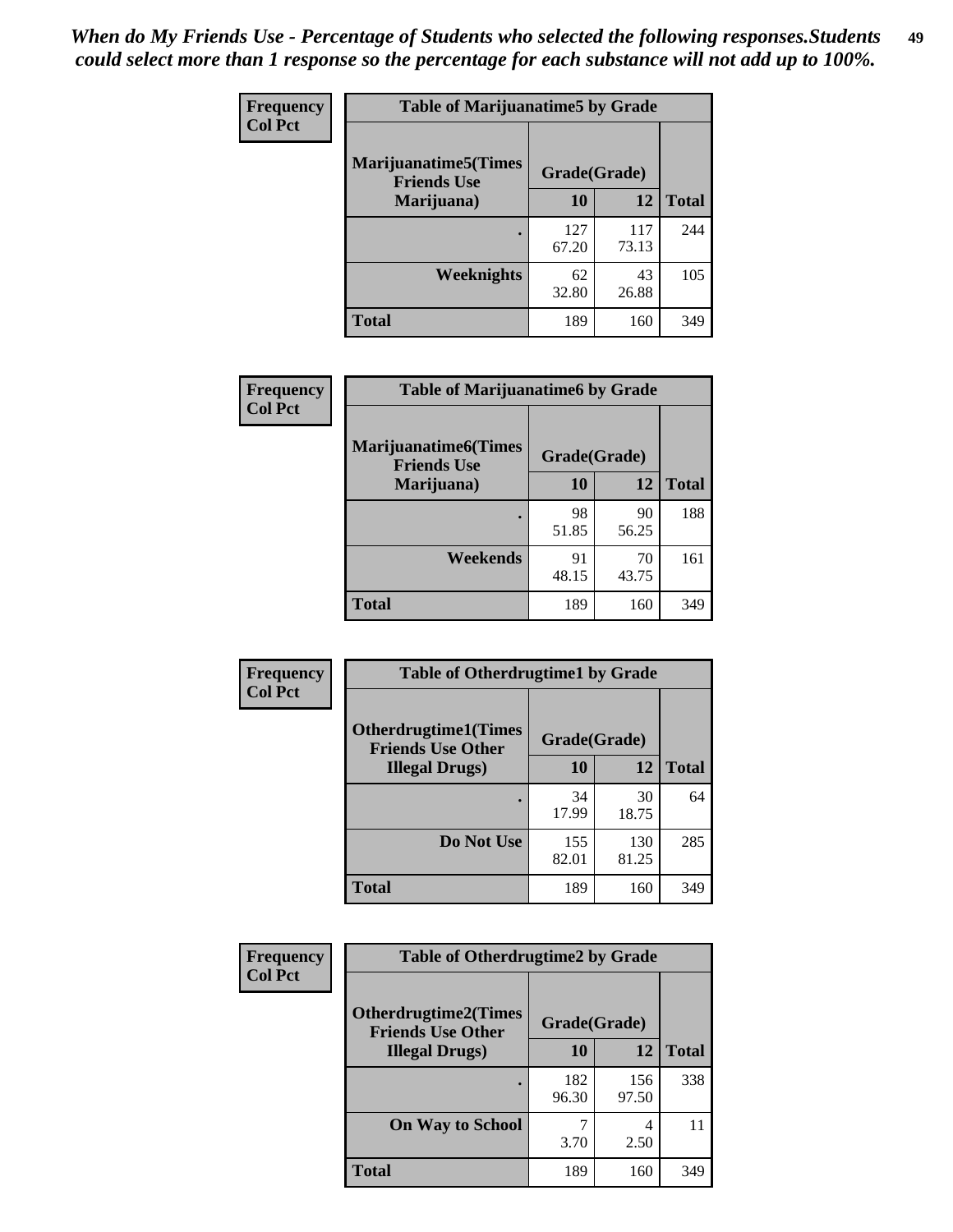| Frequency      | <b>Table of Marijuanatime5 by Grade</b>            |              |              |              |
|----------------|----------------------------------------------------|--------------|--------------|--------------|
| <b>Col Pct</b> | <b>Marijuanatime5</b> (Times<br><b>Friends Use</b> | Grade(Grade) |              |              |
|                | Marijuana)                                         | 10           | 12           | <b>Total</b> |
|                |                                                    | 127<br>67.20 | 117<br>73.13 | 244          |
|                | Weeknights                                         | 62<br>32.80  | 43<br>26.88  | 105          |
|                | <b>Total</b>                                       | 189          | 160          | 349          |

| <b>Frequency</b> | <b>Table of Marijuanatime6 by Grade</b>            |              |             |              |
|------------------|----------------------------------------------------|--------------|-------------|--------------|
| <b>Col Pct</b>   | <b>Marijuanatime6</b> (Times<br><b>Friends Use</b> | Grade(Grade) |             |              |
|                  | Marijuana)                                         | 10           | 12          | <b>Total</b> |
|                  | $\bullet$                                          | 98<br>51.85  | 90<br>56.25 | 188          |
|                  | Weekends                                           | 91<br>48.15  | 70<br>43.75 | 161          |
|                  | <b>Total</b>                                       | 189          | 160         | 349          |

| <b>Frequency</b> | <b>Table of Otherdrugtime1 by Grade</b>                  |              |              |              |  |
|------------------|----------------------------------------------------------|--------------|--------------|--------------|--|
| <b>Col Pct</b>   | <b>Otherdrugtime1</b> (Times<br><b>Friends Use Other</b> | Grade(Grade) |              |              |  |
|                  | <b>Illegal Drugs</b> )                                   | 10           | 12           | <b>Total</b> |  |
|                  |                                                          | 34<br>17.99  | 30<br>18.75  | 64           |  |
|                  | Do Not Use                                               | 155<br>82.01 | 130<br>81.25 | 285          |  |
|                  | <b>Total</b>                                             | 189          | 160          | 349          |  |

| Frequency      | <b>Table of Otherdrugtime2 by Grade</b>                 |              |              |              |  |  |
|----------------|---------------------------------------------------------|--------------|--------------|--------------|--|--|
| <b>Col Pct</b> | <b>Otherdrugtime2(Times</b><br><b>Friends Use Other</b> | Grade(Grade) |              |              |  |  |
|                | <b>Illegal Drugs</b> )                                  | 10           | 12           | <b>Total</b> |  |  |
|                |                                                         | 182<br>96.30 | 156<br>97.50 | 338          |  |  |
|                | <b>On Way to School</b>                                 | 3.70         | 4<br>2.50    | 11           |  |  |
|                | Total                                                   | 189          | 160          | 349          |  |  |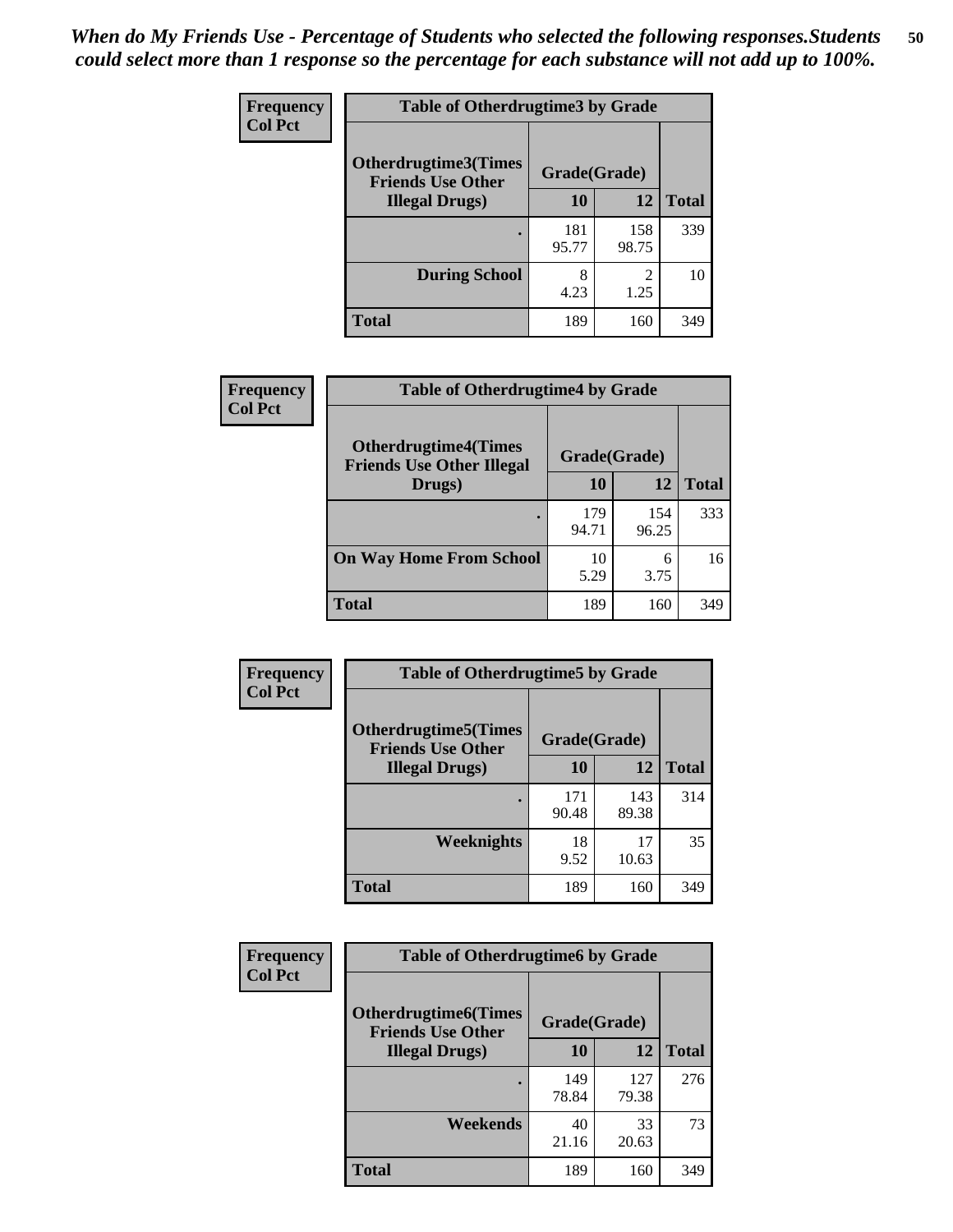| <b>Frequency</b> | <b>Table of Otherdrugtime3 by Grade</b>          |              |                        |              |  |  |
|------------------|--------------------------------------------------|--------------|------------------------|--------------|--|--|
| <b>Col Pct</b>   | Otherdrugtime3(Times<br><b>Friends Use Other</b> | Grade(Grade) |                        |              |  |  |
|                  | <b>Illegal Drugs</b> )                           | 10           | 12                     | <b>Total</b> |  |  |
|                  |                                                  | 181<br>95.77 | 158<br>98.75           | 339          |  |  |
|                  | <b>During School</b>                             | 8<br>4.23    | $\mathfrak{D}$<br>1.25 | 10           |  |  |
|                  | Total                                            | 189          | 160                    | 349          |  |  |

| Frequency      | <b>Table of Otherdrugtime4 by Grade</b>                         |              |              |              |  |  |
|----------------|-----------------------------------------------------------------|--------------|--------------|--------------|--|--|
| <b>Col Pct</b> | <b>Otherdrugtime4(Times</b><br><b>Friends Use Other Illegal</b> | Grade(Grade) |              |              |  |  |
|                | Drugs)                                                          | 10           | 12           | <b>Total</b> |  |  |
|                | $\bullet$                                                       | 179<br>94.71 | 154<br>96.25 | 333          |  |  |
|                | <b>On Way Home From School</b>                                  | 10<br>5.29   | 6<br>3.75    | 16           |  |  |
|                | <b>Total</b>                                                    | 189          | 160          | 349          |  |  |

| <b>Frequency</b> | <b>Table of Otherdrugtime5 by Grade</b>                  |              |              |              |  |  |
|------------------|----------------------------------------------------------|--------------|--------------|--------------|--|--|
| <b>Col Pct</b>   | <b>Otherdrugtime5</b> (Times<br><b>Friends Use Other</b> | Grade(Grade) |              |              |  |  |
|                  | <b>Illegal Drugs</b> )                                   | 10           | 12           | <b>Total</b> |  |  |
|                  |                                                          | 171<br>90.48 | 143<br>89.38 | 314          |  |  |
|                  | <b>Weeknights</b>                                        | 18<br>9.52   | 17<br>10.63  | 35           |  |  |
|                  | Total                                                    | 189          | 160          | 349          |  |  |

| <b>Frequency</b> | <b>Table of Otherdrugtime6 by Grade</b>                 |              |              |              |  |  |
|------------------|---------------------------------------------------------|--------------|--------------|--------------|--|--|
| <b>Col Pct</b>   | <b>Otherdrugtime6(Times</b><br><b>Friends Use Other</b> | Grade(Grade) |              |              |  |  |
|                  | <b>Illegal Drugs</b> )                                  | 10           | 12           | <b>Total</b> |  |  |
|                  |                                                         | 149<br>78.84 | 127<br>79.38 | 276          |  |  |
|                  | Weekends                                                | 40<br>21.16  | 33<br>20.63  | 73           |  |  |
|                  | <b>Total</b>                                            | 189          | 160          | 349          |  |  |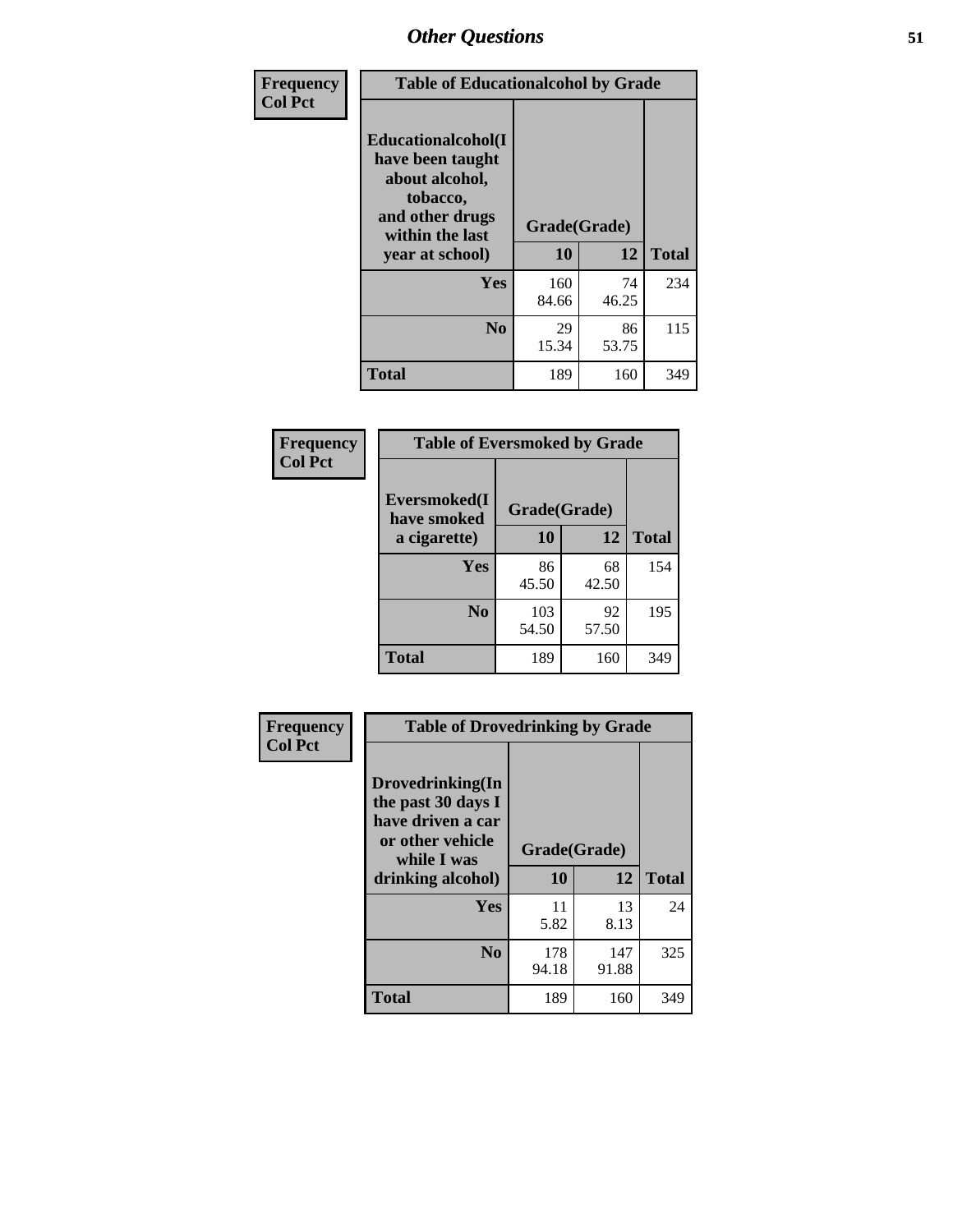| Frequency<br><b>Col Pct</b> | <b>Table of Educationalcohol by Grade</b>                                                                  |              |             |              |  |
|-----------------------------|------------------------------------------------------------------------------------------------------------|--------------|-------------|--------------|--|
|                             | Educationalcohol(I<br>have been taught<br>about alcohol,<br>tobacco,<br>and other drugs<br>within the last | Grade(Grade) |             |              |  |
|                             | year at school)                                                                                            | 10           | 12          | <b>Total</b> |  |
|                             | <b>Yes</b>                                                                                                 | 160<br>84.66 | 74<br>46.25 | 234          |  |
|                             | N <sub>0</sub>                                                                                             | 29<br>15.34  | 86<br>53.75 | 115          |  |
|                             | <b>Total</b>                                                                                               | 189          | 160         | 349          |  |

| Frequency      | <b>Table of Eversmoked by Grade</b> |              |              |              |  |  |  |
|----------------|-------------------------------------|--------------|--------------|--------------|--|--|--|
| <b>Col Pct</b> | Eversmoked(I<br>have smoked         |              | Grade(Grade) |              |  |  |  |
|                | a cigarette)                        | 10           | 12           | <b>Total</b> |  |  |  |
|                | Yes                                 | 86<br>45.50  | 68<br>42.50  | 154          |  |  |  |
|                | N <sub>0</sub>                      | 103<br>54.50 | 92<br>57.50  | 195          |  |  |  |
|                | <b>Total</b>                        | 189          | 160          | 349          |  |  |  |

| Frequency      | <b>Table of Drovedrinking by Grade</b>                                                                              |              |                    |              |  |  |
|----------------|---------------------------------------------------------------------------------------------------------------------|--------------|--------------------|--------------|--|--|
| <b>Col Pct</b> | Drovedrinking(In<br>the past 30 days I<br>have driven a car<br>or other vehicle<br>while I was<br>drinking alcohol) |              | Grade(Grade)<br>12 | <b>Total</b> |  |  |
|                | Yes                                                                                                                 | 11<br>5.82   | 13<br>8.13         | 24           |  |  |
|                | N <sub>0</sub>                                                                                                      | 178<br>94.18 | 147<br>91.88       | 325          |  |  |
|                | <b>Total</b>                                                                                                        | 189          | 160                | 349          |  |  |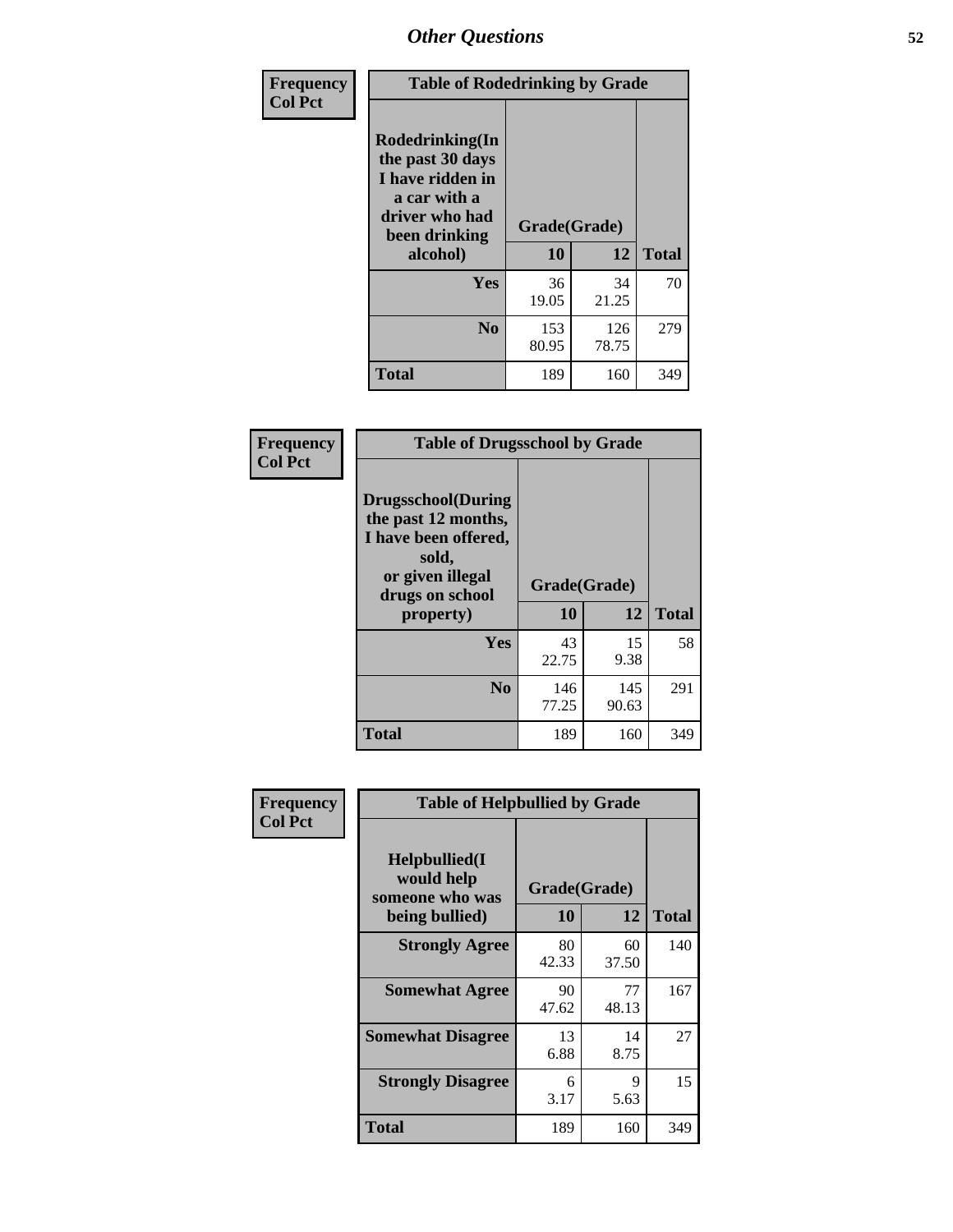| Frequency      | <b>Table of Rodedrinking by Grade</b>                                                                      |              |              |              |  |  |
|----------------|------------------------------------------------------------------------------------------------------------|--------------|--------------|--------------|--|--|
| <b>Col Pct</b> | Rodedrinking(In<br>the past 30 days<br>I have ridden in<br>a car with a<br>driver who had<br>been drinking | Grade(Grade) |              |              |  |  |
|                | alcohol)                                                                                                   | 10           | 12           | <b>Total</b> |  |  |
|                | <b>Yes</b>                                                                                                 | 36<br>19.05  | 34<br>21.25  | 70           |  |  |
|                | N <sub>0</sub>                                                                                             | 153<br>80.95 | 126<br>78.75 | 279          |  |  |
|                | <b>Total</b>                                                                                               | 189          | 160          | 349          |  |  |

#### **Frequency Col Pct**

| <b>Table of Drugsschool by Grade</b>                                                                                      |              |              |              |  |  |  |
|---------------------------------------------------------------------------------------------------------------------------|--------------|--------------|--------------|--|--|--|
| <b>Drugsschool</b> (During<br>the past 12 months,<br>I have been offered,<br>sold,<br>or given illegal<br>drugs on school | Grade(Grade) |              |              |  |  |  |
| property)                                                                                                                 | 10           | 12           | <b>Total</b> |  |  |  |
| Yes                                                                                                                       | 43<br>22.75  | 15<br>9.38   | 58           |  |  |  |
| N <sub>0</sub>                                                                                                            | 146<br>77.25 | 145<br>90.63 | 291          |  |  |  |
| <b>Total</b>                                                                                                              | 189          | 160          | 349          |  |  |  |

| Frequency      | <b>Table of Helpbullied by Grade</b>                                                         |             |             |              |  |  |  |
|----------------|----------------------------------------------------------------------------------------------|-------------|-------------|--------------|--|--|--|
| <b>Col Pct</b> | $Helpb$ ullied $(I$<br>would help<br>Grade(Grade)<br>someone who was<br>10<br>being bullied) |             | 12          | <b>Total</b> |  |  |  |
|                |                                                                                              |             |             |              |  |  |  |
|                | <b>Strongly Agree</b>                                                                        | 80<br>42.33 | 60<br>37.50 | 140          |  |  |  |
|                | <b>Somewhat Agree</b>                                                                        | 90<br>47.62 | 77<br>48.13 | 167          |  |  |  |
|                | <b>Somewhat Disagree</b>                                                                     | 13<br>6.88  | 14<br>8.75  | 27           |  |  |  |
|                | <b>Strongly Disagree</b>                                                                     | 6<br>3.17   | 9<br>5.63   | 15           |  |  |  |
|                | <b>Total</b>                                                                                 | 189         | 160         | 349          |  |  |  |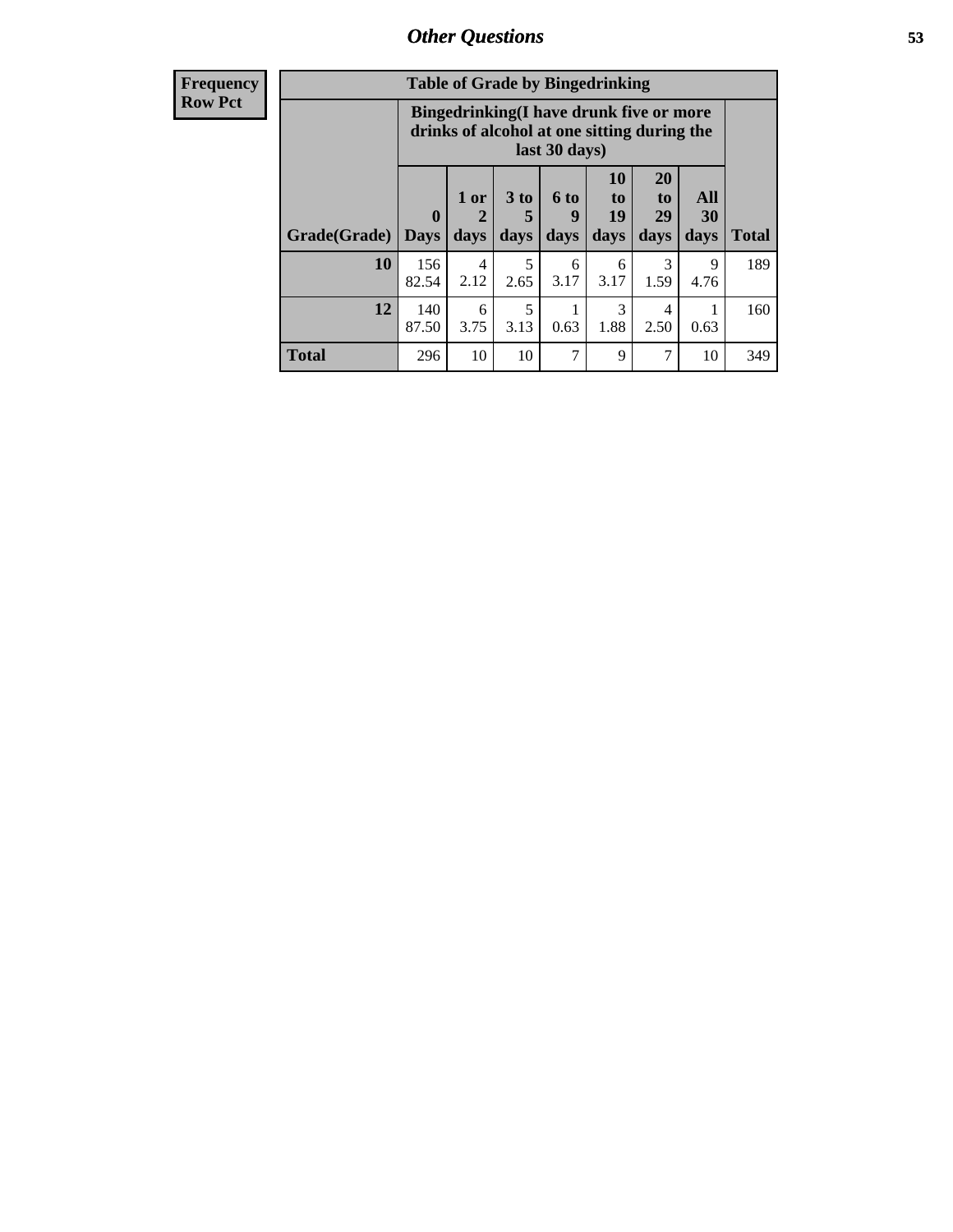| Frequency      | <b>Table of Grade by Bingedrinking</b> |                                                                                                                |                |              |                   |                               |                               |                   |              |
|----------------|----------------------------------------|----------------------------------------------------------------------------------------------------------------|----------------|--------------|-------------------|-------------------------------|-------------------------------|-------------------|--------------|
| <b>Row Pct</b> |                                        | <b>Bingedrinking(I have drunk five or more</b><br>drinks of alcohol at one sitting during the<br>last 30 days) |                |              |                   |                               |                               |                   |              |
|                | Grade(Grade)   Days                    | $\mathbf{0}$                                                                                                   | $1$ or<br>days | 3 to<br>days | 6 to<br>q<br>days | <b>10</b><br>to<br>19<br>days | <b>20</b><br>to<br>29<br>days | All<br>30<br>days | <b>Total</b> |
|                | 10                                     | 156<br>82.54                                                                                                   | 4<br>2.12      | 5<br>2.65    | 6<br>3.17         | 6<br>3.17                     | $\mathcal{R}$<br>1.59         | 9<br>4.76         | 189          |
|                | 12                                     | 140<br>87.50                                                                                                   | 6<br>3.75      | 5<br>3.13    | 0.63              | 3<br>1.88                     | 4<br>2.50                     | 0.63              | 160          |
|                | <b>Total</b>                           | 296                                                                                                            | 10             | 10           | 7                 | 9                             | 7                             | 10                | 349          |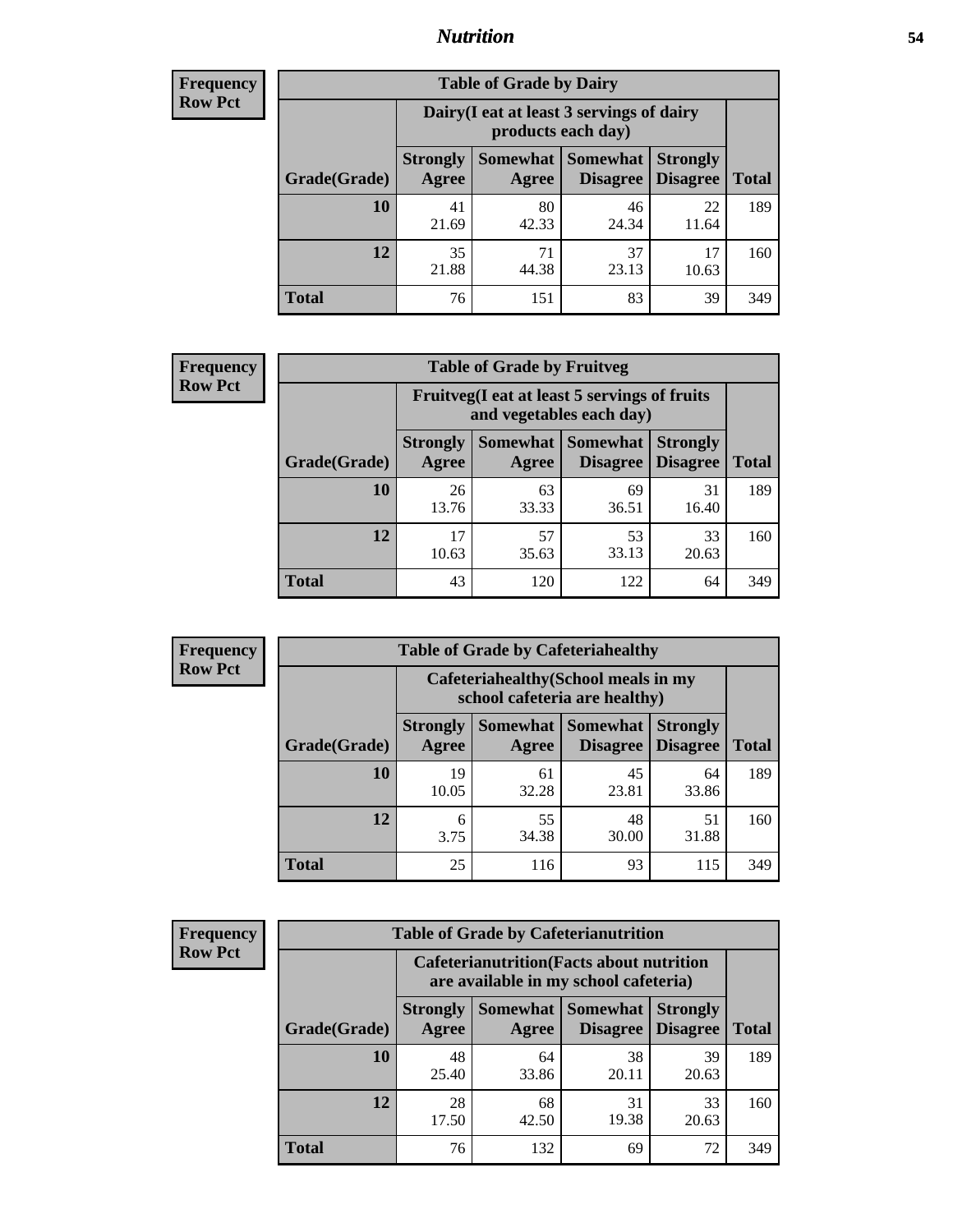### *Nutrition* **54**

| <b>Frequency</b><br>Row Pct |
|-----------------------------|
|                             |

| <b>Table of Grade by Dairy</b> |                                                                                                                                                  |                                                                 |             |             |     |  |  |  |
|--------------------------------|--------------------------------------------------------------------------------------------------------------------------------------------------|-----------------------------------------------------------------|-------------|-------------|-----|--|--|--|
|                                |                                                                                                                                                  | Dairy (I eat at least 3 servings of dairy<br>products each day) |             |             |     |  |  |  |
| Grade(Grade)                   | <b>Somewhat</b><br><b>Somewhat</b><br><b>Strongly</b><br><b>Strongly</b><br><b>Disagree</b><br><b>Disagree</b><br><b>Total</b><br>Agree<br>Agree |                                                                 |             |             |     |  |  |  |
| 10                             | 41<br>21.69                                                                                                                                      | 80<br>42.33                                                     | 46<br>24.34 | 22<br>11.64 | 189 |  |  |  |
| 12                             | 35<br>21.88                                                                                                                                      | 71<br>44.38                                                     | 37<br>23.13 | 17<br>10.63 | 160 |  |  |  |
| <b>Total</b>                   | 76                                                                                                                                               | 151                                                             | 83          | 39          | 349 |  |  |  |

| <b>Frequency</b> |  |
|------------------|--|
| <b>Row Pct</b>   |  |

|              |                                                                          | <b>Table of Grade by Fruitveg</b> |                               |                                    |              |  |
|--------------|--------------------------------------------------------------------------|-----------------------------------|-------------------------------|------------------------------------|--------------|--|
|              | Fruitveg(I eat at least 5 servings of fruits<br>and vegetables each day) |                                   |                               |                                    |              |  |
| Grade(Grade) | <b>Strongly</b><br>Agree                                                 | Agree                             | Somewhat Somewhat<br>Disagree | <b>Strongly</b><br><b>Disagree</b> | <b>Total</b> |  |
| 10           | 26<br>13.76                                                              | 63<br>33.33                       | 69<br>36.51                   | 31<br>16.40                        | 189          |  |
| 12           | 17<br>10.63                                                              | 57<br>35.63                       | 53<br>33.13                   | 33<br>20.63                        | 160          |  |
| <b>Total</b> | 43                                                                       | 120                               | 122                           | 64                                 | 349          |  |

| <b>Frequency</b> | <b>Table of Grade by Cafeteriahealthy</b> |                                                                       |                     |                                    |                                    |              |  |
|------------------|-------------------------------------------|-----------------------------------------------------------------------|---------------------|------------------------------------|------------------------------------|--------------|--|
| <b>Row Pct</b>   |                                           | Cafeteriahealthy (School meals in my<br>school cafeteria are healthy) |                     |                                    |                                    |              |  |
|                  | Grade(Grade)                              | <b>Strongly</b><br>Agree                                              | Somewhat  <br>Agree | <b>Somewhat</b><br><b>Disagree</b> | <b>Strongly</b><br><b>Disagree</b> | <b>Total</b> |  |
|                  | 10                                        | 19<br>10.05                                                           | 61<br>32.28         | 45<br>23.81                        | 64<br>33.86                        | 189          |  |
|                  | 12                                        | 6<br>3.75                                                             | 55<br>34.38         | 48<br>30.00                        | 51<br>31.88                        | 160          |  |
|                  | Total                                     | 25                                                                    | 116                 | 93                                 | 115                                | 349          |  |

| <b>Frequency</b> |
|------------------|
| <b>Row Pct</b>   |

| <b>Table of Grade by Cafeterianutrition</b> |                                                                                           |                     |                                    |                                    |              |  |  |
|---------------------------------------------|-------------------------------------------------------------------------------------------|---------------------|------------------------------------|------------------------------------|--------------|--|--|
|                                             | <b>Cafeterianutrition</b> (Facts about nutrition<br>are available in my school cafeteria) |                     |                                    |                                    |              |  |  |
| Grade(Grade)                                | <b>Strongly</b><br>Agree                                                                  | Somewhat  <br>Agree | <b>Somewhat</b><br><b>Disagree</b> | <b>Strongly</b><br><b>Disagree</b> | <b>Total</b> |  |  |
| 10                                          | 48<br>25.40                                                                               | 64<br>33.86         | 38<br>20.11                        | 39<br>20.63                        | 189          |  |  |
| 12                                          | 28<br>17.50                                                                               | 68<br>42.50         | 31<br>19.38                        | 33<br>20.63                        | 160          |  |  |
| <b>Total</b>                                | 76                                                                                        | 132                 | 69                                 | 72                                 | 349          |  |  |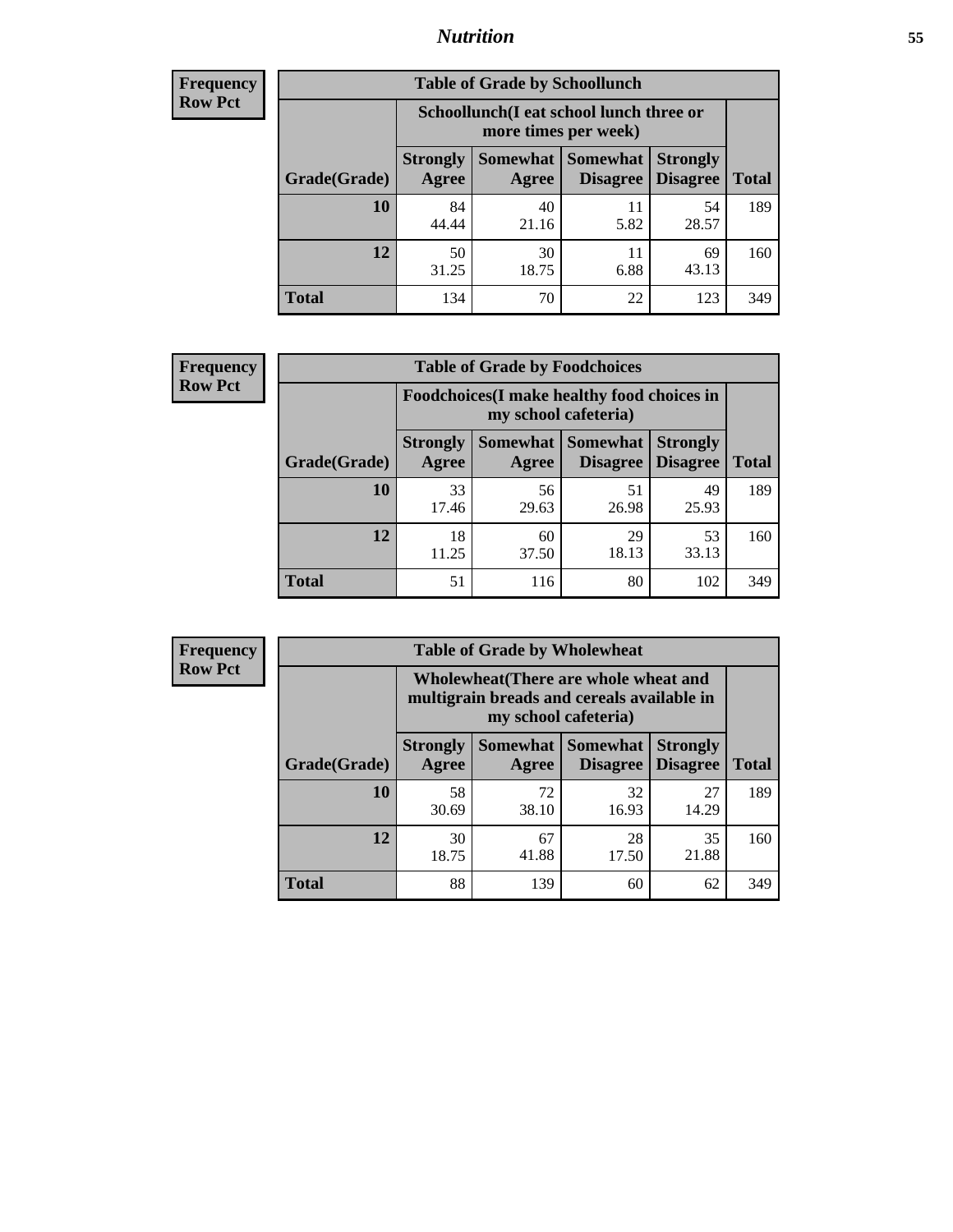### *Nutrition* **55**

| <b>Frequency</b> |
|------------------|
| Row Pct          |

| <b>Table of Grade by Schoollunch</b> |                                                                                                                            |                                                                 |            |             |     |  |  |  |
|--------------------------------------|----------------------------------------------------------------------------------------------------------------------------|-----------------------------------------------------------------|------------|-------------|-----|--|--|--|
|                                      |                                                                                                                            | Schoollunch(I eat school lunch three or<br>more times per week) |            |             |     |  |  |  |
| Grade(Grade)                         | Somewhat   Somewhat<br><b>Strongly</b><br><b>Strongly</b><br><b>Disagree</b><br>Disagree<br><b>Total</b><br>Agree<br>Agree |                                                                 |            |             |     |  |  |  |
| 10                                   | 84<br>44.44                                                                                                                | 40<br>21.16                                                     | 11<br>5.82 | 54<br>28.57 | 189 |  |  |  |
| 12                                   | 50<br>31.25                                                                                                                | 30<br>18.75                                                     | 11<br>6.88 | 69<br>43.13 | 160 |  |  |  |
| <b>Total</b>                         | 134                                                                                                                        | 70                                                              | 22         | 123         | 349 |  |  |  |

| <b>Frequency</b> |  |
|------------------|--|
| <b>Row Pct</b>   |  |

| <b>Table of Grade by Foodchoices</b> |                                                                            |             |                                   |                                    |              |  |  |
|--------------------------------------|----------------------------------------------------------------------------|-------------|-----------------------------------|------------------------------------|--------------|--|--|
|                                      | <b>Foodchoices</b> (I make healthy food choices in<br>my school cafeteria) |             |                                   |                                    |              |  |  |
| Grade(Grade)                         | <b>Strongly</b><br>Agree                                                   | Agree       | Somewhat   Somewhat  <br>Disagree | <b>Strongly</b><br><b>Disagree</b> | <b>Total</b> |  |  |
| 10                                   | 33<br>17.46                                                                | 56<br>29.63 | 51<br>26.98                       | 49<br>25.93                        | 189          |  |  |
| 12                                   | 18<br>11.25                                                                | 60<br>37.50 | 29<br>18.13                       | 53<br>33.13                        | 160          |  |  |
| <b>Total</b>                         | 51                                                                         | 116         | 80                                | 102                                | 349          |  |  |

| <b>Frequency</b> | <b>Table of Grade by Wholewheat</b> |                                                                                                             |             |                                 |                                    |              |  |  |  |
|------------------|-------------------------------------|-------------------------------------------------------------------------------------------------------------|-------------|---------------------------------|------------------------------------|--------------|--|--|--|
| <b>Row Pct</b>   |                                     | Wholewheat (There are whole wheat and<br>multigrain breads and cereals available in<br>my school cafeteria) |             |                                 |                                    |              |  |  |  |
|                  | Grade(Grade)                        | <b>Strongly</b><br>Agree                                                                                    | Agree       | Somewhat   Somewhat<br>Disagree | <b>Strongly</b><br><b>Disagree</b> | <b>Total</b> |  |  |  |
|                  | 10                                  | 58<br>30.69                                                                                                 | 72<br>38.10 | 32<br>16.93                     | 27<br>14.29                        | 189          |  |  |  |
|                  | 12                                  | 30<br>18.75                                                                                                 | 67<br>41.88 | 28<br>17.50                     | 35<br>21.88                        | 160          |  |  |  |
|                  | <b>Total</b>                        | 88                                                                                                          | 139         | 60                              | 62                                 | 349          |  |  |  |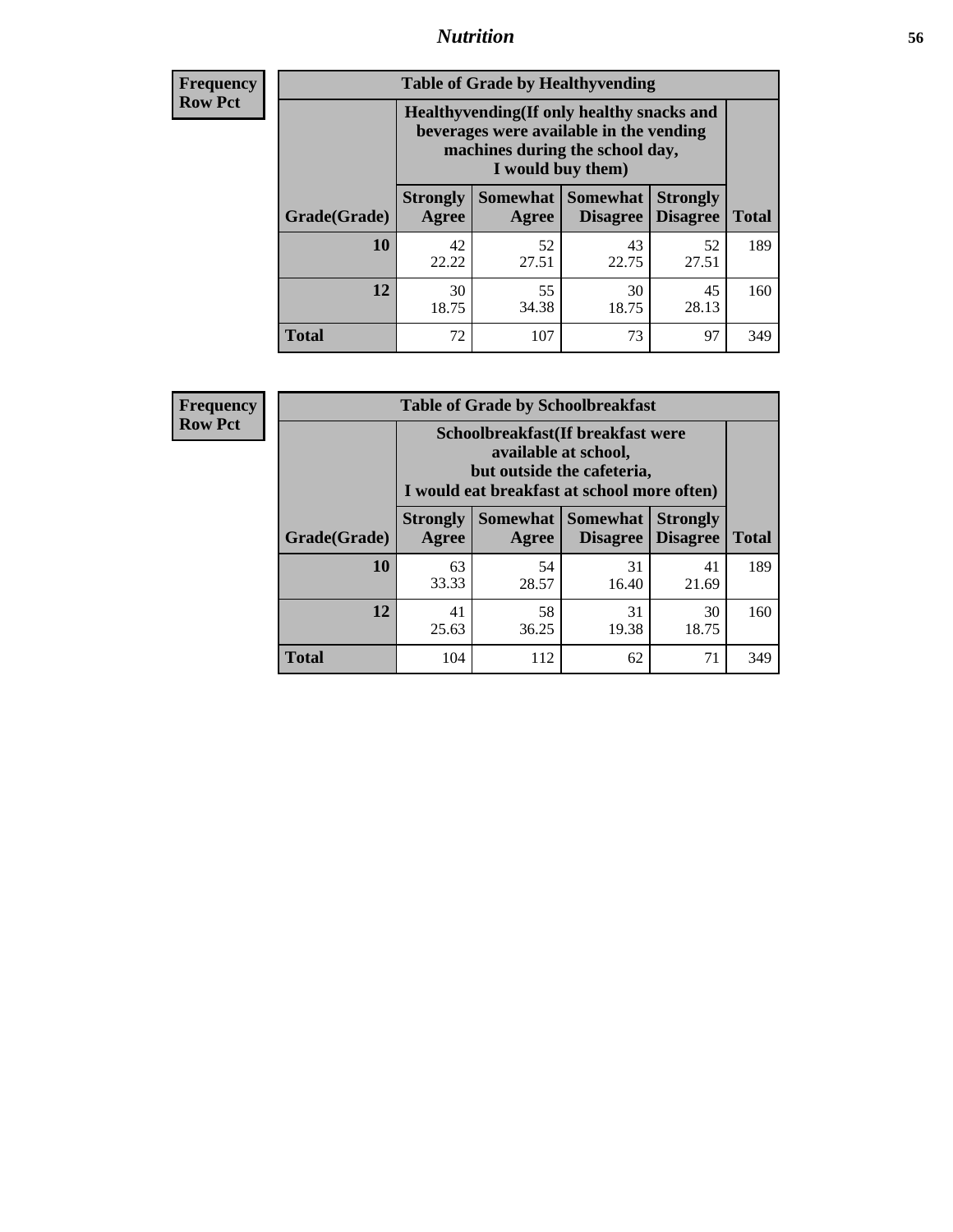### *Nutrition* **56**

**Frequency Row Pct**

| <b>Table of Grade by Healthyvending</b> |                                                                                                                                               |                          |                                    |                                    |              |  |
|-----------------------------------------|-----------------------------------------------------------------------------------------------------------------------------------------------|--------------------------|------------------------------------|------------------------------------|--------------|--|
|                                         | Healthyvending (If only healthy snacks and<br>beverages were available in the vending<br>machines during the school day,<br>I would buy them) |                          |                                    |                                    |              |  |
| Grade(Grade)                            | <b>Strongly</b><br>Agree                                                                                                                      | <b>Somewhat</b><br>Agree | <b>Somewhat</b><br><b>Disagree</b> | <b>Strongly</b><br><b>Disagree</b> | <b>Total</b> |  |
| 10                                      | 42<br>22.22                                                                                                                                   | 52<br>27.51              | 43<br>22.75                        | 52<br>27.51                        | 189          |  |
| 12                                      | 30<br>18.75                                                                                                                                   | 55<br>34.38              | 30<br>18.75                        | 45<br>28.13                        | 160          |  |
| <b>Total</b>                            | 72                                                                                                                                            | 107                      | 73                                 | 97                                 | 349          |  |

**Frequency Row Pct**

| <b>Table of Grade by Schoolbreakfast</b> |                                                                                                                                         |             |                                               |                                    |              |  |
|------------------------------------------|-----------------------------------------------------------------------------------------------------------------------------------------|-------------|-----------------------------------------------|------------------------------------|--------------|--|
|                                          | Schoolbreakfast (If breakfast were<br>available at school,<br>but outside the cafeteria,<br>I would eat breakfast at school more often) |             |                                               |                                    |              |  |
| Grade(Grade)                             | <b>Strongly</b><br>Agree                                                                                                                | Agree       | <b>Somewhat   Somewhat</b><br><b>Disagree</b> | <b>Strongly</b><br><b>Disagree</b> | <b>Total</b> |  |
| 10                                       | 63<br>33.33                                                                                                                             | 54<br>28.57 | 31<br>16.40                                   | 41<br>21.69                        | 189          |  |
| 12                                       | 41<br>25.63                                                                                                                             | 58<br>36.25 | 31<br>19.38                                   | 30<br>18.75                        | 160          |  |
| <b>Total</b>                             | 104                                                                                                                                     | 112         | 62                                            | 71                                 | 349          |  |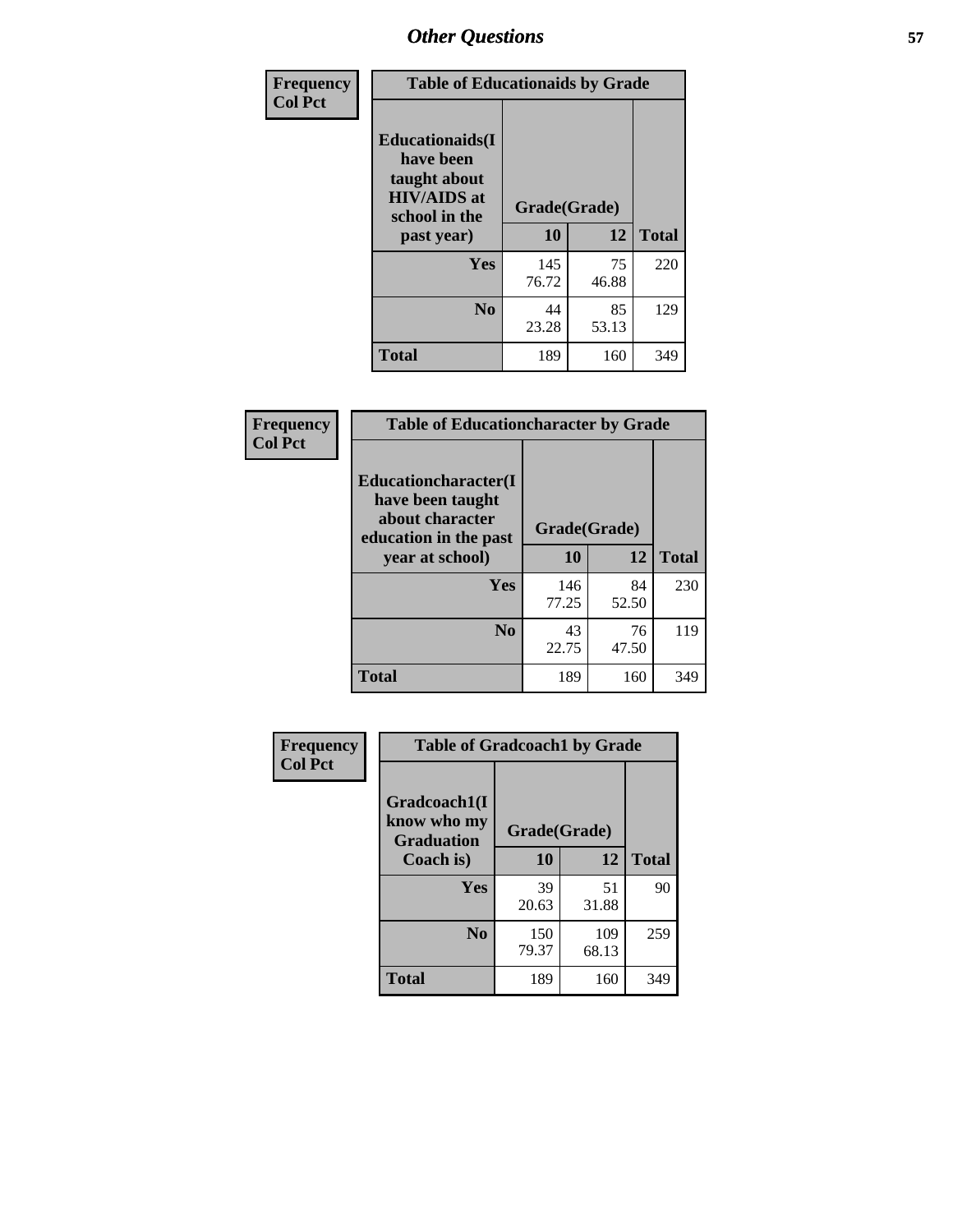| Frequency<br><b>Col Pct</b> | <b>Table of Educationaids by Grade</b>                                                                    |                    |             |              |
|-----------------------------|-----------------------------------------------------------------------------------------------------------|--------------------|-------------|--------------|
|                             | <b>Educationaids</b> (I<br>have been<br>taught about<br><b>HIV/AIDS</b> at<br>school in the<br>past year) | Grade(Grade)<br>10 | 12          | <b>Total</b> |
|                             | Yes                                                                                                       | 145<br>76.72       | 75<br>46.88 | 220          |
|                             | N <sub>0</sub>                                                                                            | 44<br>23.28        | 85<br>53.13 | 129          |
|                             | <b>Total</b>                                                                                              | 189                | 160         | 349          |

| Frequency      | <b>Table of Educationcharacter by Grade</b>                 |              |       |              |
|----------------|-------------------------------------------------------------|--------------|-------|--------------|
| <b>Col Pct</b> | Educationcharacter(I<br>have been taught<br>about character |              |       |              |
|                | education in the past                                       | Grade(Grade) |       |              |
|                | year at school)                                             | 10           | 12    | <b>Total</b> |
|                | Yes                                                         | 146          | 84    | 230          |
|                |                                                             | 77.25        | 52.50 |              |
|                | N <sub>0</sub>                                              | 43           | 76    | 119          |
|                |                                                             | 22.75        | 47.50 |              |
|                | <b>Total</b>                                                | 189          | 160   | 349          |

| <b>Frequency</b><br><b>Col Pct</b> | <b>Table of Gradcoach1 by Grade</b>              |              |              |              |
|------------------------------------|--------------------------------------------------|--------------|--------------|--------------|
|                                    | Gradcoach1(I<br>know who my<br><b>Graduation</b> | Grade(Grade) |              |              |
|                                    | Coach is)                                        | 10           | 12           | <b>Total</b> |
|                                    | Yes                                              | 39<br>20.63  | 51<br>31.88  | 90           |
|                                    | N <sub>0</sub>                                   | 150<br>79.37 | 109<br>68.13 | 259          |
|                                    | <b>Total</b>                                     | 189          | 160          | 349          |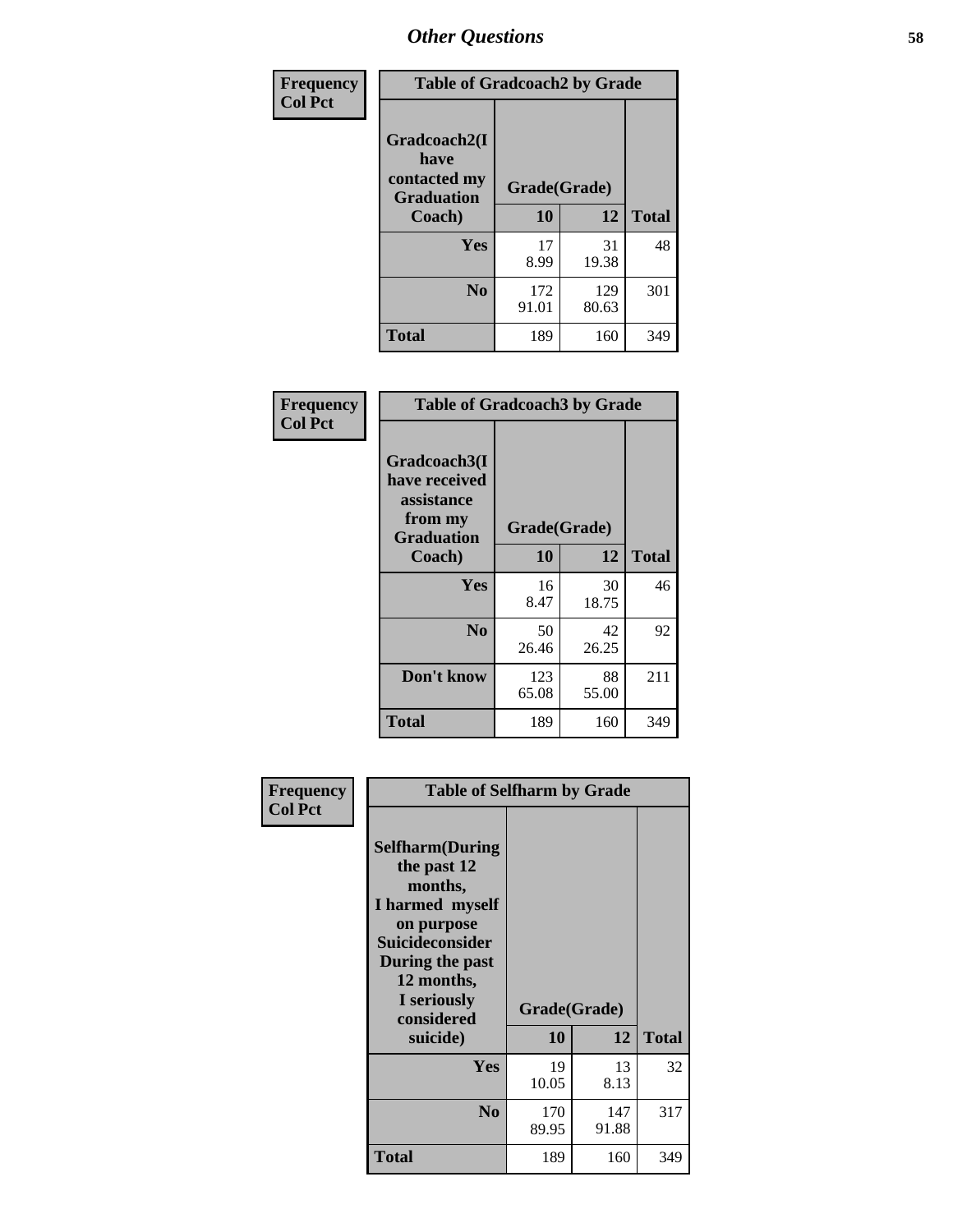| Frequency      | <b>Table of Gradcoach2 by Grade</b> |              |              |              |
|----------------|-------------------------------------|--------------|--------------|--------------|
| <b>Col Pct</b> | Gradcoach2(I<br>have                |              |              |              |
|                | contacted my<br><b>Graduation</b>   | Grade(Grade) |              |              |
|                | Coach)                              | 10           | 12           | <b>Total</b> |
|                | Yes                                 | 17<br>8.99   | 31<br>19.38  | 48           |
|                | N <sub>0</sub>                      | 172<br>91.01 | 129<br>80.63 | 301          |
|                | <b>Total</b>                        | 189          | 160          | 349          |

| <b>Frequency</b><br><b>Col Pct</b> | <b>Table of Gradcoach3 by Grade</b>                                         |              |             |              |
|------------------------------------|-----------------------------------------------------------------------------|--------------|-------------|--------------|
|                                    | Gradcoach3(I<br>have received<br>assistance<br>from my<br><b>Graduation</b> | Grade(Grade) |             |              |
|                                    | Coach)                                                                      | 10           | 12          | <b>Total</b> |
|                                    | Yes                                                                         | 16<br>8.47   | 30<br>18.75 | 46           |
|                                    | N <sub>0</sub>                                                              | 50<br>26.46  | 42<br>26.25 | 92           |
|                                    | Don't know                                                                  | 123<br>65.08 | 88<br>55.00 | 211          |
|                                    | <b>Total</b>                                                                | 189          | 160         | 349          |

| Frequency<br><b>Col Pct</b> | <b>Table of Selfharm by Grade</b>                                                                                                                                          |              |              |              |
|-----------------------------|----------------------------------------------------------------------------------------------------------------------------------------------------------------------------|--------------|--------------|--------------|
|                             | <b>Selfharm</b> (During<br>the past 12<br>months,<br>I harmed myself<br>on purpose<br><b>Suicideconsider</b><br>During the past<br>12 months,<br>I seriously<br>considered | Grade(Grade) |              |              |
|                             | suicide)                                                                                                                                                                   | 10           | 12           | <b>Total</b> |
|                             | <b>Yes</b>                                                                                                                                                                 | 19<br>10.05  | 13<br>8.13   | 32           |
|                             | N <sub>0</sub>                                                                                                                                                             | 170<br>89.95 | 147<br>91.88 | 317          |
|                             | <b>Total</b>                                                                                                                                                               | 189          | 160          | 349          |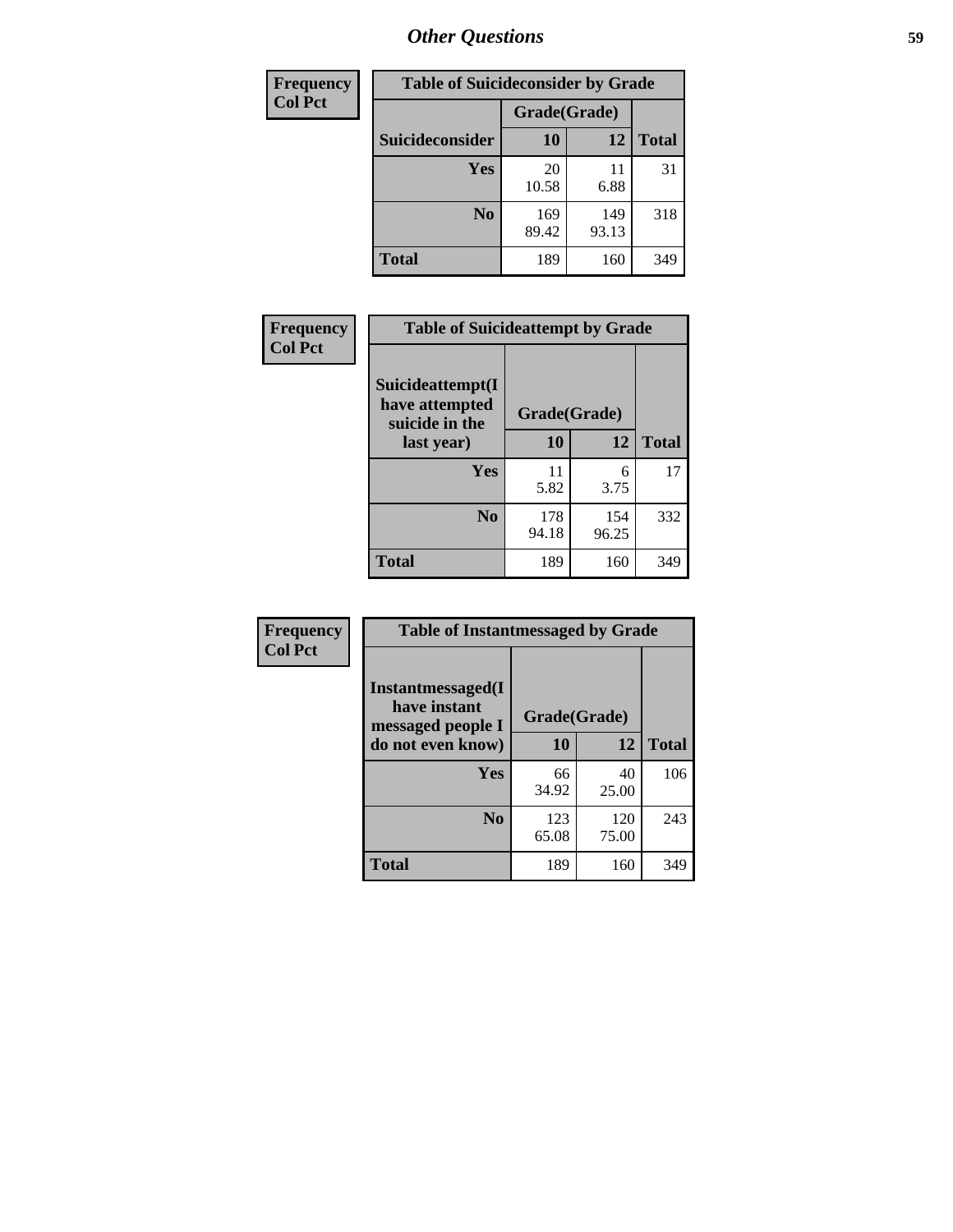| <b>Frequency</b> | <b>Table of Suicideconsider by Grade</b> |              |              |              |  |
|------------------|------------------------------------------|--------------|--------------|--------------|--|
| <b>Col Pct</b>   |                                          | Grade(Grade) |              |              |  |
|                  | <b>Suicideconsider</b>                   | <b>10</b>    | 12           | <b>Total</b> |  |
|                  | Yes                                      | 20<br>10.58  | 11<br>6.88   | 31           |  |
|                  | N <sub>0</sub>                           | 169<br>89.42 | 149<br>93.13 | 318          |  |
|                  | Total                                    | 189          | 160          | 349          |  |

| Frequency      | <b>Table of Suicideattempt by Grade</b>              |              |              |              |
|----------------|------------------------------------------------------|--------------|--------------|--------------|
| <b>Col Pct</b> | Suicideattempt(I<br>have attempted<br>suicide in the | Grade(Grade) |              |              |
|                | last year)                                           | 10           | 12           | <b>Total</b> |
|                | Yes                                                  | 11<br>5.82   | 6<br>3.75    | 17           |
|                | $\bf No$                                             | 178<br>94.18 | 154<br>96.25 | 332          |
|                | <b>Total</b>                                         | 189          | 160          | 349          |

| Frequency      | <b>Table of Instantmessaged by Grade</b>               |              |              |              |
|----------------|--------------------------------------------------------|--------------|--------------|--------------|
| <b>Col Pct</b> | Instantmessaged(I<br>have instant<br>messaged people I | Grade(Grade) |              |              |
|                | do not even know)                                      | 10           | 12           | <b>Total</b> |
|                | Yes                                                    | 66<br>34.92  | 40<br>25.00  | 106          |
|                | N <sub>0</sub>                                         | 123<br>65.08 | 120<br>75.00 | 243          |
|                | <b>Total</b>                                           | 189          | 160          | 349          |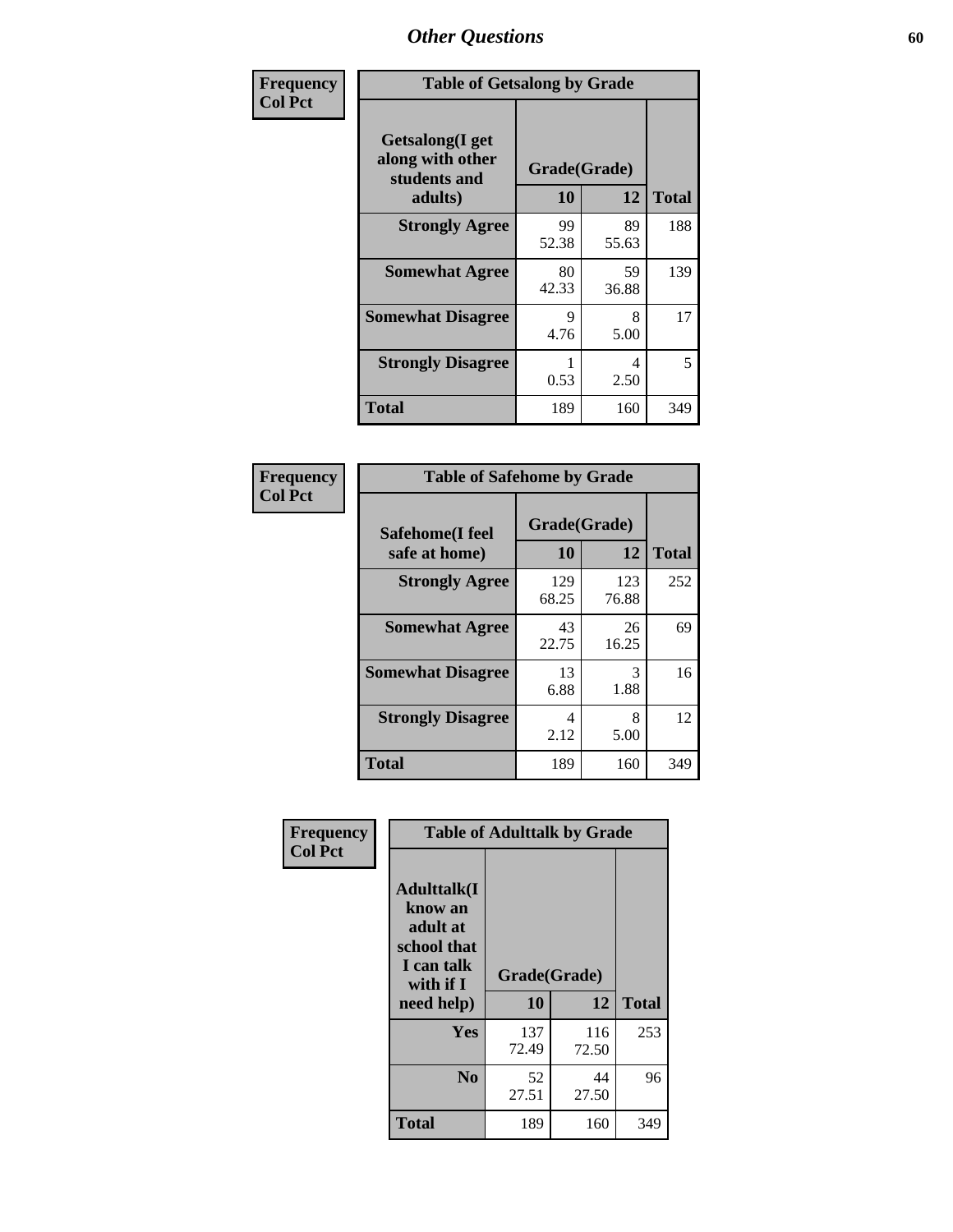| Frequency      | <b>Table of Getsalong by Grade</b>                          |              |             |              |
|----------------|-------------------------------------------------------------|--------------|-------------|--------------|
| <b>Col Pct</b> | <b>Getsalong</b> (I get<br>along with other<br>students and | Grade(Grade) |             |              |
|                | adults)                                                     | 10           | 12          | <b>Total</b> |
|                | <b>Strongly Agree</b>                                       | 99<br>52.38  | 89<br>55.63 | 188          |
|                | <b>Somewhat Agree</b>                                       | 80<br>42.33  | 59<br>36.88 | 139          |
|                | <b>Somewhat Disagree</b>                                    | 9<br>4.76    | 8<br>5.00   | 17           |
|                | <b>Strongly Disagree</b>                                    | 0.53         | 4<br>2.50   | 5            |
|                | <b>Total</b>                                                | 189          | 160         | 349          |

| Frequency      | <b>Table of Safehome by Grade</b> |                    |              |              |
|----------------|-----------------------------------|--------------------|--------------|--------------|
| <b>Col Pct</b> | Safehome(I feel<br>safe at home)  | Grade(Grade)<br>10 | 12           | <b>Total</b> |
|                | <b>Strongly Agree</b>             | 129<br>68.25       | 123<br>76.88 | 252          |
|                | <b>Somewhat Agree</b>             | 43<br>22.75        | 26<br>16.25  | 69           |
|                | <b>Somewhat Disagree</b>          | 13<br>6.88         | 3<br>1.88    | 16           |
|                | <b>Strongly Disagree</b>          | 4<br>2.12          | 8<br>5.00    | 12           |
|                | <b>Total</b>                      | 189                | 160          | 349          |

| Frequency      |                                                                                     | <b>Table of Adulttalk by Grade</b> |              |              |
|----------------|-------------------------------------------------------------------------------------|------------------------------------|--------------|--------------|
| <b>Col Pct</b> | <b>Adulttalk(I</b><br>know an<br>adult at<br>school that<br>I can talk<br>with if I | Grade(Grade)                       |              |              |
|                | need help)                                                                          | 10                                 | 12           | <b>Total</b> |
|                | <b>Yes</b>                                                                          | 137<br>72.49                       | 116<br>72.50 | 253          |
|                | N <sub>0</sub>                                                                      | 52<br>27.51                        | 44<br>27.50  | 96           |
|                | <b>Total</b>                                                                        | 189                                | 160          | 349          |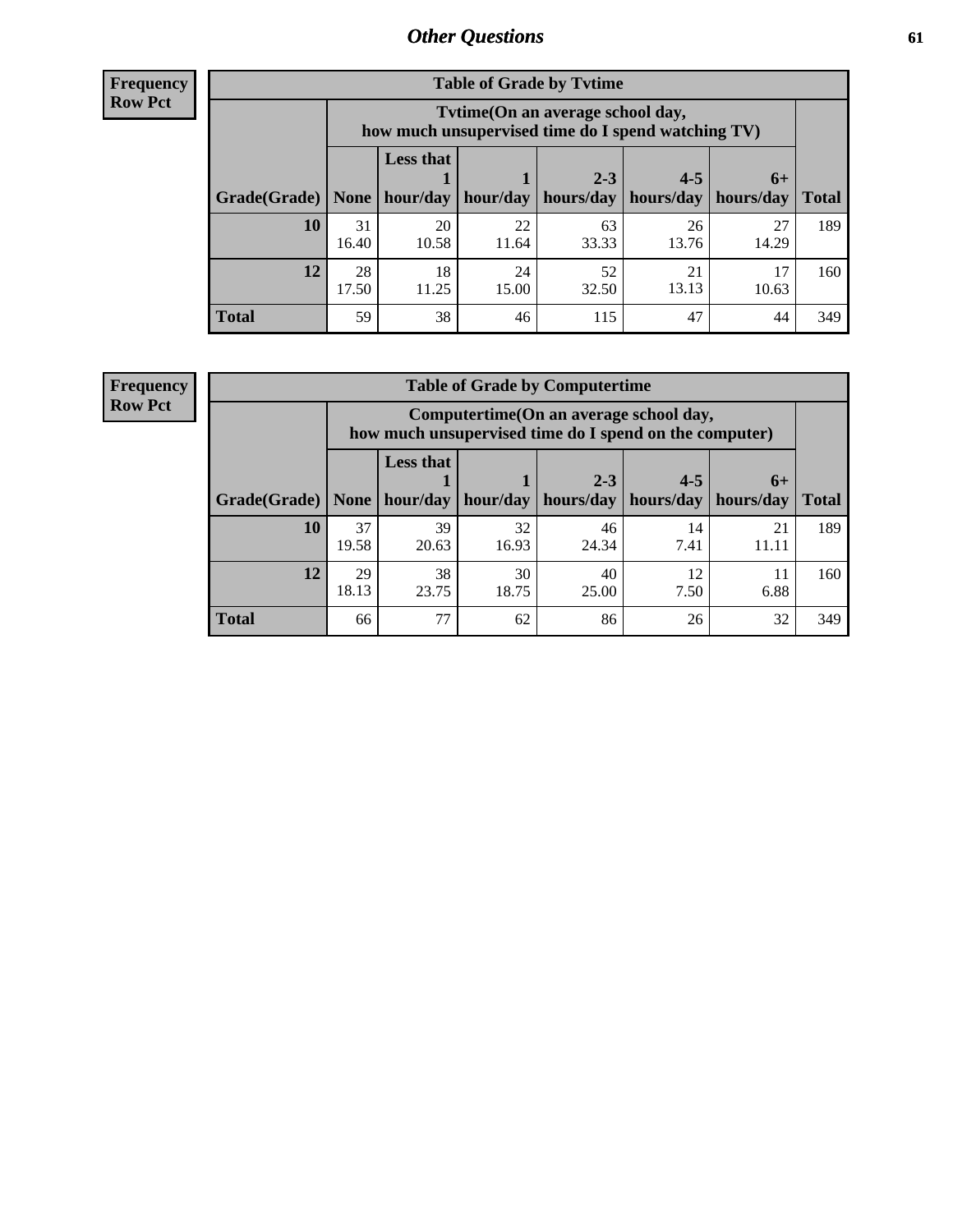**Frequency Row Pct**

| <b>Table of Grade by Tvtime</b> |             |                                                                                         |                     |             |                       |             |              |  |  |
|---------------------------------|-------------|-----------------------------------------------------------------------------------------|---------------------|-------------|-----------------------|-------------|--------------|--|--|
|                                 |             | Tytime (On an average school day,<br>how much unsupervised time do I spend watching TV) |                     |             |                       |             |              |  |  |
|                                 |             | <b>Less that</b>                                                                        |                     | $2 - 3$     | $4 - 5$               | $6+$        |              |  |  |
| Grade(Grade)   None             |             |                                                                                         | hour/day   hour/day | hours/day   | hours/day   hours/day |             | <b>Total</b> |  |  |
| 10                              | 31<br>16.40 | 20<br>10.58                                                                             | 22<br>11.64         | 63<br>33.33 | 26<br>13.76           | 27<br>14.29 | 189          |  |  |
| 12                              | 28<br>17.50 | 18<br>11.25                                                                             | 24<br>15.00         | 52<br>32.50 | 21<br>13.13           | 17<br>10.63 | 160          |  |  |
| <b>Total</b>                    | 59          | 38                                                                                      | 46                  | 115         | 47                    | 44          | 349          |  |  |

**Frequency Row Pct**

| <b>Table of Grade by Computertime</b> |             |                                                                                                                               |             |             |            |             |     |  |  |
|---------------------------------------|-------------|-------------------------------------------------------------------------------------------------------------------------------|-------------|-------------|------------|-------------|-----|--|--|
|                                       |             | Computertime (On an average school day,<br>how much unsupervised time do I spend on the computer)                             |             |             |            |             |     |  |  |
| Grade(Grade)                          | None $ $    | <b>Less that</b><br>$4 - 5$<br>$2 - 3$<br>$6+$<br>hour/day<br>hours/day<br>hours/day<br>hour/day<br>hours/day<br><b>Total</b> |             |             |            |             |     |  |  |
| 10                                    | 37<br>19.58 | 39<br>20.63                                                                                                                   | 32<br>16.93 | 46<br>24.34 | 14<br>7.41 | 21<br>11.11 | 189 |  |  |
| 12                                    | 29<br>18.13 | 38<br>30<br>40<br>12<br>23.75<br>18.75<br>6.88<br>25.00<br>7.50                                                               |             |             |            |             |     |  |  |
| <b>Total</b>                          | 66          | 77                                                                                                                            | 62          | 86          | 26         | 32          | 349 |  |  |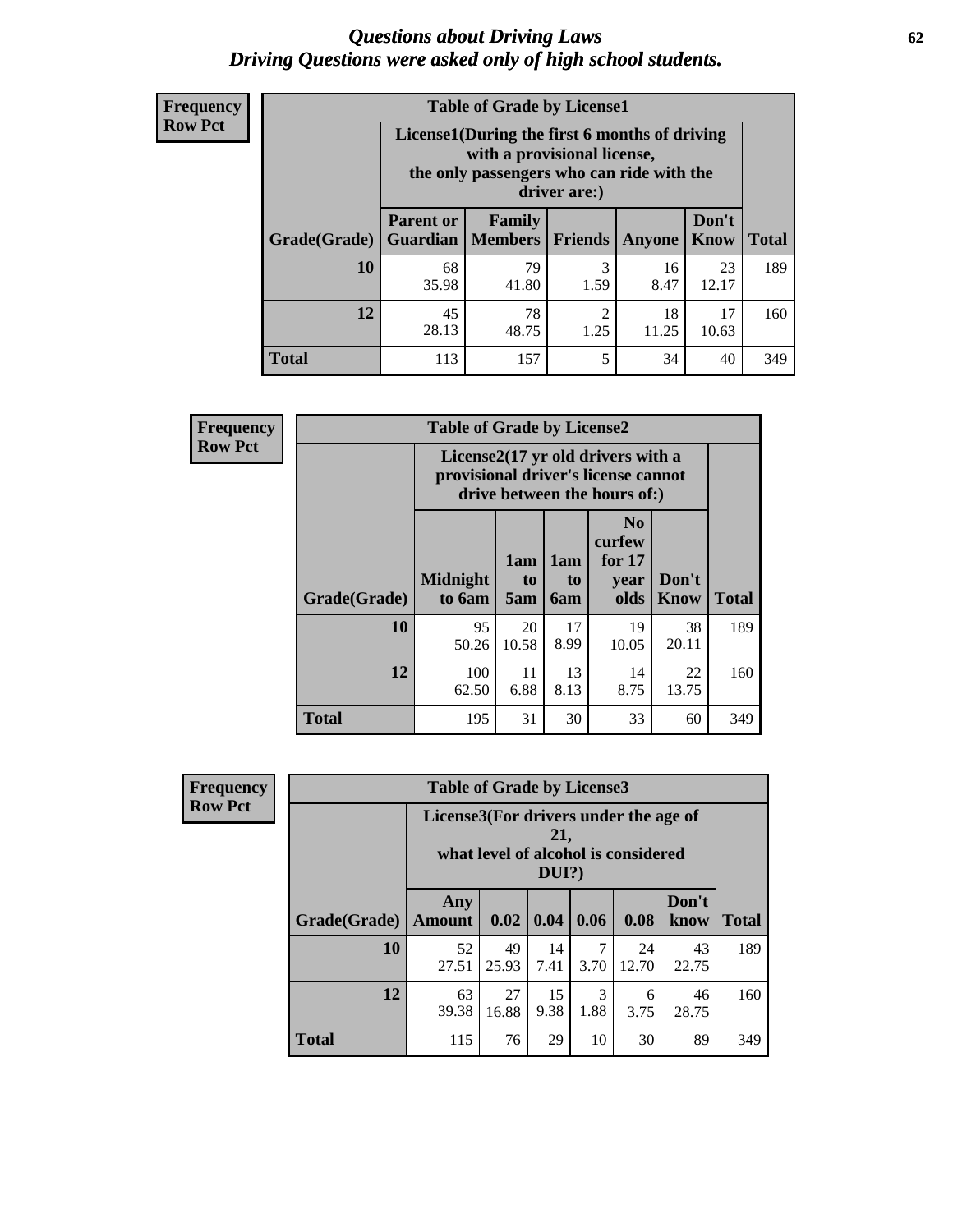#### *Questions about Driving Laws* **62** *Driving Questions were asked only of high school students.*

| <b>Frequency</b> |
|------------------|
| <b>Row Pct</b>   |

| <b>Table of Grade by License1</b> |                                                                       |                                                                                                                                           |           |               |                      |              |  |  |  |
|-----------------------------------|-----------------------------------------------------------------------|-------------------------------------------------------------------------------------------------------------------------------------------|-----------|---------------|----------------------|--------------|--|--|--|
|                                   |                                                                       | License1(During the first 6 months of driving<br>with a provisional license,<br>the only passengers who can ride with the<br>driver are:) |           |               |                      |              |  |  |  |
| Grade(Grade)                      | <b>Parent or</b>                                                      | <b>Family</b><br><b>Guardian   Members  </b>                                                                                              | Friends   | <b>Anyone</b> | Don't<br><b>Know</b> | <b>Total</b> |  |  |  |
| 10                                | 68<br>35.98                                                           | 79<br>41.80                                                                                                                               | 3<br>1.59 | 16<br>8.47    | 23<br>12.17          | 189          |  |  |  |
| 12                                | 78<br>2<br>18<br>17<br>45<br>28.13<br>11.25<br>48.75<br>1.25<br>10.63 |                                                                                                                                           |           |               |                      |              |  |  |  |
| Total                             | 113                                                                   | 157                                                                                                                                       | 5         | 34            | 40                   | 349          |  |  |  |

| Frequency      |              | <b>Table of Grade by License2</b>                                                                        |                  |                  |                                                      |               |              |  |  |
|----------------|--------------|----------------------------------------------------------------------------------------------------------|------------------|------------------|------------------------------------------------------|---------------|--------------|--|--|
| <b>Row Pct</b> |              | License2(17 yr old drivers with a<br>provisional driver's license cannot<br>drive between the hours of:) |                  |                  |                                                      |               |              |  |  |
|                | Grade(Grade) | <b>Midnight</b><br>to 6am                                                                                | 1am<br>to<br>5am | 1am<br>to<br>6am | N <sub>0</sub><br>curfew<br>for $17$<br>year<br>olds | Don't<br>Know | <b>Total</b> |  |  |
|                | 10           | 95<br>50.26                                                                                              | 20<br>10.58      | 17<br>8.99       | 19<br>10.05                                          | 38<br>20.11   | 189          |  |  |
|                | 12           | 100<br>62.50                                                                                             | 11<br>6.88       | 13<br>8.13       | 14<br>8.75                                           | 22<br>13.75   | 160          |  |  |
|                | <b>Total</b> | 195                                                                                                      | 31               | 30               | 33                                                   | 60            | 349          |  |  |

| Frequency      | <b>Table of Grade by License3</b> |                                       |             |              |           |                                     |               |              |
|----------------|-----------------------------------|---------------------------------------|-------------|--------------|-----------|-------------------------------------|---------------|--------------|
| <b>Row Pct</b> |                                   | License3(For drivers under the age of |             | 21,<br>DUI?) |           | what level of alcohol is considered |               |              |
|                | Grade(Grade)                      | Any<br><b>Amount</b>                  | 0.02        | 0.04         | 0.06      | 0.08                                | Don't<br>know | <b>Total</b> |
|                | 10                                | 52<br>27.51                           | 49<br>25.93 | 14<br>7.41   | 7<br>3.70 | 24<br>12.70                         | 43<br>22.75   | 189          |
|                | 12                                | 63<br>39.38                           | 27<br>16.88 | 15<br>9.38   | 3<br>1.88 | 6<br>3.75                           | 46<br>28.75   | 160          |
|                | <b>Total</b>                      | 115                                   | 76          | 29           | 10        | 30                                  | 89            | 349          |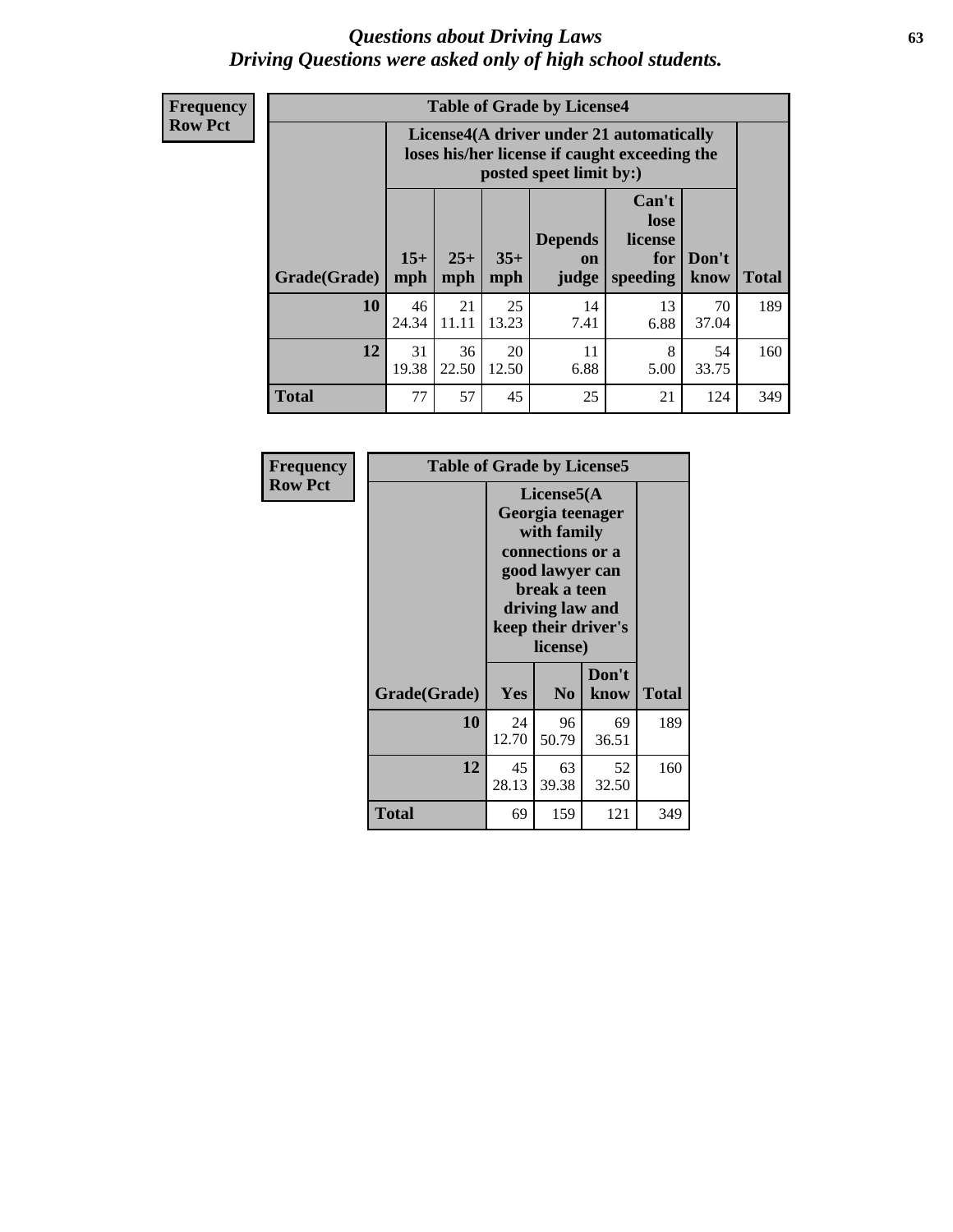#### *Questions about Driving Laws* **63** *Driving Questions were asked only of high school students.*

**Frequency Row Pct**

| <b>Table of Grade by License4</b> |              |                                                                                                                                                      |             |            |            |             |     |  |
|-----------------------------------|--------------|------------------------------------------------------------------------------------------------------------------------------------------------------|-------------|------------|------------|-------------|-----|--|
|                                   |              | License4(A driver under 21 automatically<br>loses his/her license if caught exceeding the<br>posted speet limit by:)                                 |             |            |            |             |     |  |
| Grade(Grade)                      | $15+$<br>mph | Can't<br>lose<br><b>Depends</b><br>license<br>$25+$<br>$35+$<br>Don't<br>for<br><b>on</b><br><b>Total</b><br>mph<br>speeding<br>know<br>mph<br>judge |             |            |            |             |     |  |
| 10                                | 46<br>24.34  | 21<br>11.11                                                                                                                                          | 25<br>13.23 | 14<br>7.41 | 13<br>6.88 | 70<br>37.04 | 189 |  |
| 12                                | 31<br>19.38  | 36<br>22.50                                                                                                                                          | 20<br>12.50 | 11<br>6.88 | 8<br>5.00  | 54<br>33.75 | 160 |  |
| <b>Total</b>                      | 77           | 57                                                                                                                                                   | 45          | 25         | 21         | 124         | 349 |  |

| Frequency      | <b>Table of Grade by License5</b> |             |                                                                                                                                      |                     |       |  |
|----------------|-----------------------------------|-------------|--------------------------------------------------------------------------------------------------------------------------------------|---------------------|-------|--|
| <b>Row Pct</b> |                                   |             | License5(A)<br>Georgia teenager<br>with family<br>connections or a<br>good lawyer can<br>break a teen<br>driving law and<br>license) | keep their driver's |       |  |
|                | Grade(Grade)                      | Yes         | N <sub>0</sub>                                                                                                                       | Don't<br>know       | Total |  |
|                | 10                                | 24<br>12.70 | 96<br>50.79                                                                                                                          | 69<br>36.51         | 189   |  |
|                | 12                                | 45<br>28.13 | 63<br>39.38                                                                                                                          | 52<br>32.50         | 160   |  |
|                | <b>Total</b>                      | 69          | 159                                                                                                                                  | 121                 | 349   |  |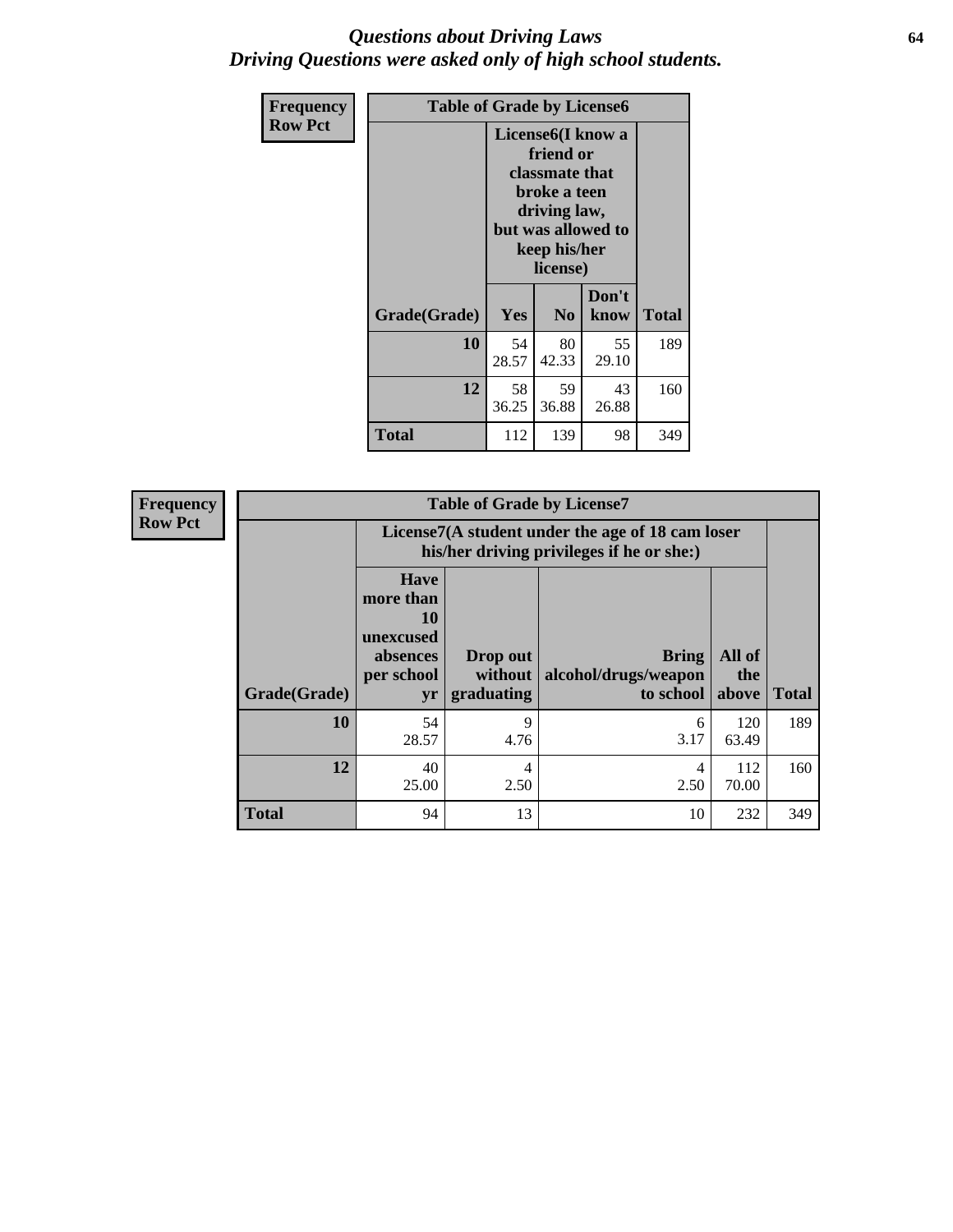#### *Questions about Driving Laws* **64** *Driving Questions were asked only of high school students.*

| <b>Frequency</b> | <b>Table of Grade by License6</b> |             |                                                                                                                           |                    |              |  |
|------------------|-----------------------------------|-------------|---------------------------------------------------------------------------------------------------------------------------|--------------------|--------------|--|
| <b>Row Pct</b>   |                                   |             | License <sub>6</sub> (I know a<br>friend or<br>classmate that<br>broke a teen<br>driving law,<br>keep his/her<br>license) | but was allowed to |              |  |
|                  | Grade(Grade)                      | <b>Yes</b>  | N <sub>0</sub>                                                                                                            | Don't<br>know      | <b>Total</b> |  |
|                  | 10                                | 54<br>28.57 | 80<br>42.33                                                                                                               | 55<br>29.10        | 189          |  |
|                  | 12                                | 58<br>36.25 | 59<br>36.88                                                                                                               | 43<br>26.88        | 160          |  |
|                  | Total                             | 112         | 139                                                                                                                       | 98                 | 349          |  |

| Frequency      |              |                                                                             | <b>Table of Grade by License7</b>                                                             |                                                   |                        |              |  |  |  |
|----------------|--------------|-----------------------------------------------------------------------------|-----------------------------------------------------------------------------------------------|---------------------------------------------------|------------------------|--------------|--|--|--|
| <b>Row Pct</b> |              |                                                                             | License7(A student under the age of 18 cam loser<br>his/her driving privileges if he or she:) |                                                   |                        |              |  |  |  |
|                | Grade(Grade) | <b>Have</b><br>more than<br>10<br>unexcused<br>absences<br>per school<br>yr | Drop out<br>without  <br>graduating                                                           | <b>Bring</b><br>alcohol/drugs/weapon<br>to school | All of<br>the<br>above | <b>Total</b> |  |  |  |
|                | 10           | 54<br>28.57                                                                 | 9<br>4.76                                                                                     | 6<br>3.17                                         | 120<br>63.49           | 189          |  |  |  |
|                | 12           | 40<br>25.00                                                                 | 4<br>2.50                                                                                     | 4<br>2.50                                         | 112<br>70.00           | 160          |  |  |  |
|                | <b>Total</b> | 94                                                                          | 13                                                                                            | 10                                                | 232                    | 349          |  |  |  |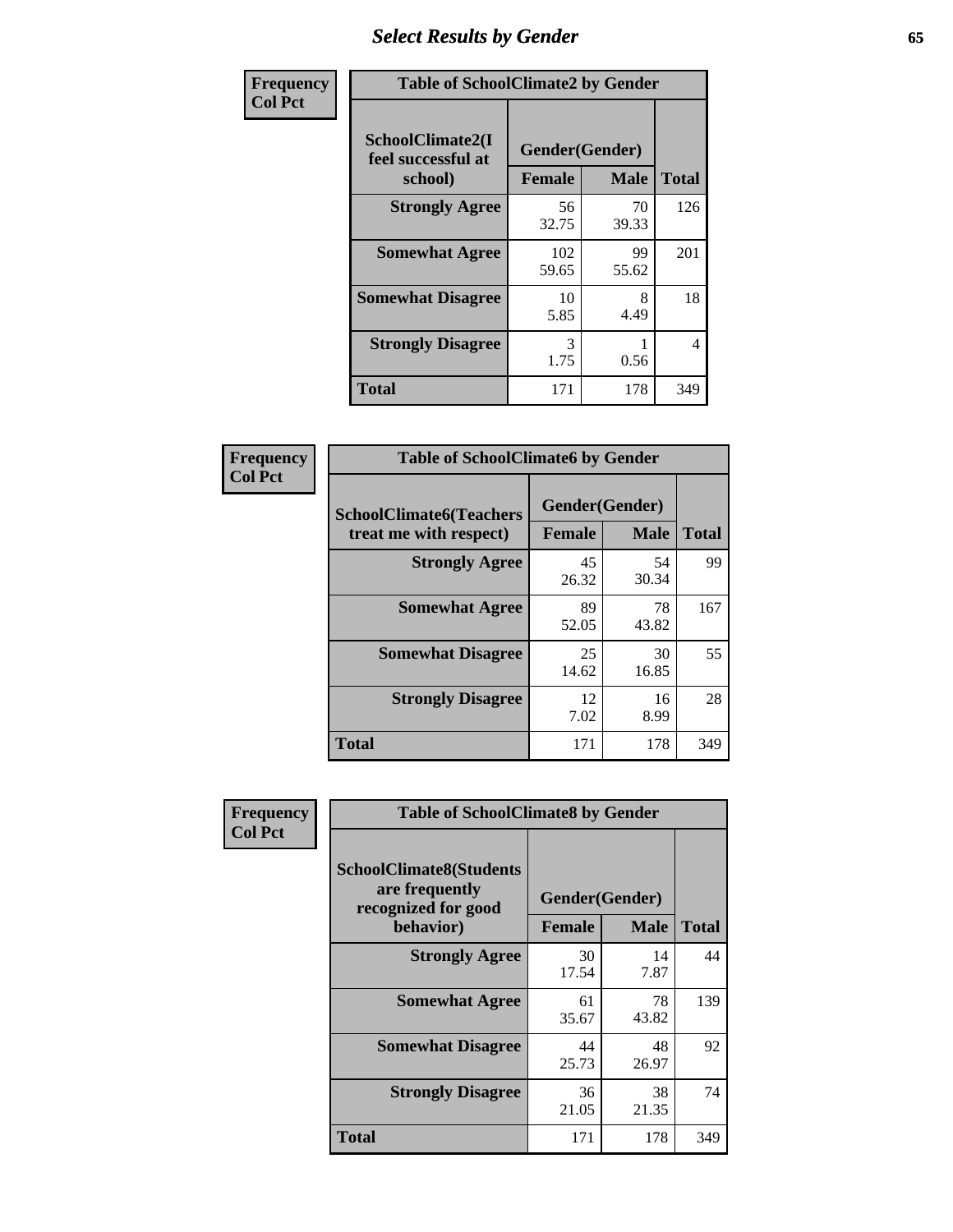# *Select Results by Gender* **65**

| Frequency      | <b>Table of SchoolClimate2 by Gender</b>          |                                 |             |              |  |
|----------------|---------------------------------------------------|---------------------------------|-------------|--------------|--|
| <b>Col Pct</b> | SchoolClimate2(I<br>feel successful at<br>school) | Gender(Gender)<br><b>Female</b> | <b>Male</b> | <b>Total</b> |  |
|                | <b>Strongly Agree</b>                             | 56<br>32.75                     | 70<br>39.33 | 126          |  |
|                | <b>Somewhat Agree</b>                             | 102<br>59.65                    | 99<br>55.62 | 201          |  |
|                | <b>Somewhat Disagree</b>                          | 10<br>5.85                      | 8<br>4.49   | 18           |  |
|                | <b>Strongly Disagree</b>                          | 3<br>1.75                       | 0.56        | 4            |  |
|                | <b>Total</b>                                      | 171                             | 178         | 349          |  |

| <b>Frequency</b> | <b>Table of SchoolClimate6 by Gender</b>                 |                                 |             |              |  |
|------------------|----------------------------------------------------------|---------------------------------|-------------|--------------|--|
| <b>Col Pct</b>   | <b>SchoolClimate6(Teachers</b><br>treat me with respect) | Gender(Gender)<br><b>Female</b> | <b>Male</b> | <b>Total</b> |  |
|                  | <b>Strongly Agree</b>                                    | 45<br>26.32                     | 54<br>30.34 | 99           |  |
|                  | <b>Somewhat Agree</b>                                    | 89<br>52.05                     | 78<br>43.82 | 167          |  |
|                  | <b>Somewhat Disagree</b>                                 | 25<br>14.62                     | 30<br>16.85 | 55           |  |
|                  | <b>Strongly Disagree</b>                                 | 12<br>7.02                      | 16<br>8.99  | 28           |  |
|                  | <b>Total</b>                                             | 171                             | 178         | 349          |  |

| Frequency      | <b>Table of SchoolClimate8 by Gender</b>                                             |                                 |             |              |
|----------------|--------------------------------------------------------------------------------------|---------------------------------|-------------|--------------|
| <b>Col Pct</b> | <b>SchoolClimate8(Students</b><br>are frequently<br>recognized for good<br>behavior) | Gender(Gender)<br><b>Female</b> | <b>Male</b> | <b>Total</b> |
|                | <b>Strongly Agree</b>                                                                | 30<br>17.54                     | 14<br>7.87  | 44           |
|                | <b>Somewhat Agree</b>                                                                | 61<br>35.67                     | 78<br>43.82 | 139          |
|                | <b>Somewhat Disagree</b>                                                             | 44<br>25.73                     | 48<br>26.97 | 92           |
|                | <b>Strongly Disagree</b>                                                             | 36<br>21.05                     | 38<br>21.35 | 74           |
|                | Total                                                                                | 171                             | 178         | 349          |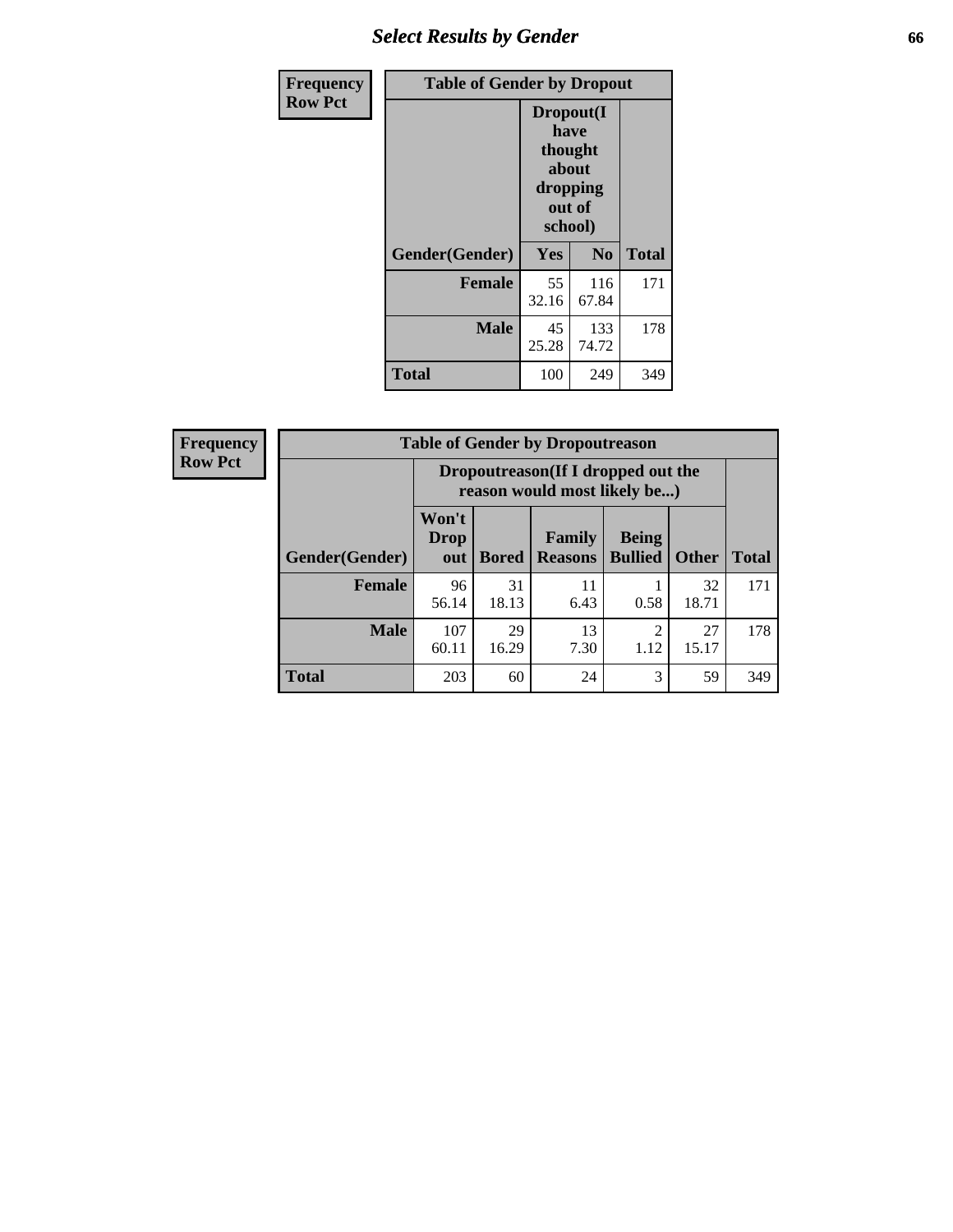## *Select Results by Gender* **66**

| Frequency      | <b>Table of Gender by Dropout</b> |                                                                        |                |              |
|----------------|-----------------------------------|------------------------------------------------------------------------|----------------|--------------|
| <b>Row Pct</b> |                                   | Dropout(I<br>have<br>thought<br>about<br>dropping<br>out of<br>school) |                |              |
|                | Gender(Gender)                    | Yes                                                                    | N <sub>0</sub> | <b>Total</b> |
|                | <b>Female</b>                     | 55<br>32.16                                                            | 116<br>67.84   | 171          |
|                | <b>Male</b>                       | 45<br>25.28                                                            | 133<br>74.72   | 178          |
|                | <b>Total</b>                      | 100                                                                    | 249            | 349          |

| <b>Frequency</b> | <b>Table of Gender by Dropoutreason</b> |                                                                     |              |                                 |                                |              |              |
|------------------|-----------------------------------------|---------------------------------------------------------------------|--------------|---------------------------------|--------------------------------|--------------|--------------|
| <b>Row Pct</b>   |                                         | Dropoutreason (If I dropped out the<br>reason would most likely be) |              |                                 |                                |              |              |
|                  | <b>Gender</b> (Gender)                  | Won't<br><b>Drop</b><br>out                                         | <b>Bored</b> | <b>Family</b><br><b>Reasons</b> | <b>Being</b><br><b>Bullied</b> | <b>Other</b> | <b>Total</b> |
|                  | <b>Female</b>                           | 96<br>56.14                                                         | 31<br>18.13  | 11<br>6.43                      | 0.58                           | 32<br>18.71  | 171          |
|                  | <b>Male</b>                             | 107<br>60.11                                                        | 29<br>16.29  | 13<br>7.30                      | ി<br>1.12                      | 27<br>15.17  | 178          |
|                  | <b>Total</b>                            | 203                                                                 | 60           | 24                              | 3                              | 59           | 349          |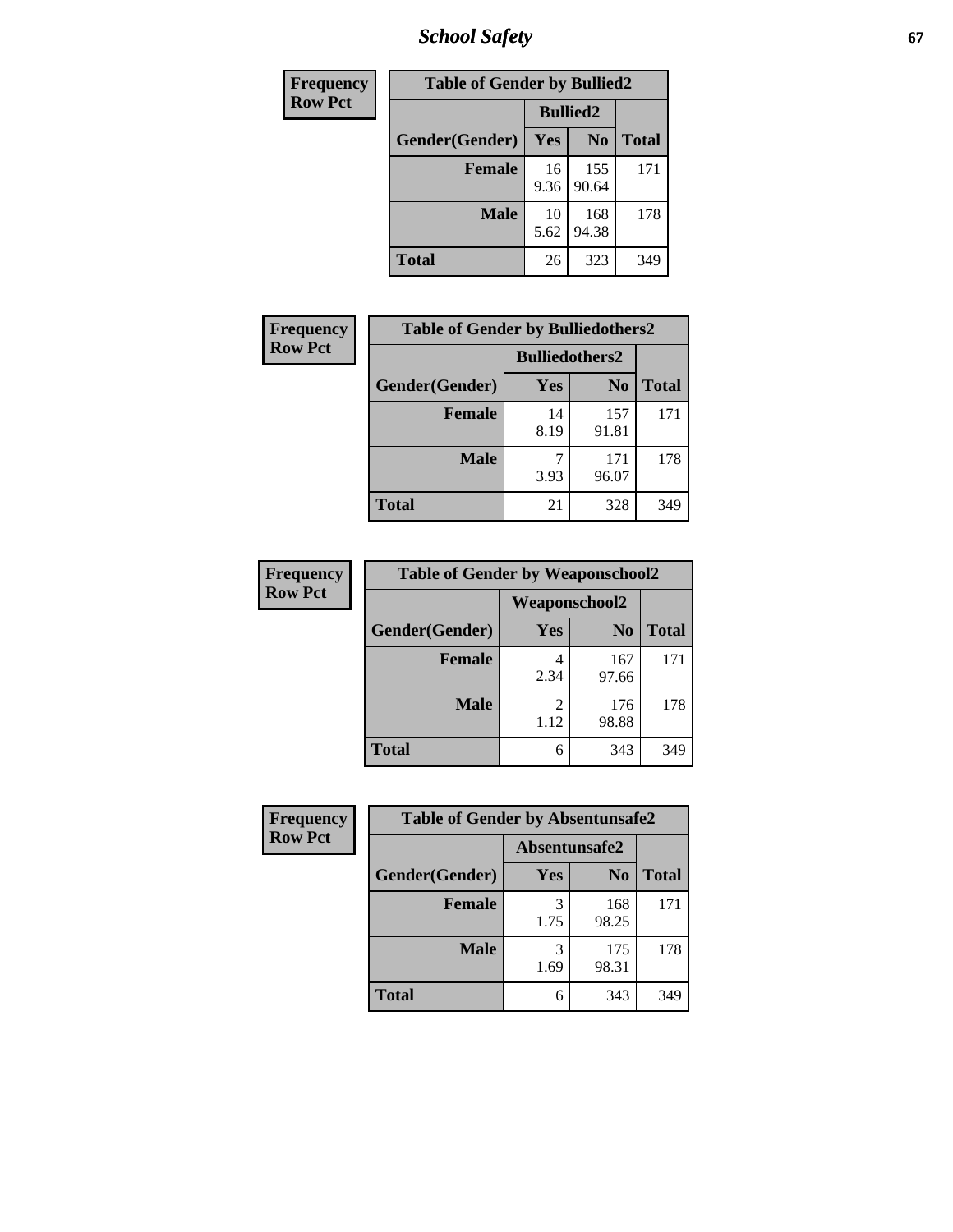*School Safety* **67**

| Frequency      | <b>Table of Gender by Bullied2</b> |                 |                |              |
|----------------|------------------------------------|-----------------|----------------|--------------|
| <b>Row Pct</b> |                                    | <b>Bullied2</b> |                |              |
|                | Gender(Gender)                     | Yes             | N <sub>0</sub> | <b>Total</b> |
|                | Female                             | 16<br>9.36      | 155<br>90.64   | 171          |
|                | <b>Male</b>                        | 10<br>5.62      | 168<br>94.38   | 178          |
|                | <b>Total</b>                       | 26              | 323            | 349          |

| <b>Frequency</b> | <b>Table of Gender by Bulliedothers2</b> |                       |                |              |
|------------------|------------------------------------------|-----------------------|----------------|--------------|
| <b>Row Pct</b>   |                                          | <b>Bulliedothers2</b> |                |              |
|                  | Gender(Gender)                           | Yes                   | N <sub>0</sub> | <b>Total</b> |
|                  | <b>Female</b>                            | 14<br>8.19            | 157<br>91.81   | 171          |
|                  | <b>Male</b>                              | 3.93                  | 171<br>96.07   | 178          |
|                  | <b>Total</b>                             | 21                    | 328            | 349          |

| Frequency      | <b>Table of Gender by Weaponschool2</b> |                      |                |              |
|----------------|-----------------------------------------|----------------------|----------------|--------------|
| <b>Row Pct</b> |                                         | <b>Weaponschool2</b> |                |              |
|                | Gender(Gender)                          | Yes                  | N <sub>0</sub> | <b>Total</b> |
|                | <b>Female</b>                           | 2.34                 | 167<br>97.66   | 171          |
|                | <b>Male</b>                             | 2<br>1.12            | 176<br>98.88   | 178          |
|                | <b>Total</b>                            | 6                    | 343            | 349          |

| Frequency      | <b>Table of Gender by Absentunsafe2</b> |               |                |              |
|----------------|-----------------------------------------|---------------|----------------|--------------|
| <b>Row Pct</b> |                                         | Absentunsafe2 |                |              |
|                | Gender(Gender)                          | Yes           | N <sub>0</sub> | <b>Total</b> |
|                | <b>Female</b>                           | 3<br>1.75     | 168<br>98.25   | 171          |
|                | <b>Male</b>                             | 3<br>1.69     | 175<br>98.31   | 178          |
|                | <b>Total</b>                            | 6             | 343            | 349          |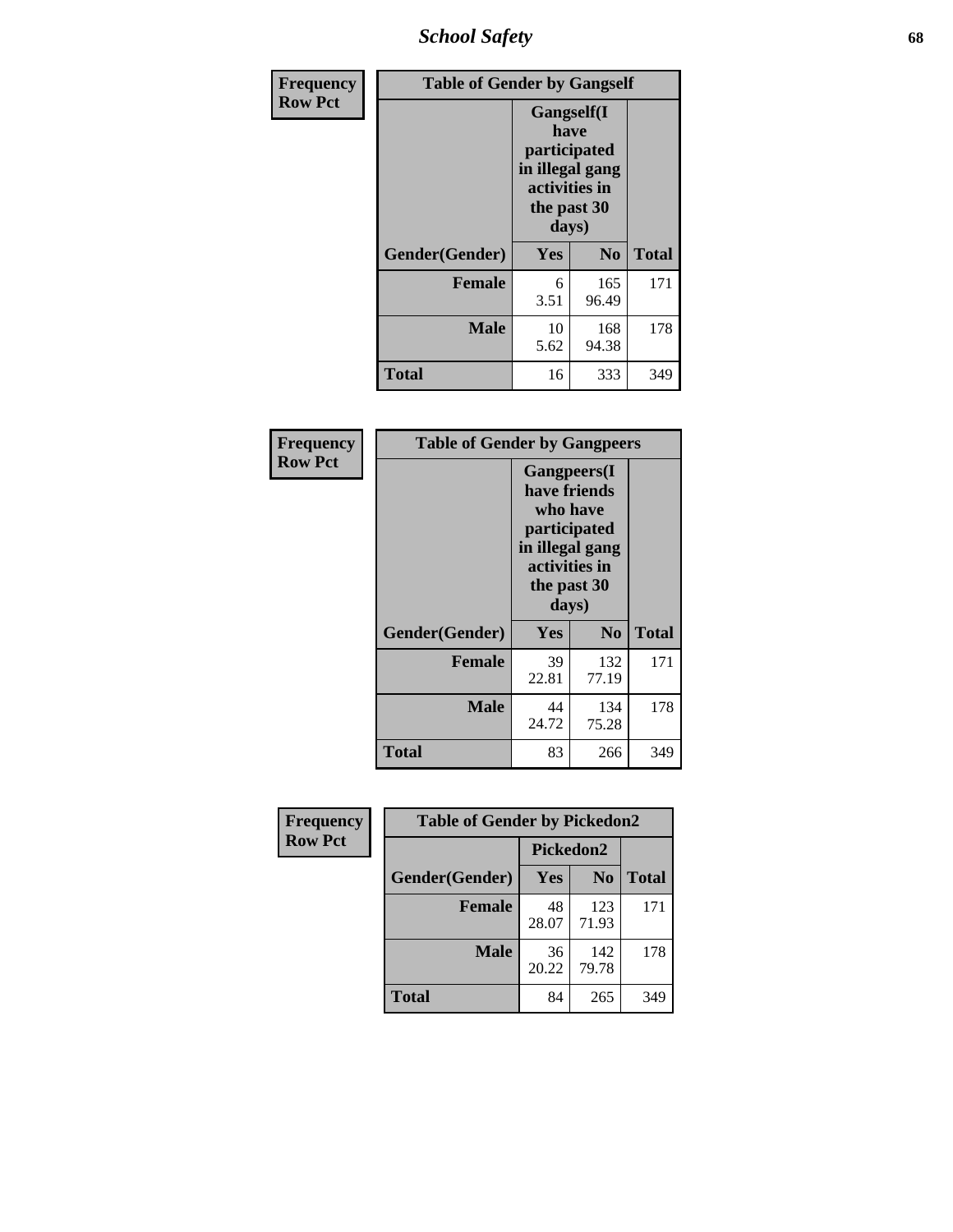*School Safety* **68**

| Frequency      |                | <b>Table of Gender by Gangself</b>                                                             |                |              |  |
|----------------|----------------|------------------------------------------------------------------------------------------------|----------------|--------------|--|
| <b>Row Pct</b> |                | Gangself(I<br>have<br>participated<br>in illegal gang<br>activities in<br>the past 30<br>days) |                |              |  |
|                | Gender(Gender) | Yes                                                                                            | N <sub>0</sub> | <b>Total</b> |  |
|                | <b>Female</b>  | 6<br>3.51                                                                                      | 165<br>96.49   | 171          |  |
|                | <b>Male</b>    | 10<br>5.62                                                                                     | 168<br>94.38   | 178          |  |
|                | <b>Total</b>   | 16                                                                                             | 333            | 349          |  |

| <b>Frequency</b> | <b>Table of Gender by Gangpeers</b> |                                                                                                                             |                |              |
|------------------|-------------------------------------|-----------------------------------------------------------------------------------------------------------------------------|----------------|--------------|
| <b>Row Pct</b>   |                                     | <b>Gangpeers</b> (I<br>have friends<br>who have<br>participated<br>in illegal gang<br>activities in<br>the past 30<br>days) |                |              |
|                  | Gender(Gender)                      | Yes                                                                                                                         | N <sub>0</sub> | <b>Total</b> |
|                  | <b>Female</b>                       | 39<br>22.81                                                                                                                 | 132<br>77.19   | 171          |
|                  | <b>Male</b>                         | 44<br>24.72                                                                                                                 | 134<br>75.28   | 178          |
|                  | <b>Total</b>                        | 83                                                                                                                          | 266            | 349          |

| <b>Frequency</b> | <b>Table of Gender by Pickedon2</b> |             |                |              |
|------------------|-------------------------------------|-------------|----------------|--------------|
| <b>Row Pct</b>   |                                     | Pickedon2   |                |              |
|                  | Gender(Gender)                      | Yes         | N <sub>0</sub> | <b>Total</b> |
|                  | <b>Female</b>                       | 48<br>28.07 | 123<br>71.93   | 171          |
|                  | <b>Male</b>                         | 36<br>20.22 | 142<br>79.78   | 178          |
|                  | <b>Total</b>                        | 84          | 265            | 349          |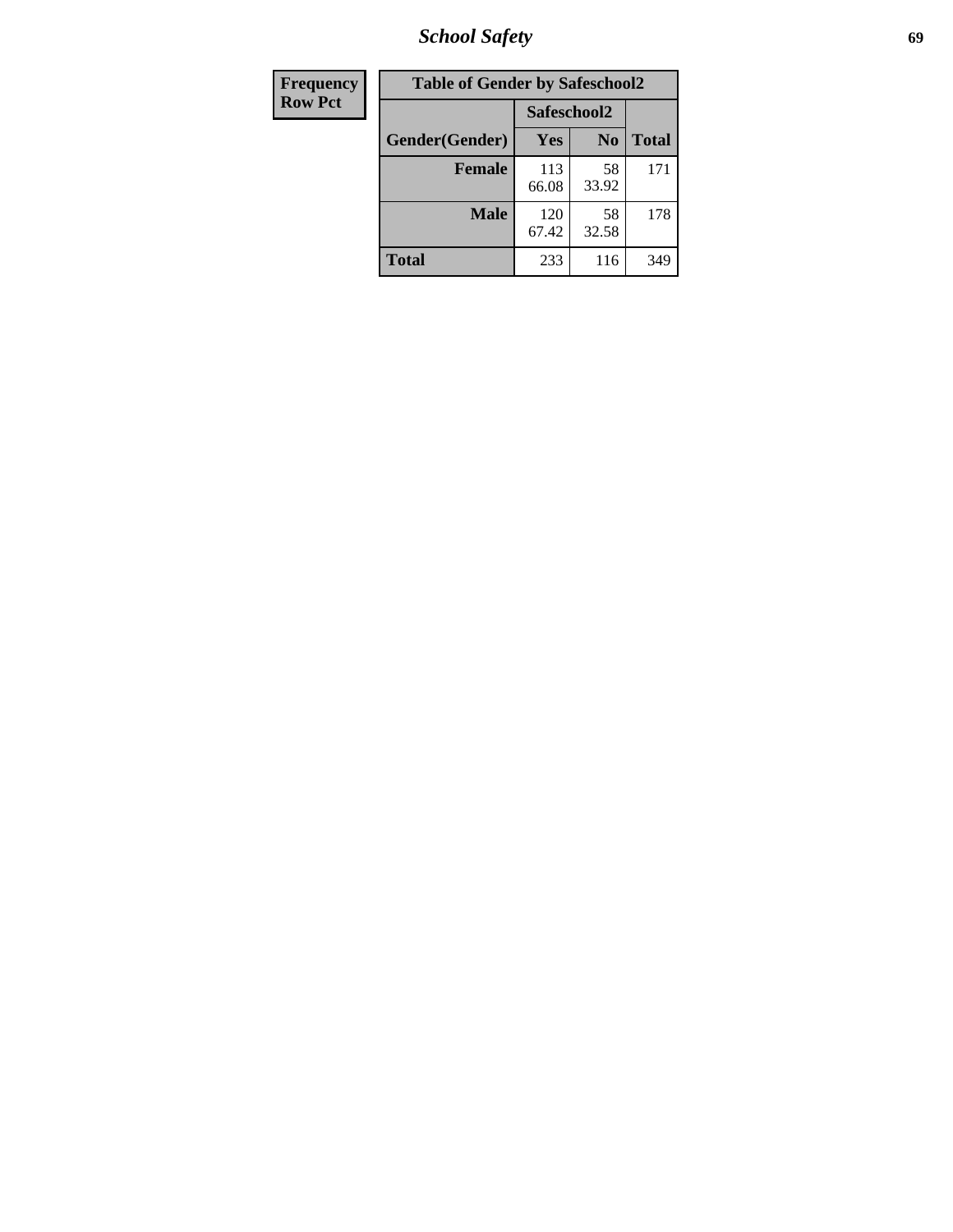*School Safety* **69**

| Frequency      | <b>Table of Gender by Safeschool2</b> |              |                |              |  |
|----------------|---------------------------------------|--------------|----------------|--------------|--|
| <b>Row Pct</b> |                                       |              | Safeschool2    |              |  |
|                | Gender(Gender)                        | Yes          | N <sub>0</sub> | <b>Total</b> |  |
|                | <b>Female</b>                         | 113<br>66.08 | 58<br>33.92    | 171          |  |
|                | <b>Male</b>                           | 120<br>67.42 | 58<br>32.58    | 178          |  |
|                | <b>Total</b>                          | 233          | 116            | 349          |  |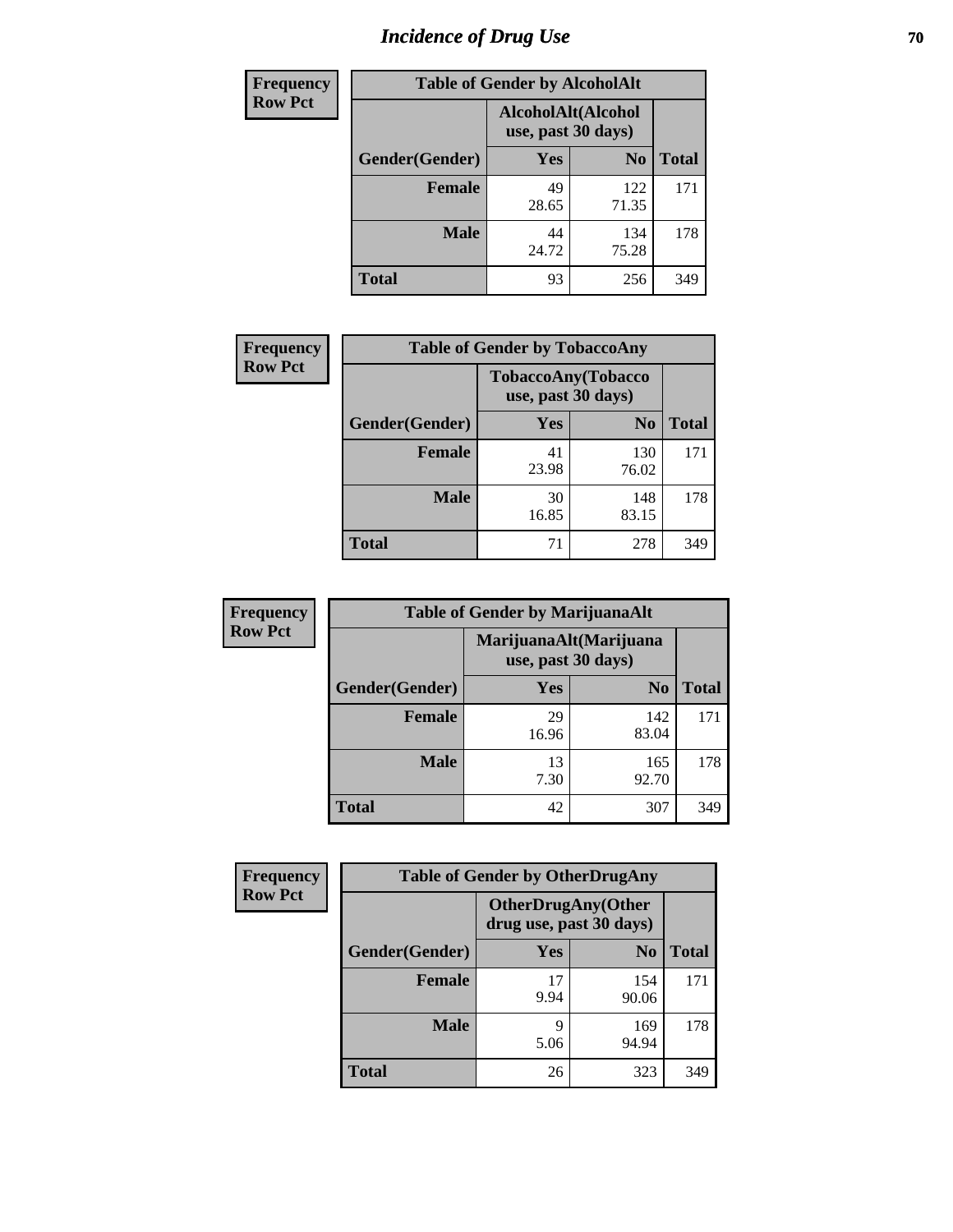# *Incidence of Drug Use* **70**

| <b>Frequency</b> | <b>Table of Gender by AlcoholAlt</b> |                                          |                |              |  |
|------------------|--------------------------------------|------------------------------------------|----------------|--------------|--|
| <b>Row Pct</b>   |                                      | AlcoholAlt(Alcohol<br>use, past 30 days) |                |              |  |
|                  | Gender(Gender)                       | <b>Yes</b>                               | N <sub>0</sub> | <b>Total</b> |  |
|                  | <b>Female</b>                        | 49<br>28.65                              | 122<br>71.35   | 171          |  |
|                  | <b>Male</b>                          | 44<br>24.72                              | 134<br>75.28   | 178          |  |
|                  | <b>Total</b>                         | 93                                       | 256            | 349          |  |

| <b>Frequency</b> | <b>Table of Gender by TobaccoAny</b> |                    |                    |              |  |
|------------------|--------------------------------------|--------------------|--------------------|--------------|--|
| <b>Row Pct</b>   |                                      | use, past 30 days) | TobaccoAny(Tobacco |              |  |
|                  | Gender(Gender)                       | Yes                | N <sub>0</sub>     | <b>Total</b> |  |
|                  | <b>Female</b>                        | 41<br>23.98        | 130<br>76.02       | 171          |  |
|                  | <b>Male</b>                          | 30<br>16.85        | 148<br>83.15       | 178          |  |
|                  | <b>Total</b>                         | 71                 | 278                | 349          |  |

| <b>Frequency</b> | <b>Table of Gender by MarijuanaAlt</b> |                                              |                |              |
|------------------|----------------------------------------|----------------------------------------------|----------------|--------------|
| <b>Row Pct</b>   |                                        | MarijuanaAlt(Marijuana<br>use, past 30 days) |                |              |
|                  | Gender(Gender)                         | <b>Yes</b>                                   | N <sub>0</sub> | <b>Total</b> |
|                  | Female                                 | 29<br>16.96                                  | 142<br>83.04   | 171          |
|                  | <b>Male</b>                            | 13<br>7.30                                   | 165<br>92.70   | 178          |
|                  | <b>Total</b>                           | 42                                           | 307            | 349          |

| <b>Frequency</b> | <b>Table of Gender by OtherDrugAny</b> |                                                       |                |              |  |
|------------------|----------------------------------------|-------------------------------------------------------|----------------|--------------|--|
| <b>Row Pct</b>   |                                        | <b>OtherDrugAny</b> (Other<br>drug use, past 30 days) |                |              |  |
|                  | Gender(Gender)                         | <b>Yes</b>                                            | N <sub>0</sub> | <b>Total</b> |  |
|                  | <b>Female</b>                          | 17<br>9.94                                            | 154<br>90.06   | 171          |  |
|                  | <b>Male</b>                            | Q<br>5.06                                             | 169<br>94.94   | 178          |  |
|                  | <b>Total</b>                           | 26                                                    | 323            | 349          |  |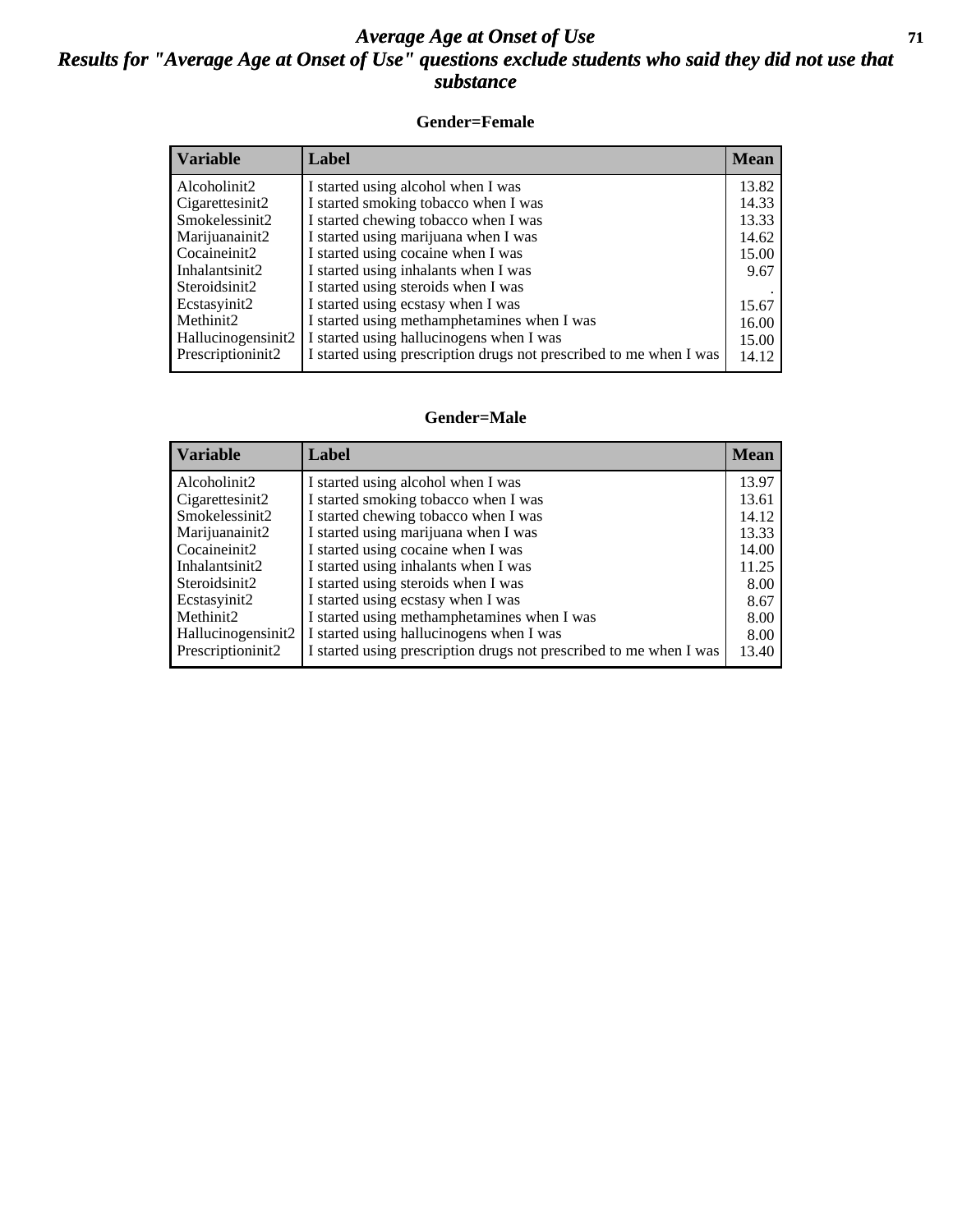#### *Average Age at Onset of Use* **71** *Results for "Average Age at Onset of Use" questions exclude students who said they did not use that substance*

#### **Gender=Female**

| <b>Variable</b>    | <b>Label</b>                                                       | <b>Mean</b> |
|--------------------|--------------------------------------------------------------------|-------------|
| Alcoholinit2       | I started using alcohol when I was                                 | 13.82       |
| Cigarettesinit2    | I started smoking tobacco when I was                               | 14.33       |
| Smokelessinit2     | I started chewing tobacco when I was                               | 13.33       |
| Marijuanainit2     | I started using marijuana when I was                               | 14.62       |
| Cocaineinit2       | I started using cocaine when I was                                 | 15.00       |
| Inhalantsinit2     | I started using inhalants when I was                               | 9.67        |
| Steroidsinit2      | I started using steroids when I was                                |             |
| Ecstasyinit2       | I started using ecstasy when I was                                 | 15.67       |
| Methinit2          | I started using methamphetamines when I was                        | 16.00       |
| Hallucinogensinit2 | I started using hallucinogens when I was                           | 15.00       |
| Prescription in t2 | I started using prescription drugs not prescribed to me when I was | 14.12       |

#### **Gender=Male**

| <b>Variable</b>    | Label                                                              | <b>Mean</b> |
|--------------------|--------------------------------------------------------------------|-------------|
| Alcoholinit2       | I started using alcohol when I was                                 | 13.97       |
| Cigarettesinit2    | I started smoking tobacco when I was                               | 13.61       |
| Smokelessinit2     | I started chewing tobacco when I was                               | 14.12       |
| Marijuanainit2     | I started using marijuana when I was                               | 13.33       |
| Cocaineinit2       | I started using cocaine when I was                                 | 14.00       |
| Inhalantsinit2     | I started using inhalants when I was                               | 11.25       |
| Steroidsinit2      | I started using steroids when I was                                | 8.00        |
| Ecstasyinit2       | I started using ecstasy when I was                                 | 8.67        |
| Methinit2          | I started using methamphetamines when I was                        | 8.00        |
| Hallucinogensinit2 | I started using hallucinogens when I was                           | 8.00        |
| Prescription in t2 | I started using prescription drugs not prescribed to me when I was | 13.40       |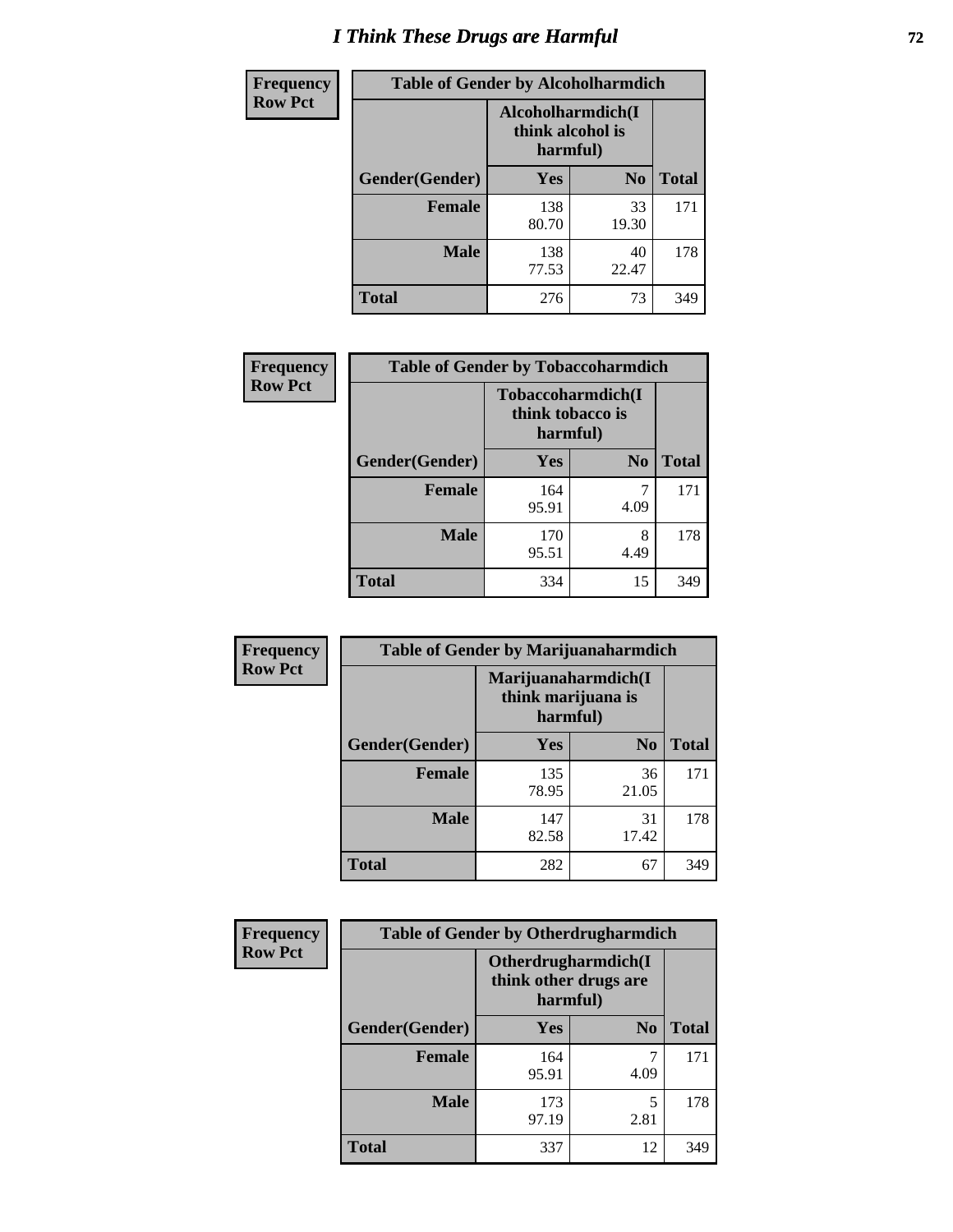# *I Think These Drugs are Harmful* **72**

| <b>Frequency</b> | <b>Table of Gender by Alcoholharmdich</b> |                                                   |                |              |  |
|------------------|-------------------------------------------|---------------------------------------------------|----------------|--------------|--|
| <b>Row Pct</b>   |                                           | Alcoholharmdich(I<br>think alcohol is<br>harmful) |                |              |  |
|                  | Gender(Gender)                            | Yes                                               | N <sub>0</sub> | <b>Total</b> |  |
|                  | <b>Female</b>                             | 138<br>80.70                                      | 33<br>19.30    | 171          |  |
|                  | <b>Male</b>                               | 138<br>77.53                                      | 40<br>22.47    | 178          |  |
|                  | Total                                     | 276                                               | 73             | 349          |  |

| Frequency      | <b>Table of Gender by Tobaccoharmdich</b> |                                                   |                |              |  |
|----------------|-------------------------------------------|---------------------------------------------------|----------------|--------------|--|
| <b>Row Pct</b> |                                           | Tobaccoharmdich(I<br>think tobacco is<br>harmful) |                |              |  |
|                | Gender(Gender)                            | Yes                                               | N <sub>0</sub> | <b>Total</b> |  |
|                | <b>Female</b>                             | 164<br>95.91                                      | 4.09           | 171          |  |
|                | <b>Male</b>                               | 170<br>95.51                                      | 8<br>4.49      | 178          |  |
|                | <b>Total</b>                              | 334                                               | 15             | 349          |  |

| Frequency      | <b>Table of Gender by Marijuanaharmdich</b> |                                                       |                |              |  |
|----------------|---------------------------------------------|-------------------------------------------------------|----------------|--------------|--|
| <b>Row Pct</b> |                                             | Marijuanaharmdich(I<br>think marijuana is<br>harmful) |                |              |  |
|                | Gender(Gender)                              | <b>Yes</b>                                            | N <sub>0</sub> | <b>Total</b> |  |
|                | <b>Female</b>                               | 135<br>78.95                                          | 36<br>21.05    | 171          |  |
|                | <b>Male</b>                                 | 147<br>82.58                                          | 31<br>17.42    | 178          |  |
|                | <b>Total</b>                                | 282                                                   | 67             | 349          |  |

| Frequency      | <b>Table of Gender by Otherdrugharmdich</b> |                                                          |                |              |  |
|----------------|---------------------------------------------|----------------------------------------------------------|----------------|--------------|--|
| <b>Row Pct</b> |                                             | Otherdrugharmdich(I<br>think other drugs are<br>harmful) |                |              |  |
|                | Gender(Gender)                              | <b>Yes</b>                                               | N <sub>0</sub> | <b>Total</b> |  |
|                | <b>Female</b>                               | 164<br>95.91                                             | 7<br>4.09      | 171          |  |
|                | <b>Male</b>                                 | 173<br>97.19                                             | 5<br>2.81      | 178          |  |
|                | <b>Total</b>                                | 337                                                      | 12             | 349          |  |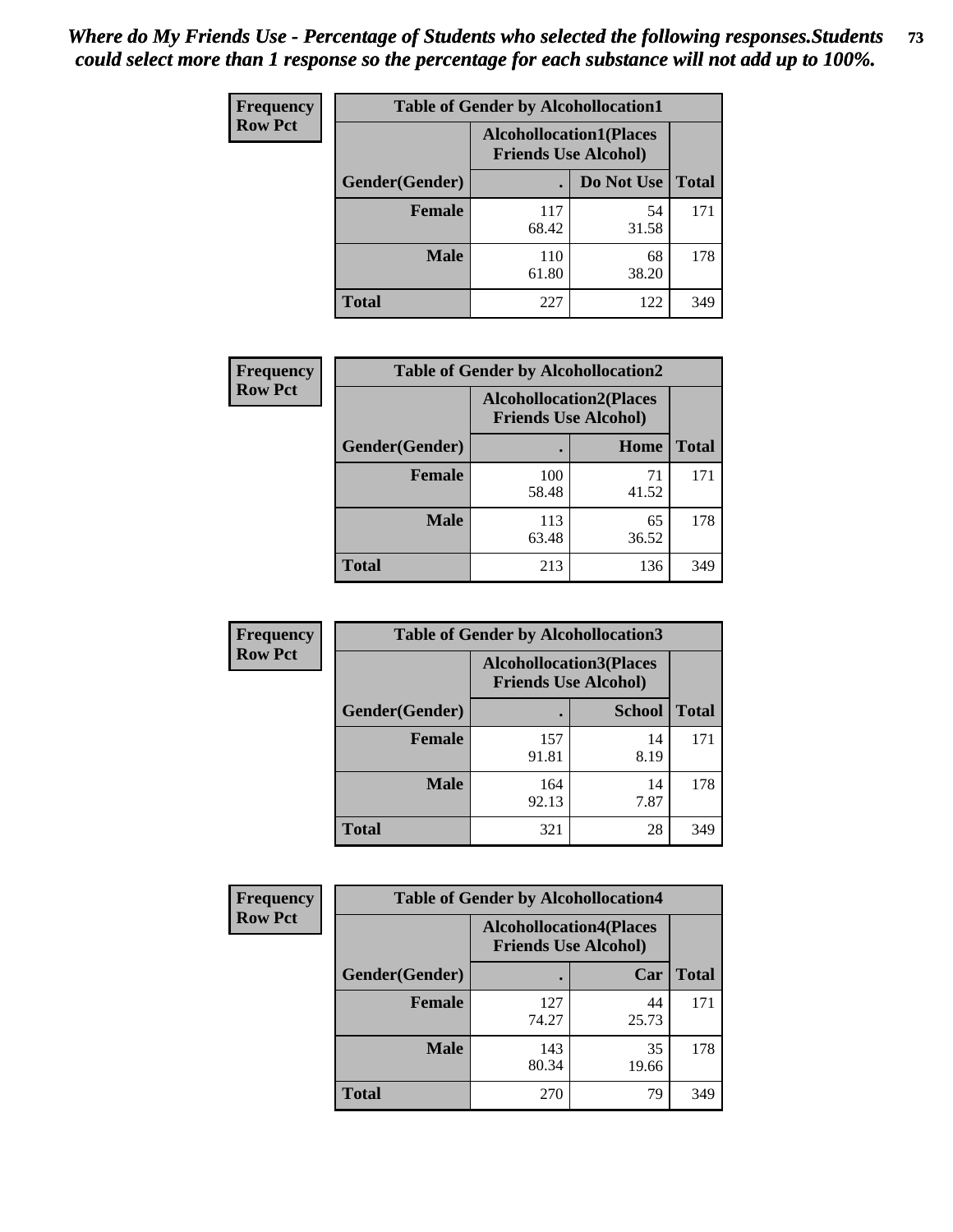| <b>Frequency</b> | <b>Table of Gender by Alcohollocation1</b> |                                                               |             |              |
|------------------|--------------------------------------------|---------------------------------------------------------------|-------------|--------------|
| <b>Row Pct</b>   |                                            | <b>Alcohollocation1(Places</b><br><b>Friends Use Alcohol)</b> |             |              |
|                  | Gender(Gender)                             |                                                               | Do Not Use  | <b>Total</b> |
|                  | <b>Female</b>                              | 117<br>68.42                                                  | 54<br>31.58 | 171          |
|                  | <b>Male</b>                                | 110<br>61.80                                                  | 68<br>38.20 | 178          |
|                  | <b>Total</b>                               | 227                                                           | 122         | 349          |

| <b>Frequency</b> | <b>Table of Gender by Alcohollocation2</b> |                                                               |             |              |
|------------------|--------------------------------------------|---------------------------------------------------------------|-------------|--------------|
| <b>Row Pct</b>   |                                            | <b>Alcohollocation2(Places</b><br><b>Friends Use Alcohol)</b> |             |              |
|                  | Gender(Gender)                             |                                                               | Home        | <b>Total</b> |
|                  | <b>Female</b>                              | 100<br>58.48                                                  | 71<br>41.52 | 171          |
|                  | <b>Male</b>                                | 113<br>63.48                                                  | 65<br>36.52 | 178          |
|                  | <b>Total</b>                               | 213                                                           | 136         | 349          |

| Frequency      | <b>Table of Gender by Alcohollocation3</b> |                                                               |               |              |
|----------------|--------------------------------------------|---------------------------------------------------------------|---------------|--------------|
| <b>Row Pct</b> |                                            | <b>Alcohollocation3(Places</b><br><b>Friends Use Alcohol)</b> |               |              |
|                | Gender(Gender)                             |                                                               | <b>School</b> | <b>Total</b> |
|                | <b>Female</b>                              | 157<br>91.81                                                  | 14<br>8.19    | 171          |
|                | <b>Male</b>                                | 164<br>92.13                                                  | 14<br>7.87    | 178          |
|                | <b>Total</b>                               | 321                                                           | 28            | 349          |

| <b>Frequency</b> | <b>Table of Gender by Alcohollocation4</b> |                                                               |             |              |
|------------------|--------------------------------------------|---------------------------------------------------------------|-------------|--------------|
| <b>Row Pct</b>   |                                            | <b>Alcohollocation4(Places</b><br><b>Friends Use Alcohol)</b> |             |              |
|                  | Gender(Gender)                             |                                                               | Car         | <b>Total</b> |
|                  | Female                                     | 127<br>74.27                                                  | 44<br>25.73 | 171          |
|                  | <b>Male</b>                                | 143<br>80.34                                                  | 35<br>19.66 | 178          |
|                  | <b>Total</b>                               | 270                                                           | 79          | 349          |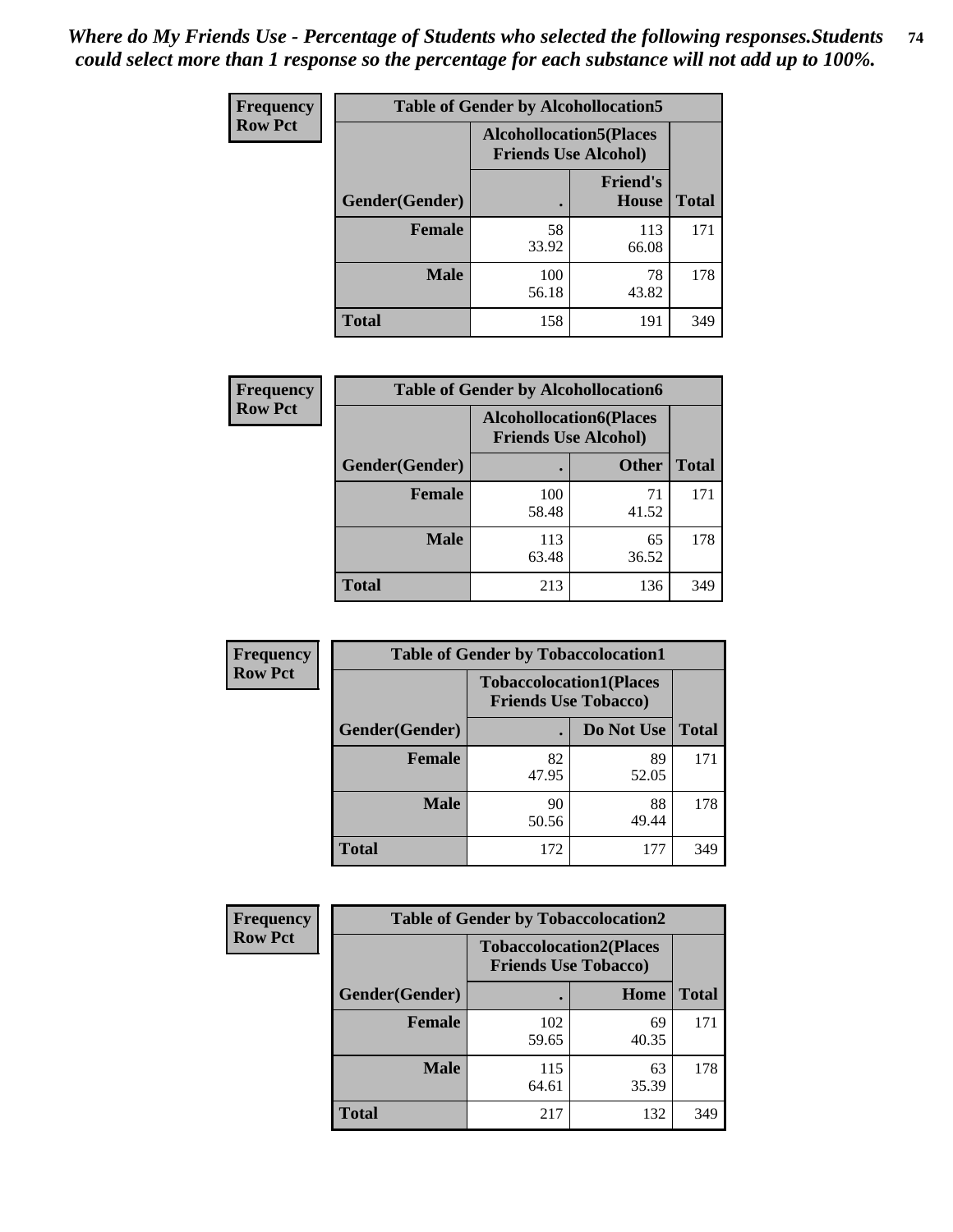| <b>Frequency</b> |                | <b>Table of Gender by Alcohollocation5</b>                     |                                 |              |
|------------------|----------------|----------------------------------------------------------------|---------------------------------|--------------|
| <b>Row Pct</b>   |                | <b>Alcohollocation5</b> (Places<br><b>Friends Use Alcohol)</b> |                                 |              |
|                  | Gender(Gender) | $\bullet$                                                      | <b>Friend's</b><br><b>House</b> | <b>Total</b> |
|                  | <b>Female</b>  | 58<br>33.92                                                    | 113<br>66.08                    | 171          |
|                  | <b>Male</b>    | 100<br>56.18                                                   | 78<br>43.82                     | 178          |
|                  | <b>Total</b>   | 158                                                            | 191                             | 349          |

| <b>Frequency</b> | <b>Table of Gender by Alcohollocation6</b> |              |                                                               |              |
|------------------|--------------------------------------------|--------------|---------------------------------------------------------------|--------------|
| <b>Row Pct</b>   |                                            |              | <b>Alcohollocation6(Places</b><br><b>Friends Use Alcohol)</b> |              |
|                  | Gender(Gender)                             |              | <b>Other</b>                                                  | <b>Total</b> |
|                  | <b>Female</b>                              | 100<br>58.48 | 71<br>41.52                                                   | 171          |
|                  | <b>Male</b>                                | 113<br>63.48 | 65<br>36.52                                                   | 178          |
|                  | <b>Total</b>                               | 213          | 136                                                           | 349          |

| Frequency      | <b>Table of Gender by Tobaccolocation1</b> |                                                               |             |              |  |
|----------------|--------------------------------------------|---------------------------------------------------------------|-------------|--------------|--|
| <b>Row Pct</b> |                                            | <b>Tobaccolocation1(Places</b><br><b>Friends Use Tobacco)</b> |             |              |  |
|                | Gender(Gender)                             |                                                               | Do Not Use  | <b>Total</b> |  |
|                | Female                                     | 82<br>47.95                                                   | 89<br>52.05 | 171          |  |
|                | <b>Male</b>                                | 90<br>50.56                                                   | 88<br>49.44 | 178          |  |
|                | <b>Total</b>                               | 172                                                           | 177         | 349          |  |

| <b>Frequency</b> |                | <b>Table of Gender by Tobaccolocation2</b>                    |             |              |  |  |
|------------------|----------------|---------------------------------------------------------------|-------------|--------------|--|--|
| <b>Row Pct</b>   |                | <b>Tobaccolocation2(Places</b><br><b>Friends Use Tobacco)</b> |             |              |  |  |
|                  | Gender(Gender) |                                                               | Home        | <b>Total</b> |  |  |
|                  | Female         | 102<br>59.65                                                  | 69<br>40.35 | 171          |  |  |
|                  | <b>Male</b>    | 115<br>64.61                                                  | 63<br>35.39 | 178          |  |  |
|                  | <b>Total</b>   | 217                                                           | 132         | 349          |  |  |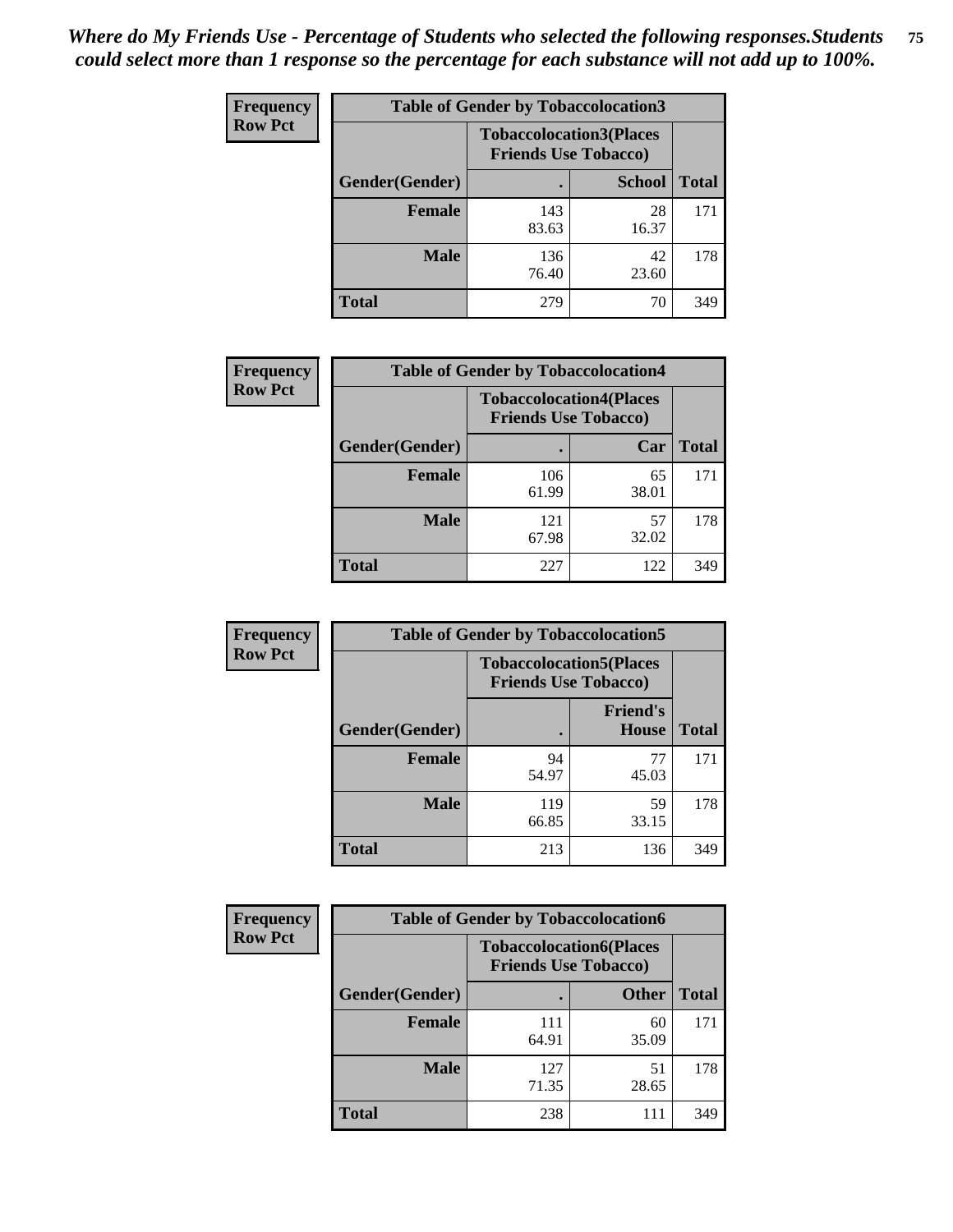| <b>Frequency</b> | <b>Table of Gender by Tobaccolocation3</b> |              |                                                               |              |
|------------------|--------------------------------------------|--------------|---------------------------------------------------------------|--------------|
| <b>Row Pct</b>   |                                            |              | <b>Tobaccolocation3(Places</b><br><b>Friends Use Tobacco)</b> |              |
|                  | Gender(Gender)                             |              | <b>School</b>                                                 | <b>Total</b> |
|                  | <b>Female</b>                              | 143<br>83.63 | 28<br>16.37                                                   | 171          |
|                  | <b>Male</b>                                | 136<br>76.40 | 42<br>23.60                                                   | 178          |
|                  | Total                                      | 279          | 70                                                            | 349          |

| <b>Frequency</b> | <b>Table of Gender by Tobaccolocation4</b> |                             |                                |              |
|------------------|--------------------------------------------|-----------------------------|--------------------------------|--------------|
| <b>Row Pct</b>   |                                            | <b>Friends Use Tobacco)</b> | <b>Tobaccolocation4(Places</b> |              |
|                  | Gender(Gender)                             |                             | Car                            | <b>Total</b> |
|                  | <b>Female</b>                              | 106<br>61.99                | 65<br>38.01                    | 171          |
|                  | <b>Male</b>                                | 121<br>67.98                | 57<br>32.02                    | 178          |
|                  | <b>Total</b>                               | 227                         | 122                            | 349          |

| <b>Frequency</b> | <b>Table of Gender by Tobaccolocation5</b> |                             |                                 |              |
|------------------|--------------------------------------------|-----------------------------|---------------------------------|--------------|
| <b>Row Pct</b>   |                                            | <b>Friends Use Tobacco)</b> | <b>Tobaccolocation5(Places</b>  |              |
|                  | Gender(Gender)                             |                             | <b>Friend's</b><br><b>House</b> | <b>Total</b> |
|                  | <b>Female</b>                              | 94<br>54.97                 | 77<br>45.03                     | 171          |
|                  | <b>Male</b>                                | 119<br>66.85                | 59<br>33.15                     | 178          |
|                  | <b>Total</b>                               | 213                         | 136                             | 349          |

| <b>Frequency</b> | <b>Table of Gender by Tobaccolocation6</b> |                                                               |              |              |
|------------------|--------------------------------------------|---------------------------------------------------------------|--------------|--------------|
| <b>Row Pct</b>   |                                            | <b>Tobaccolocation6(Places</b><br><b>Friends Use Tobacco)</b> |              |              |
|                  | Gender(Gender)                             |                                                               | <b>Other</b> | <b>Total</b> |
|                  | Female                                     | 111<br>64.91                                                  | 60<br>35.09  | 171          |
|                  | <b>Male</b>                                | 127<br>71.35                                                  | 51<br>28.65  | 178          |
|                  | <b>Total</b>                               | 238                                                           | 111          | 349          |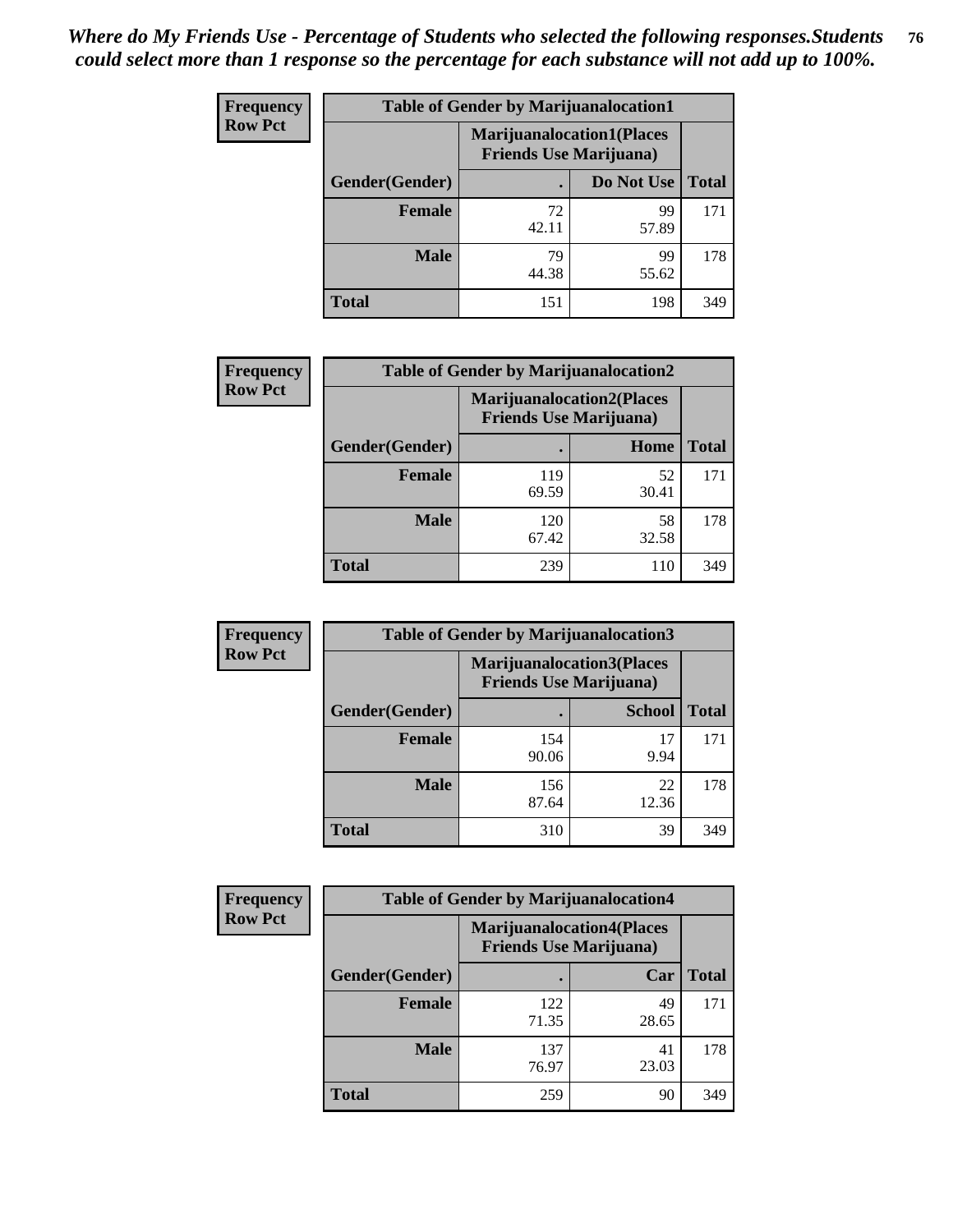| <b>Frequency</b> | <b>Table of Gender by Marijuanalocation1</b> |                                                                    |             |              |
|------------------|----------------------------------------------|--------------------------------------------------------------------|-------------|--------------|
| <b>Row Pct</b>   |                                              | <b>Marijuanalocation1(Places</b><br><b>Friends Use Marijuana</b> ) |             |              |
|                  | Gender(Gender)                               |                                                                    | Do Not Use  | <b>Total</b> |
|                  | <b>Female</b>                                | 72<br>42.11                                                        | 99<br>57.89 | 171          |
|                  | <b>Male</b>                                  | 79<br>44.38                                                        | 99<br>55.62 | 178          |
|                  | <b>Total</b>                                 | 151                                                                | 198         | 349          |

| <b>Frequency</b> | <b>Table of Gender by Marijuanalocation2</b> |                                                                    |             |              |  |
|------------------|----------------------------------------------|--------------------------------------------------------------------|-------------|--------------|--|
| <b>Row Pct</b>   |                                              | <b>Marijuanalocation2(Places</b><br><b>Friends Use Marijuana</b> ) |             |              |  |
|                  | Gender(Gender)                               |                                                                    | Home        | <b>Total</b> |  |
|                  | <b>Female</b>                                | 119<br>69.59                                                       | 52<br>30.41 | 171          |  |
|                  | <b>Male</b>                                  | 120<br>67.42                                                       | 58<br>32.58 | 178          |  |
|                  | <b>Total</b>                                 | 239                                                                | 110         | 349          |  |

| Frequency      | <b>Table of Gender by Marijuanalocation3</b> |                                                                    |               |              |
|----------------|----------------------------------------------|--------------------------------------------------------------------|---------------|--------------|
| <b>Row Pct</b> |                                              | <b>Marijuanalocation3(Places</b><br><b>Friends Use Marijuana</b> ) |               |              |
|                | Gender(Gender)                               |                                                                    | <b>School</b> | <b>Total</b> |
|                | Female                                       | 154<br>90.06                                                       | 17<br>9.94    | 171          |
|                | <b>Male</b>                                  | 156<br>87.64                                                       | 22<br>12.36   | 178          |
|                | <b>Total</b>                                 | 310                                                                | 39            | 349          |

| <b>Frequency</b> | <b>Table of Gender by Marijuanalocation4</b> |                                                                    |             |              |  |
|------------------|----------------------------------------------|--------------------------------------------------------------------|-------------|--------------|--|
| <b>Row Pct</b>   |                                              | <b>Marijuanalocation4(Places</b><br><b>Friends Use Marijuana</b> ) |             |              |  |
|                  | Gender(Gender)                               |                                                                    | Car         | <b>Total</b> |  |
|                  | Female                                       | 122<br>71.35                                                       | 49<br>28.65 | 171          |  |
|                  | <b>Male</b>                                  | 137<br>76.97                                                       | 41<br>23.03 | 178          |  |
|                  | <b>Total</b>                                 | 259                                                                | 90          | 349          |  |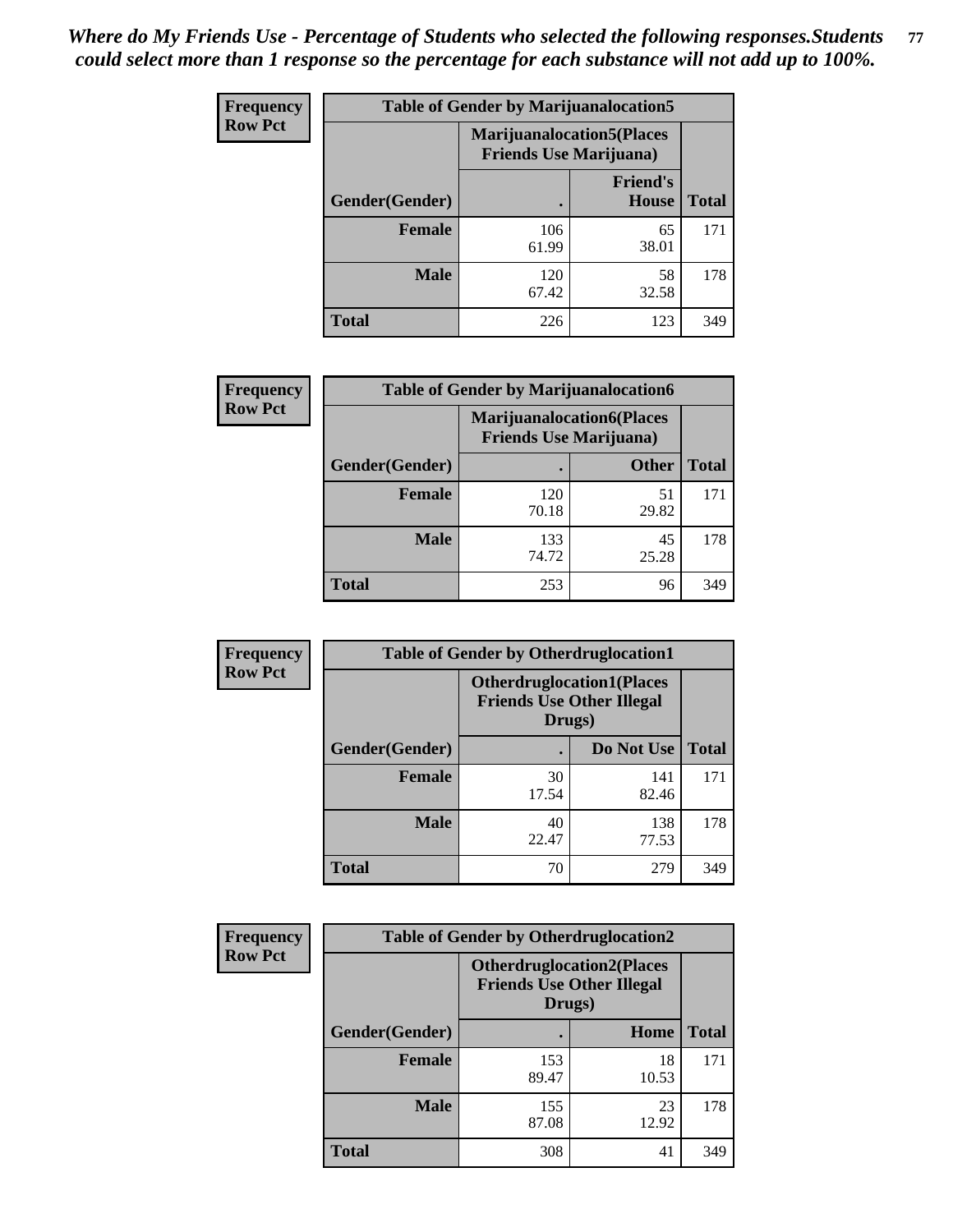| <b>Frequency</b> | <b>Table of Gender by Marijuanalocation5</b> |                                                                     |                          |              |  |
|------------------|----------------------------------------------|---------------------------------------------------------------------|--------------------------|--------------|--|
| <b>Row Pct</b>   |                                              | <b>Marijuanalocation5</b> (Places<br><b>Friends Use Marijuana</b> ) |                          |              |  |
|                  | Gender(Gender)                               |                                                                     | <b>Friend's</b><br>House | <b>Total</b> |  |
|                  | <b>Female</b>                                | 106<br>61.99                                                        | 65<br>38.01              | 171          |  |
|                  | <b>Male</b>                                  | 120<br>67.42                                                        | 58<br>32.58              | 178          |  |
|                  | <b>Total</b>                                 | 226                                                                 | 123                      | 349          |  |

| <b>Frequency</b> | <b>Table of Gender by Marijuanalocation6</b> |                                |                                  |              |
|------------------|----------------------------------------------|--------------------------------|----------------------------------|--------------|
| <b>Row Pct</b>   |                                              | <b>Friends Use Marijuana</b> ) | <b>Marijuanalocation6(Places</b> |              |
|                  | Gender(Gender)                               |                                | <b>Other</b>                     | <b>Total</b> |
|                  | <b>Female</b>                                | 120<br>70.18                   | 51<br>29.82                      | 171          |
|                  | <b>Male</b>                                  | 133<br>74.72                   | 45<br>25.28                      | 178          |
|                  | <b>Total</b>                                 | 253                            | 96                               | 349          |

| <b>Frequency</b> | <b>Table of Gender by Otherdruglocation1</b> |                                                                                |              |              |
|------------------|----------------------------------------------|--------------------------------------------------------------------------------|--------------|--------------|
| <b>Row Pct</b>   |                                              | <b>Otherdruglocation1(Places</b><br><b>Friends Use Other Illegal</b><br>Drugs) |              |              |
|                  | <b>Gender</b> (Gender)                       |                                                                                | Do Not Use   | <b>Total</b> |
|                  | <b>Female</b>                                | 30<br>17.54                                                                    | 141<br>82.46 | 171          |
|                  | <b>Male</b>                                  | 40<br>22.47                                                                    | 138<br>77.53 | 178          |
|                  | <b>Total</b>                                 | 70                                                                             | 279          | 349          |

| Frequency      | <b>Table of Gender by Otherdruglocation2</b> |                                                                                |             |              |
|----------------|----------------------------------------------|--------------------------------------------------------------------------------|-------------|--------------|
| <b>Row Pct</b> |                                              | <b>Otherdruglocation2(Places</b><br><b>Friends Use Other Illegal</b><br>Drugs) |             |              |
|                | Gender(Gender)                               |                                                                                | Home        | <b>Total</b> |
|                | Female                                       | 153<br>89.47                                                                   | 18<br>10.53 | 171          |
|                | <b>Male</b>                                  | 155<br>87.08                                                                   | 23<br>12.92 | 178          |
|                | <b>Total</b>                                 | 308                                                                            | 41          | 349          |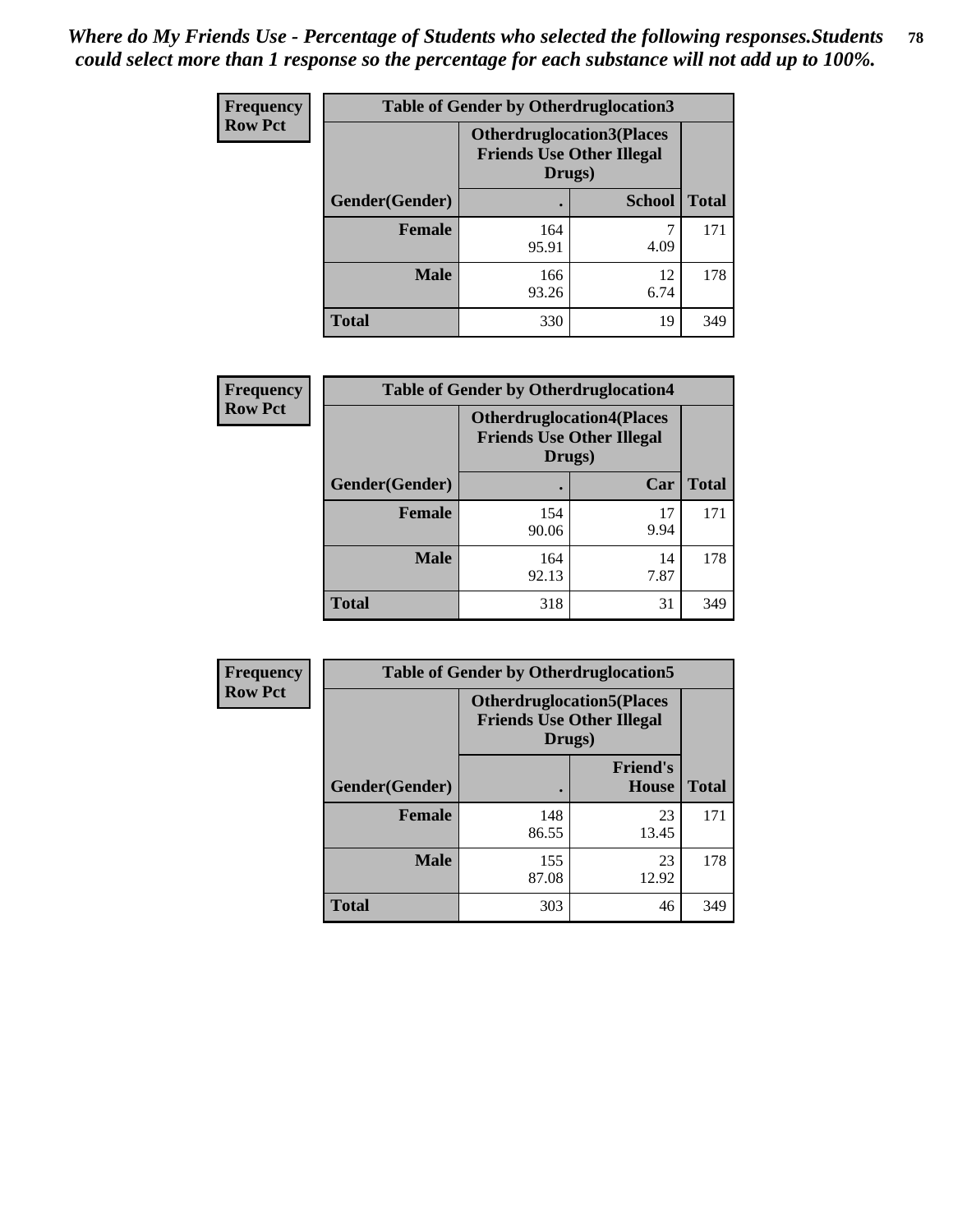| <b>Frequency</b> | <b>Table of Gender by Otherdruglocation3</b> |                                                                                |               |              |
|------------------|----------------------------------------------|--------------------------------------------------------------------------------|---------------|--------------|
| <b>Row Pct</b>   |                                              | <b>Otherdruglocation3(Places</b><br><b>Friends Use Other Illegal</b><br>Drugs) |               |              |
|                  | Gender(Gender)                               |                                                                                | <b>School</b> | <b>Total</b> |
|                  | Female                                       | 164<br>95.91                                                                   | 4.09          | 171          |
|                  | <b>Male</b>                                  | 166<br>93.26                                                                   | 12<br>6.74    | 178          |
|                  | <b>Total</b>                                 | 330                                                                            | 19            | 349          |

| Frequency      | <b>Table of Gender by Otherdruglocation4</b> |                                                                                |            |              |
|----------------|----------------------------------------------|--------------------------------------------------------------------------------|------------|--------------|
| <b>Row Pct</b> |                                              | <b>Otherdruglocation4(Places</b><br><b>Friends Use Other Illegal</b><br>Drugs) |            |              |
|                | Gender(Gender)                               |                                                                                | Car        | <b>Total</b> |
|                | <b>Female</b>                                | 154<br>90.06                                                                   | 17<br>9.94 | 171          |
|                | <b>Male</b>                                  | 164<br>92.13                                                                   | 14<br>7.87 | 178          |
|                | <b>Total</b>                                 | 318                                                                            | 31         | 349          |

| <b>Frequency</b> |                | <b>Table of Gender by Otherdruglocation5</b> |                                  |              |
|------------------|----------------|----------------------------------------------|----------------------------------|--------------|
| <b>Row Pct</b>   |                | <b>Friends Use Other Illegal</b><br>Drugs)   | <b>Otherdruglocation5(Places</b> |              |
|                  | Gender(Gender) |                                              | <b>Friend's</b><br>House         | <b>Total</b> |
|                  | <b>Female</b>  | 148<br>86.55                                 | 23<br>13.45                      | 171          |
|                  | <b>Male</b>    | 155<br>87.08                                 | 23<br>12.92                      | 178          |
|                  | <b>Total</b>   | 303                                          | 46                               | 349          |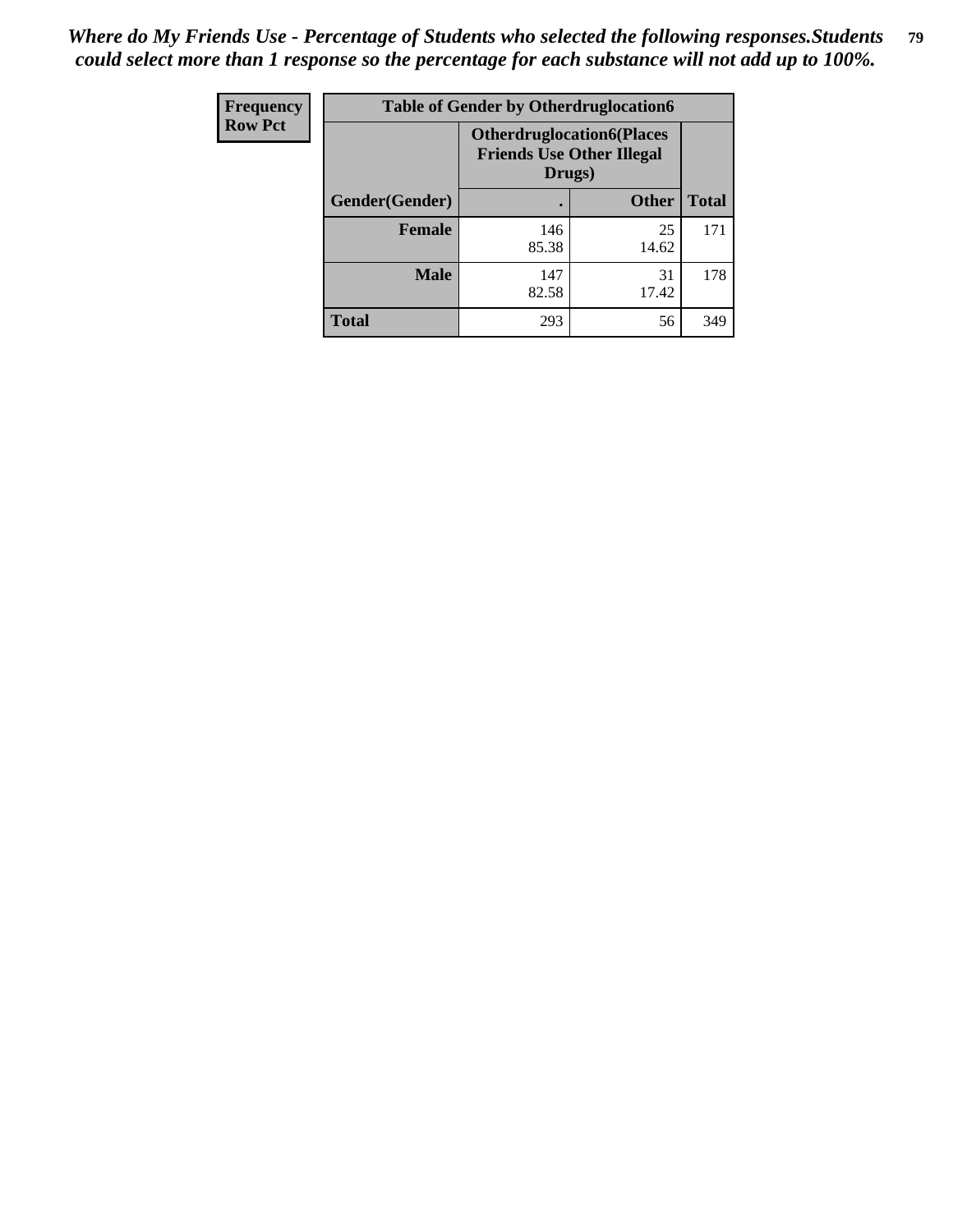| <b>Frequency</b> | <b>Table of Gender by Otherdruglocation6</b> |                                                                                |              |              |
|------------------|----------------------------------------------|--------------------------------------------------------------------------------|--------------|--------------|
| <b>Row Pct</b>   |                                              | <b>Otherdruglocation6(Places</b><br><b>Friends Use Other Illegal</b><br>Drugs) |              |              |
|                  | Gender(Gender)                               |                                                                                | <b>Other</b> | <b>Total</b> |
|                  | <b>Female</b>                                | 146<br>85.38                                                                   | 25<br>14.62  | 171          |
|                  | <b>Male</b>                                  | 147<br>82.58                                                                   | 31<br>17.42  | 178          |
|                  | <b>Total</b>                                 | 293                                                                            | 56           | 349          |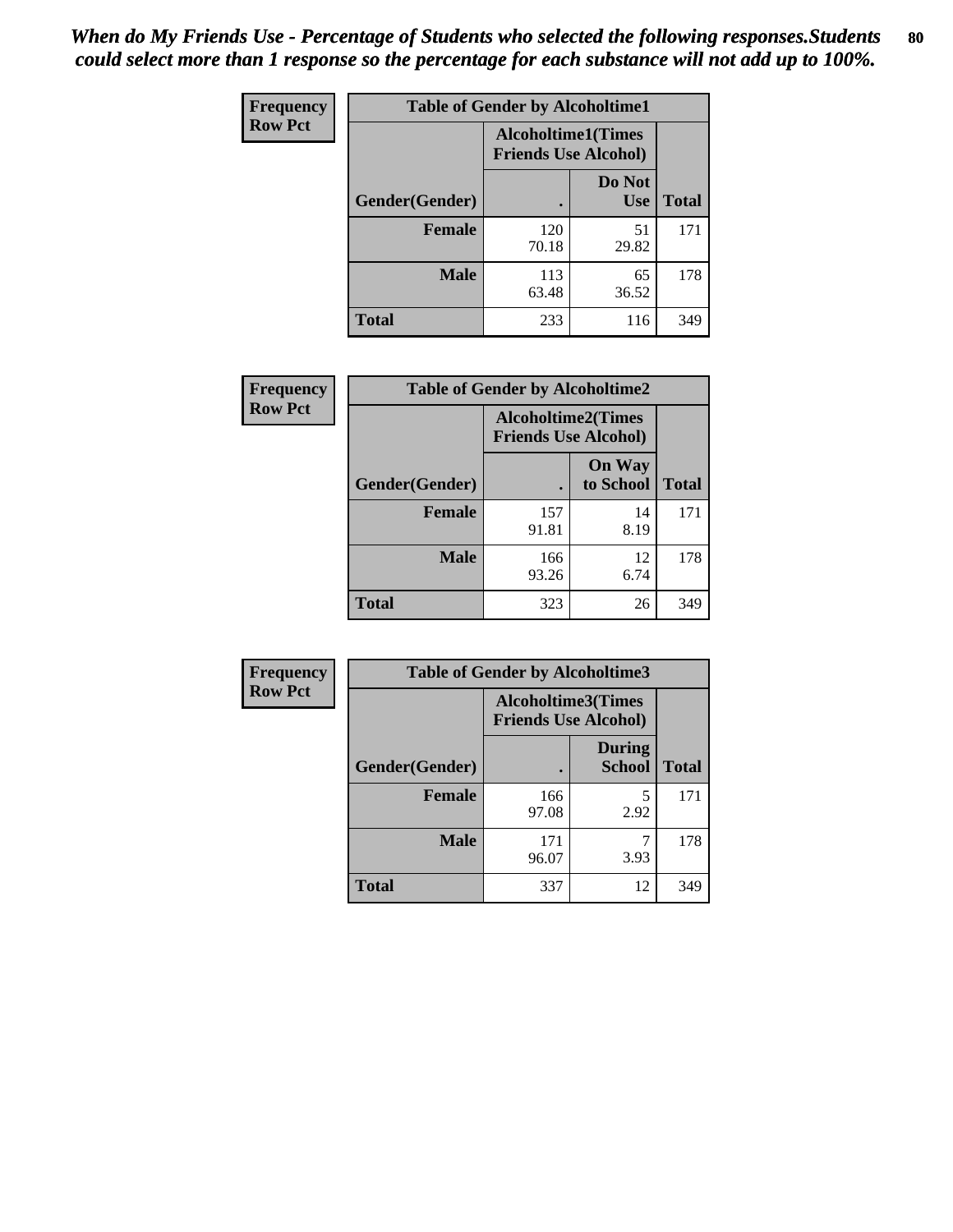| <b>Frequency</b> | <b>Table of Gender by Alcoholtime1</b> |                                                          |                      |              |
|------------------|----------------------------------------|----------------------------------------------------------|----------------------|--------------|
| <b>Row Pct</b>   |                                        | <b>Alcoholtime1(Times</b><br><b>Friends Use Alcohol)</b> |                      |              |
|                  | Gender(Gender)                         | $\bullet$                                                | Do Not<br><b>Use</b> | <b>Total</b> |
|                  | <b>Female</b>                          | 120<br>70.18                                             | 51<br>29.82          | 171          |
|                  | <b>Male</b>                            | 113<br>63.48                                             | 65<br>36.52          | 178          |
|                  | <b>Total</b>                           | 233                                                      | 116                  | 349          |

| Frequency      | <b>Table of Gender by Alcoholtime2</b> |                                                          |                            |              |
|----------------|----------------------------------------|----------------------------------------------------------|----------------------------|--------------|
| <b>Row Pct</b> |                                        | <b>Alcoholtime2(Times</b><br><b>Friends Use Alcohol)</b> |                            |              |
|                | Gender(Gender)                         |                                                          | <b>On Way</b><br>to School | <b>Total</b> |
|                | <b>Female</b>                          | 157<br>91.81                                             | 14<br>8.19                 | 171          |
|                | <b>Male</b>                            | 166<br>93.26                                             | 12<br>6.74                 | 178          |
|                | <b>Total</b>                           | 323                                                      | 26                         | 349          |

| Frequency      | <b>Table of Gender by Alcoholtime3</b> |                                                   |                                |              |
|----------------|----------------------------------------|---------------------------------------------------|--------------------------------|--------------|
| <b>Row Pct</b> |                                        | Alcoholtime3(Times<br><b>Friends Use Alcohol)</b> |                                |              |
|                | Gender(Gender)                         |                                                   | <b>During</b><br><b>School</b> | <b>Total</b> |
|                | Female                                 | 166<br>97.08                                      | 5<br>2.92                      | 171          |
|                | <b>Male</b>                            | 171<br>96.07                                      | 3.93                           | 178          |
|                | <b>Total</b>                           | 337                                               | 12                             | 349          |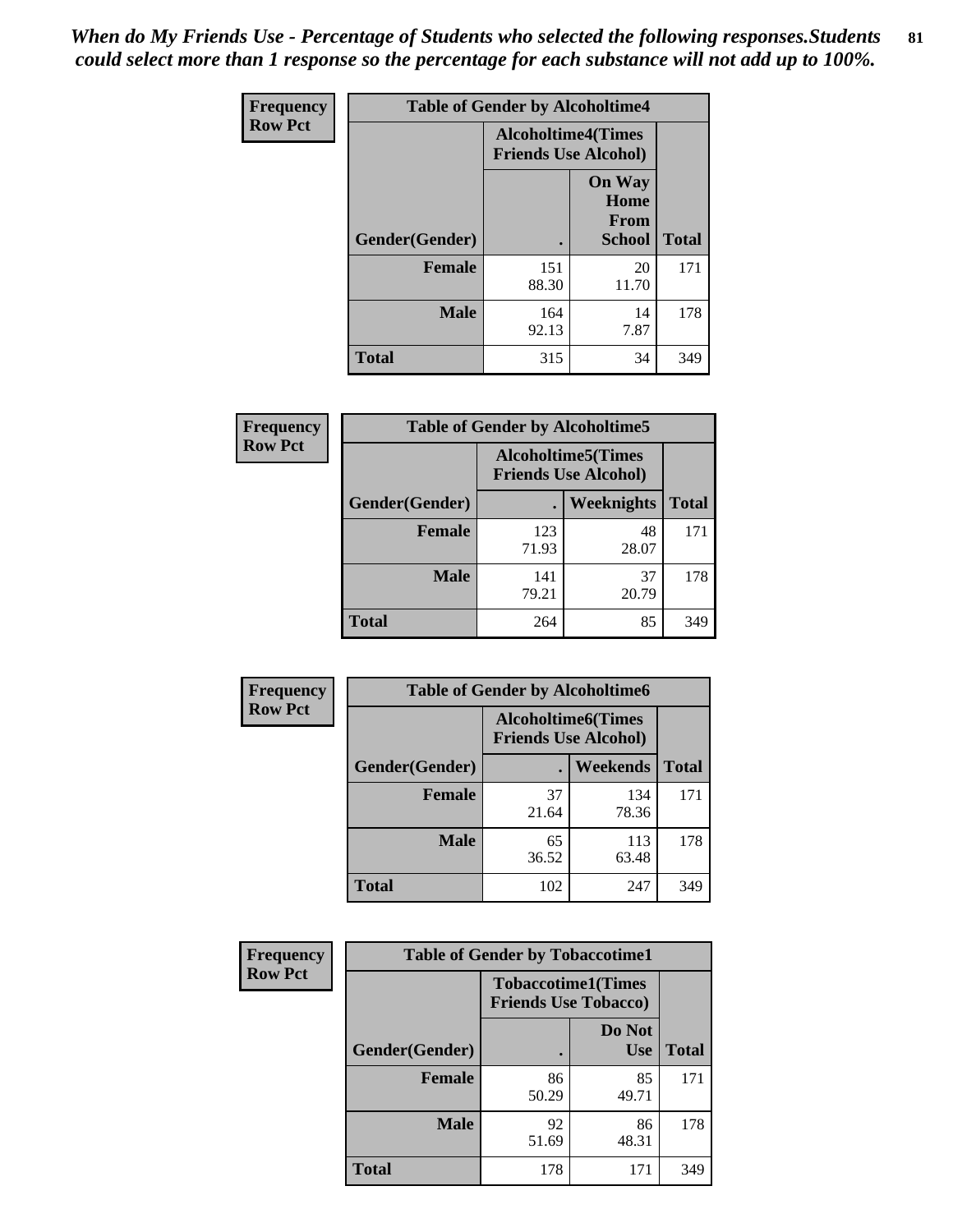*When do My Friends Use - Percentage of Students who selected the following responses.Students could select more than 1 response so the percentage for each substance will not add up to 100%.* **81**

| <b>Frequency</b> | <b>Table of Gender by Alcoholtime4</b> |                                                          |                                                |              |
|------------------|----------------------------------------|----------------------------------------------------------|------------------------------------------------|--------------|
| <b>Row Pct</b>   |                                        | <b>Alcoholtime4(Times</b><br><b>Friends Use Alcohol)</b> |                                                |              |
|                  | Gender(Gender)                         |                                                          | <b>On Way</b><br>Home<br>From<br><b>School</b> | <b>Total</b> |
|                  | <b>Female</b>                          | 151<br>88.30                                             | 20<br>11.70                                    | 171          |
|                  | <b>Male</b>                            | 164<br>92.13                                             | 14<br>7.87                                     | 178          |
|                  | <b>Total</b>                           | 315                                                      | 34                                             | 349          |

| <b>Frequency</b> | <b>Table of Gender by Alcoholtime5</b> |                                                           |                   |              |
|------------------|----------------------------------------|-----------------------------------------------------------|-------------------|--------------|
| <b>Row Pct</b>   |                                        | <b>Alcoholtime5</b> (Times<br><b>Friends Use Alcohol)</b> |                   |              |
|                  | Gender(Gender)                         |                                                           | <b>Weeknights</b> | <b>Total</b> |
|                  | <b>Female</b>                          | 123<br>71.93                                              | 48<br>28.07       | 171          |
|                  | <b>Male</b>                            | 141<br>79.21                                              | 37<br>20.79       | 178          |
|                  | <b>Total</b>                           | 264                                                       | 85                | 349          |

| <b>Frequency</b> | <b>Table of Gender by Alcoholtime6</b> |             |                                                          |              |  |
|------------------|----------------------------------------|-------------|----------------------------------------------------------|--------------|--|
| <b>Row Pct</b>   |                                        |             | <b>Alcoholtime6(Times</b><br><b>Friends Use Alcohol)</b> |              |  |
|                  | Gender(Gender)                         |             | <b>Weekends</b>                                          | <b>Total</b> |  |
|                  | Female                                 | 37<br>21.64 | 134<br>78.36                                             | 171          |  |
|                  | <b>Male</b>                            | 65<br>36.52 | 113<br>63.48                                             | 178          |  |
|                  | <b>Total</b>                           | 102         | 247                                                      | 349          |  |

| <b>Frequency</b> | <b>Table of Gender by Tobaccotime1</b> |                                                          |                      |              |
|------------------|----------------------------------------|----------------------------------------------------------|----------------------|--------------|
| <b>Row Pct</b>   |                                        | <b>Tobaccotime1(Times</b><br><b>Friends Use Tobacco)</b> |                      |              |
|                  | Gender(Gender)                         |                                                          | Do Not<br><b>Use</b> | <b>Total</b> |
|                  | Female                                 | 86<br>50.29                                              | 85<br>49.71          | 171          |
|                  | <b>Male</b>                            | 92<br>51.69                                              | 86<br>48.31          | 178          |
|                  | <b>Total</b>                           | 178                                                      | 171                  | 349          |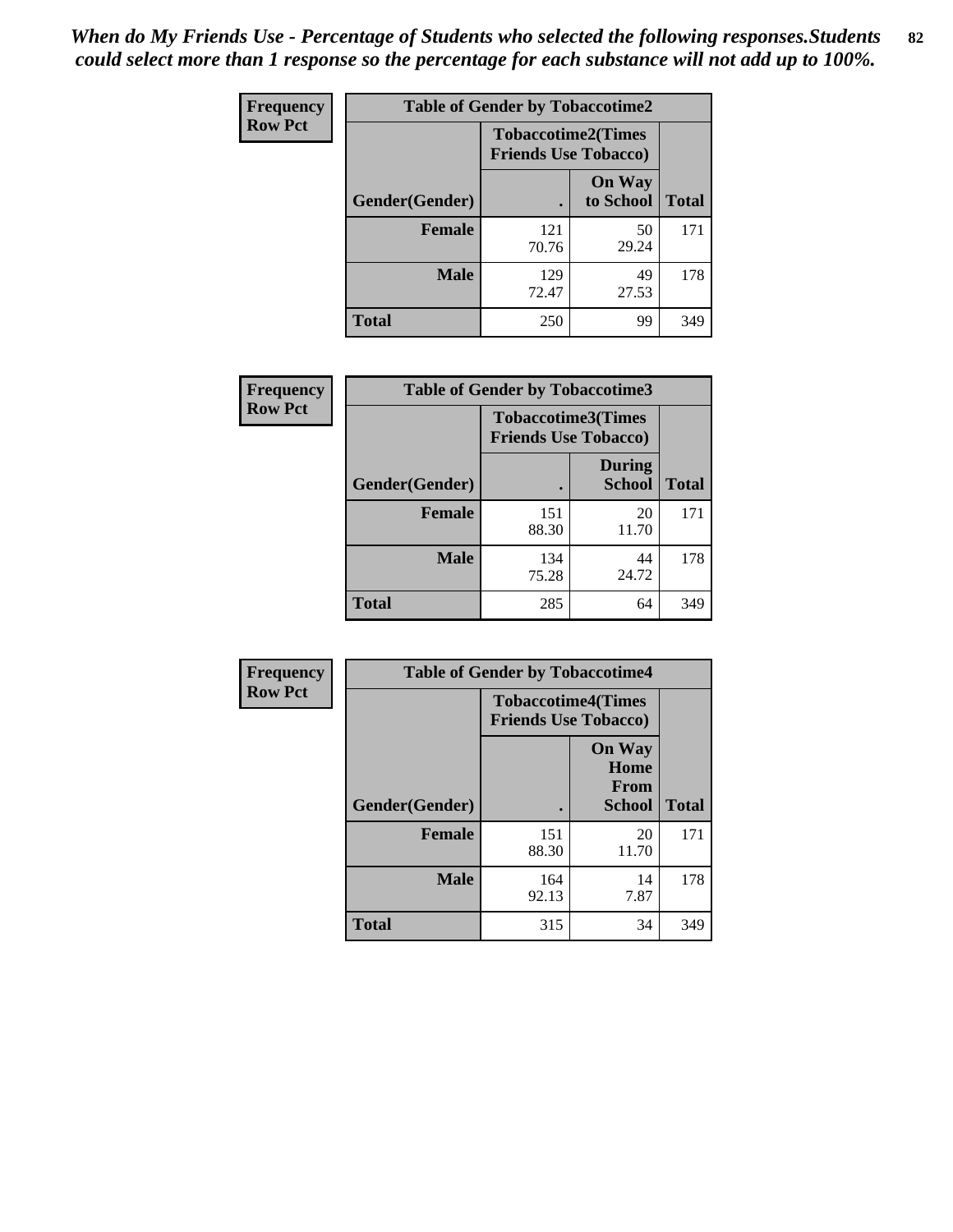*When do My Friends Use - Percentage of Students who selected the following responses.Students could select more than 1 response so the percentage for each substance will not add up to 100%.* **82**

| Frequency      | <b>Table of Gender by Tobaccotime2</b> |                                                          |                            |              |
|----------------|----------------------------------------|----------------------------------------------------------|----------------------------|--------------|
| <b>Row Pct</b> |                                        | <b>Tobaccotime2(Times</b><br><b>Friends Use Tobacco)</b> |                            |              |
|                | Gender(Gender)                         | $\bullet$                                                | <b>On Way</b><br>to School | <b>Total</b> |
|                | <b>Female</b>                          | 121<br>70.76                                             | 50<br>29.24                | 171          |
|                | <b>Male</b>                            | 129<br>72.47                                             | 49<br>27.53                | 178          |
|                | Total                                  | 250                                                      | 99                         | 349          |

| Frequency      | <b>Table of Gender by Tobaccotime3</b> |                                                          |                                |              |
|----------------|----------------------------------------|----------------------------------------------------------|--------------------------------|--------------|
| <b>Row Pct</b> |                                        | <b>Tobaccotime3(Times</b><br><b>Friends Use Tobacco)</b> |                                |              |
|                | Gender(Gender)                         |                                                          | <b>During</b><br><b>School</b> | <b>Total</b> |
|                | Female                                 | 151<br>88.30                                             | 20<br>11.70                    | 171          |
|                | <b>Male</b>                            | 134<br>75.28                                             | 44<br>24.72                    | 178          |
|                | <b>Total</b>                           | 285                                                      | 64                             | 349          |

| Frequency      | <b>Table of Gender by Tobaccotime4</b> |                                                          |                                                |              |
|----------------|----------------------------------------|----------------------------------------------------------|------------------------------------------------|--------------|
| <b>Row Pct</b> |                                        | <b>Tobaccotime4(Times</b><br><b>Friends Use Tobacco)</b> |                                                |              |
|                | Gender(Gender)                         |                                                          | <b>On Way</b><br>Home<br>From<br><b>School</b> | <b>Total</b> |
|                | <b>Female</b>                          | 151<br>88.30                                             | 20<br>11.70                                    | 171          |
|                | <b>Male</b>                            | 164<br>92.13                                             | 14<br>7.87                                     | 178          |
|                | <b>Total</b>                           | 315                                                      | 34                                             | 349          |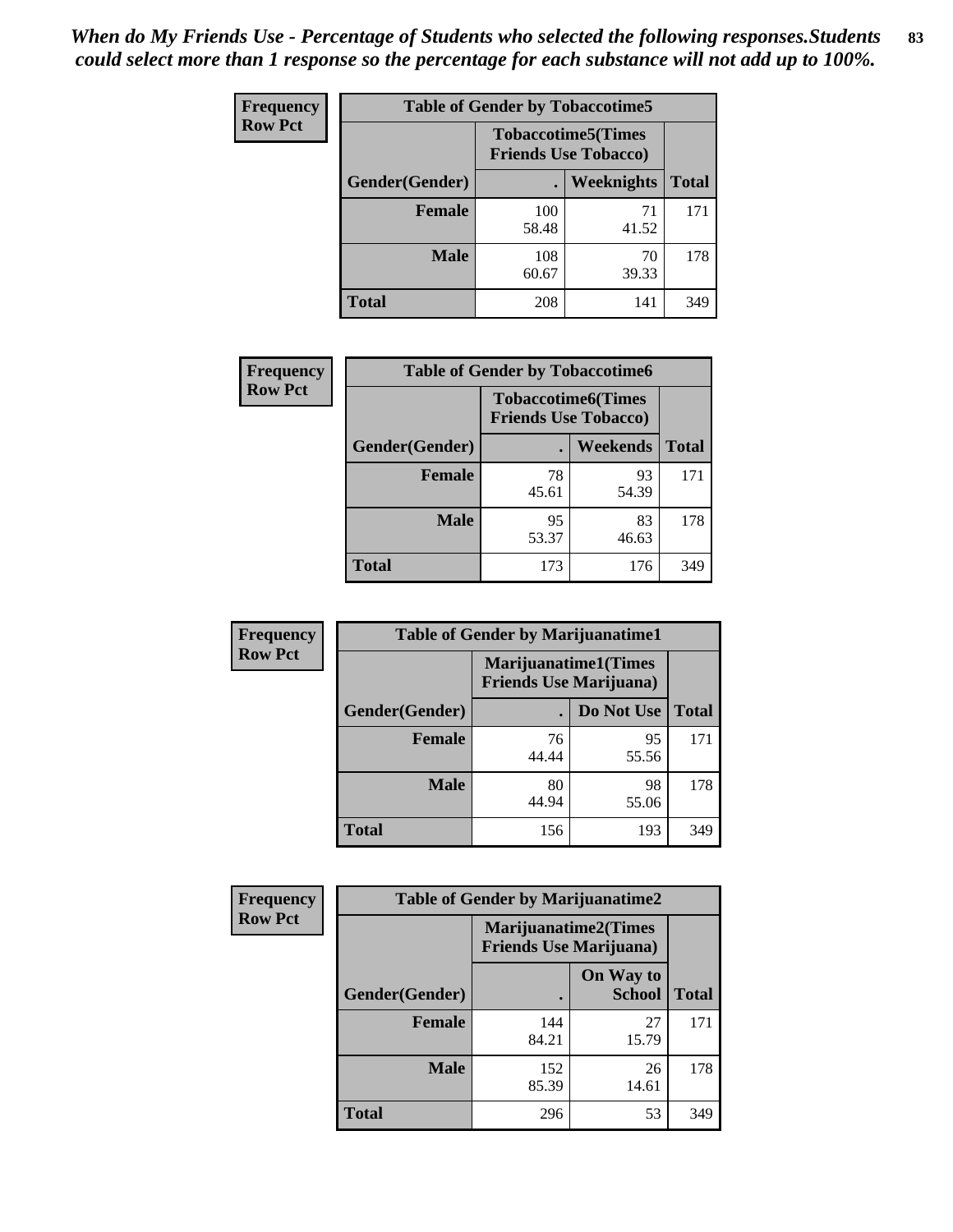| Frequency      | <b>Table of Gender by Tobaccotime5</b> |              |                                                          |              |  |
|----------------|----------------------------------------|--------------|----------------------------------------------------------|--------------|--|
| <b>Row Pct</b> |                                        |              | <b>Tobaccotime5(Times</b><br><b>Friends Use Tobacco)</b> |              |  |
|                | <b>Gender</b> (Gender)                 |              | Weeknights                                               | <b>Total</b> |  |
|                | <b>Female</b>                          | 100<br>58.48 | 71<br>41.52                                              | 171          |  |
|                | <b>Male</b>                            | 108<br>60.67 | 70<br>39.33                                              | 178          |  |
|                | <b>Total</b>                           | 208          | 141                                                      | 349          |  |

| Frequency      | <b>Table of Gender by Tobaccotime6</b> |                                                          |             |              |
|----------------|----------------------------------------|----------------------------------------------------------|-------------|--------------|
| <b>Row Pct</b> |                                        | <b>Tobaccotime6(Times</b><br><b>Friends Use Tobacco)</b> |             |              |
|                | Gender(Gender)                         |                                                          | Weekends    | <b>Total</b> |
|                | Female                                 | 78<br>45.61                                              | 93<br>54.39 | 171          |
|                | <b>Male</b>                            | 95<br>53.37                                              | 83<br>46.63 | 178          |
|                | <b>Total</b>                           | 173                                                      | 176         | 349          |

| <b>Frequency</b> | <b>Table of Gender by Marijuanatime1</b> |                                                        |             |              |
|------------------|------------------------------------------|--------------------------------------------------------|-------------|--------------|
| <b>Row Pct</b>   |                                          | Marijuanatime1(Times<br><b>Friends Use Marijuana</b> ) |             |              |
|                  | Gender(Gender)                           |                                                        | Do Not Use  | <b>Total</b> |
|                  | <b>Female</b>                            | 76<br>44.44                                            | 95<br>55.56 | 171          |
|                  | <b>Male</b>                              | 80<br>44.94                                            | 98<br>55.06 | 178          |
|                  | <b>Total</b>                             | 156                                                    | 193         | 349          |

| <b>Frequency</b> | <b>Table of Gender by Marijuanatime2</b> |                                                               |                            |              |
|------------------|------------------------------------------|---------------------------------------------------------------|----------------------------|--------------|
| <b>Row Pct</b>   |                                          | <b>Marijuanatime2(Times</b><br><b>Friends Use Marijuana</b> ) |                            |              |
|                  | Gender(Gender)                           |                                                               | On Way to<br><b>School</b> | <b>Total</b> |
|                  | <b>Female</b>                            | 144<br>84.21                                                  | 27<br>15.79                | 171          |
|                  | <b>Male</b>                              | 152<br>85.39                                                  | 26<br>14.61                | 178          |
|                  | <b>Total</b>                             | 296                                                           | 53                         | 349          |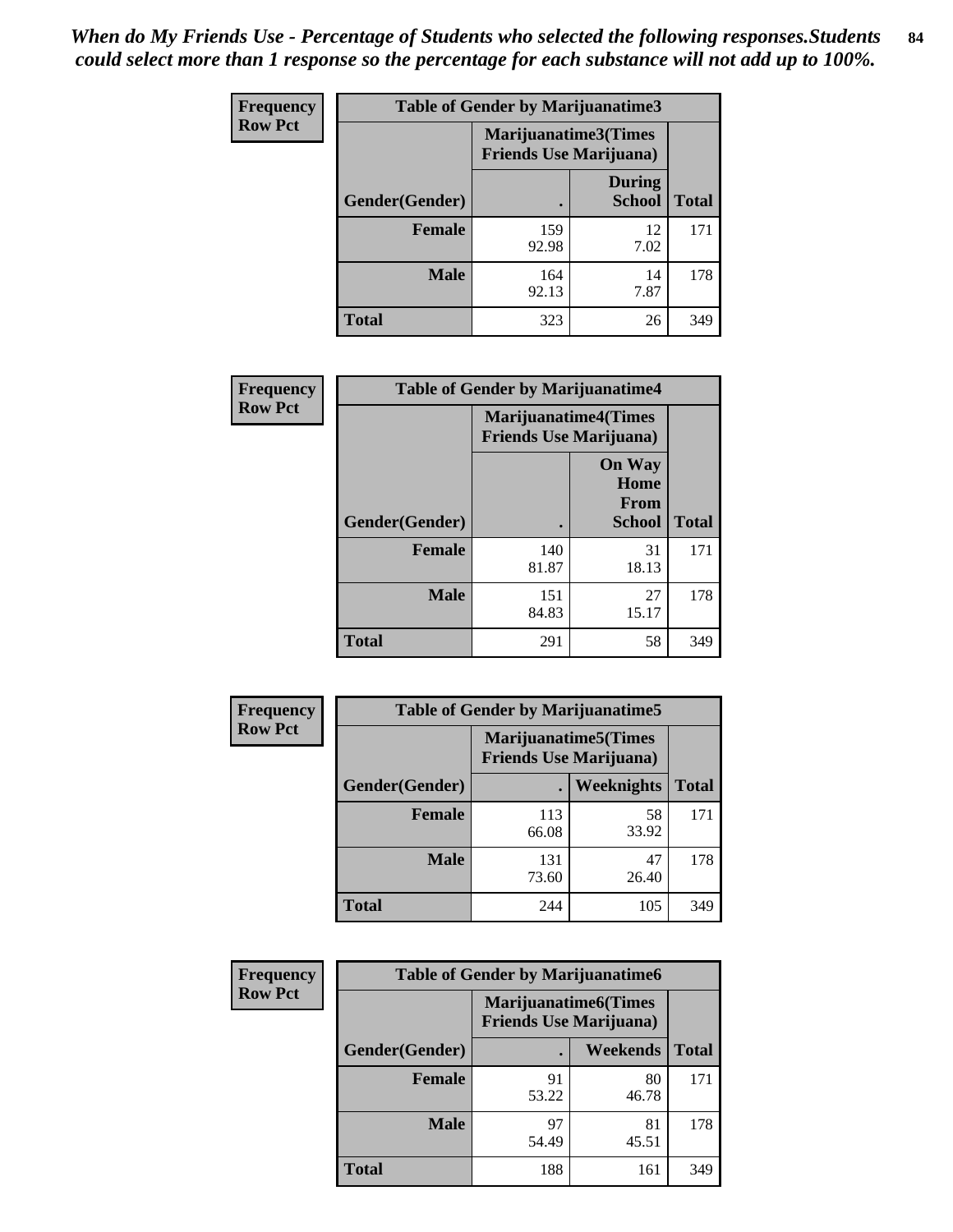*When do My Friends Use - Percentage of Students who selected the following responses.Students could select more than 1 response so the percentage for each substance will not add up to 100%.* **84**

| <b>Frequency</b> | Table of Gender by Marijuanatime3 |                                                        |                                |              |
|------------------|-----------------------------------|--------------------------------------------------------|--------------------------------|--------------|
| <b>Row Pct</b>   |                                   | Marijuanatime3(Times<br><b>Friends Use Marijuana</b> ) |                                |              |
|                  | Gender(Gender)                    |                                                        | <b>During</b><br><b>School</b> | <b>Total</b> |
|                  | <b>Female</b>                     | 159<br>92.98                                           | 12<br>7.02                     | 171          |
|                  | <b>Male</b>                       | 164<br>92.13                                           | 14<br>7.87                     | 178          |
|                  | <b>Total</b>                      | 323                                                    | 26                             | 349          |

| Frequency      | <b>Table of Gender by Marijuanatime4</b> |                                |                                                       |              |
|----------------|------------------------------------------|--------------------------------|-------------------------------------------------------|--------------|
| <b>Row Pct</b> |                                          | <b>Friends Use Marijuana</b> ) | <b>Marijuanatime4(Times</b>                           |              |
|                | Gender(Gender)                           |                                | <b>On Way</b><br>Home<br><b>From</b><br><b>School</b> | <b>Total</b> |
|                | <b>Female</b>                            | 140<br>81.87                   | 31<br>18.13                                           | 171          |
|                | <b>Male</b>                              | 151<br>84.83                   | 27<br>15.17                                           | 178          |
|                | <b>Total</b>                             | 291                            | 58                                                    | 349          |

| <b>Frequency</b> | <b>Table of Gender by Marijuanatime5</b> |                                                                |             |              |  |
|------------------|------------------------------------------|----------------------------------------------------------------|-------------|--------------|--|
| <b>Row Pct</b>   |                                          | <b>Marijuanatime5</b> (Times<br><b>Friends Use Marijuana</b> ) |             |              |  |
|                  | Gender(Gender)                           |                                                                | Weeknights  | <b>Total</b> |  |
|                  | <b>Female</b>                            | 113<br>66.08                                                   | 58<br>33.92 | 171          |  |
|                  | <b>Male</b>                              | 131<br>73.60                                                   | 47<br>26.40 | 178          |  |
|                  | <b>Total</b>                             | 244                                                            | 105         | 349          |  |

| <b>Frequency</b> | <b>Table of Gender by Marijuanatime6</b> |                                                               |             |              |
|------------------|------------------------------------------|---------------------------------------------------------------|-------------|--------------|
| <b>Row Pct</b>   |                                          | <b>Marijuanatime6(Times</b><br><b>Friends Use Marijuana</b> ) |             |              |
|                  | <b>Gender</b> (Gender)                   |                                                               | Weekends    | <b>Total</b> |
|                  | <b>Female</b>                            | 91<br>53.22                                                   | 80<br>46.78 | 171          |
|                  | <b>Male</b>                              | 97<br>54.49                                                   | 81<br>45.51 | 178          |
|                  | <b>Total</b>                             | 188                                                           | 161         | 349          |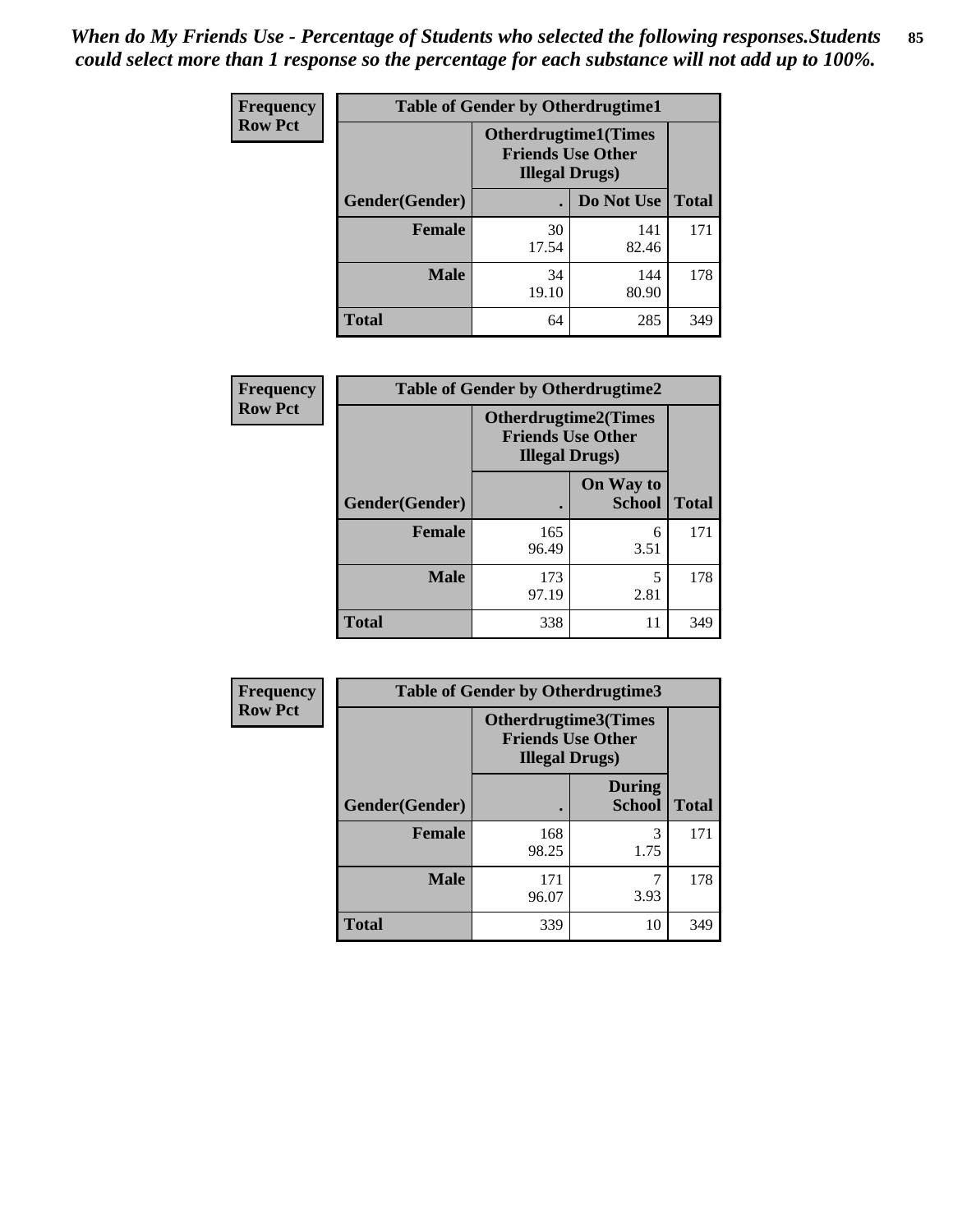*When do My Friends Use - Percentage of Students who selected the following responses.Students could select more than 1 response so the percentage for each substance will not add up to 100%.* **85**

| <b>Frequency</b> | <b>Table of Gender by Otherdrugtime1</b> |                                                                                    |              |              |  |
|------------------|------------------------------------------|------------------------------------------------------------------------------------|--------------|--------------|--|
| <b>Row Pct</b>   |                                          | <b>Otherdrugtime1</b> (Times<br><b>Friends Use Other</b><br><b>Illegal Drugs</b> ) |              |              |  |
|                  | Gender(Gender)                           |                                                                                    | Do Not Use   | <b>Total</b> |  |
|                  | <b>Female</b>                            | 30<br>17.54                                                                        | 141<br>82.46 | 171          |  |
|                  | <b>Male</b>                              | 34<br>19.10                                                                        | 144<br>80.90 | 178          |  |
|                  | <b>Total</b>                             | 64                                                                                 | 285          | 349          |  |

| Frequency      | <b>Table of Gender by Otherdrugtime2</b> |                                                                                   |                            |              |
|----------------|------------------------------------------|-----------------------------------------------------------------------------------|----------------------------|--------------|
| <b>Row Pct</b> |                                          | <b>Otherdrugtime2(Times</b><br><b>Friends Use Other</b><br><b>Illegal Drugs</b> ) |                            |              |
|                | Gender(Gender)                           |                                                                                   | On Way to<br><b>School</b> | <b>Total</b> |
|                | <b>Female</b>                            | 165<br>96.49                                                                      | 6<br>3.51                  | 171          |
|                | <b>Male</b>                              | 173<br>97.19                                                                      | 5<br>2.81                  | 178          |
|                | <b>Total</b>                             | 338                                                                               | 11                         | 349          |

| Frequency      | <b>Table of Gender by Otherdrugtime3</b> |                        |                                                         |              |
|----------------|------------------------------------------|------------------------|---------------------------------------------------------|--------------|
| <b>Row Pct</b> |                                          | <b>Illegal Drugs</b> ) | <b>Otherdrugtime3(Times</b><br><b>Friends Use Other</b> |              |
|                | Gender(Gender)                           |                        | <b>During</b><br><b>School</b>                          | <b>Total</b> |
|                | <b>Female</b>                            | 168<br>98.25           | 3<br>1.75                                               | 171          |
|                | <b>Male</b>                              | 171<br>96.07           | ┑<br>3.93                                               | 178          |
|                | <b>Total</b>                             | 339                    | 10                                                      | 349          |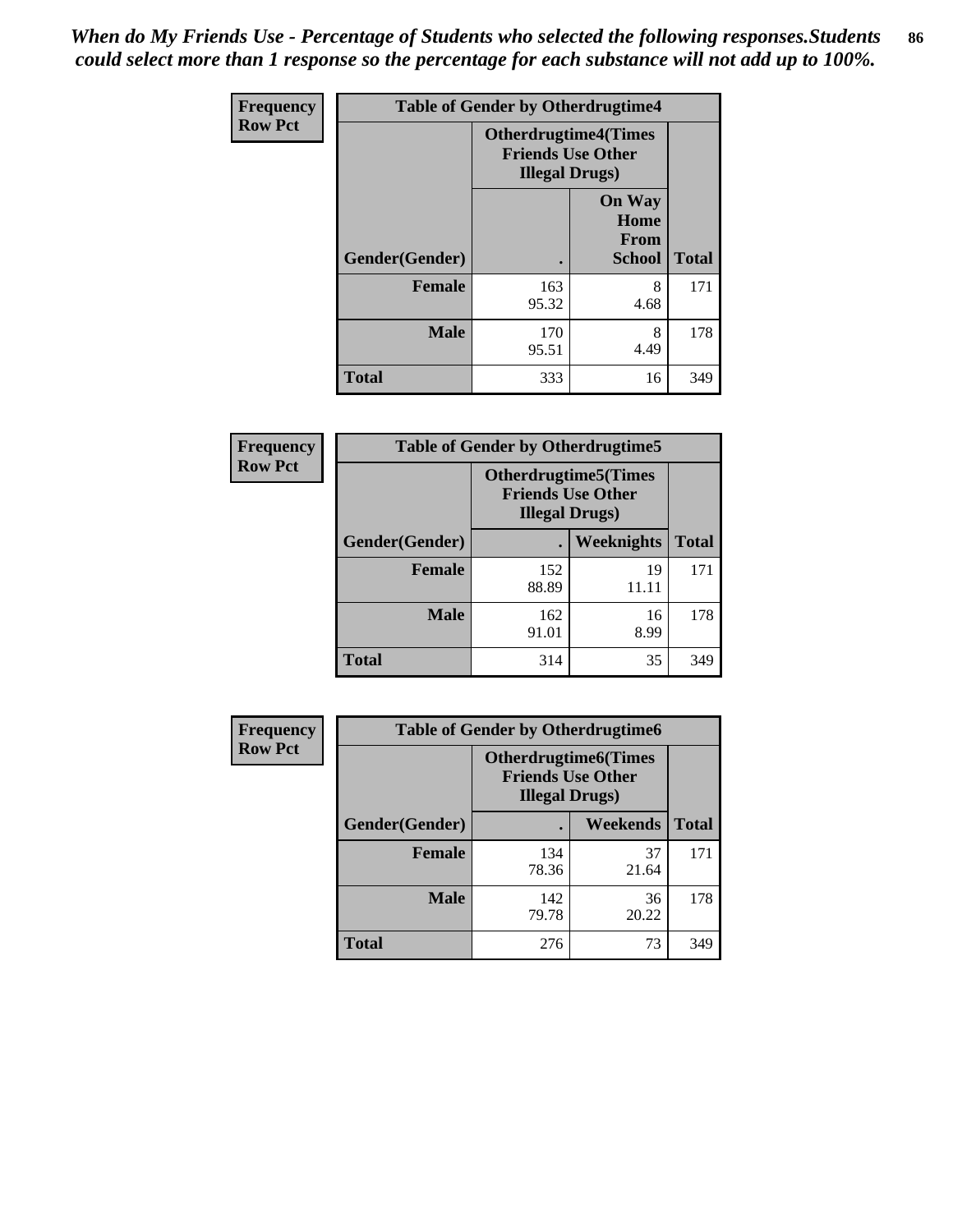*When do My Friends Use - Percentage of Students who selected the following responses.Students could select more than 1 response so the percentage for each substance will not add up to 100%.* **86**

| <b>Frequency</b> | <b>Table of Gender by Otherdrugtime4</b> |                                                    |                                                       |              |
|------------------|------------------------------------------|----------------------------------------------------|-------------------------------------------------------|--------------|
| <b>Row Pct</b>   |                                          | <b>Friends Use Other</b><br><b>Illegal Drugs</b> ) | <b>Otherdrugtime4(Times</b>                           |              |
|                  | Gender(Gender)                           |                                                    | <b>On Way</b><br>Home<br><b>From</b><br><b>School</b> | <b>Total</b> |
|                  | Female                                   | 163<br>95.32                                       | 8<br>4.68                                             | 171          |
|                  | <b>Male</b>                              | 170<br>95.51                                       | 8<br>4.49                                             | 178          |
|                  | <b>Total</b>                             | 333                                                | 16                                                    | 349          |

| Frequency      | <b>Table of Gender by Otherdrugtime5</b> |                                                                                    |             |              |
|----------------|------------------------------------------|------------------------------------------------------------------------------------|-------------|--------------|
| <b>Row Pct</b> |                                          | <b>Otherdrugtime5</b> (Times<br><b>Friends Use Other</b><br><b>Illegal Drugs</b> ) |             |              |
|                | Gender(Gender)                           |                                                                                    | Weeknights  | <b>Total</b> |
|                | <b>Female</b>                            | 152<br>88.89                                                                       | 19<br>11.11 | 171          |
|                | <b>Male</b>                              | 162<br>91.01                                                                       | 16<br>8.99  | 178          |
|                | <b>Total</b>                             | 314                                                                                | 35          | 349          |

| <b>Frequency</b> | <b>Table of Gender by Otherdrugtime6</b> |                                                                                   |             |              |  |
|------------------|------------------------------------------|-----------------------------------------------------------------------------------|-------------|--------------|--|
| <b>Row Pct</b>   |                                          | <b>Otherdrugtime6(Times</b><br><b>Friends Use Other</b><br><b>Illegal Drugs</b> ) |             |              |  |
|                  | Gender(Gender)                           |                                                                                   | Weekends    | <b>Total</b> |  |
|                  | <b>Female</b>                            | 134<br>78.36                                                                      | 37<br>21.64 | 171          |  |
|                  | <b>Male</b>                              | 142<br>79.78                                                                      | 36<br>20.22 | 178          |  |
|                  | <b>Total</b>                             | 276                                                                               | 73          | 349          |  |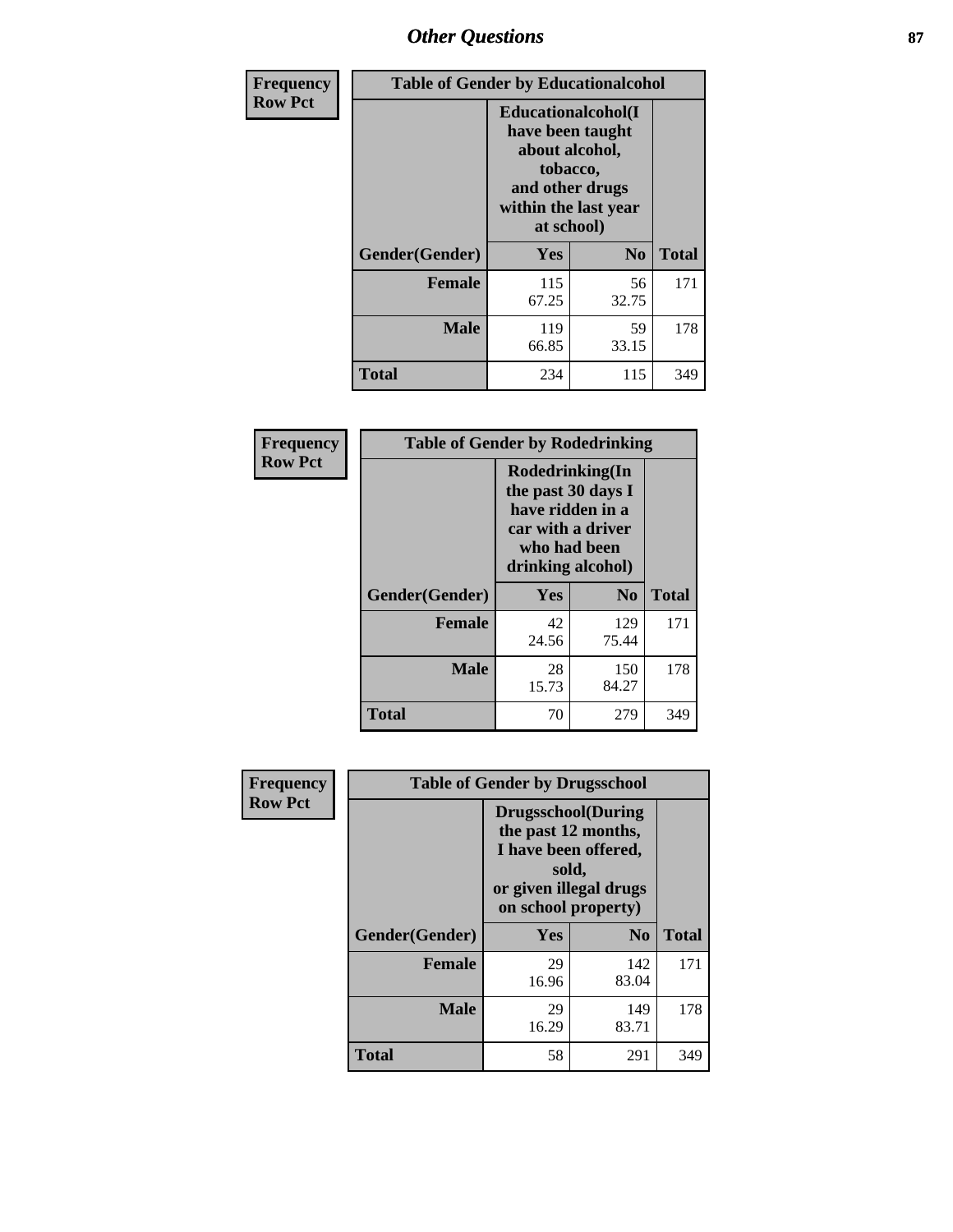# *Other Questions* **87**

| <b>Frequency</b> | <b>Table of Gender by Educationalcohol</b> |                                                                                                                                       |                |              |  |
|------------------|--------------------------------------------|---------------------------------------------------------------------------------------------------------------------------------------|----------------|--------------|--|
| <b>Row Pct</b>   |                                            | <b>Educationalcohol</b> (I<br>have been taught<br>about alcohol,<br>tobacco,<br>and other drugs<br>within the last year<br>at school) |                |              |  |
|                  | Gender(Gender)                             | <b>Yes</b>                                                                                                                            | N <sub>0</sub> | <b>Total</b> |  |
|                  | <b>Female</b>                              | 115<br>67.25                                                                                                                          | 56<br>32.75    | 171          |  |
|                  | <b>Male</b>                                | 119<br>66.85                                                                                                                          | 59<br>33.15    | 178          |  |
|                  | <b>Total</b>                               | 234                                                                                                                                   | 115            | 349          |  |

| Frequency      | <b>Table of Gender by Rodedrinking</b> |                                                                                                                     |                |              |  |
|----------------|----------------------------------------|---------------------------------------------------------------------------------------------------------------------|----------------|--------------|--|
| <b>Row Pct</b> |                                        | Rodedrinking(In<br>the past 30 days I<br>have ridden in a<br>car with a driver<br>who had been<br>drinking alcohol) |                |              |  |
|                | Gender(Gender)                         | Yes                                                                                                                 | N <sub>0</sub> | <b>Total</b> |  |
|                | <b>Female</b>                          | 42<br>24.56                                                                                                         | 129<br>75.44   | 171          |  |
|                | <b>Male</b>                            | 28<br>15.73                                                                                                         | 150<br>84.27   | 178          |  |
|                | <b>Total</b>                           | 70                                                                                                                  | 279            | 349          |  |

| Frequency      | <b>Table of Gender by Drugsschool</b> |                                                                                                                                     |                |              |  |
|----------------|---------------------------------------|-------------------------------------------------------------------------------------------------------------------------------------|----------------|--------------|--|
| <b>Row Pct</b> |                                       | <b>Drugsschool</b> (During<br>the past 12 months,<br>I have been offered,<br>sold,<br>or given illegal drugs<br>on school property) |                |              |  |
|                | Gender(Gender)                        | <b>Yes</b>                                                                                                                          | N <sub>0</sub> | <b>Total</b> |  |
|                | <b>Female</b>                         | 29<br>16.96                                                                                                                         | 142<br>83.04   | 171          |  |
|                | <b>Male</b>                           | 29<br>16.29                                                                                                                         | 149<br>83.71   | 178          |  |
|                | <b>Total</b>                          | 58                                                                                                                                  | 291            | 349          |  |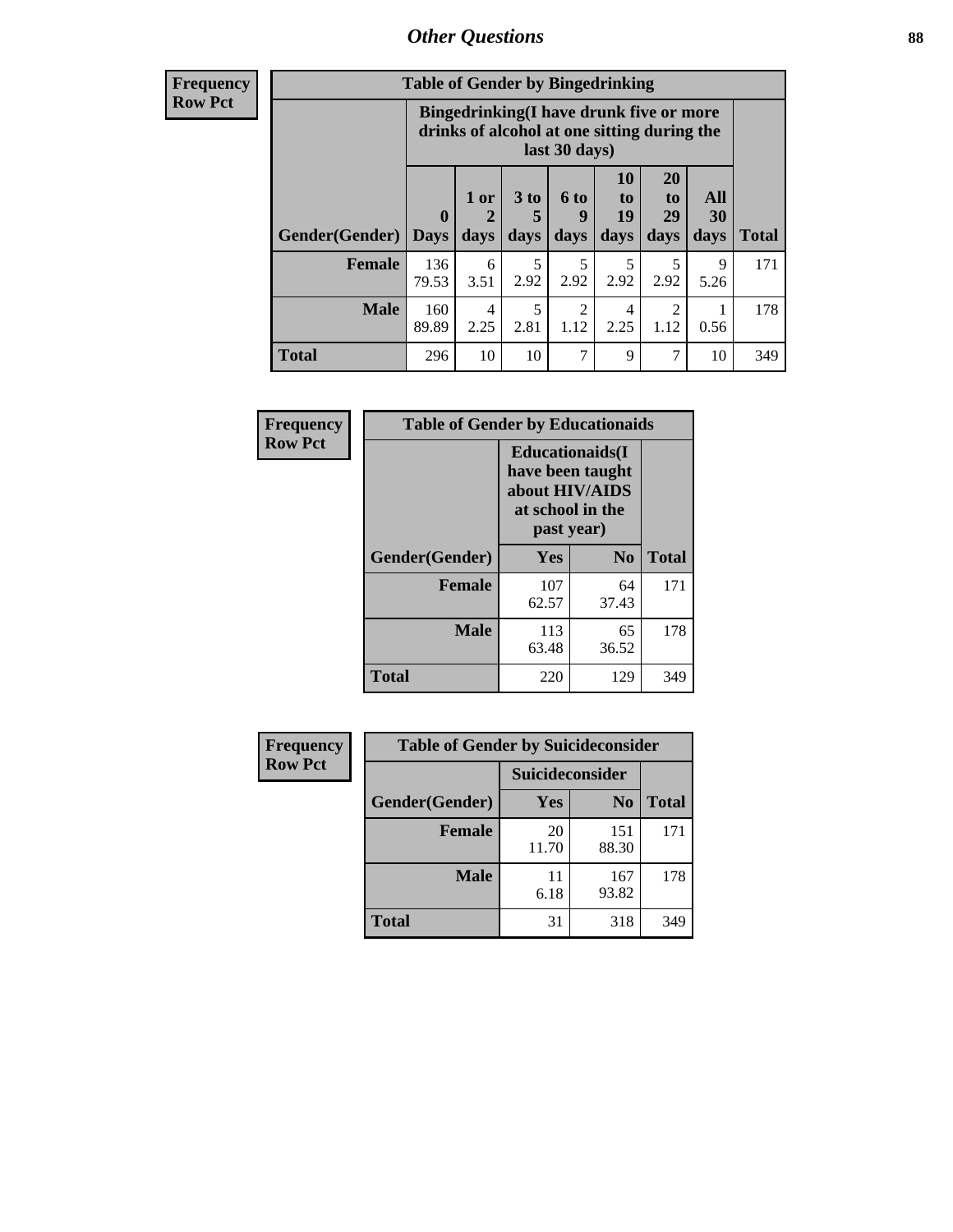# *Other Questions* **88**

**Frequency Row Pct**

| <b>Table of Gender by Bingedrinking</b> |                         |                                                                                                         |                   |                        |                        |                               |                   |              |
|-----------------------------------------|-------------------------|---------------------------------------------------------------------------------------------------------|-------------------|------------------------|------------------------|-------------------------------|-------------------|--------------|
|                                         |                         | Bingedrinking(I have drunk five or more<br>drinks of alcohol at one sitting during the<br>last 30 days) |                   |                        |                        |                               |                   |              |
| <b>Gender</b> (Gender)                  | $\bf{0}$<br><b>Days</b> | 1 or<br>days                                                                                            | 3 to<br>5<br>days | 6 to<br>9<br>days      | 10<br>to<br>19<br>days | <b>20</b><br>to<br>29<br>days | All<br>30<br>days | <b>Total</b> |
| Female                                  | 136<br>79.53            | 6<br>3.51                                                                                               | 5<br>2.92         | 5<br>2.92              | 5<br>2.92              | 5<br>2.92                     | 9<br>5.26         | 171          |
| <b>Male</b>                             | 160<br>89.89            | 4<br>2.25                                                                                               | 5<br>2.81         | $\overline{c}$<br>1.12 | 4<br>2.25              | 2<br>1.12                     | 0.56              | 178          |
| <b>Total</b>                            | 296                     | 10                                                                                                      | 10                | 7                      | 9                      | 7                             | 10                | 349          |

| Frequency      | <b>Table of Gender by Educationaids</b> |                                                                                                 |                |              |  |  |
|----------------|-----------------------------------------|-------------------------------------------------------------------------------------------------|----------------|--------------|--|--|
| <b>Row Pct</b> |                                         | <b>Educationaids</b> (I<br>have been taught<br>about HIV/AIDS<br>at school in the<br>past year) |                |              |  |  |
|                | Gender(Gender)                          | Yes                                                                                             | N <sub>0</sub> | <b>Total</b> |  |  |
|                | <b>Female</b>                           | 107<br>62.57                                                                                    | 64<br>37.43    | 171          |  |  |
|                | <b>Male</b>                             | 113<br>63.48                                                                                    | 65<br>36.52    | 178          |  |  |
|                | <b>Total</b>                            | 220                                                                                             | 129            | 349          |  |  |

| <b>Frequency</b> | <b>Table of Gender by Suicideconsider</b> |                 |                |              |  |
|------------------|-------------------------------------------|-----------------|----------------|--------------|--|
| <b>Row Pct</b>   |                                           | Suicideconsider |                |              |  |
|                  | Gender(Gender)                            | Yes             | N <sub>0</sub> | <b>Total</b> |  |
|                  | <b>Female</b>                             | 20<br>11.70     | 151<br>88.30   | 171          |  |
|                  | <b>Male</b>                               | 11<br>6.18      | 167<br>93.82   | 178          |  |
|                  | <b>Total</b>                              | 31              | 318            | 349          |  |